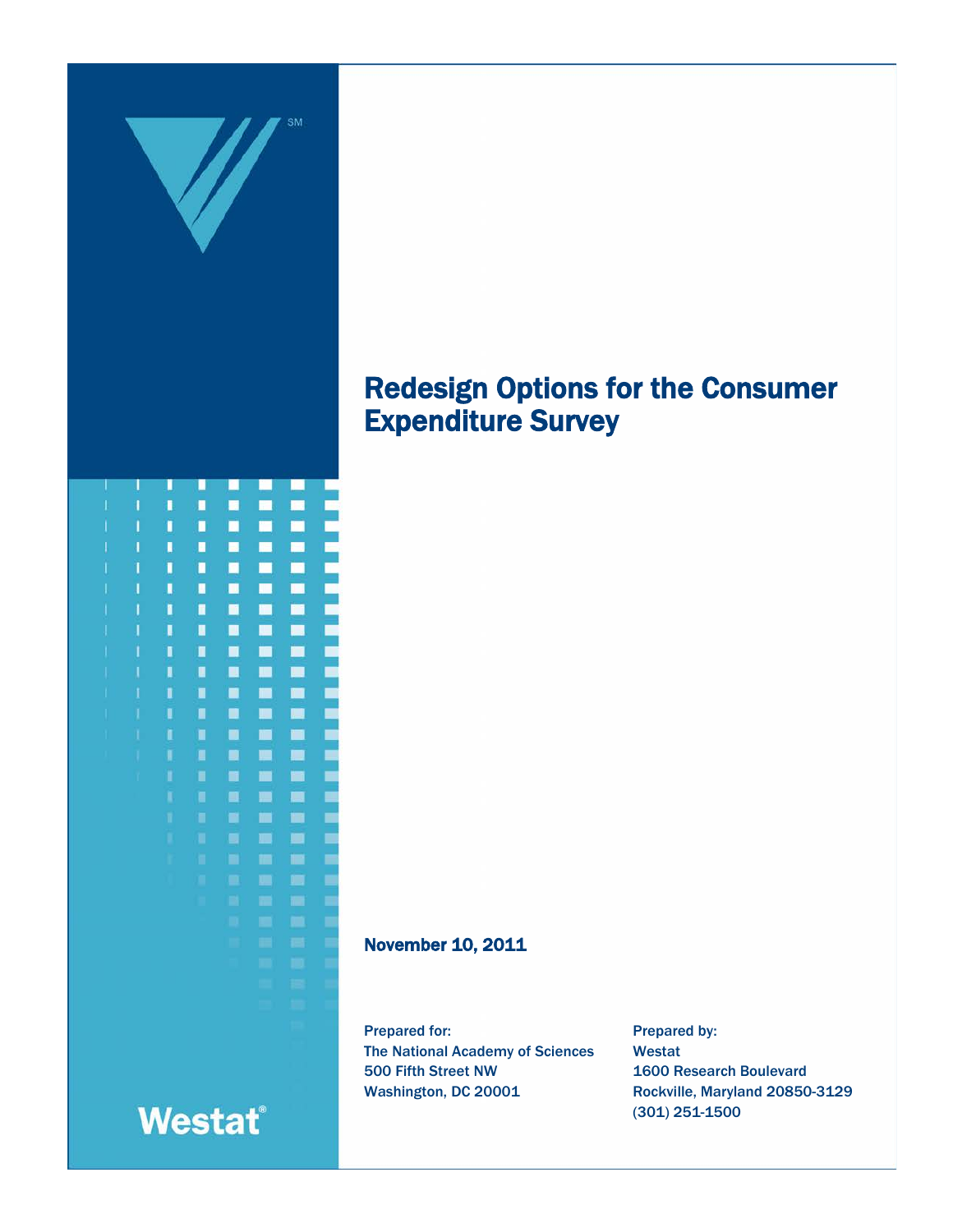

## Redesign Options for the Consumer Expenditure Survey

November 10, 2011

Prepared for: The National Academy of Sciences 500 Fifth Street NW Washington, DC 20001

Prepared by: Westat 1600 Research Boulevard Rockville, Maryland 20850-3129 (301) 251-1500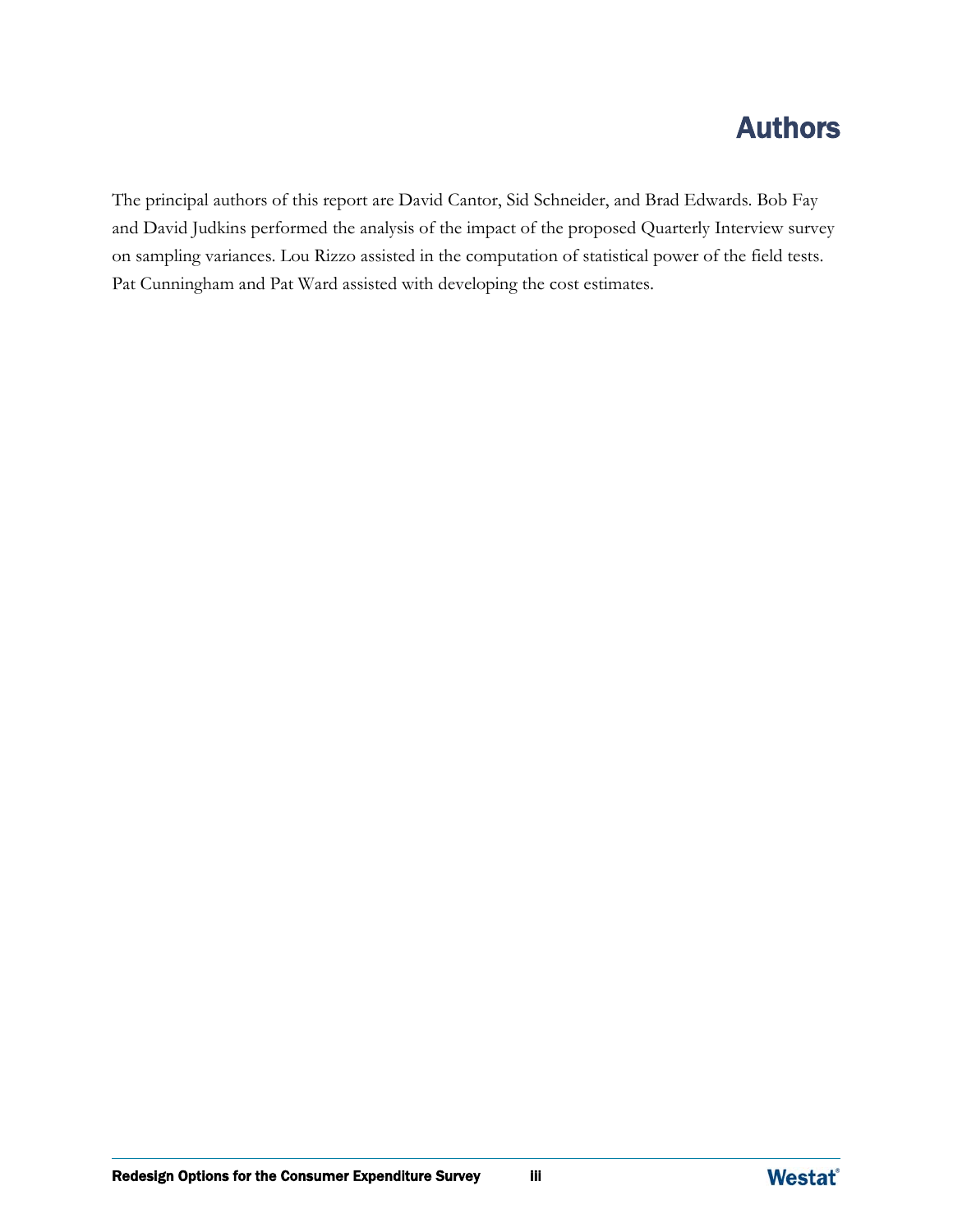## Authors

The principal authors of this report are David Cantor, Sid Schneider, and Brad Edwards. Bob Fay and David Judkins performed the analysis of the impact of the proposed Quarterly Interview survey on sampling variances. Lou Rizzo assisted in the computation of statistical power of the field tests. Pat Cunningham and Pat Ward assisted with developing the cost estimates.

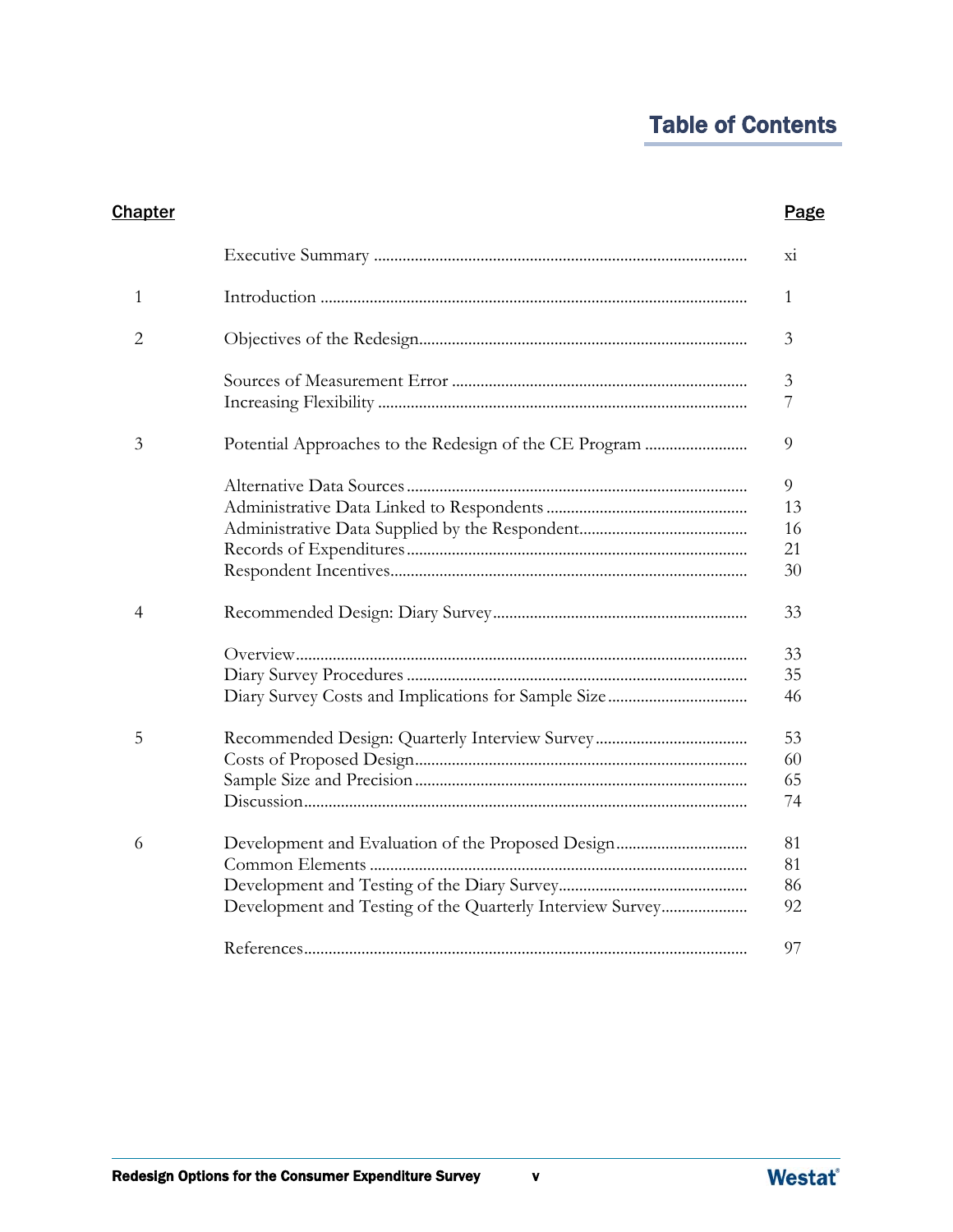## Table of Contents

| <b>Chapter</b> |                                                           | <b>Page</b>               |
|----------------|-----------------------------------------------------------|---------------------------|
|                |                                                           | X1                        |
| 1              |                                                           | 1                         |
| $\overline{2}$ |                                                           | 3                         |
|                |                                                           | 3<br>7                    |
| 3              |                                                           | 9                         |
|                |                                                           | 9<br>13<br>16<br>21<br>30 |
| 4              |                                                           | 33                        |
|                |                                                           | 33<br>35<br>46            |
| 5              |                                                           | 53<br>60<br>65<br>74      |
| 6              | Development and Testing of the Quarterly Interview Survey | 81<br>81<br>86<br>92      |
|                |                                                           | 97                        |

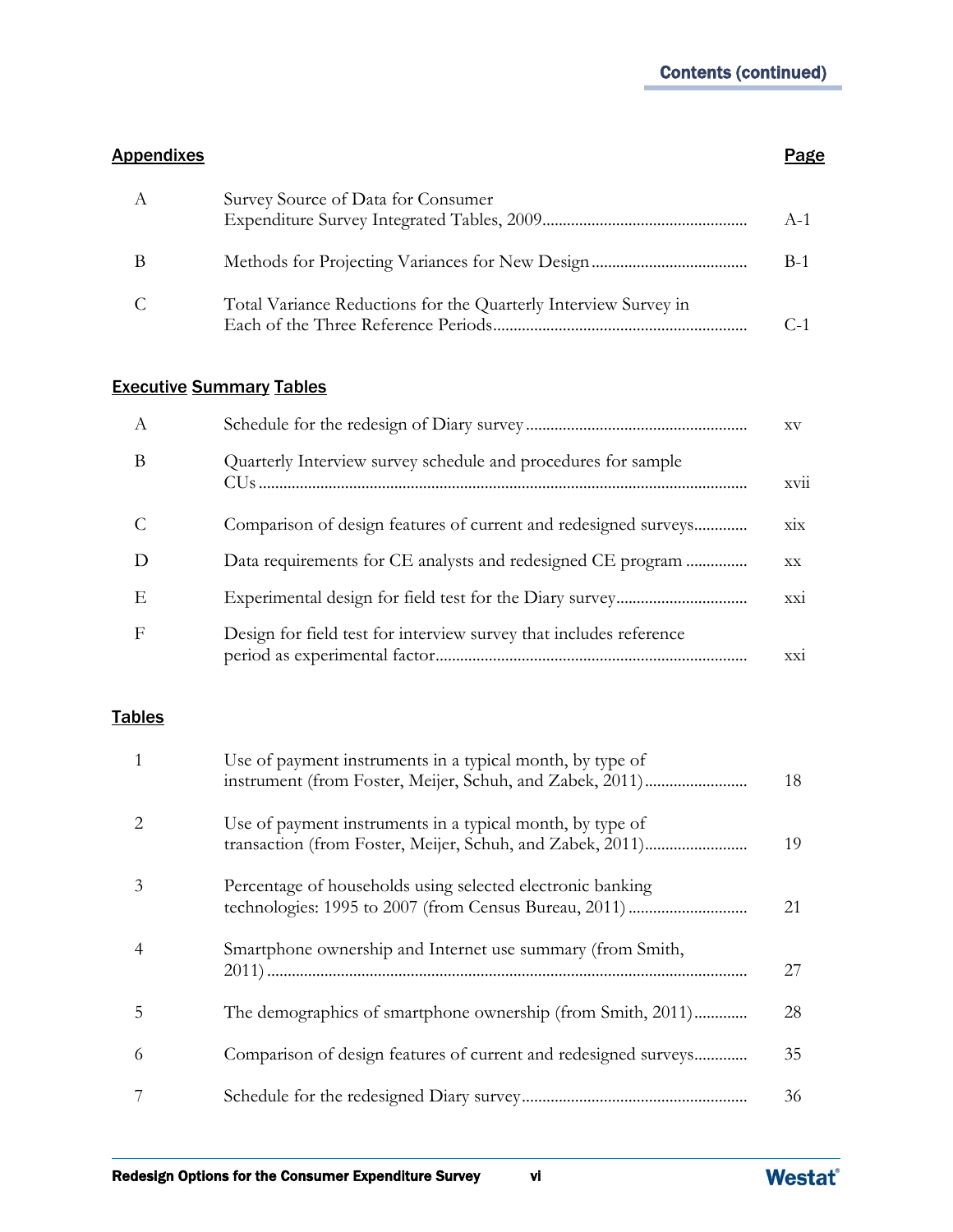#### Appendixes **Page**

| A | Survey Source of Data for Consumer                              | $A-1$ |
|---|-----------------------------------------------------------------|-------|
| В |                                                                 | $B-1$ |
| C | Total Variance Reductions for the Quarterly Interview Survey in |       |

#### Executive Summary Tables

| A |                                                                    | XV               |
|---|--------------------------------------------------------------------|------------------|
| B | Quarterly Interview survey schedule and procedures for sample      | xvii             |
| C | Comparison of design features of current and redesigned surveys    | $\dot{X}$        |
| D | Data requirements for CE analysts and redesigned CE program        | ${\bf XX}$       |
| Ε |                                                                    | $\overline{xxi}$ |
| F | Design for field test for interview survey that includes reference | xxi              |

#### **Tables**

| $\overline{1}$ | Use of payment instruments in a typical month, by type of       | 18 |
|----------------|-----------------------------------------------------------------|----|
| 2              | Use of payment instruments in a typical month, by type of       | 19 |
| 3              | Percentage of households using selected electronic banking      | 21 |
| $\overline{4}$ | Smartphone ownership and Internet use summary (from Smith,      | 27 |
| 5              | The demographics of smartphone ownership (from Smith, 2011)     | 28 |
| 6              | Comparison of design features of current and redesigned surveys | 35 |
| 7              |                                                                 | 36 |

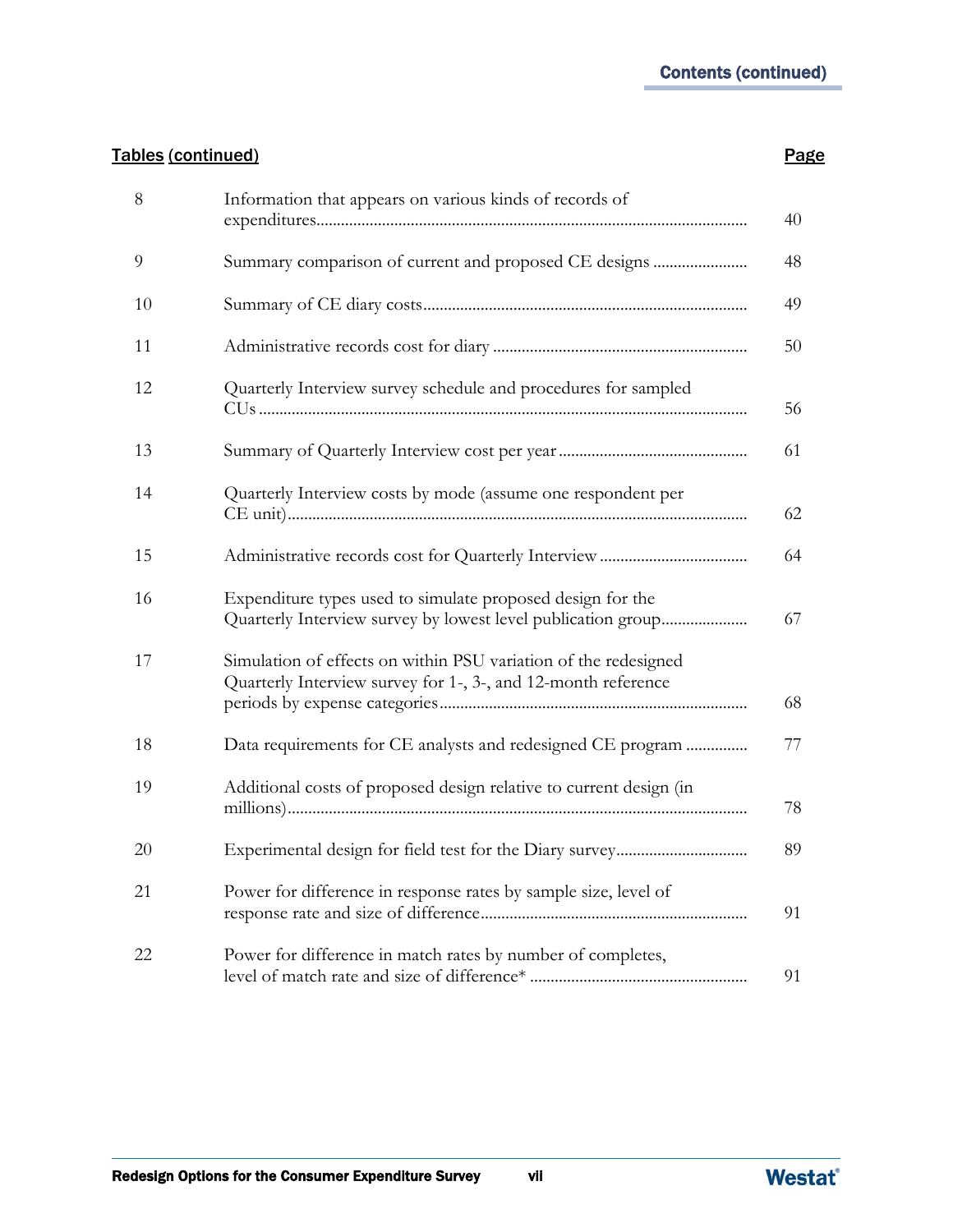### Tables (continued) **Page**

| $8\,$ | Information that appears on various kinds of records of                                                                          | 40 |
|-------|----------------------------------------------------------------------------------------------------------------------------------|----|
| 9     | Summary comparison of current and proposed CE designs                                                                            | 48 |
| 10    |                                                                                                                                  | 49 |
| 11    |                                                                                                                                  | 50 |
| 12    | Quarterly Interview survey schedule and procedures for sampled                                                                   | 56 |
| 13    |                                                                                                                                  | 61 |
| 14    | Quarterly Interview costs by mode (assume one respondent per                                                                     | 62 |
| 15    |                                                                                                                                  | 64 |
| 16    | Expenditure types used to simulate proposed design for the<br>Quarterly Interview survey by lowest level publication group       | 67 |
| 17    | Simulation of effects on within PSU variation of the redesigned<br>Quarterly Interview survey for 1-, 3-, and 12-month reference | 68 |
| 18    | Data requirements for CE analysts and redesigned CE program                                                                      | 77 |
| 19    | Additional costs of proposed design relative to current design (in                                                               | 78 |
| 20    |                                                                                                                                  | 89 |
| 21    | Power for difference in response rates by sample size, level of                                                                  | 91 |
| 22    | Power for difference in match rates by number of completes,                                                                      | 91 |

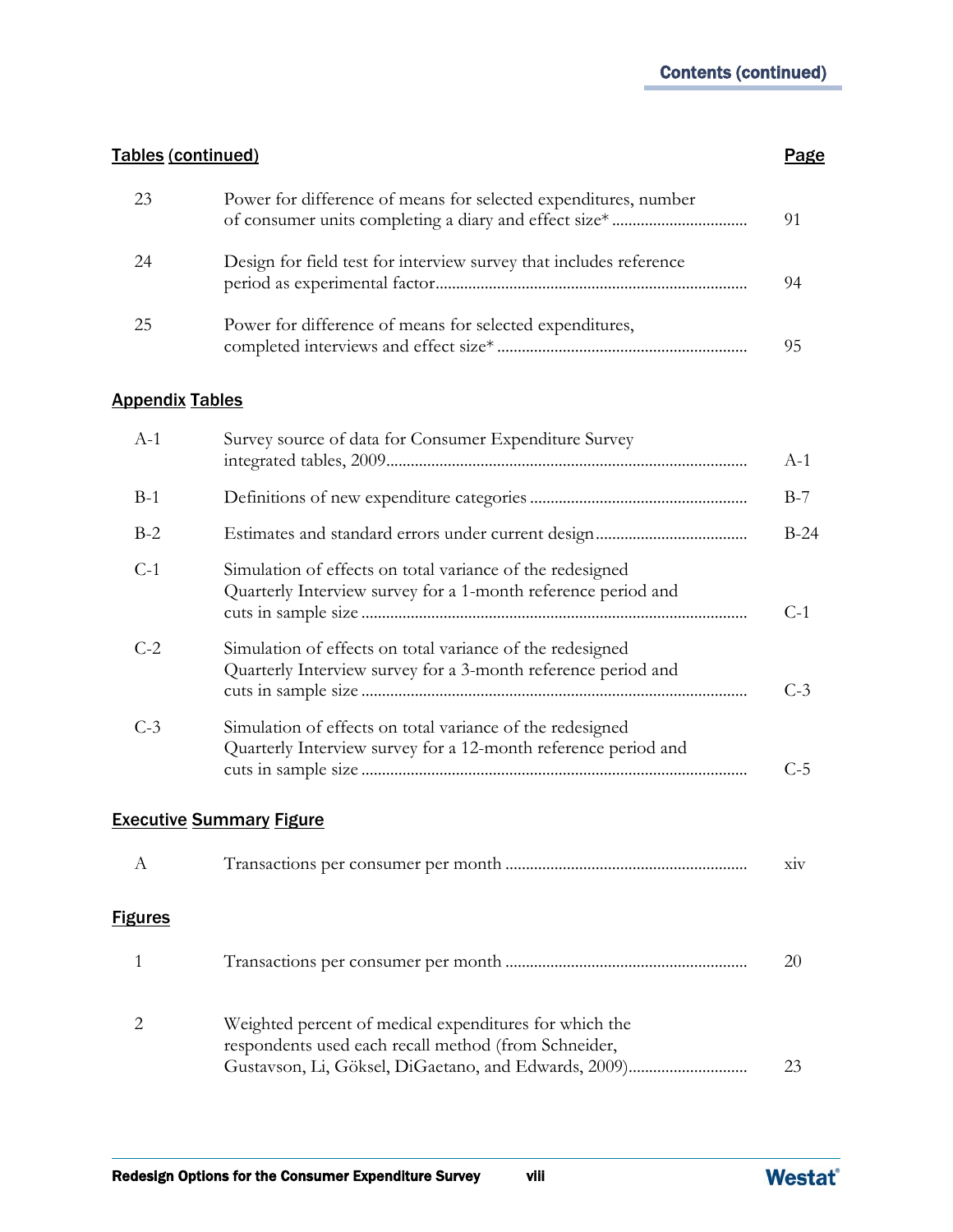#### Tables (continued) **Page**

| 23 | Power for difference of means for selected expenditures, number    | 91 |
|----|--------------------------------------------------------------------|----|
| 24 | Design for field test for interview survey that includes reference | 94 |
| 25 | Power for difference of means for selected expenditures,           | 95 |

#### Appendix Tables

| $A-1$          | Survey source of data for Consumer Expenditure Survey                                                                       | $A-1$ |  |  |
|----------------|-----------------------------------------------------------------------------------------------------------------------------|-------|--|--|
| $B-1$          |                                                                                                                             | $B-7$ |  |  |
| $B-2$          | $B-24$                                                                                                                      |       |  |  |
| $C-1$          | Simulation of effects on total variance of the redesigned<br>Quarterly Interview survey for a 1-month reference period and  | $C-1$ |  |  |
| $C-2$          | Simulation of effects on total variance of the redesigned<br>Quarterly Interview survey for a 3-month reference period and  | $C-3$ |  |  |
| $C-3$          | Simulation of effects on total variance of the redesigned<br>Quarterly Interview survey for a 12-month reference period and | $C-5$ |  |  |
|                | <b>Executive Summary Figure</b>                                                                                             |       |  |  |
| A              |                                                                                                                             | XIV   |  |  |
| <b>Figures</b> |                                                                                                                             |       |  |  |
|                |                                                                                                                             | 20    |  |  |

2 Weighted percent of medical expenditures for which the respondents used each recall method (from Schneider, Gustavson, Li, Göksel, DiGaetano, and Edwards, 2009)............................. 23

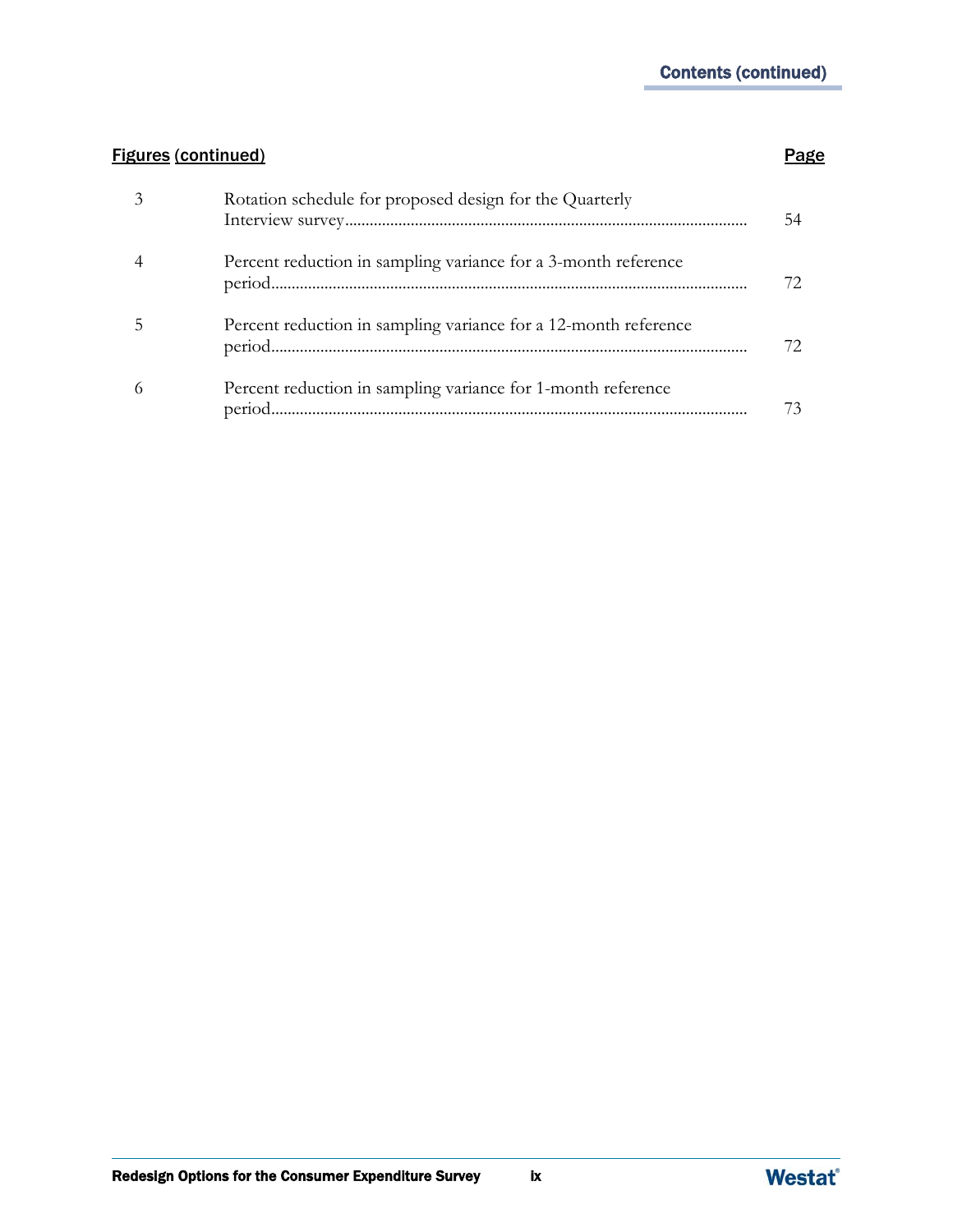### **Figures (continued) Page**

| 3 | Rotation schedule for proposed design for the Quarterly         |  |
|---|-----------------------------------------------------------------|--|
| 4 | Percent reduction in sampling variance for a 3-month reference  |  |
| 5 | Percent reduction in sampling variance for a 12-month reference |  |
| 6 | Percent reduction in sampling variance for 1-month reference    |  |

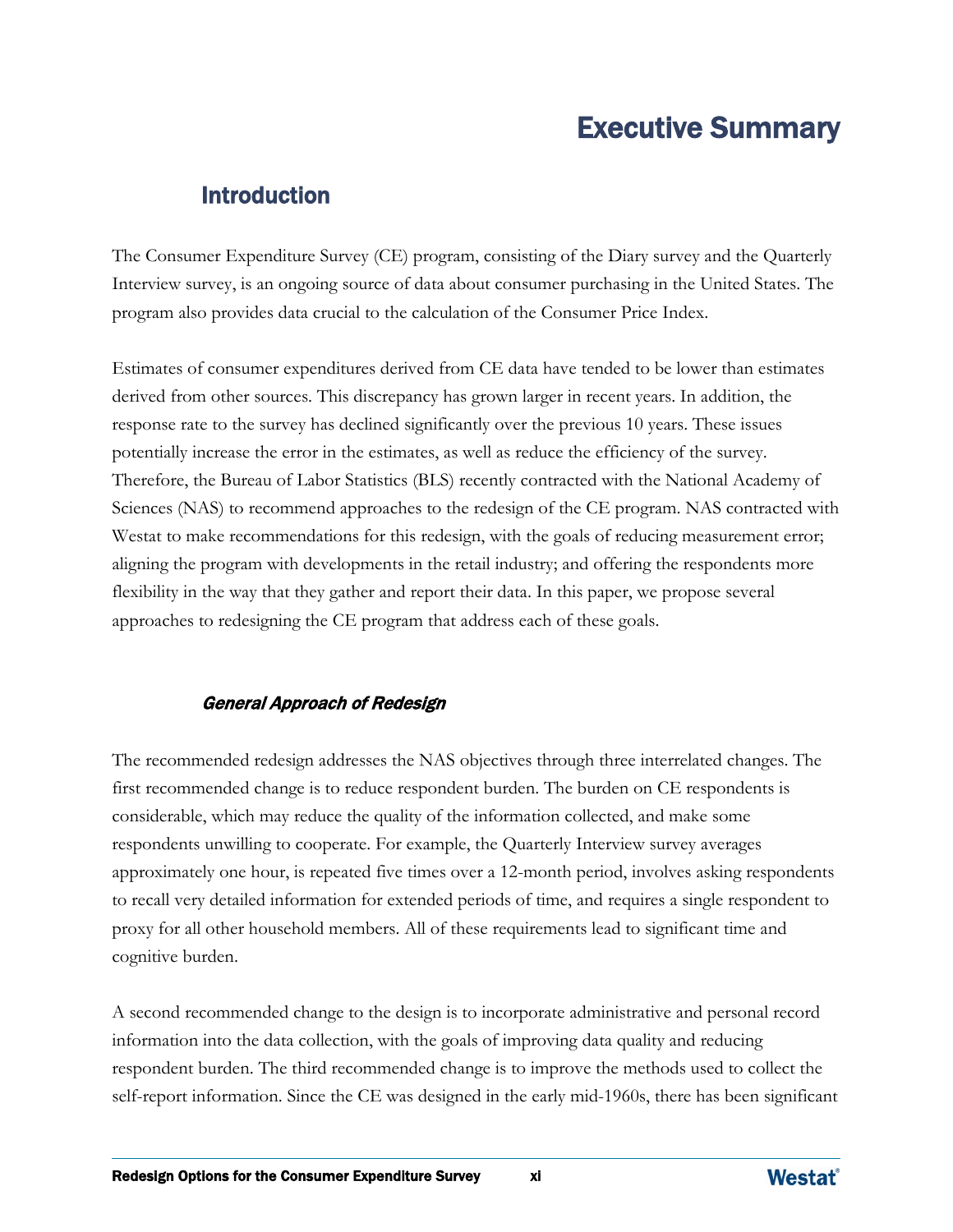## Executive Summary

## **Introduction**<br> *Introduction*

The Consumer Expenditure Survey (CE) program, consisting of the Diary survey and the Quarterly Interview survey, is an ongoing source of data about consumer purchasing in the United States. The program also provides data crucial to the calculation of the Consumer Price Index.

Estimates of consumer expenditures derived from CE data have tended to be lower than estimates derived from other sources. This discrepancy has grown larger in recent years. In addition, the response rate to the survey has declined significantly over the previous 10 years. These issues potentially increase the error in the estimates, as well as reduce the efficiency of the survey. Therefore, the Bureau of Labor Statistics (BLS) recently contracted with the National Academy of Sciences (NAS) to recommend approaches to the redesign of the CE program. NAS contracted with Westat to make recommendations for this redesign, with the goals of reducing measurement error; aligning the program with developments in the retail industry; and offering the respondents more flexibility in the way that they gather and report their data. In this paper, we propose several approaches to redesigning the CE program that address each of these goals.

#### General Approach of Redesign

The recommended redesign addresses the NAS objectives through three interrelated changes. The first recommended change is to reduce respondent burden. The burden on CE respondents is considerable, which may reduce the quality of the information collected, and make some respondents unwilling to cooperate. For example, the Quarterly Interview survey averages approximately one hour, is repeated five times over a 12-month period, involves asking respondents to recall very detailed information for extended periods of time, and requires a single respondent to proxy for all other household members. All of these requirements lead to significant time and cognitive burden.

A second recommended change to the design is to incorporate administrative and personal record information into the data collection, with the goals of improving data quality and reducing respondent burden. The third recommended change is to improve the methods used to collect the self-report information. Since the CE was designed in the early mid-1960s, there has been significant

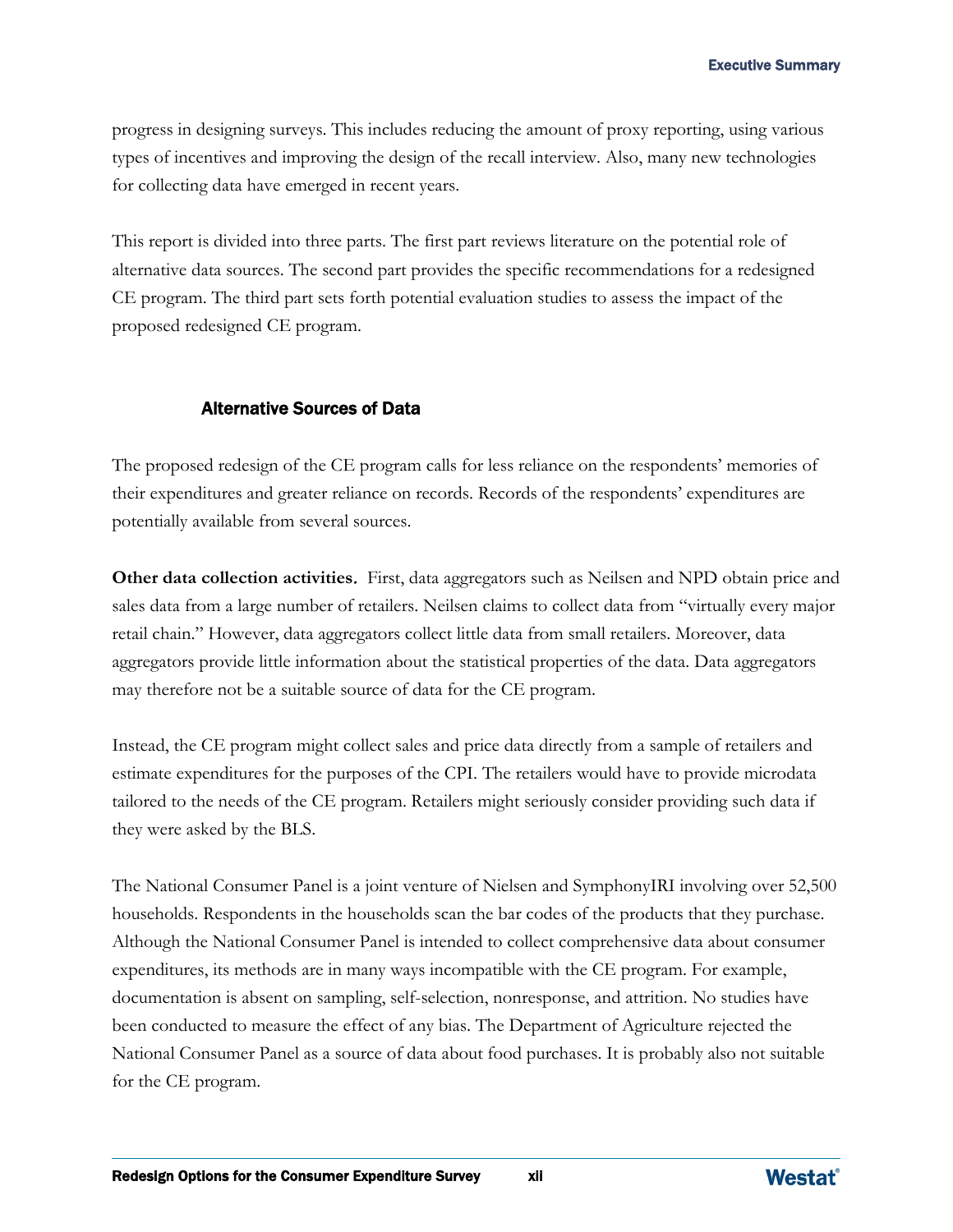progress in designing surveys. This includes reducing the amount of proxy reporting, using various types of incentives and improving the design of the recall interview. Also, many new technologies for collecting data have emerged in recent years.

This report is divided into three parts. The first part reviews literature on the potential role of alternative data sources. The second part provides the specific recommendations for a redesigned CE program. The third part sets forth potential evaluation studies to assess the impact of the proposed redesigned CE program.

#### Alternative Sources of Data

The proposed redesign of the CE program calls for less reliance on the respondents' memories of their expenditures and greater reliance on records. Records of the respondents' expenditures are potentially available from several sources.

**Other data collection activities**. First, data aggregators such as Neilsen and NPD obtain price and sales data from a large number of retailers. Neilsen claims to collect data from "virtually every major retail chain." However, data aggregators collect little data from small retailers. Moreover, data aggregators provide little information about the statistical properties of the data. Data aggregators may therefore not be a suitable source of data for the CE program.

Instead, the CE program might collect sales and price data directly from a sample of retailers and estimate expenditures for the purposes of the CPI. The retailers would have to provide microdata tailored to the needs of the CE program. Retailers might seriously consider providing such data if they were asked by the BLS.

The National Consumer Panel is a joint venture of Nielsen and SymphonyIRI involving over 52,500 households. Respondents in the households scan the bar codes of the products that they purchase. Although the National Consumer Panel is intended to collect comprehensive data about consumer expenditures, its methods are in many ways incompatible with the CE program. For example, documentation is absent on sampling, self-selection, nonresponse, and attrition. No studies have been conducted to measure the effect of any bias. The Department of Agriculture rejected the National Consumer Panel as a source of data about food purchases. It is probably also not suitable for the CE program.

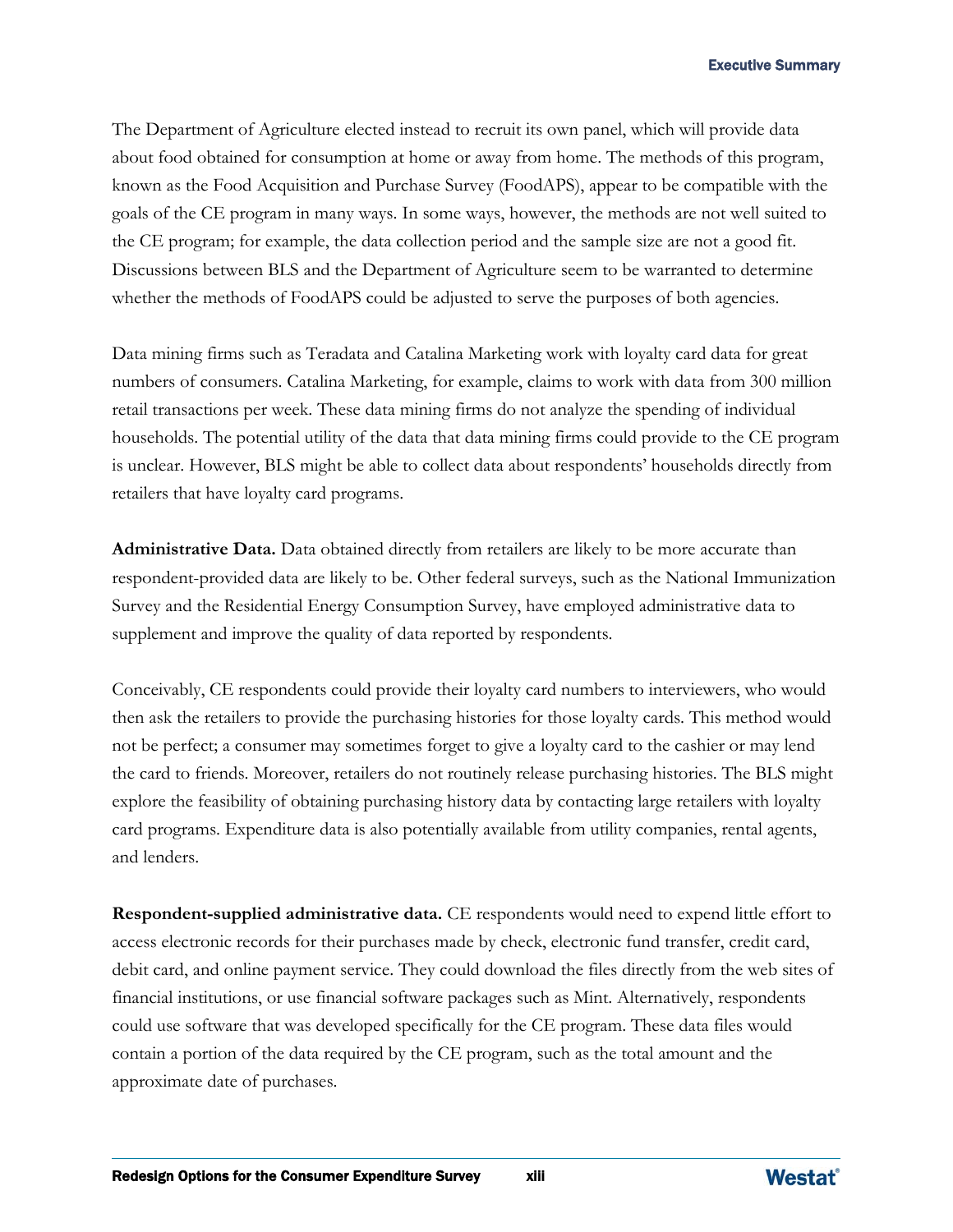The Department of Agriculture elected instead to recruit its own panel, which will provide data about food obtained for consumption at home or away from home. The methods of this program, known as the Food Acquisition and Purchase Survey (FoodAPS), appear to be compatible with the goals of the CE program in many ways. In some ways, however, the methods are not well suited to the CE program; for example, the data collection period and the sample size are not a good fit. Discussions between BLS and the Department of Agriculture seem to be warranted to determine whether the methods of FoodAPS could be adjusted to serve the purposes of both agencies.

Data mining firms such as Teradata and Catalina Marketing work with loyalty card data for great numbers of consumers. Catalina Marketing, for example, claims to work with data from 300 million retail transactions per week. These data mining firms do not analyze the spending of individual households. The potential utility of the data that data mining firms could provide to the CE program is unclear. However, BLS might be able to collect data about respondents' households directly from retailers that have loyalty card programs.

**Administrative Data.** Data obtained directly from retailers are likely to be more accurate than respondent-provided data are likely to be. Other federal surveys, such as the National Immunization Survey and the Residential Energy Consumption Survey, have employed administrative data to supplement and improve the quality of data reported by respondents.

Conceivably, CE respondents could provide their loyalty card numbers to interviewers, who would then ask the retailers to provide the purchasing histories for those loyalty cards. This method would not be perfect; a consumer may sometimes forget to give a loyalty card to the cashier or may lend the card to friends. Moreover, retailers do not routinely release purchasing histories. The BLS might explore the feasibility of obtaining purchasing history data by contacting large retailers with loyalty card programs. Expenditure data is also potentially available from utility companies, rental agents, and lenders.

**Respondent-supplied administrative data.** CE respondents would need to expend little effort to access electronic records for their purchases made by check, electronic fund transfer, credit card, debit card, and online payment service. They could download the files directly from the web sites of financial institutions, or use financial software packages such as Mint. Alternatively, respondents could use software that was developed specifically for the CE program. These data files would contain a portion of the data required by the CE program, such as the total amount and the approximate date of purchases.

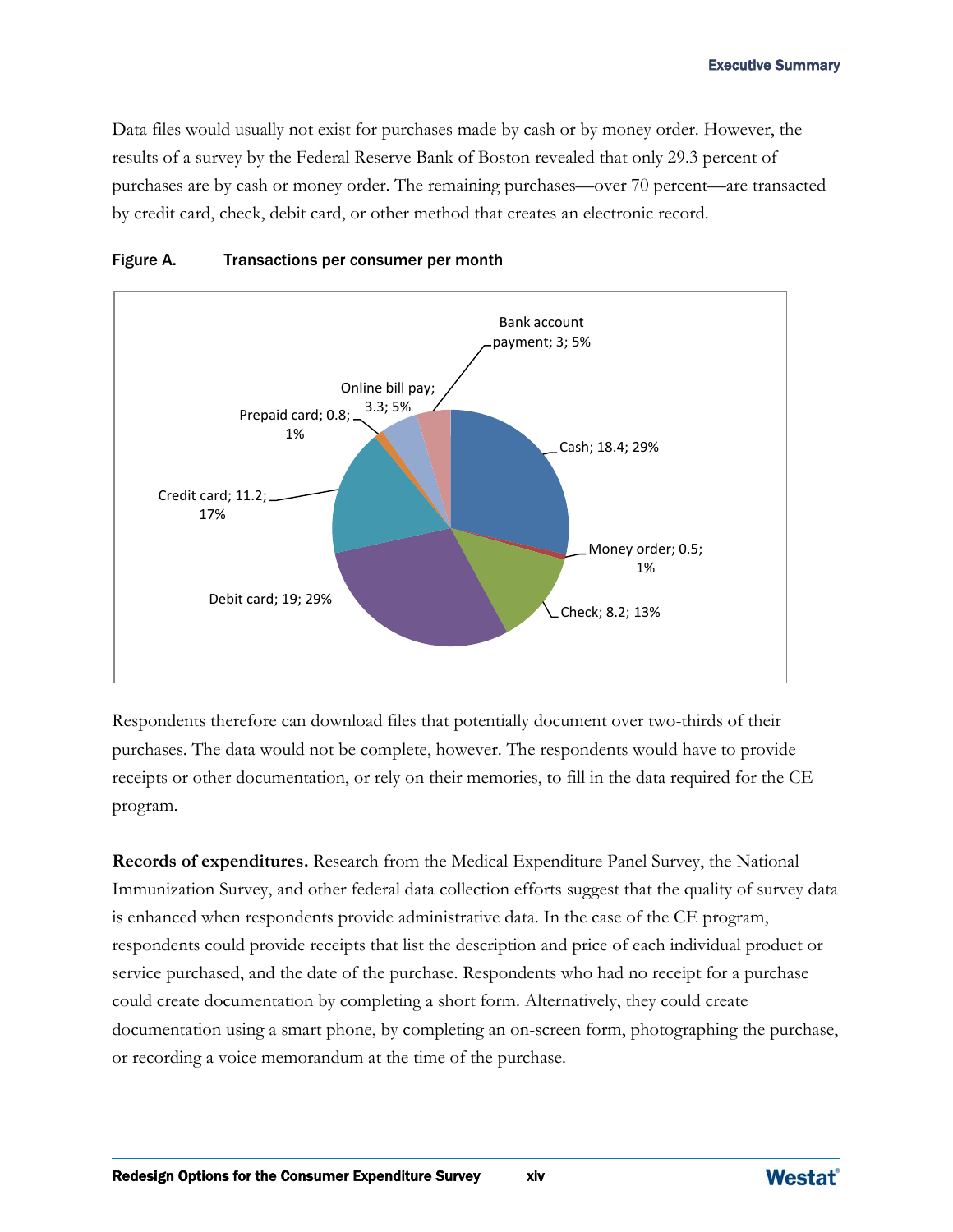Data files would usually not exist for purchases made by cash or by money order. However, the results of a survey by the Federal Reserve Bank of Boston revealed that only 29.3 percent of purchases are by cash or money order. The remaining purchases—over 70 percent—are transacted by credit card, check, debit card, or other method that creates an electronic record.



#### Figure A. Transactions per consumer per month

Respondents therefore can download files that potentially document over two-thirds of their purchases. The data would not be complete, however. The respondents would have to provide receipts or other documentation, or rely on their memories, to fill in the data required for the CE program.

**Records of expenditures.** Research from the Medical Expenditure Panel Survey, the National Immunization Survey, and other federal data collection efforts suggest that the quality of survey data is enhanced when respondents provide administrative data. In the case of the CE program, respondents could provide receipts that list the description and price of each individual product or service purchased, and the date of the purchase. Respondents who had no receipt for a purchase could create documentation by completing a short form. Alternatively, they could create documentation using a smart phone, by completing an on-screen form, photographing the purchase, or recording a voice memorandum at the time of the purchase.

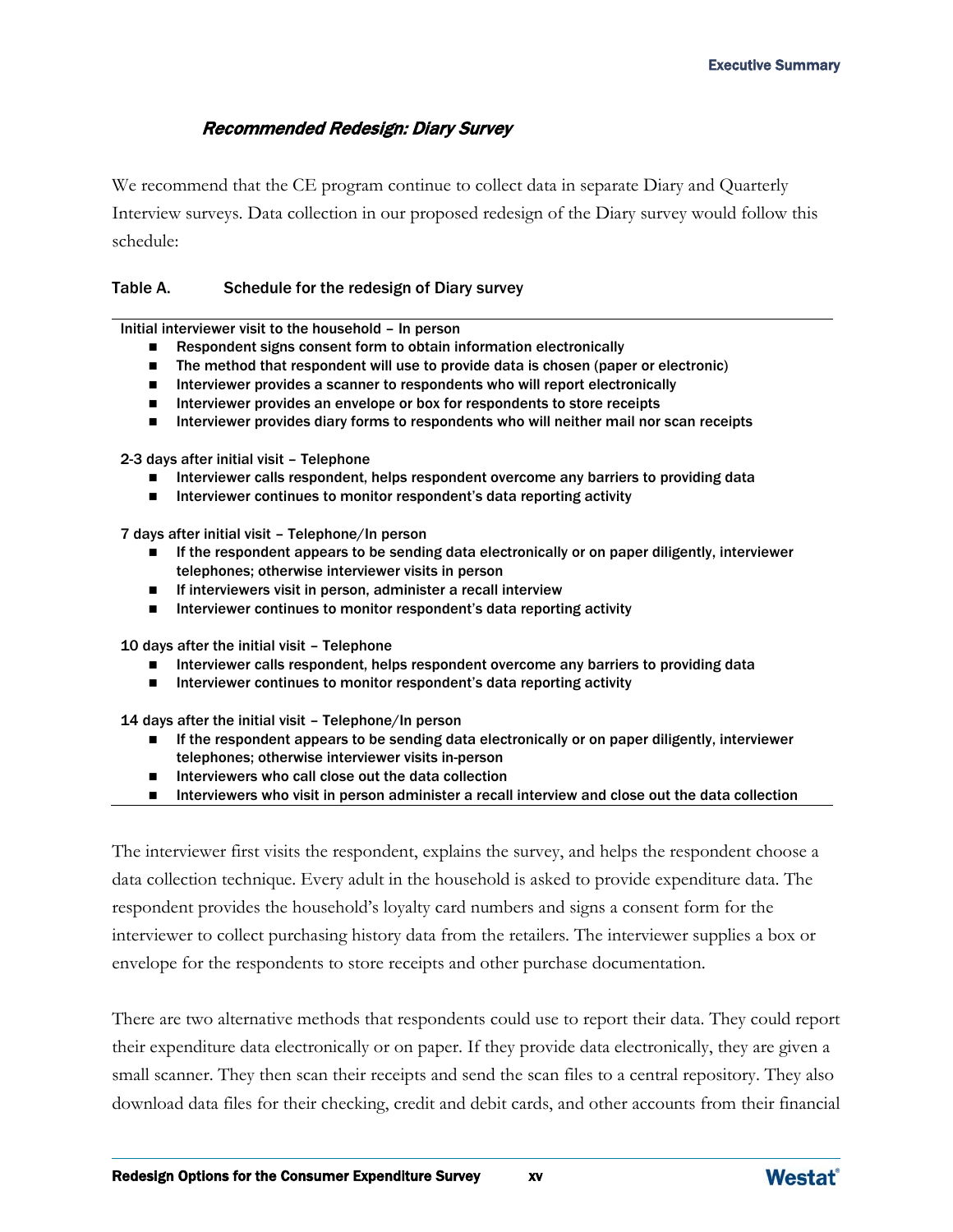#### Recommended Redesign: Diary Survey

We recommend that the CE program continue to collect data in separate Diary and Quarterly Interview surveys. Data collection in our proposed redesign of the Diary survey would follow this schedule:

#### Table A. Schedule for the redesign of Diary survey

Initial interviewer visit to the household – In person

- Respondent signs consent form to obtain information electronically
- The method that respondent will use to provide data is chosen (paper or electronic)
- Interviewer provides a scanner to respondents who will report electronically
- Interviewer provides an envelope or box for respondents to store receipts
- Interviewer provides diary forms to respondents who will neither mail nor scan receipts

2-3 days after initial visit – Telephone

- **Interviewer calls respondent, helps respondent overcome any barriers to providing data**
- $\blacksquare$  Interviewer continues to monitor respondent's data reporting activity

7 days after initial visit – Telephone/In person

- If the respondent appears to be sending data electronically or on paper diligently, interviewer telephones; otherwise interviewer visits in person
- $\blacksquare$  If interviewers visit in person, administer a recall interview
- Interviewer continues to monitor respondent's data reporting activity

10 days after the initial visit – Telephone

- **Interviewer calls respondent, helps respondent overcome any barriers to providing data**
- Interviewer continues to monitor respondent's data reporting activity

14 days after the initial visit – Telephone/In person

- If the respondent appears to be sending data electronically or on paper diligently, interviewer telephones; otherwise interviewer visits in-person
- Interviewers who call close out the data collection
- Interviewers who visit in person administer a recall interview and close out the data collection

The interviewer first visits the respondent, explains the survey, and helps the respondent choose a data collection technique. Every adult in the household is asked to provide expenditure data. The respondent provides the household's loyalty card numbers and signs a consent form for the interviewer to collect purchasing history data from the retailers. The interviewer supplies a box or envelope for the respondents to store receipts and other purchase documentation.

There are two alternative methods that respondents could use to report their data. They could report their expenditure data electronically or on paper. If they provide data electronically, they are given a small scanner. They then scan their receipts and send the scan files to a central repository. They also download data files for their checking, credit and debit cards, and other accounts from their financial

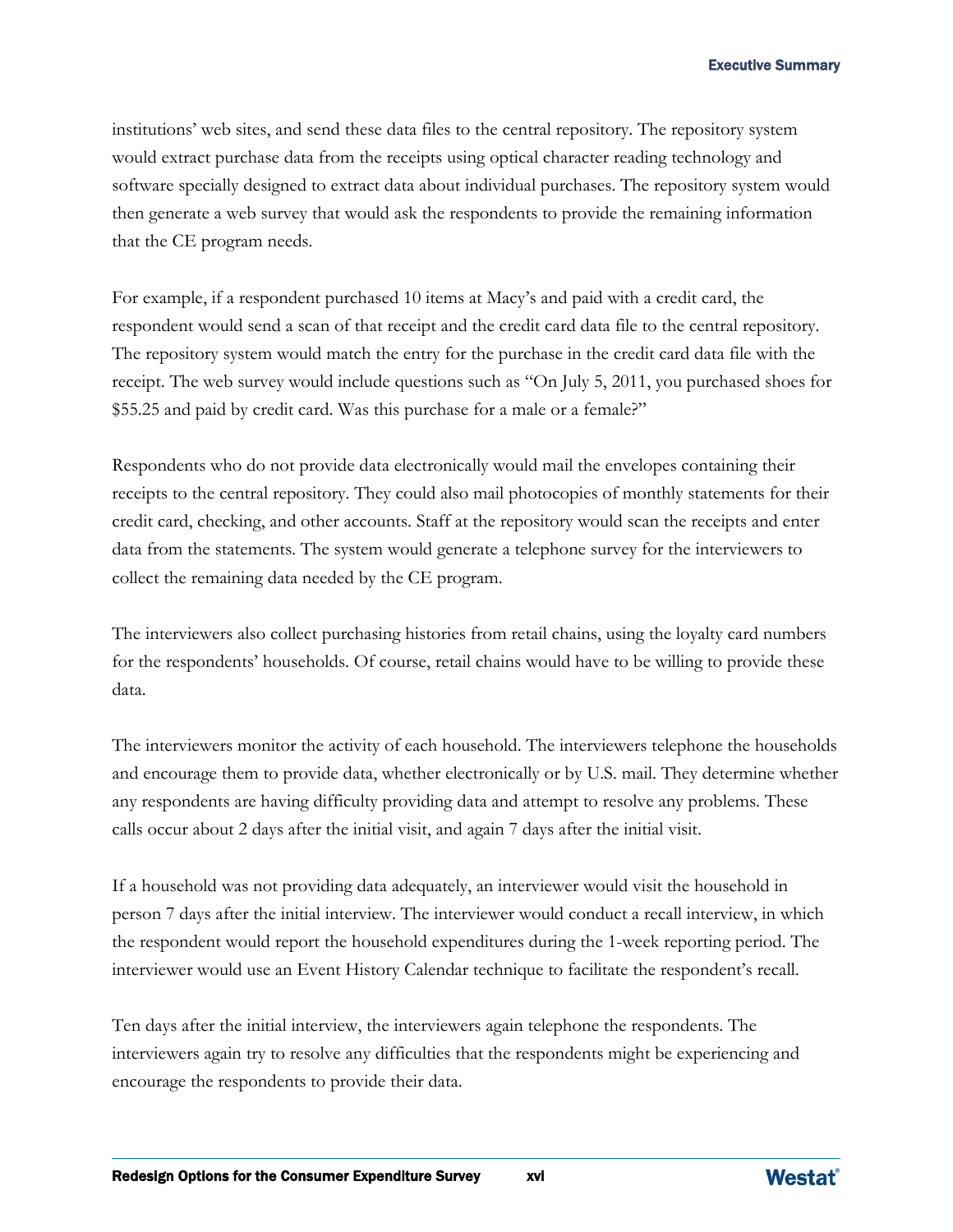institutions' web sites, and send these data files to the central repository. The repository system would extract purchase data from the receipts using optical character reading technology and software specially designed to extract data about individual purchases. The repository system would then generate a web survey that would ask the respondents to provide the remaining information that the CE program needs.

For example, if a respondent purchased 10 items at Macy's and paid with a credit card, the respondent would send a scan of that receipt and the credit card data file to the central repository. The repository system would match the entry for the purchase in the credit card data file with the receipt. The web survey would include questions such as "On July 5, 2011, you purchased shoes for \$55.25 and paid by credit card. Was this purchase for a male or a female?"

Respondents who do not provide data electronically would mail the envelopes containing their receipts to the central repository. They could also mail photocopies of monthly statements for their credit card, checking, and other accounts. Staff at the repository would scan the receipts and enter data from the statements. The system would generate a telephone survey for the interviewers to collect the remaining data needed by the CE program.

The interviewers also collect purchasing histories from retail chains, using the loyalty card numbers for the respondents' households. Of course, retail chains would have to be willing to provide these data.

The interviewers monitor the activity of each household. The interviewers telephone the households and encourage them to provide data, whether electronically or by U.S. mail. They determine whether any respondents are having difficulty providing data and attempt to resolve any problems. These calls occur about 2 days after the initial visit, and again 7 days after the initial visit.

If a household was not providing data adequately, an interviewer would visit the household in person 7 days after the initial interview. The interviewer would conduct a recall interview, in which the respondent would report the household expenditures during the 1-week reporting period. The interviewer would use an Event History Calendar technique to facilitate the respondent's recall.

Ten days after the initial interview, the interviewers again telephone the respondents. The interviewers again try to resolve any difficulties that the respondents might be experiencing and encourage the respondents to provide their data.

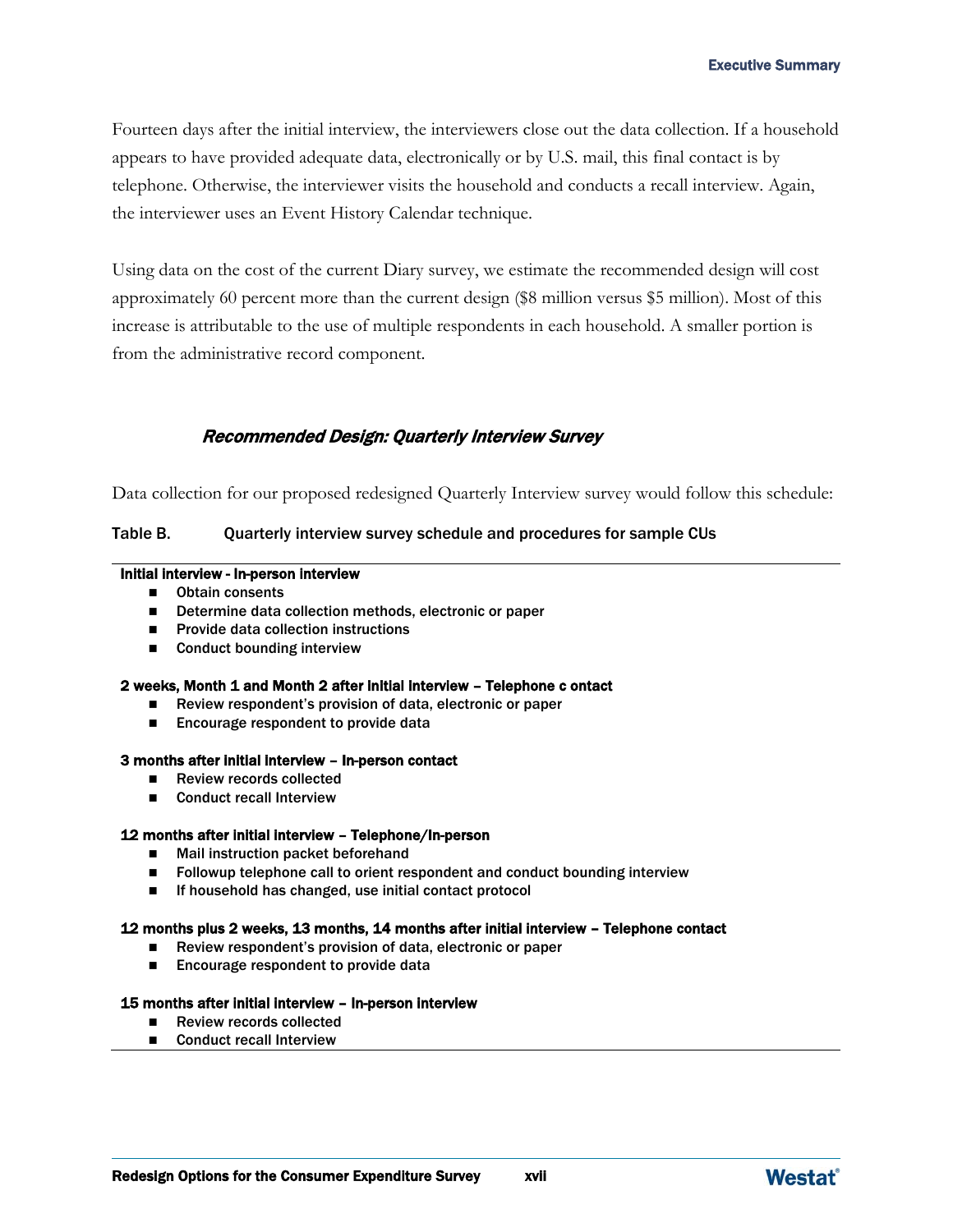Fourteen days after the initial interview, the interviewers close out the data collection. If a household appears to have provided adequate data, electronically or by U.S. mail, this final contact is by telephone. Otherwise, the interviewer visits the household and conducts a recall interview. Again, the interviewer uses an Event History Calendar technique.

Using data on the cost of the current Diary survey, we estimate the recommended design will cost approximately 60 percent more than the current design (\$8 million versus \$5 million). Most of this increase is attributable to the use of multiple respondents in each household. A smaller portion is from the administrative record component.

#### Recommended Design: Quarterly Interview Survey

Data collection for our proposed redesigned Quarterly Interview survey would follow this schedule:

#### Table B. Quarterly interview survey schedule and procedures for sample CUs

#### Initial interview - In-person interview

- Obtain consents
- Determine data collection methods, electronic or paper
- $\blacksquare$  Provide data collection instructions
- Conduct bounding interview

#### 2 weeks, Month 1 and Month 2 after initial interview – Telephone c ontact

- Review respondent's provision of data, electronic or paper
- Encourage respondent to provide data

#### 3 months after initial interview – In-person contact

- Review records collected
- Conduct recall Interview

#### 12 months after initial interview – Telephone/In-person

- Mail instruction packet beforehand
- Followup telephone call to orient respondent and conduct bounding interview
- If household has changed, use initial contact protocol

#### 12 months plus 2 weeks, 13 months, 14 months after initial interview – Telephone contact

- Review respondent's provision of data, electronic or paper
- Encourage respondent to provide data

#### 15 months after initial interview – In-person interview

- Review records collected
- Conduct recall Interview

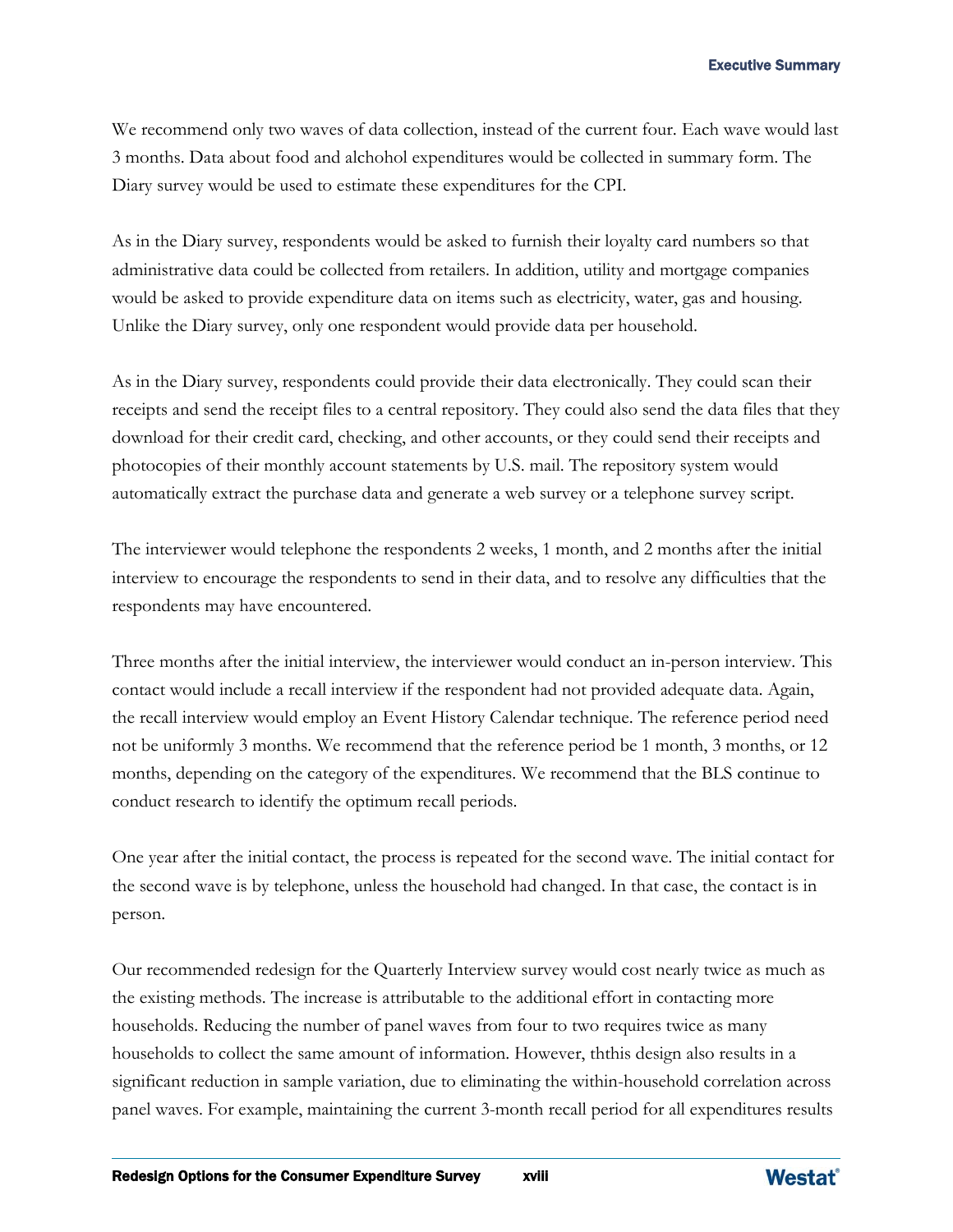We recommend only two waves of data collection, instead of the current four. Each wave would last 3 months. Data about food and alchohol expenditures would be collected in summary form. The Diary survey would be used to estimate these expenditures for the CPI.

As in the Diary survey, respondents would be asked to furnish their loyalty card numbers so that administrative data could be collected from retailers. In addition, utility and mortgage companies would be asked to provide expenditure data on items such as electricity, water, gas and housing. Unlike the Diary survey, only one respondent would provide data per household.

As in the Diary survey, respondents could provide their data electronically. They could scan their receipts and send the receipt files to a central repository. They could also send the data files that they download for their credit card, checking, and other accounts, or they could send their receipts and photocopies of their monthly account statements by U.S. mail. The repository system would automatically extract the purchase data and generate a web survey or a telephone survey script.

The interviewer would telephone the respondents 2 weeks, 1 month, and 2 months after the initial interview to encourage the respondents to send in their data, and to resolve any difficulties that the respondents may have encountered.

Three months after the initial interview, the interviewer would conduct an in-person interview. This contact would include a recall interview if the respondent had not provided adequate data. Again, the recall interview would employ an Event History Calendar technique. The reference period need not be uniformly 3 months. We recommend that the reference period be 1 month, 3 months, or 12 months, depending on the category of the expenditures. We recommend that the BLS continue to conduct research to identify the optimum recall periods.

One year after the initial contact, the process is repeated for the second wave. The initial contact for the second wave is by telephone, unless the household had changed. In that case, the contact is in person.

Our recommended redesign for the Quarterly Interview survey would cost nearly twice as much as the existing methods. The increase is attributable to the additional effort in contacting more households. Reducing the number of panel waves from four to two requires twice as many households to collect the same amount of information. However, ththis design also results in a significant reduction in sample variation, due to eliminating the within-household correlation across panel waves. For example, maintaining the current 3-month recall period for all expenditures results

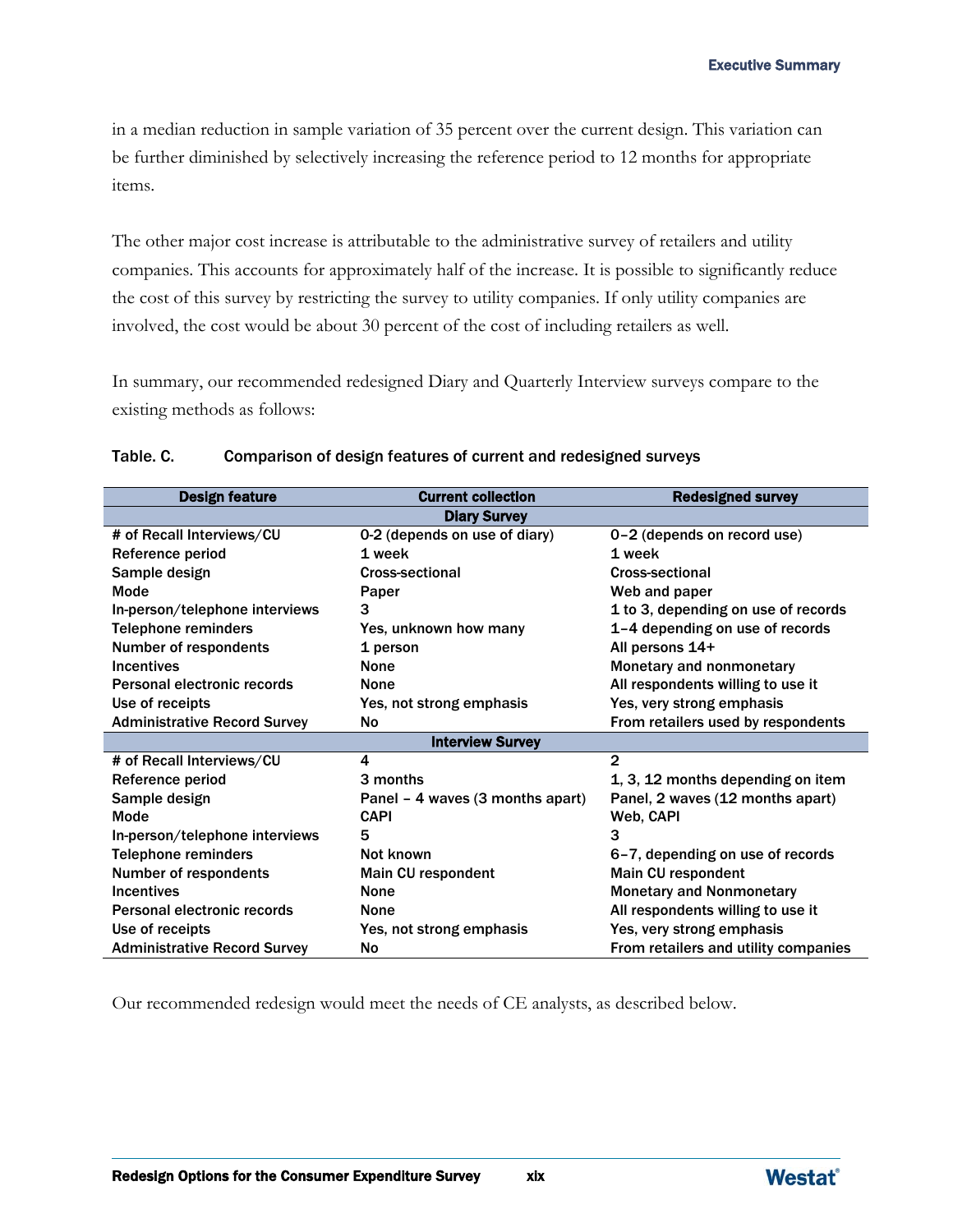in a median reduction in sample variation of 35 percent over the current design. This variation can be further diminished by selectively increasing the reference period to 12 months for appropriate items.

The other major cost increase is attributable to the administrative survey of retailers and utility companies. This accounts for approximately half of the increase. It is possible to significantly reduce the cost of this survey by restricting the survey to utility companies. If only utility companies are involved, the cost would be about 30 percent of the cost of including retailers as well.

In summary, our recommended redesigned Diary and Quarterly Interview surveys compare to the existing methods as follows:

| <b>Design feature</b>               | <b>Current collection</b>        | <b>Redesigned survey</b>             |  |  |  |  |
|-------------------------------------|----------------------------------|--------------------------------------|--|--|--|--|
| <b>Diary Survey</b>                 |                                  |                                      |  |  |  |  |
| # of Recall Interviews/CU           | 0-2 (depends on use of diary)    | 0-2 (depends on record use)          |  |  |  |  |
| Reference period                    | 1 week                           | 1 week                               |  |  |  |  |
| Sample design                       | <b>Cross-sectional</b>           | <b>Cross-sectional</b>               |  |  |  |  |
| Mode                                | Paper                            | Web and paper                        |  |  |  |  |
| In-person/telephone interviews      | 3                                | 1 to 3, depending on use of records  |  |  |  |  |
| <b>Telephone reminders</b>          | Yes, unknown how many            | 1-4 depending on use of records      |  |  |  |  |
| Number of respondents               | 1 person                         | All persons 14+                      |  |  |  |  |
| <b>Incentives</b>                   | <b>None</b>                      | Monetary and nonmonetary             |  |  |  |  |
| Personal electronic records         | <b>None</b>                      | All respondents willing to use it    |  |  |  |  |
| Use of receipts                     | Yes, not strong emphasis         | Yes, very strong emphasis            |  |  |  |  |
| <b>Administrative Record Survey</b> | No                               | From retailers used by respondents   |  |  |  |  |
|                                     | <b>Interview Survey</b>          |                                      |  |  |  |  |
| # of Recall Interviews/CU           | 4                                | $\overline{2}$                       |  |  |  |  |
| Reference period                    | 3 months                         | 1, 3, 12 months depending on item    |  |  |  |  |
| Sample design                       | Panel - 4 waves (3 months apart) | Panel, 2 waves (12 months apart)     |  |  |  |  |
| Mode                                | <b>CAPI</b>                      | Web, CAPI                            |  |  |  |  |
| In-person/telephone interviews      | 5                                | 3                                    |  |  |  |  |
| <b>Telephone reminders</b>          | Not known                        | 6-7, depending on use of records     |  |  |  |  |
| Number of respondents               | Main CU respondent               | Main CU respondent                   |  |  |  |  |
| <b>Incentives</b>                   | <b>None</b>                      | <b>Monetary and Nonmonetary</b>      |  |  |  |  |
| Personal electronic records         | <b>None</b>                      | All respondents willing to use it    |  |  |  |  |
| Use of receipts                     | Yes, not strong emphasis         | Yes, very strong emphasis            |  |  |  |  |
| <b>Administrative Record Survey</b> | <b>No</b>                        | From retailers and utility companies |  |  |  |  |

#### Table. C. Comparison of design features of current and redesigned surveys

Our recommended redesign would meet the needs of CE analysts, as described below.

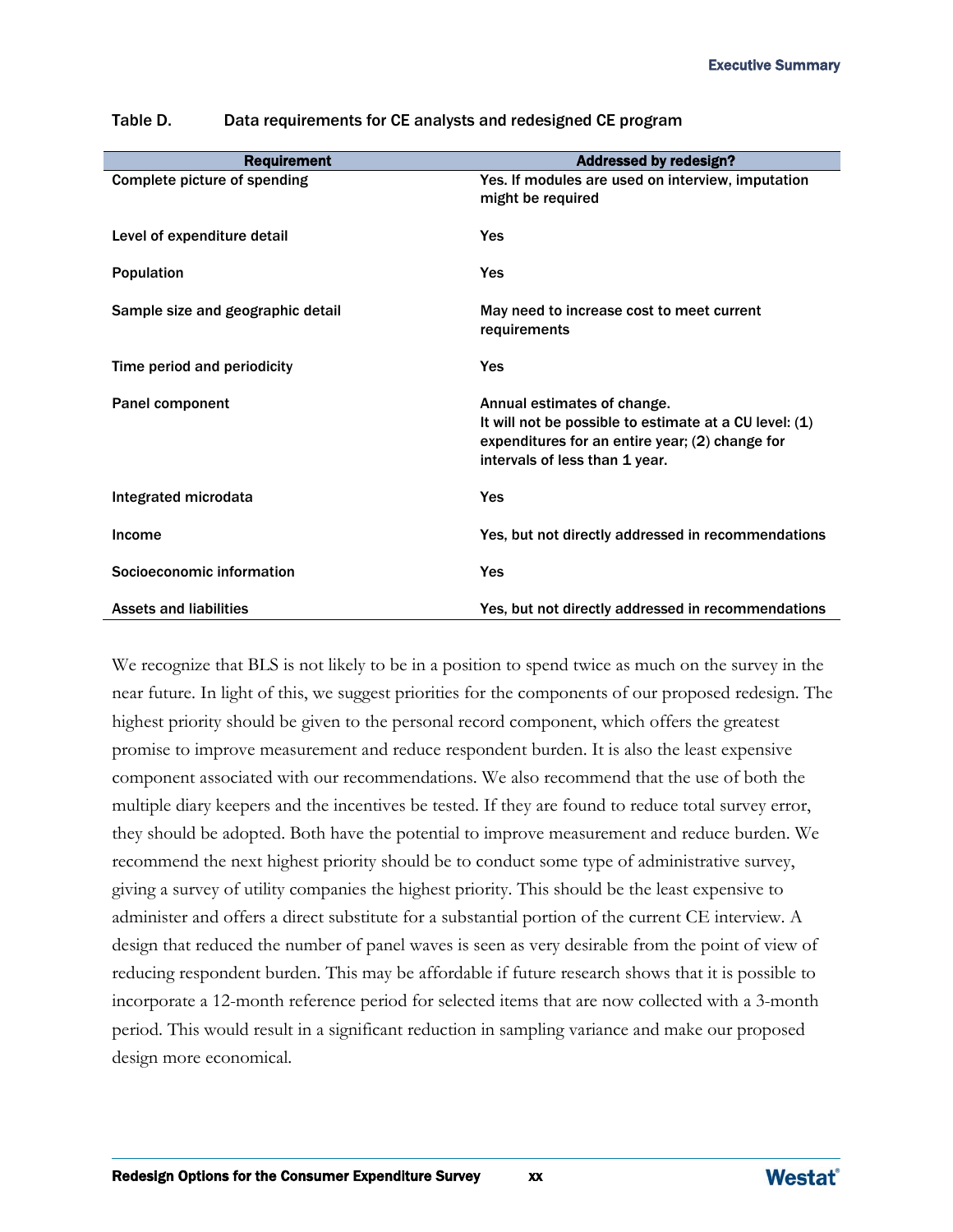| <b>Requirement</b>                | <b>Addressed by redesign?</b>                                                                                                                                              |
|-----------------------------------|----------------------------------------------------------------------------------------------------------------------------------------------------------------------------|
| Complete picture of spending      | Yes. If modules are used on interview, imputation<br>might be required                                                                                                     |
| Level of expenditure detail       | Yes                                                                                                                                                                        |
| <b>Population</b>                 | Yes                                                                                                                                                                        |
| Sample size and geographic detail | May need to increase cost to meet current<br>requirements                                                                                                                  |
| Time period and periodicity       | Yes                                                                                                                                                                        |
| Panel component                   | Annual estimates of change.<br>It will not be possible to estimate at a CU level: (1)<br>expenditures for an entire year; (2) change for<br>intervals of less than 1 year. |
| Integrated microdata              | Yes                                                                                                                                                                        |
| Income                            | Yes, but not directly addressed in recommendations                                                                                                                         |
| Socioeconomic information         | Yes                                                                                                                                                                        |
| <b>Assets and liabilities</b>     | Yes, but not directly addressed in recommendations                                                                                                                         |

Table D. Data requirements for CE analysts and redesigned CE program

We recognize that BLS is not likely to be in a position to spend twice as much on the survey in the near future. In light of this, we suggest priorities for the components of our proposed redesign. The highest priority should be given to the personal record component, which offers the greatest promise to improve measurement and reduce respondent burden. It is also the least expensive component associated with our recommendations. We also recommend that the use of both the multiple diary keepers and the incentives be tested. If they are found to reduce total survey error, they should be adopted. Both have the potential to improve measurement and reduce burden. We recommend the next highest priority should be to conduct some type of administrative survey, giving a survey of utility companies the highest priority. This should be the least expensive to administer and offers a direct substitute for a substantial portion of the current CE interview. A design that reduced the number of panel waves is seen as very desirable from the point of view of reducing respondent burden. This may be affordable if future research shows that it is possible to incorporate a 12-month reference period for selected items that are now collected with a 3-month period. This would result in a significant reduction in sampling variance and make our proposed design more economical.

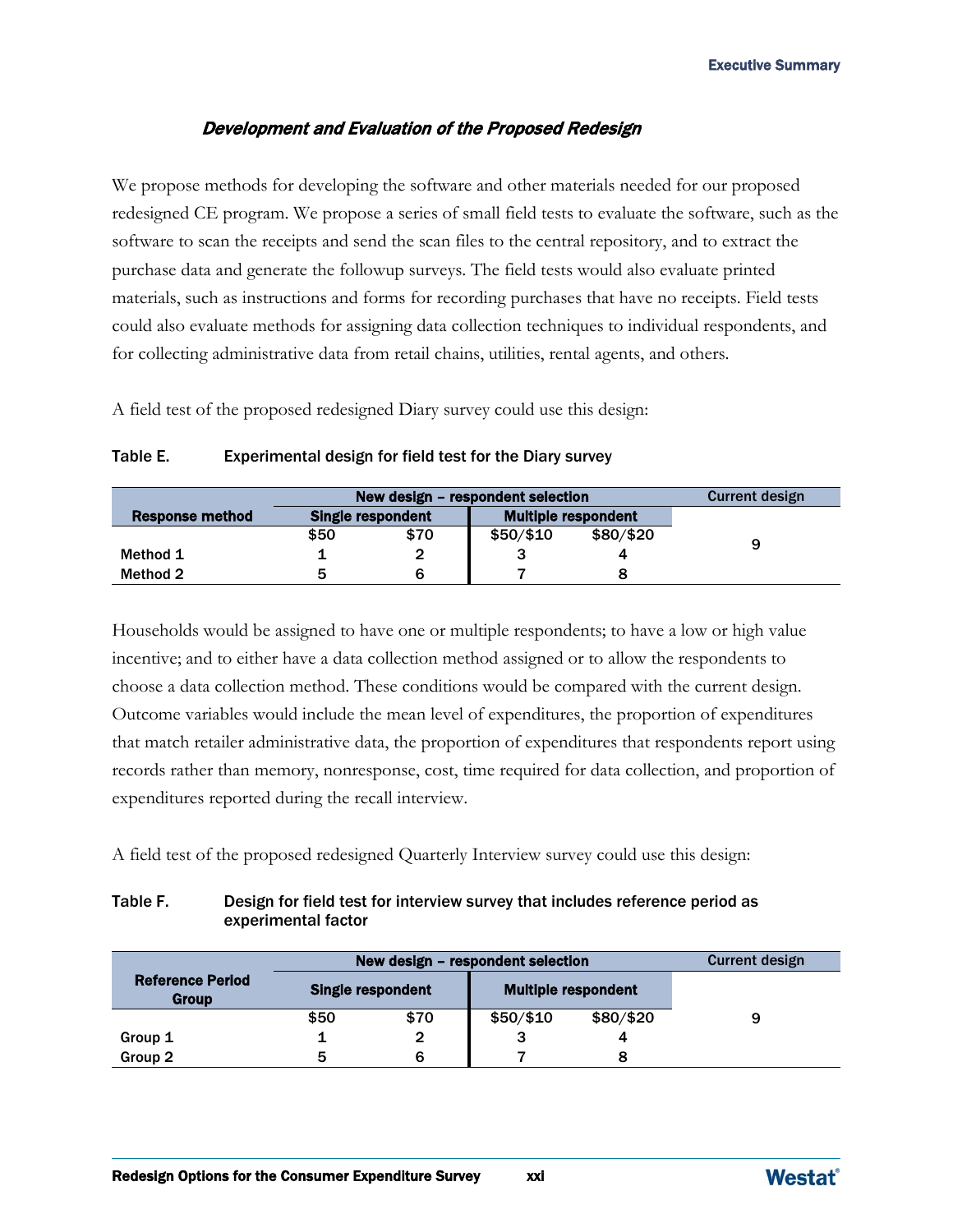#### Development and Evaluation of the Proposed Redesign

We propose methods for developing the software and other materials needed for our proposed redesigned CE program. We propose a series of small field tests to evaluate the software, such as the software to scan the receipts and send the scan files to the central repository, and to extract the purchase data and generate the followup surveys. The field tests would also evaluate printed materials, such as instructions and forms for recording purchases that have no receipts. Field tests could also evaluate methods for assigning data collection techniques to individual respondents, and for collecting administrative data from retail chains, utilities, rental agents, and others.

A field test of the proposed redesigned Diary survey could use this design:

|                 | New design – respondent selection |      |                            |           | Current design |
|-----------------|-----------------------------------|------|----------------------------|-----------|----------------|
| Response method | Single respondent                 |      | <b>Multiple respondent</b> |           |                |
|                 | \$50                              | \$70 | \$50/\$10                  | \$80/\$20 | 9              |
| Method 1        |                                   |      |                            |           |                |
| Method 2        |                                   |      |                            |           |                |

#### Table E. Experimental design for field test for the Diary survey

Households would be assigned to have one or multiple respondents; to have a low or high value incentive; and to either have a data collection method assigned or to allow the respondents to choose a data collection method. These conditions would be compared with the current design. Outcome variables would include the mean level of expenditures, the proportion of expenditures that match retailer administrative data, the proportion of expenditures that respondents report using records rather than memory, nonresponse, cost, time required for data collection, and proportion of expenditures reported during the recall interview.

A field test of the proposed redesigned Quarterly Interview survey could use this design:

#### Table F. Design for field test for interview survey that includes reference period as experimental factor

| New design – respondent selection       |      |                          |                            | Current design |   |
|-----------------------------------------|------|--------------------------|----------------------------|----------------|---|
| <b>Reference Period</b><br><b>Group</b> |      | <b>Single respondent</b> | <b>Multiple respondent</b> |                |   |
|                                         | \$50 | \$70                     | \$50/\$10                  | \$80/\$20      | 9 |
| Group 1                                 |      | $\mathbf{2}$             | 3                          |                |   |
| Group 2                                 | 5    | 6                        |                            |                |   |

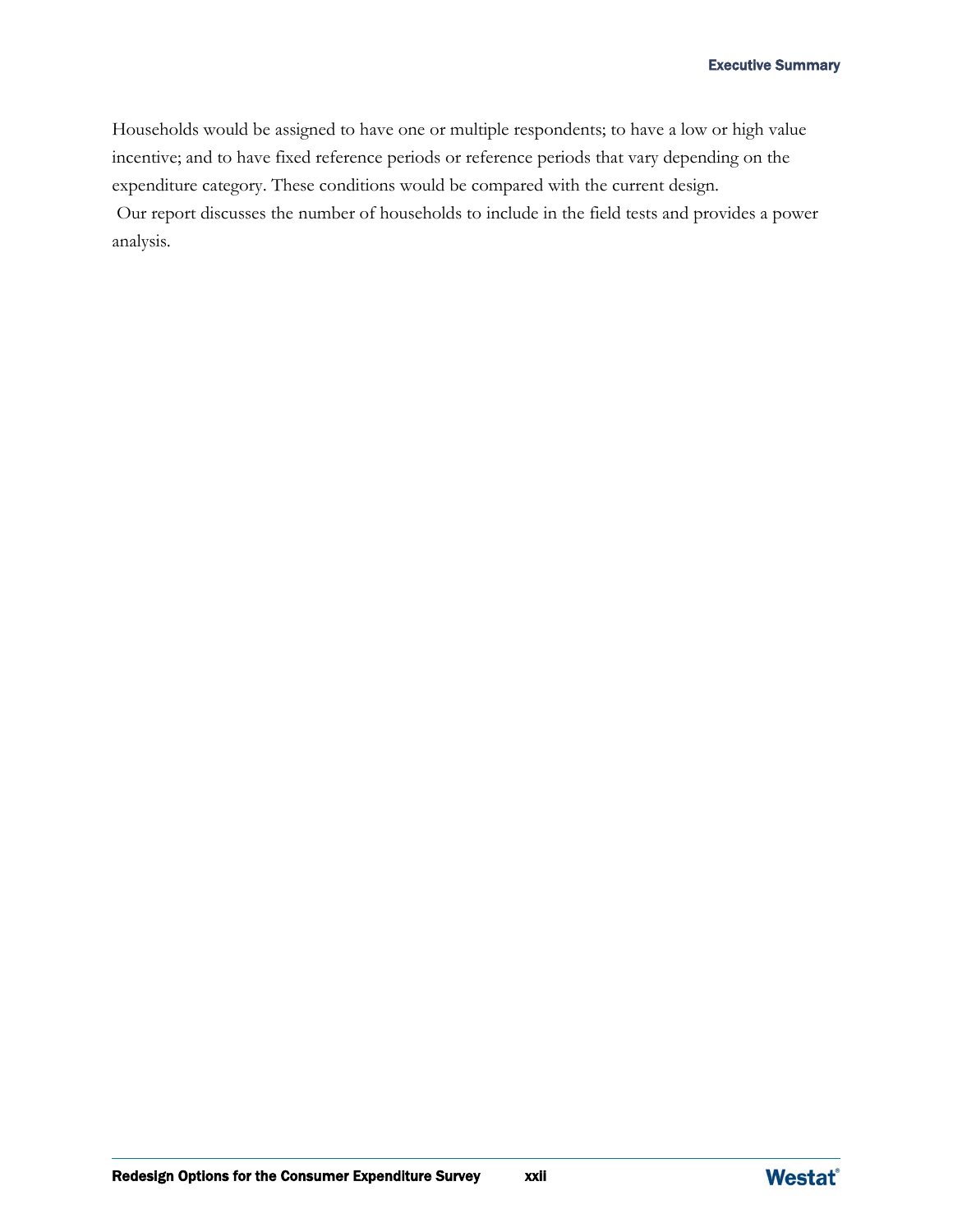Households would be assigned to have one or multiple respondents; to have a low or high value incentive; and to have fixed reference periods or reference periods that vary depending on the expenditure category. These conditions would be compared with the current design.

 Our report discusses the number of households to include in the field tests and provides a power analysis.

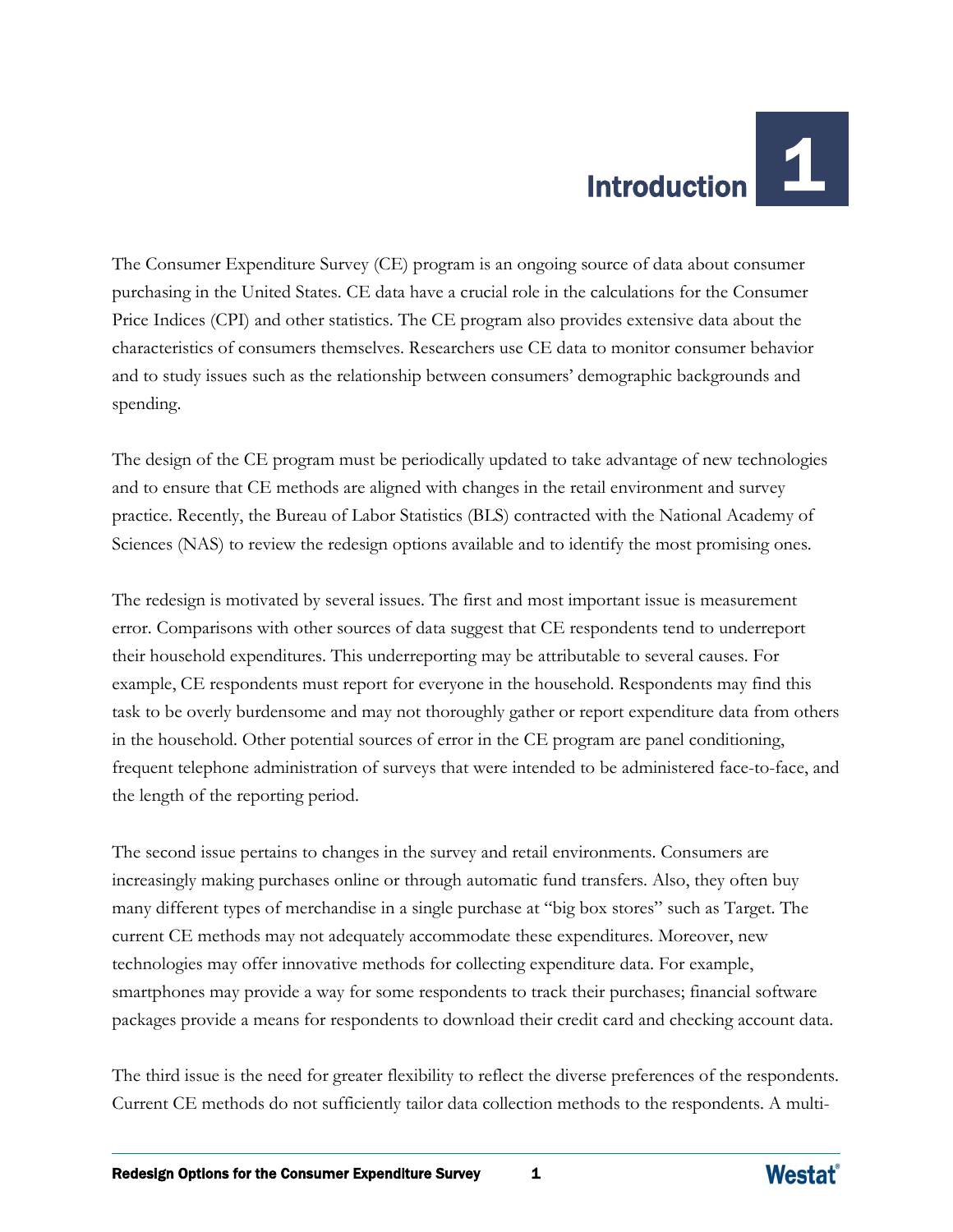## Introduction 1

The Consumer Expenditure Survey (CE) program is an ongoing source of data about consumer purchasing in the United States. CE data have a crucial role in the calculations for the Consumer Price Indices (CPI) and other statistics. The CE program also provides extensive data about the characteristics of consumers themselves. Researchers use CE data to monitor consumer behavior and to study issues such as the relationship between consumers' demographic backgrounds and spending.

The design of the CE program must be periodically updated to take advantage of new technologies and to ensure that CE methods are aligned with changes in the retail environment and survey practice. Recently, the Bureau of Labor Statistics (BLS) contracted with the National Academy of Sciences (NAS) to review the redesign options available and to identify the most promising ones.

The redesign is motivated by several issues. The first and most important issue is measurement error. Comparisons with other sources of data suggest that CE respondents tend to underreport their household expenditures. This underreporting may be attributable to several causes. For example, CE respondents must report for everyone in the household. Respondents may find this task to be overly burdensome and may not thoroughly gather or report expenditure data from others in the household. Other potential sources of error in the CE program are panel conditioning, frequent telephone administration of surveys that were intended to be administered face-to-face, and the length of the reporting period.

The second issue pertains to changes in the survey and retail environments. Consumers are increasingly making purchases online or through automatic fund transfers. Also, they often buy many different types of merchandise in a single purchase at "big box stores" such as Target. The current CE methods may not adequately accommodate these expenditures. Moreover, new technologies may offer innovative methods for collecting expenditure data. For example, smartphones may provide a way for some respondents to track their purchases; financial software packages provide a means for respondents to download their credit card and checking account data.

The third issue is the need for greater flexibility to reflect the diverse preferences of the respondents. Current CE methods do not sufficiently tailor data collection methods to the respondents. A multi-

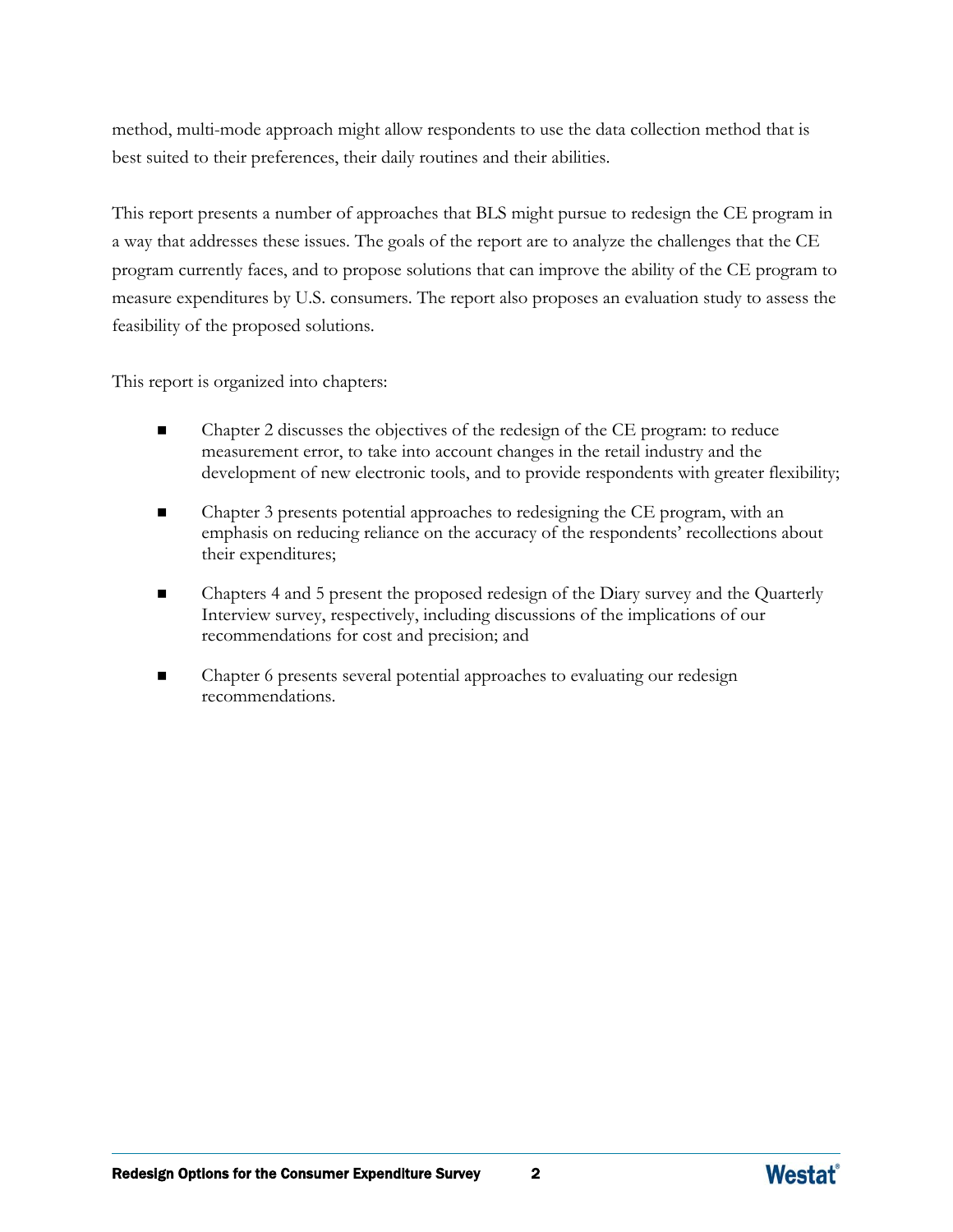method, multi-mode approach might allow respondents to use the data collection method that is best suited to their preferences, their daily routines and their abilities.

This report presents a number of approaches that BLS might pursue to redesign the CE program in a way that addresses these issues. The goals of the report are to analyze the challenges that the CE program currently faces, and to propose solutions that can improve the ability of the CE program to measure expenditures by U.S. consumers. The report also proposes an evaluation study to assess the feasibility of the proposed solutions.

This report is organized into chapters:

- Chapter 2 discusses the objectives of the redesign of the CE program: to reduce measurement error, to take into account changes in the retail industry and the development of new electronic tools, and to provide respondents with greater flexibility;
- Chapter 3 presents potential approaches to redesigning the CE program, with an emphasis on reducing reliance on the accuracy of the respondents' recollections about their expenditures;
- Chapters 4 and 5 present the proposed redesign of the Diary survey and the Quarterly Interview survey, respectively, including discussions of the implications of our recommendations for cost and precision; and
- Chapter 6 presents several potential approaches to evaluating our redesign recommendations.

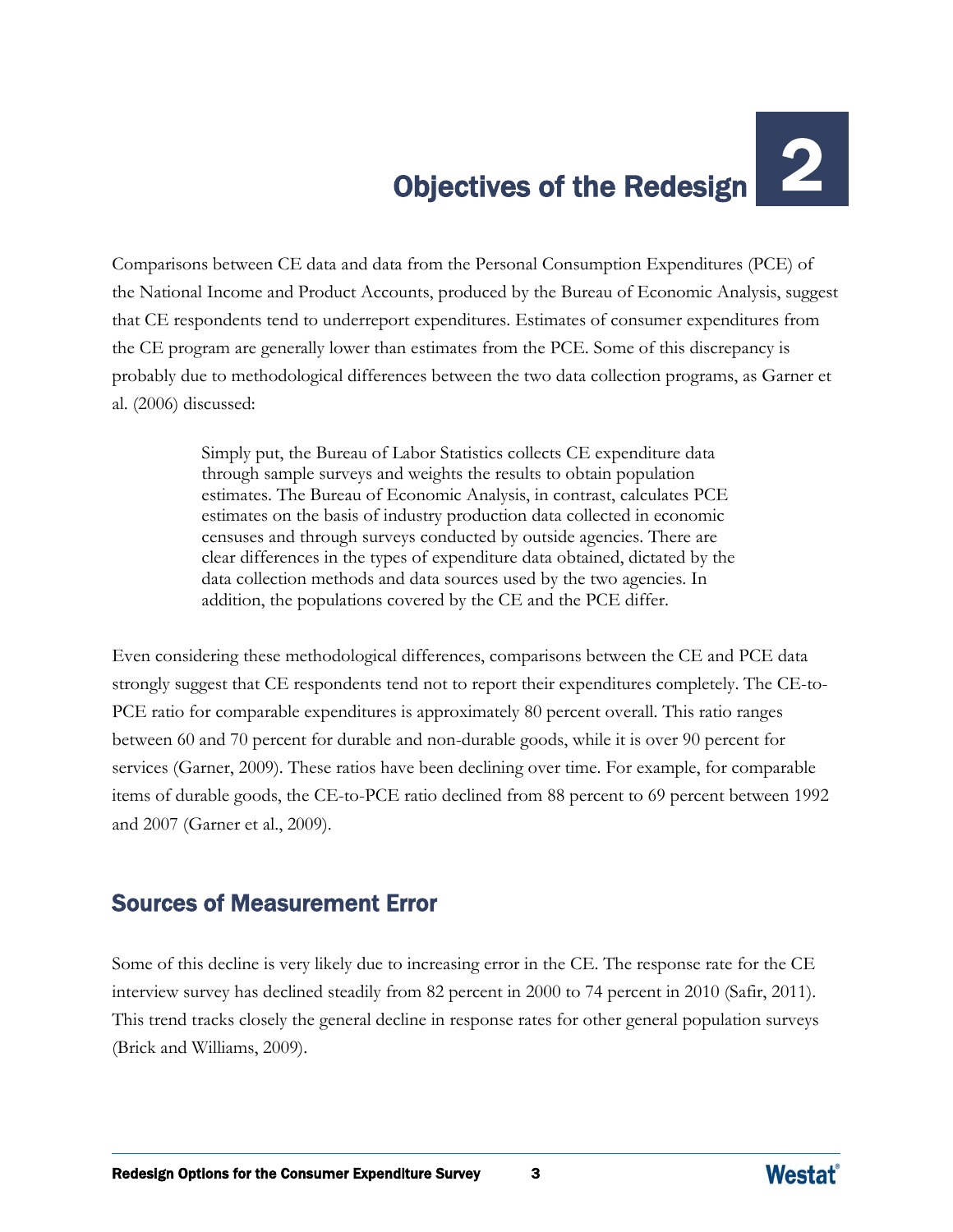# Objectives of the Redesign

Comparisons between CE data and data from the Personal Consumption Expenditures (PCE) of the National Income and Product Accounts, produced by the Bureau of Economic Analysis, suggest that CE respondents tend to underreport expenditures. Estimates of consumer expenditures from the CE program are generally lower than estimates from the PCE. Some of this discrepancy is probably due to methodological differences between the two data collection programs, as Garner et al. (2006) discussed:

> Simply put, the Bureau of Labor Statistics collects CE expenditure data through sample surveys and weights the results to obtain population estimates. The Bureau of Economic Analysis, in contrast, calculates PCE estimates on the basis of industry production data collected in economic censuses and through surveys conducted by outside agencies. There are clear differences in the types of expenditure data obtained, dictated by the data collection methods and data sources used by the two agencies. In addition, the populations covered by the CE and the PCE differ.

Even considering these methodological differences, comparisons between the CE and PCE data strongly suggest that CE respondents tend not to report their expenditures completely. The CE-to-PCE ratio for comparable expenditures is approximately 80 percent overall. This ratio ranges between 60 and 70 percent for durable and non-durable goods, while it is over 90 percent for services (Garner, 2009). These ratios have been declining over time. For example, for comparable items of durable goods, the CE-to-PCE ratio declined from 88 percent to 69 percent between 1992 and 2007 (Garner et al., 2009).

## Sources of Measurement Error

Some of this decline is very likely due to increasing error in the CE. The response rate for the CE interview survey has declined steadily from 82 percent in 2000 to 74 percent in 2010 (Safir, 2011). This trend tracks closely the general decline in response rates for other general population surveys (Brick and Williams, 2009).

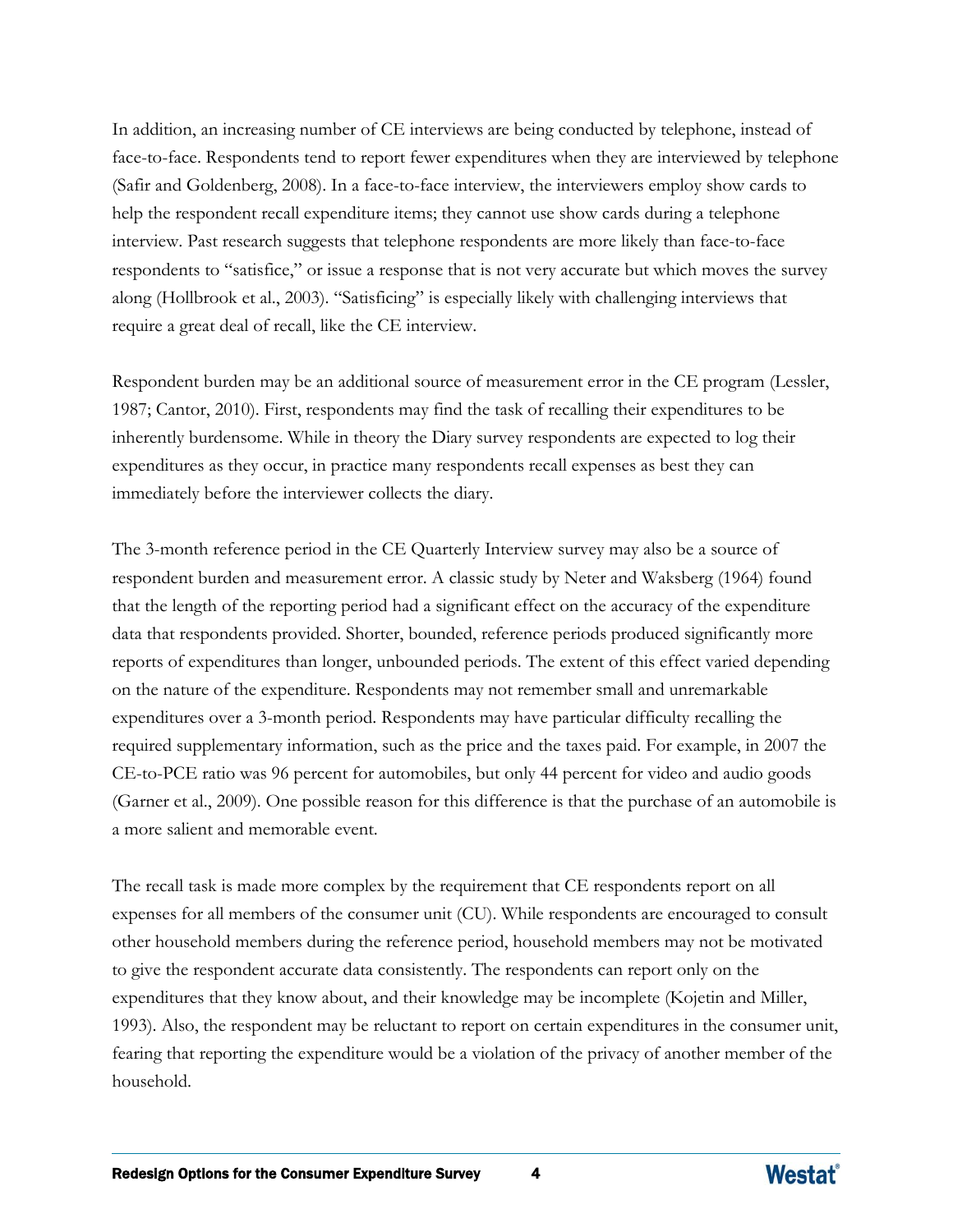In addition, an increasing number of CE interviews are being conducted by telephone, instead of face-to-face. Respondents tend to report fewer expenditures when they are interviewed by telephone (Safir and Goldenberg, 2008). In a face-to-face interview, the interviewers employ show cards to help the respondent recall expenditure items; they cannot use show cards during a telephone interview. Past research suggests that telephone respondents are more likely than face-to-face respondents to "satisfice," or issue a response that is not very accurate but which moves the survey along (Hollbrook et al., 2003). "Satisficing" is especially likely with challenging interviews that require a great deal of recall, like the CE interview.

Respondent burden may be an additional source of measurement error in the CE program (Lessler, 1987; Cantor, 2010). First, respondents may find the task of recalling their expenditures to be inherently burdensome. While in theory the Diary survey respondents are expected to log their expenditures as they occur, in practice many respondents recall expenses as best they can immediately before the interviewer collects the diary.

The 3-month reference period in the CE Quarterly Interview survey may also be a source of respondent burden and measurement error. A classic study by Neter and Waksberg (1964) found that the length of the reporting period had a significant effect on the accuracy of the expenditure data that respondents provided. Shorter, bounded, reference periods produced significantly more reports of expenditures than longer, unbounded periods. The extent of this effect varied depending on the nature of the expenditure. Respondents may not remember small and unremarkable expenditures over a 3-month period. Respondents may have particular difficulty recalling the required supplementary information, such as the price and the taxes paid. For example, in 2007 the CE-to-PCE ratio was 96 percent for automobiles, but only 44 percent for video and audio goods (Garner et al., 2009). One possible reason for this difference is that the purchase of an automobile is a more salient and memorable event.

The recall task is made more complex by the requirement that CE respondents report on all expenses for all members of the consumer unit (CU). While respondents are encouraged to consult other household members during the reference period, household members may not be motivated to give the respondent accurate data consistently. The respondents can report only on the expenditures that they know about, and their knowledge may be incomplete (Kojetin and Miller, 1993). Also, the respondent may be reluctant to report on certain expenditures in the consumer unit, fearing that reporting the expenditure would be a violation of the privacy of another member of the household.

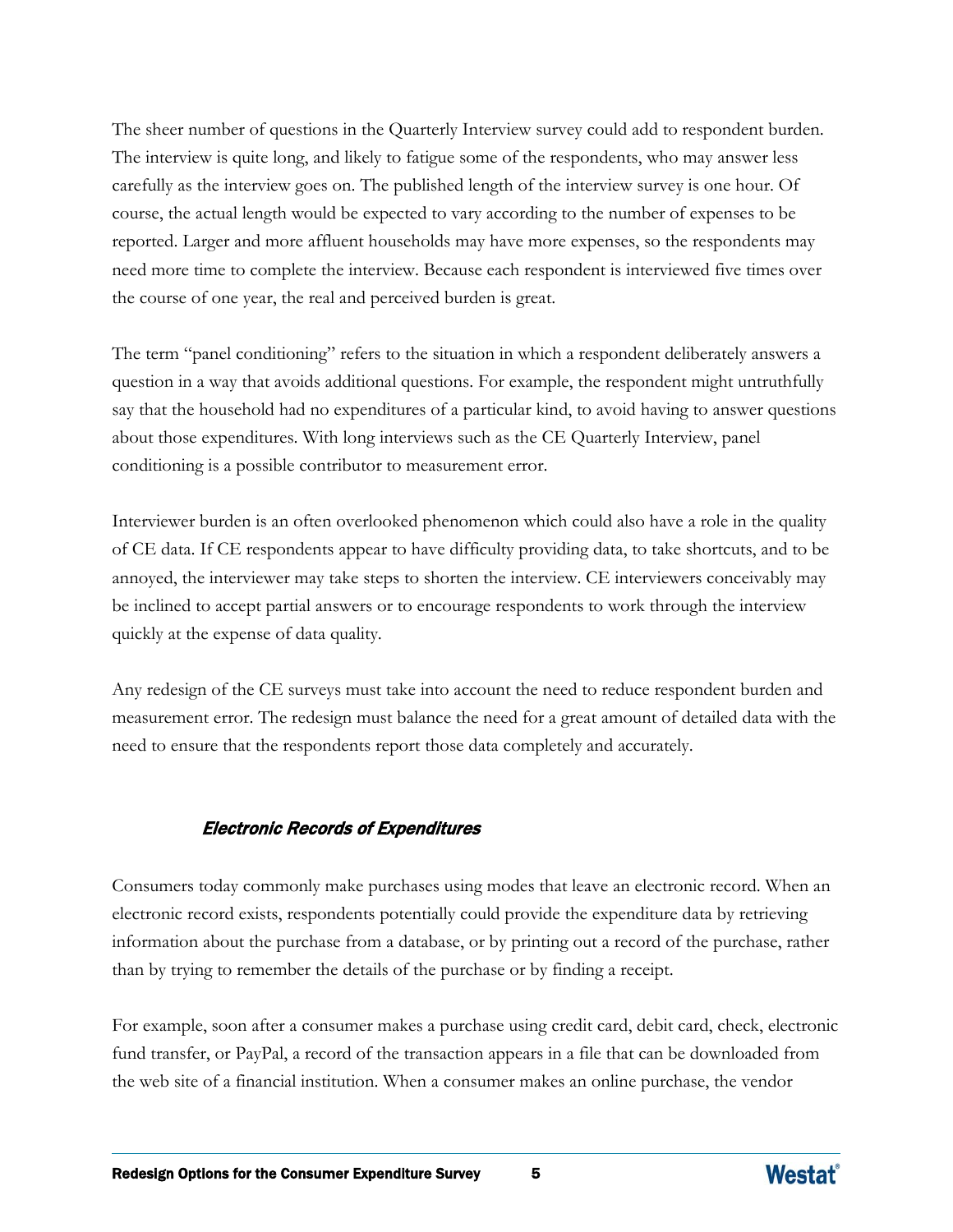The sheer number of questions in the Quarterly Interview survey could add to respondent burden. The interview is quite long, and likely to fatigue some of the respondents, who may answer less carefully as the interview goes on. The published length of the interview survey is one hour. Of course, the actual length would be expected to vary according to the number of expenses to be reported. Larger and more affluent households may have more expenses, so the respondents may need more time to complete the interview. Because each respondent is interviewed five times over the course of one year, the real and perceived burden is great.

The term "panel conditioning" refers to the situation in which a respondent deliberately answers a question in a way that avoids additional questions. For example, the respondent might untruthfully say that the household had no expenditures of a particular kind, to avoid having to answer questions about those expenditures. With long interviews such as the CE Quarterly Interview, panel conditioning is a possible contributor to measurement error.

Interviewer burden is an often overlooked phenomenon which could also have a role in the quality of CE data. If CE respondents appear to have difficulty providing data, to take shortcuts, and to be annoyed, the interviewer may take steps to shorten the interview. CE interviewers conceivably may be inclined to accept partial answers or to encourage respondents to work through the interview quickly at the expense of data quality.

Any redesign of the CE surveys must take into account the need to reduce respondent burden and measurement error. The redesign must balance the need for a great amount of detailed data with the need to ensure that the respondents report those data completely and accurately.

#### Electronic Records of Expenditures

Consumers today commonly make purchases using modes that leave an electronic record. When an electronic record exists, respondents potentially could provide the expenditure data by retrieving information about the purchase from a database, or by printing out a record of the purchase, rather than by trying to remember the details of the purchase or by finding a receipt.

For example, soon after a consumer makes a purchase using credit card, debit card, check, electronic fund transfer, or PayPal, a record of the transaction appears in a file that can be downloaded from the web site of a financial institution. When a consumer makes an online purchase, the vendor

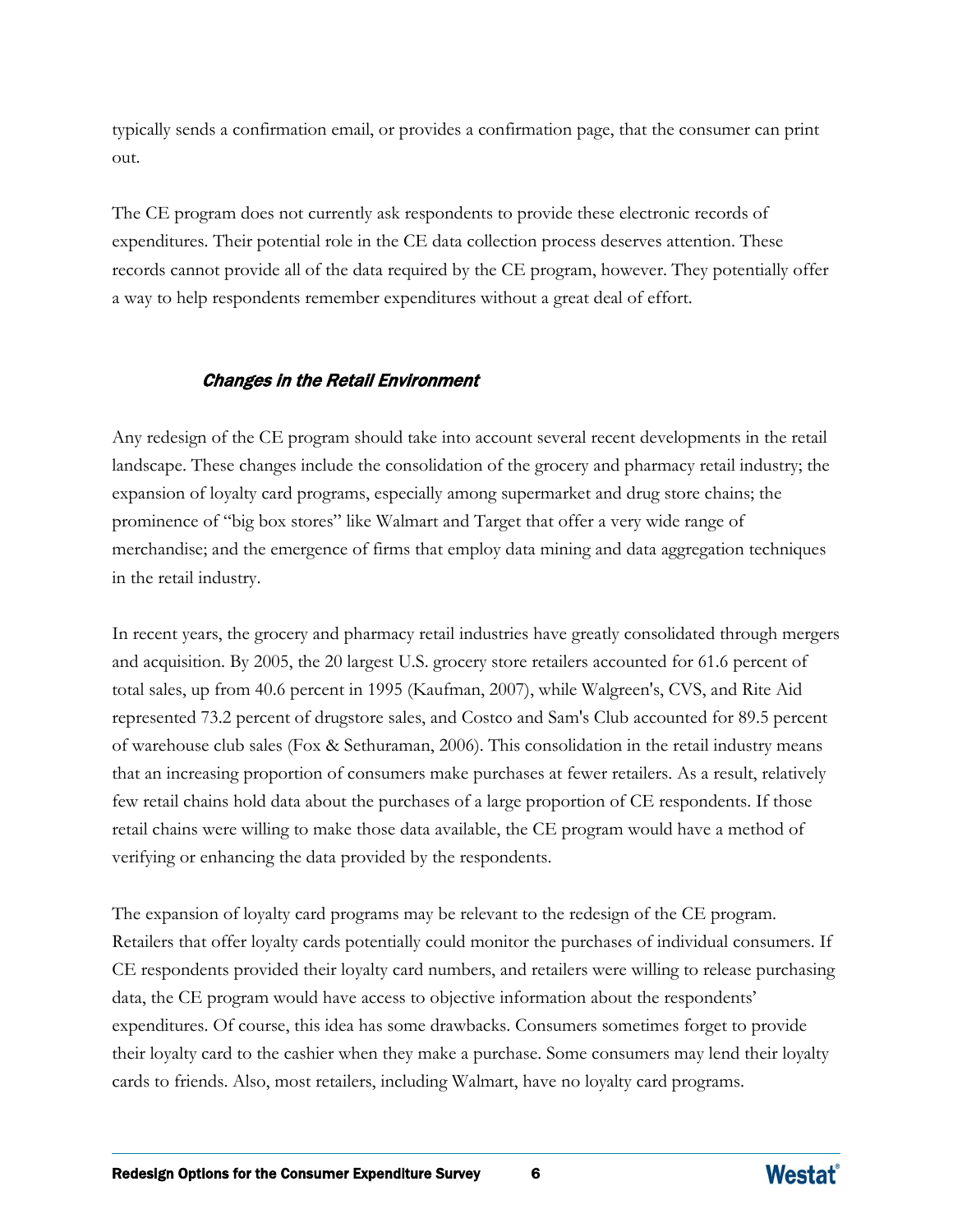typically sends a confirmation email, or provides a confirmation page, that the consumer can print out.

The CE program does not currently ask respondents to provide these electronic records of expenditures. Their potential role in the CE data collection process deserves attention. These records cannot provide all of the data required by the CE program, however. They potentially offer a way to help respondents remember expenditures without a great deal of effort.

#### Changes in the Retail Environment

Any redesign of the CE program should take into account several recent developments in the retail landscape. These changes include the consolidation of the grocery and pharmacy retail industry; the expansion of loyalty card programs, especially among supermarket and drug store chains; the prominence of "big box stores" like Walmart and Target that offer a very wide range of merchandise; and the emergence of firms that employ data mining and data aggregation techniques in the retail industry.

In recent years, the grocery and pharmacy retail industries have greatly consolidated through mergers and acquisition. By 2005, the 20 largest U.S. grocery store retailers accounted for 61.6 percent of total sales, up from 40.6 percent in 1995 (Kaufman, 2007), while Walgreen's, CVS, and Rite Aid represented 73.2 percent of drugstore sales, and Costco and Sam's Club accounted for 89.5 percent of warehouse club sales (Fox & Sethuraman, 2006). This consolidation in the retail industry means that an increasing proportion of consumers make purchases at fewer retailers. As a result, relatively few retail chains hold data about the purchases of a large proportion of CE respondents. If those retail chains were willing to make those data available, the CE program would have a method of verifying or enhancing the data provided by the respondents.

The expansion of loyalty card programs may be relevant to the redesign of the CE program. Retailers that offer loyalty cards potentially could monitor the purchases of individual consumers. If CE respondents provided their loyalty card numbers, and retailers were willing to release purchasing data, the CE program would have access to objective information about the respondents' expenditures. Of course, this idea has some drawbacks. Consumers sometimes forget to provide their loyalty card to the cashier when they make a purchase. Some consumers may lend their loyalty cards to friends. Also, most retailers, including Walmart, have no loyalty card programs.

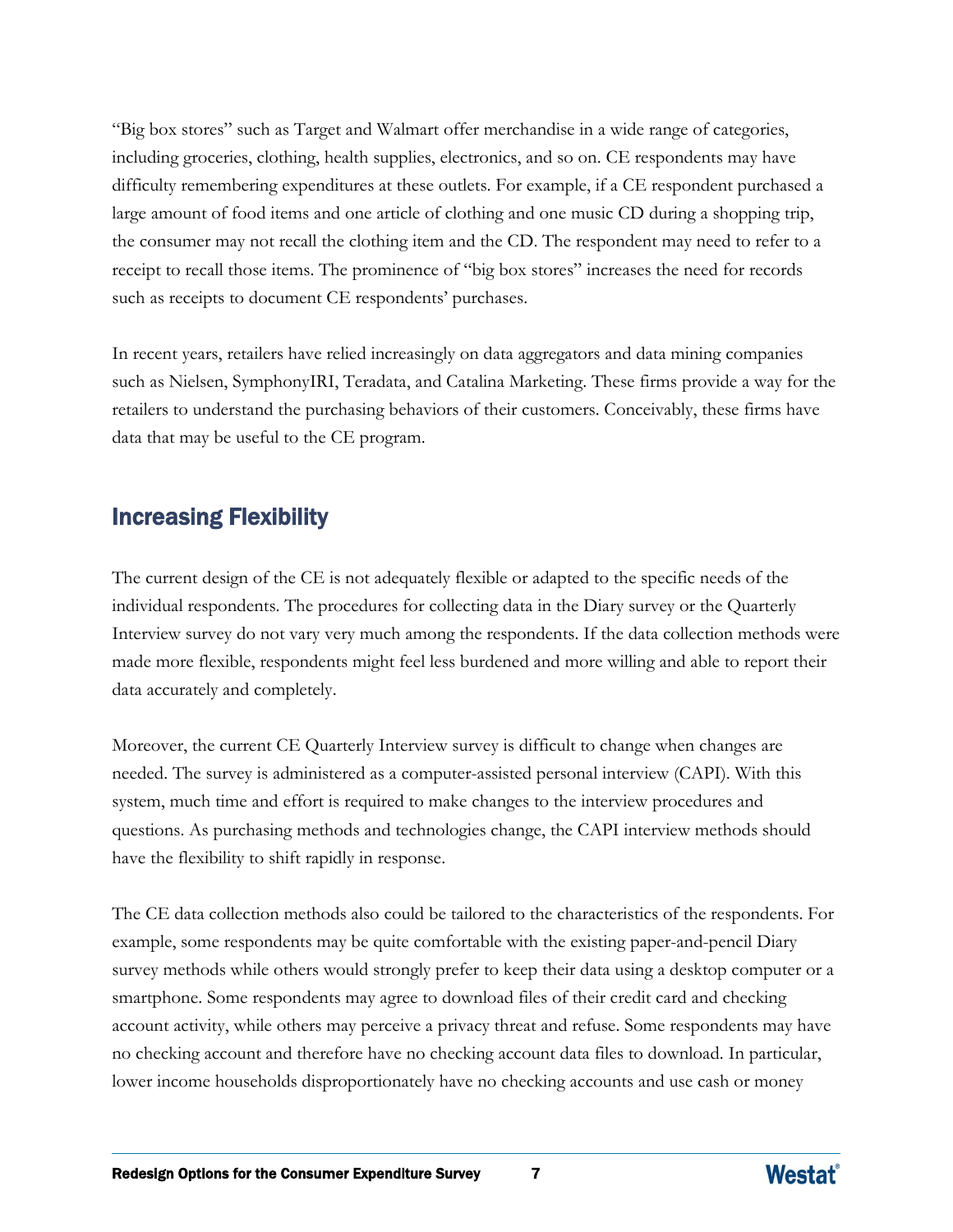"Big box stores" such as Target and Walmart offer merchandise in a wide range of categories, including groceries, clothing, health supplies, electronics, and so on. CE respondents may have difficulty remembering expenditures at these outlets. For example, if a CE respondent purchased a large amount of food items and one article of clothing and one music CD during a shopping trip, the consumer may not recall the clothing item and the CD. The respondent may need to refer to a receipt to recall those items. The prominence of "big box stores" increases the need for records such as receipts to document CE respondents' purchases.

In recent years, retailers have relied increasingly on data aggregators and data mining companies such as Nielsen, SymphonyIRI, Teradata, and Catalina Marketing. These firms provide a way for the retailers to understand the purchasing behaviors of their customers. Conceivably, these firms have data that may be useful to the CE program.

## Increasing Flexibility

The current design of the CE is not adequately flexible or adapted to the specific needs of the individual respondents. The procedures for collecting data in the Diary survey or the Quarterly Interview survey do not vary very much among the respondents. If the data collection methods were made more flexible, respondents might feel less burdened and more willing and able to report their data accurately and completely.

Moreover, the current CE Quarterly Interview survey is difficult to change when changes are needed. The survey is administered as a computer-assisted personal interview (CAPI). With this system, much time and effort is required to make changes to the interview procedures and questions. As purchasing methods and technologies change, the CAPI interview methods should have the flexibility to shift rapidly in response.

The CE data collection methods also could be tailored to the characteristics of the respondents. For example, some respondents may be quite comfortable with the existing paper-and-pencil Diary survey methods while others would strongly prefer to keep their data using a desktop computer or a smartphone. Some respondents may agree to download files of their credit card and checking account activity, while others may perceive a privacy threat and refuse. Some respondents may have no checking account and therefore have no checking account data files to download. In particular, lower income households disproportionately have no checking accounts and use cash or money

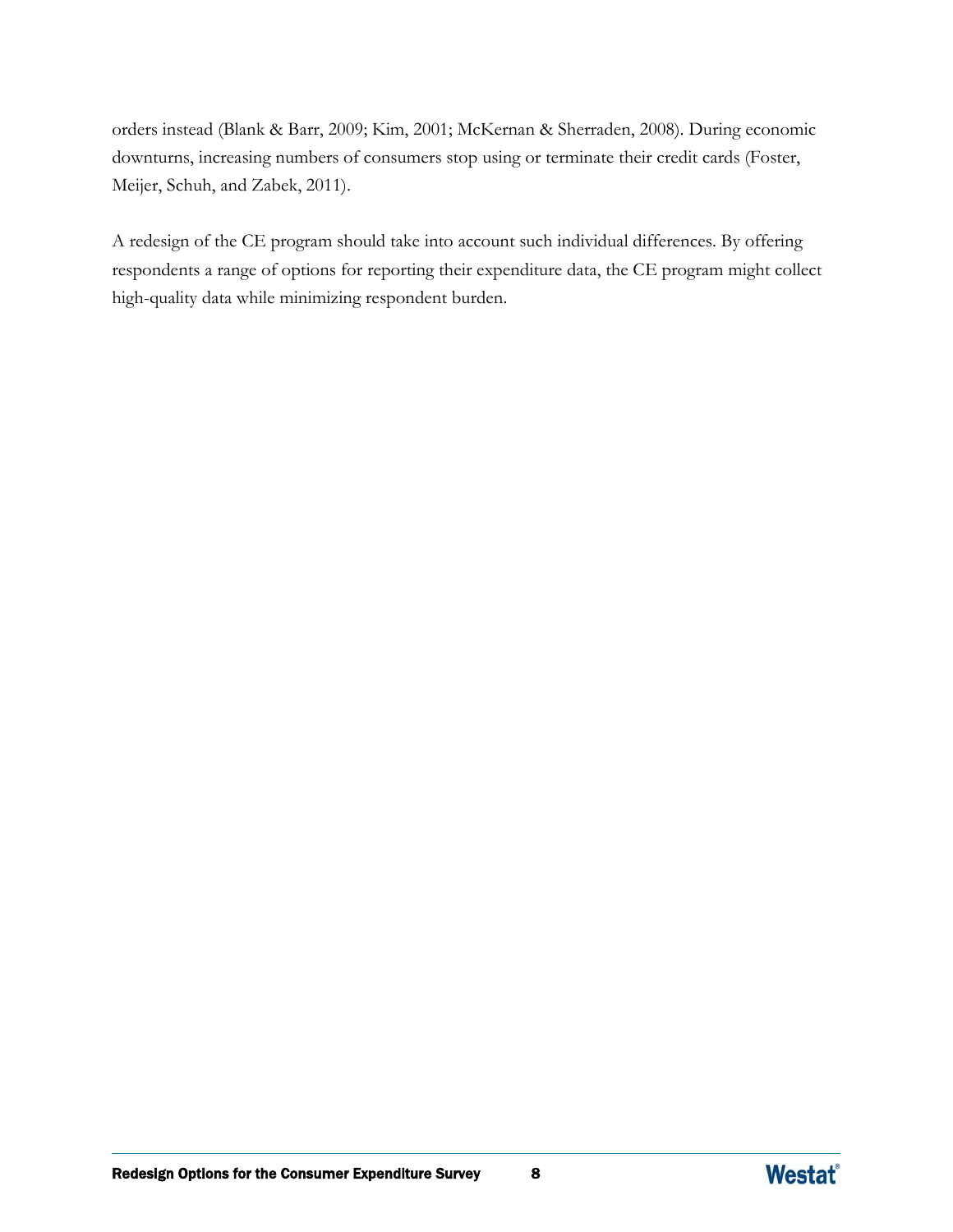orders instead (Blank & Barr, 2009; Kim, 2001; McKernan & Sherraden, 2008). During economic downturns, increasing numbers of consumers stop using or terminate their credit cards (Foster, Meijer, Schuh, and Zabek, 2011).

A redesign of the CE program should take into account such individual differences. By offering respondents a range of options for reporting their expenditure data, the CE program might collect high-quality data while minimizing respondent burden.

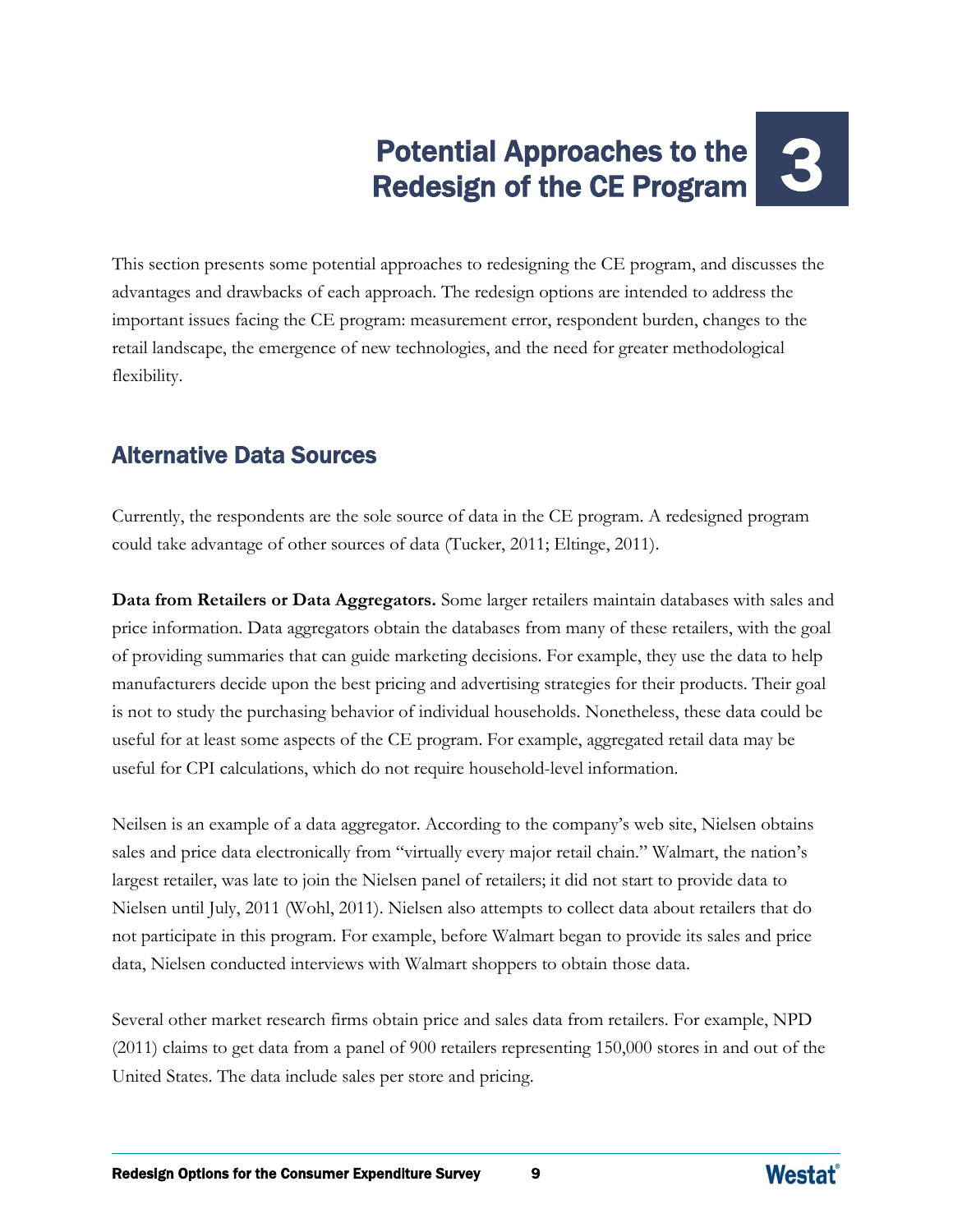## Potential Approaches to the Potential Approaches to the **1999**<br>Redesign of the CE Program

This section presents some potential approaches to redesigning the CE program, and discusses the advantages and drawbacks of each approach. The redesign options are intended to address the important issues facing the CE program: measurement error, respondent burden, changes to the retail landscape, the emergence of new technologies, and the need for greater methodological flexibility.

## Alternative Data Sources

Currently, the respondents are the sole source of data in the CE program. A redesigned program could take advantage of other sources of data (Tucker, 2011; Eltinge, 2011).

**Data from Retailers or Data Aggregators.** Some larger retailers maintain databases with sales and price information. Data aggregators obtain the databases from many of these retailers, with the goal of providing summaries that can guide marketing decisions. For example, they use the data to help manufacturers decide upon the best pricing and advertising strategies for their products. Their goal is not to study the purchasing behavior of individual households. Nonetheless, these data could be useful for at least some aspects of the CE program. For example, aggregated retail data may be useful for CPI calculations, which do not require household-level information.

Neilsen is an example of a data aggregator. According to the company's web site, Nielsen obtains sales and price data electronically from "virtually every major retail chain." Walmart, the nation's largest retailer, was late to join the Nielsen panel of retailers; it did not start to provide data to Nielsen until July, 2011 (Wohl, 2011). Nielsen also attempts to collect data about retailers that do not participate in this program. For example, before Walmart began to provide its sales and price data, Nielsen conducted interviews with Walmart shoppers to obtain those data.

Several other market research firms obtain price and sales data from retailers. For example, NPD (2011) claims to get data from a panel of 900 retailers representing 150,000 stores in and out of the United States. The data include sales per store and pricing.

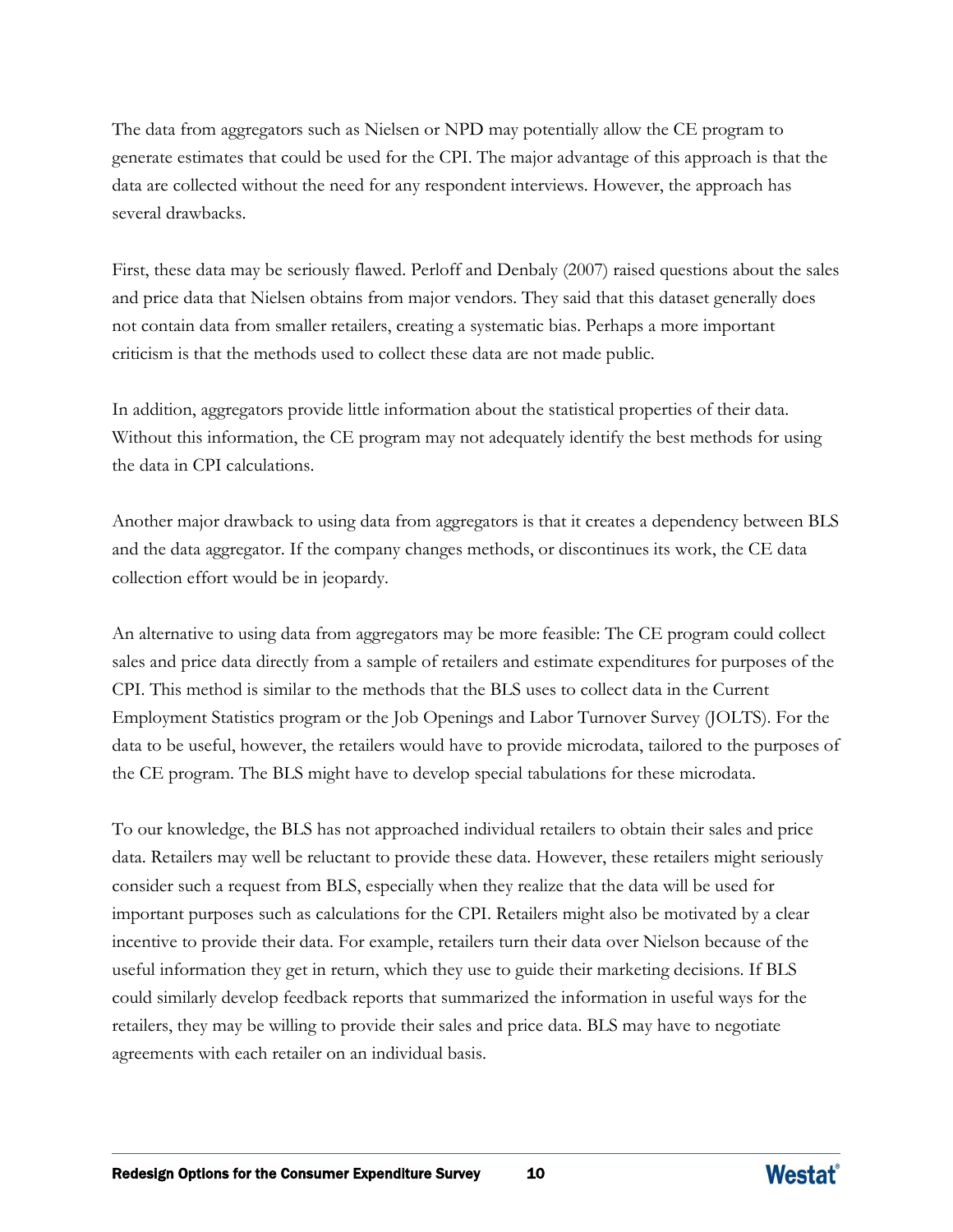The data from aggregators such as Nielsen or NPD may potentially allow the CE program to generate estimates that could be used for the CPI. The major advantage of this approach is that the data are collected without the need for any respondent interviews. However, the approach has several drawbacks.

First, these data may be seriously flawed. Perloff and Denbaly (2007) raised questions about the sales and price data that Nielsen obtains from major vendors. They said that this dataset generally does not contain data from smaller retailers, creating a systematic bias. Perhaps a more important criticism is that the methods used to collect these data are not made public.

In addition, aggregators provide little information about the statistical properties of their data. Without this information, the CE program may not adequately identify the best methods for using the data in CPI calculations.

Another major drawback to using data from aggregators is that it creates a dependency between BLS and the data aggregator. If the company changes methods, or discontinues its work, the CE data collection effort would be in jeopardy.

An alternative to using data from aggregators may be more feasible: The CE program could collect sales and price data directly from a sample of retailers and estimate expenditures for purposes of the CPI. This method is similar to the methods that the BLS uses to collect data in the Current Employment Statistics program or the Job Openings and Labor Turnover Survey (JOLTS). For the data to be useful, however, the retailers would have to provide microdata, tailored to the purposes of the CE program. The BLS might have to develop special tabulations for these microdata.

To our knowledge, the BLS has not approached individual retailers to obtain their sales and price data. Retailers may well be reluctant to provide these data. However, these retailers might seriously consider such a request from BLS, especially when they realize that the data will be used for important purposes such as calculations for the CPI. Retailers might also be motivated by a clear incentive to provide their data. For example, retailers turn their data over Nielson because of the useful information they get in return, which they use to guide their marketing decisions. If BLS could similarly develop feedback reports that summarized the information in useful ways for the retailers, they may be willing to provide their sales and price data. BLS may have to negotiate agreements with each retailer on an individual basis.

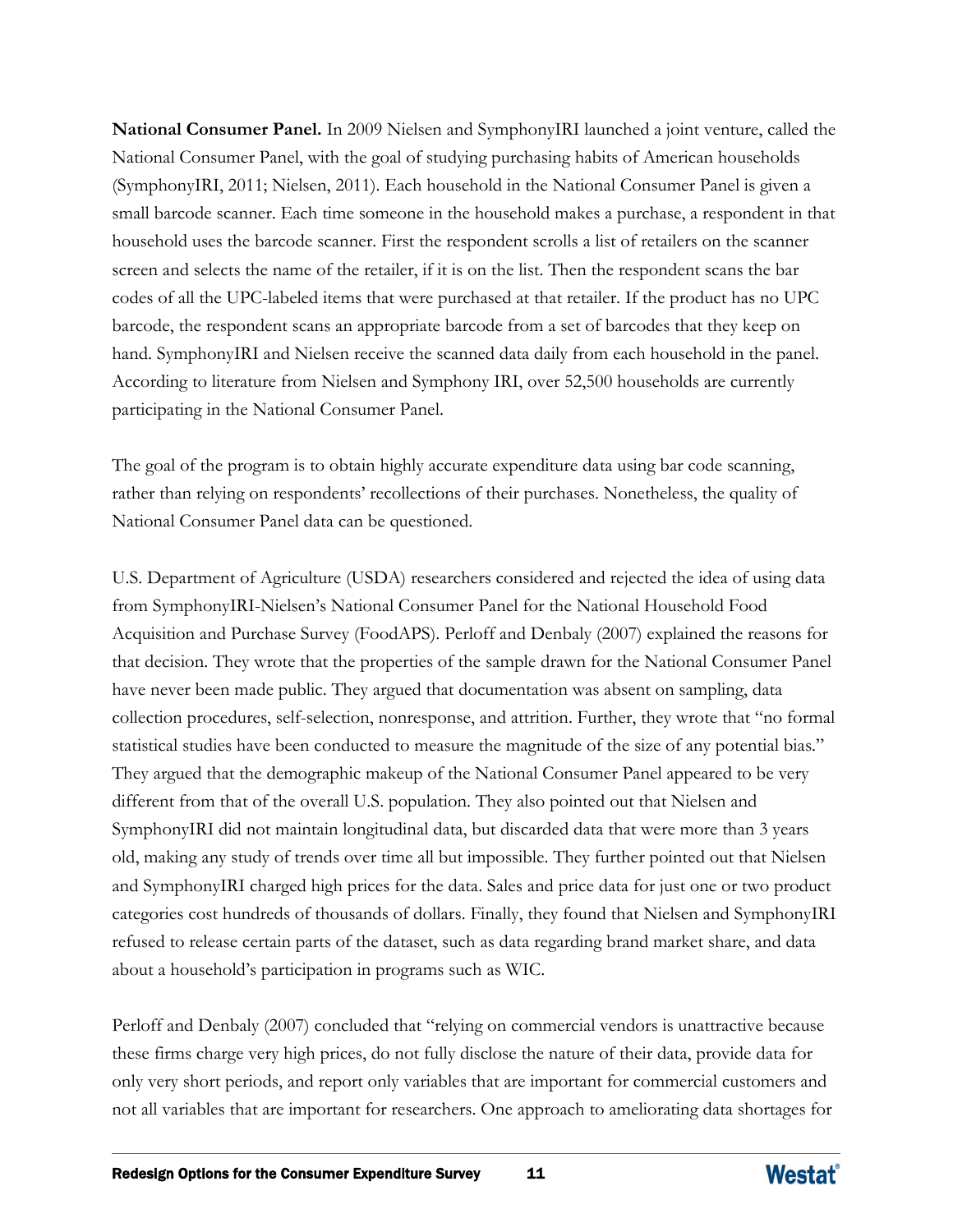**National Consumer Panel.** In 2009 Nielsen and SymphonyIRI launched a joint venture, called the National Consumer Panel, with the goal of studying purchasing habits of American households (SymphonyIRI, 2011; Nielsen, 2011). Each household in the National Consumer Panel is given a small barcode scanner. Each time someone in the household makes a purchase, a respondent in that household uses the barcode scanner. First the respondent scrolls a list of retailers on the scanner screen and selects the name of the retailer, if it is on the list. Then the respondent scans the bar codes of all the UPC-labeled items that were purchased at that retailer. If the product has no UPC barcode, the respondent scans an appropriate barcode from a set of barcodes that they keep on hand. SymphonyIRI and Nielsen receive the scanned data daily from each household in the panel. According to literature from Nielsen and Symphony IRI, over 52,500 households are currently participating in the National Consumer Panel.

The goal of the program is to obtain highly accurate expenditure data using bar code scanning, rather than relying on respondents' recollections of their purchases. Nonetheless, the quality of National Consumer Panel data can be questioned.

U.S. Department of Agriculture (USDA) researchers considered and rejected the idea of using data from SymphonyIRI-Nielsen's National Consumer Panel for the National Household Food Acquisition and Purchase Survey (FoodAPS). Perloff and Denbaly (2007) explained the reasons for that decision. They wrote that the properties of the sample drawn for the National Consumer Panel have never been made public. They argued that documentation was absent on sampling, data collection procedures, self-selection, nonresponse, and attrition. Further, they wrote that "no formal statistical studies have been conducted to measure the magnitude of the size of any potential bias." They argued that the demographic makeup of the National Consumer Panel appeared to be very different from that of the overall U.S. population. They also pointed out that Nielsen and SymphonyIRI did not maintain longitudinal data, but discarded data that were more than 3 years old, making any study of trends over time all but impossible. They further pointed out that Nielsen and SymphonyIRI charged high prices for the data. Sales and price data for just one or two product categories cost hundreds of thousands of dollars. Finally, they found that Nielsen and SymphonyIRI refused to release certain parts of the dataset, such as data regarding brand market share, and data about a household's participation in programs such as WIC.

Perloff and Denbaly (2007) concluded that "relying on commercial vendors is unattractive because these firms charge very high prices, do not fully disclose the nature of their data, provide data for only very short periods, and report only variables that are important for commercial customers and not all variables that are important for researchers. One approach to ameliorating data shortages for

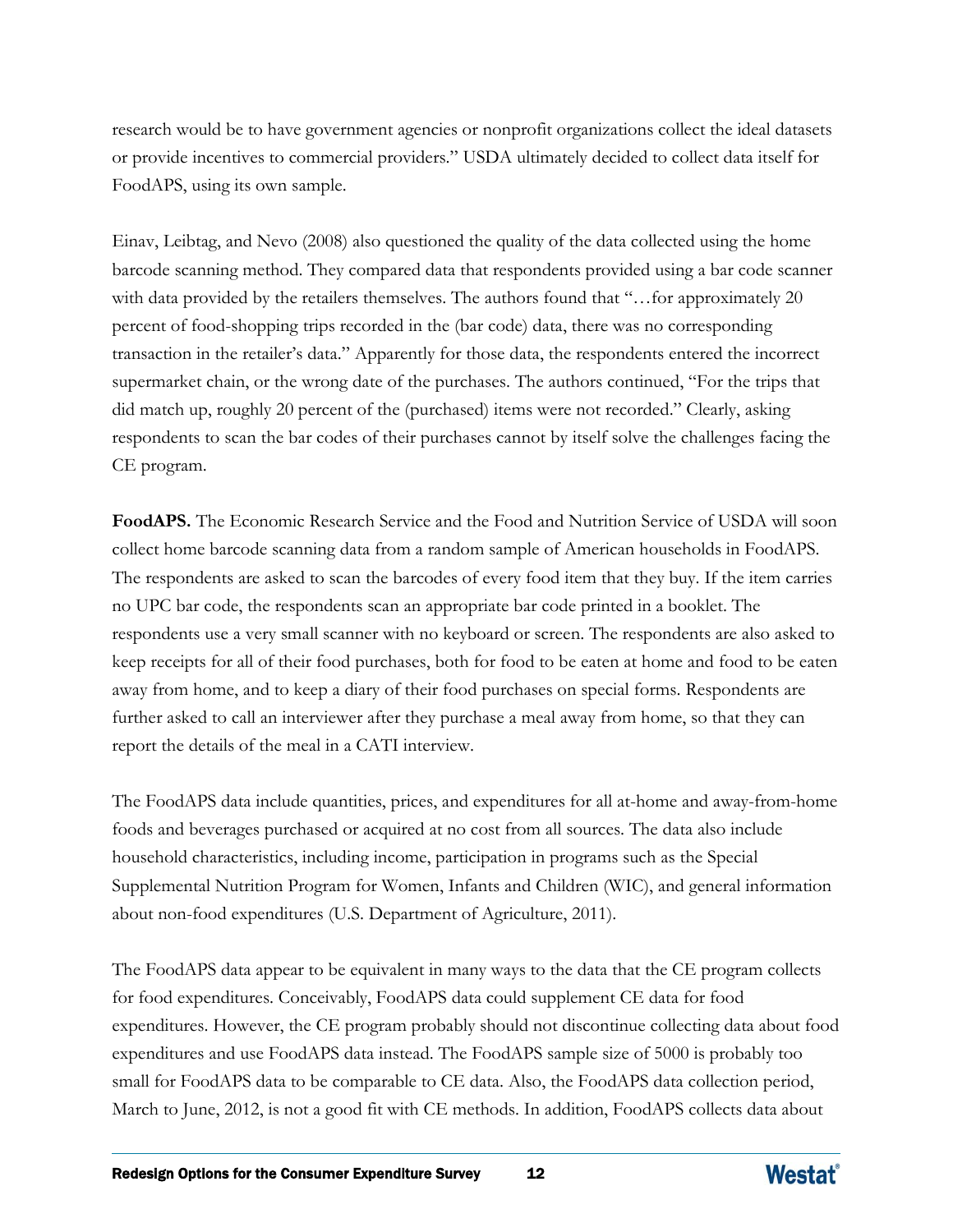research would be to have government agencies or nonprofit organizations collect the ideal datasets or provide incentives to commercial providers." USDA ultimately decided to collect data itself for FoodAPS, using its own sample.

Einav, Leibtag, and Nevo (2008) also questioned the quality of the data collected using the home barcode scanning method. They compared data that respondents provided using a bar code scanner with data provided by the retailers themselves. The authors found that "...for approximately 20 percent of food-shopping trips recorded in the (bar code) data, there was no corresponding transaction in the retailer's data." Apparently for those data, the respondents entered the incorrect supermarket chain, or the wrong date of the purchases. The authors continued, "For the trips that did match up, roughly 20 percent of the (purchased) items were not recorded." Clearly, asking respondents to scan the bar codes of their purchases cannot by itself solve the challenges facing the CE program.

**FoodAPS.** The Economic Research Service and the Food and Nutrition Service of USDA will soon collect home barcode scanning data from a random sample of American households in FoodAPS. The respondents are asked to scan the barcodes of every food item that they buy. If the item carries no UPC bar code, the respondents scan an appropriate bar code printed in a booklet. The respondents use a very small scanner with no keyboard or screen. The respondents are also asked to keep receipts for all of their food purchases, both for food to be eaten at home and food to be eaten away from home, and to keep a diary of their food purchases on special forms. Respondents are further asked to call an interviewer after they purchase a meal away from home, so that they can report the details of the meal in a CATI interview.

The FoodAPS data include quantities, prices, and expenditures for all at-home and away-from-home foods and beverages purchased or acquired at no cost from all sources. The data also include household characteristics, including income, participation in programs such as the Special Supplemental Nutrition Program for Women, Infants and Children (WIC), and general information about non-food expenditures (U.S. Department of Agriculture, 2011).

The FoodAPS data appear to be equivalent in many ways to the data that the CE program collects for food expenditures. Conceivably, FoodAPS data could supplement CE data for food expenditures. However, the CE program probably should not discontinue collecting data about food expenditures and use FoodAPS data instead. The FoodAPS sample size of 5000 is probably too small for FoodAPS data to be comparable to CE data. Also, the FoodAPS data collection period, March to June, 2012, is not a good fit with CE methods. In addition, FoodAPS collects data about

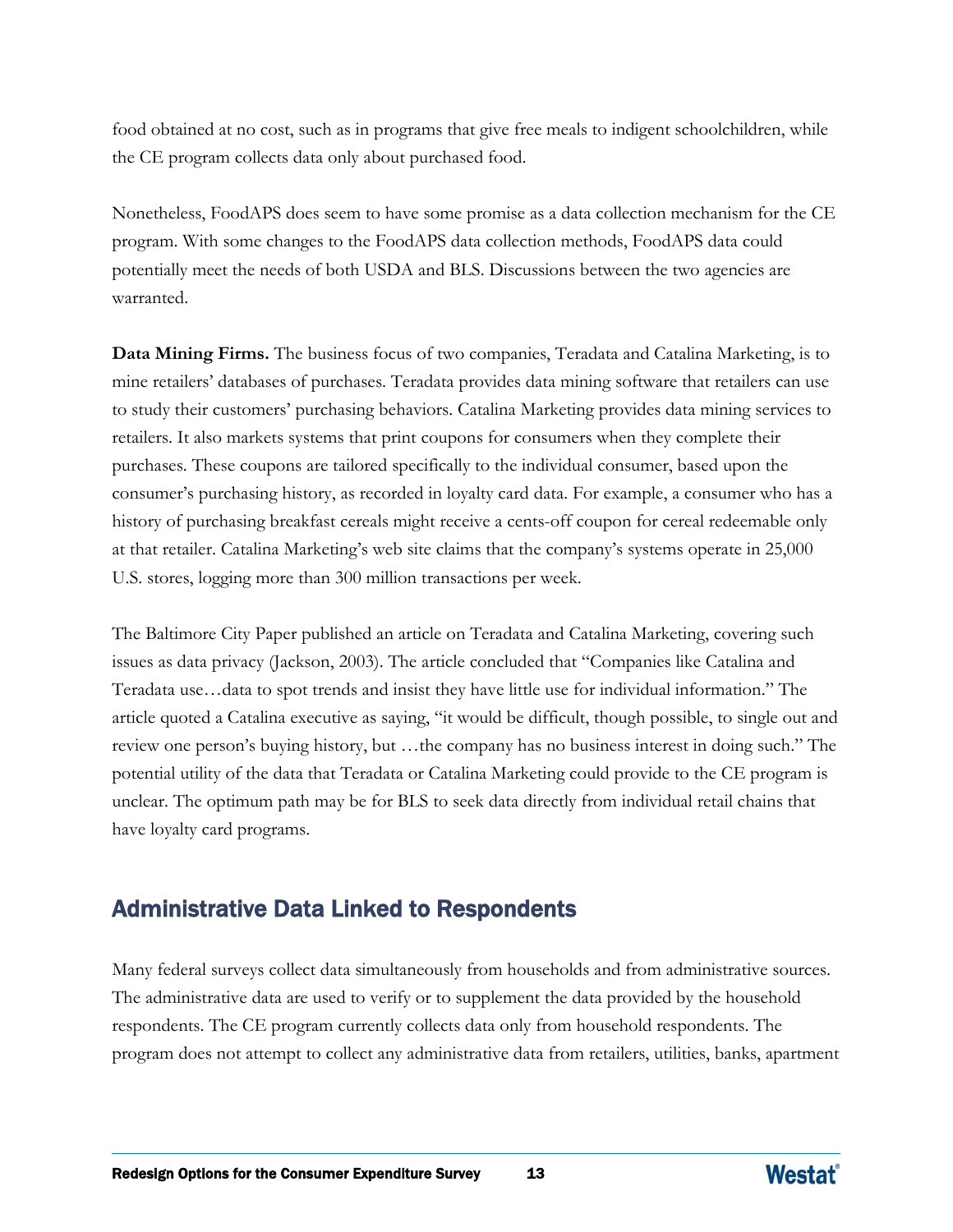food obtained at no cost, such as in programs that give free meals to indigent schoolchildren, while the CE program collects data only about purchased food.

Nonetheless, FoodAPS does seem to have some promise as a data collection mechanism for the CE program. With some changes to the FoodAPS data collection methods, FoodAPS data could potentially meet the needs of both USDA and BLS. Discussions between the two agencies are warranted.

**Data Mining Firms.** The business focus of two companies, Teradata and Catalina Marketing, is to mine retailers' databases of purchases. Teradata provides data mining software that retailers can use to study their customers' purchasing behaviors. Catalina Marketing provides data mining services to retailers. It also markets systems that print coupons for consumers when they complete their purchases. These coupons are tailored specifically to the individual consumer, based upon the consumer's purchasing history, as recorded in loyalty card data. For example, a consumer who has a history of purchasing breakfast cereals might receive a cents-off coupon for cereal redeemable only at that retailer. Catalina Marketing's web site claims that the company's systems operate in 25,000 U.S. stores, logging more than 300 million transactions per week.

The Baltimore City Paper published an article on Teradata and Catalina Marketing, covering such issues as data privacy (Jackson, 2003). The article concluded that "Companies like Catalina and Teradata use…data to spot trends and insist they have little use for individual information." The article quoted a Catalina executive as saying, "it would be difficult, though possible, to single out and review one person's buying history, but …the company has no business interest in doing such." The potential utility of the data that Teradata or Catalina Marketing could provide to the CE program is unclear. The optimum path may be for BLS to seek data directly from individual retail chains that have loyalty card programs.

## Administrative Data Linked to Respondents

Many federal surveys collect data simultaneously from households and from administrative sources. The administrative data are used to verify or to supplement the data provided by the household respondents. The CE program currently collects data only from household respondents. The program does not attempt to collect any administrative data from retailers, utilities, banks, apartment

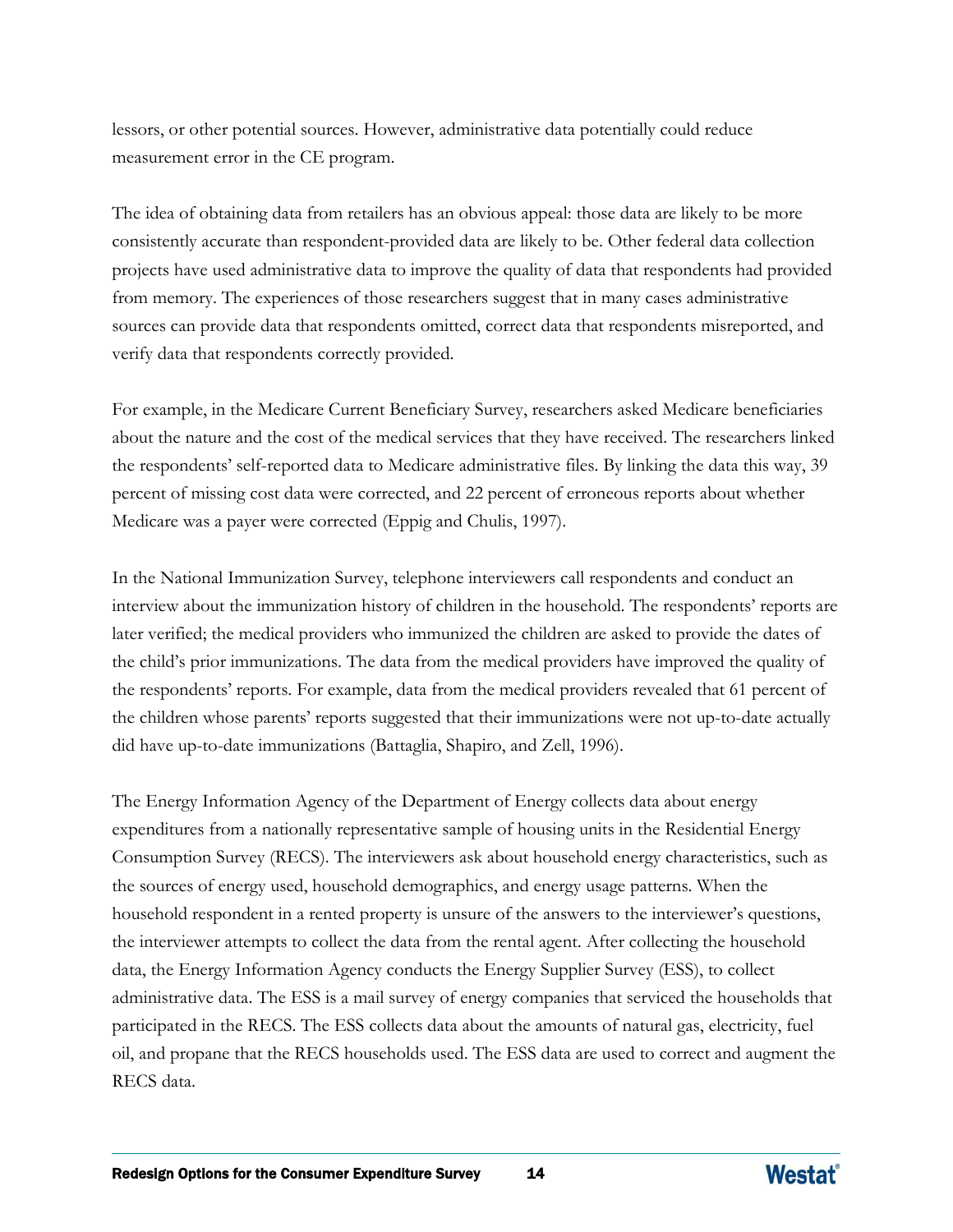lessors, or other potential sources. However, administrative data potentially could reduce measurement error in the CE program.

The idea of obtaining data from retailers has an obvious appeal: those data are likely to be more consistently accurate than respondent-provided data are likely to be. Other federal data collection projects have used administrative data to improve the quality of data that respondents had provided from memory. The experiences of those researchers suggest that in many cases administrative sources can provide data that respondents omitted, correct data that respondents misreported, and verify data that respondents correctly provided.

For example, in the Medicare Current Beneficiary Survey, researchers asked Medicare beneficiaries about the nature and the cost of the medical services that they have received. The researchers linked the respondents' self-reported data to Medicare administrative files. By linking the data this way, 39 percent of missing cost data were corrected, and 22 percent of erroneous reports about whether Medicare was a payer were corrected (Eppig and Chulis, 1997).

In the National Immunization Survey, telephone interviewers call respondents and conduct an interview about the immunization history of children in the household. The respondents' reports are later verified; the medical providers who immunized the children are asked to provide the dates of the child's prior immunizations. The data from the medical providers have improved the quality of the respondents' reports. For example, data from the medical providers revealed that 61 percent of the children whose parents' reports suggested that their immunizations were not up-to-date actually did have up-to-date immunizations (Battaglia, Shapiro, and Zell, 1996).

The Energy Information Agency of the Department of Energy collects data about energy expenditures from a nationally representative sample of housing units in the Residential Energy Consumption Survey (RECS). The interviewers ask about household energy characteristics, such as the sources of energy used, household demographics, and energy usage patterns. When the household respondent in a rented property is unsure of the answers to the interviewer's questions, the interviewer attempts to collect the data from the rental agent. After collecting the household data, the Energy Information Agency conducts the Energy Supplier Survey (ESS), to collect administrative data. The ESS is a mail survey of energy companies that serviced the households that participated in the RECS. The ESS collects data about the amounts of natural gas, electricity, fuel oil, and propane that the RECS households used. The ESS data are used to correct and augment the RECS data.

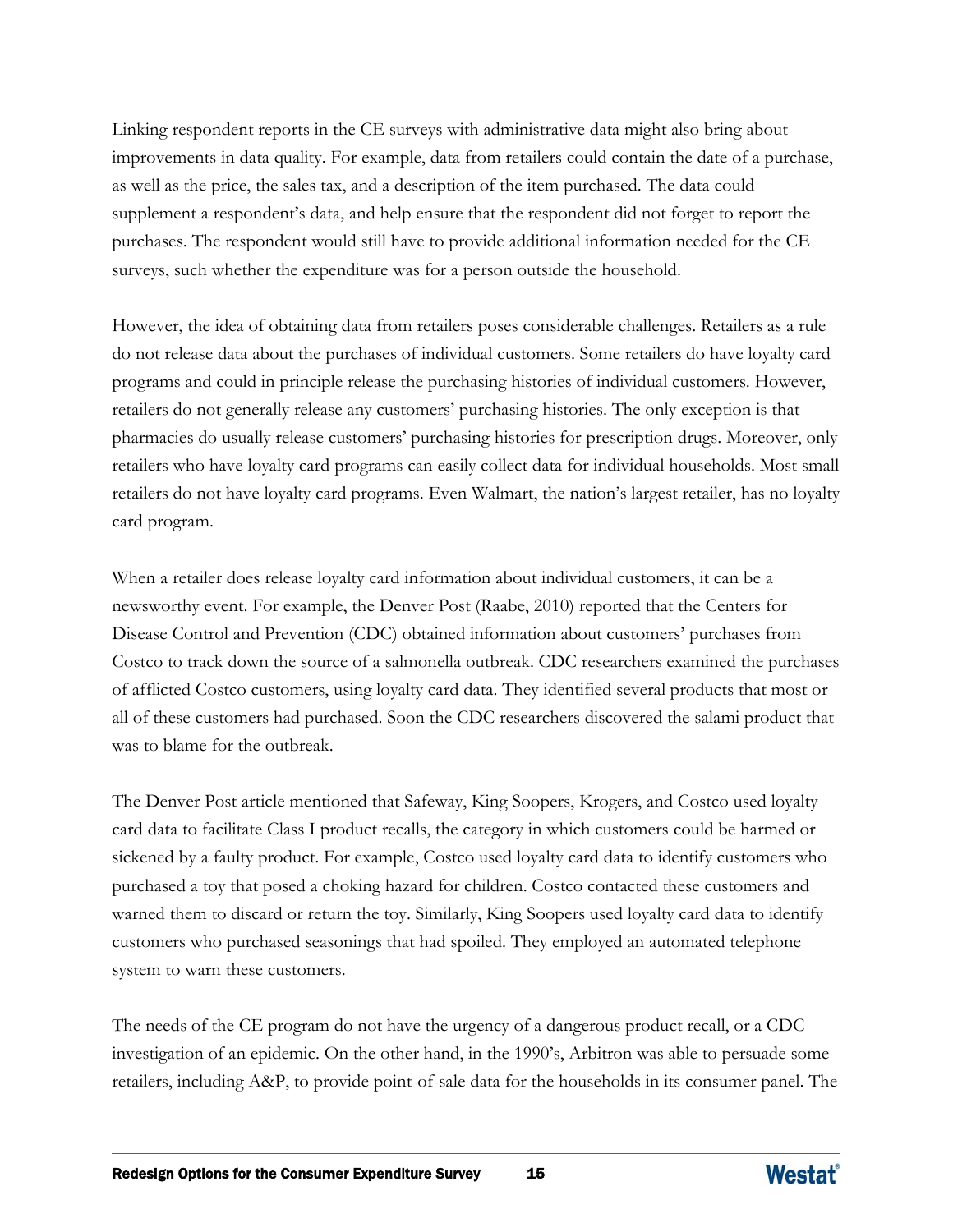Linking respondent reports in the CE surveys with administrative data might also bring about improvements in data quality. For example, data from retailers could contain the date of a purchase, as well as the price, the sales tax, and a description of the item purchased. The data could supplement a respondent's data, and help ensure that the respondent did not forget to report the purchases. The respondent would still have to provide additional information needed for the CE surveys, such whether the expenditure was for a person outside the household.

However, the idea of obtaining data from retailers poses considerable challenges. Retailers as a rule do not release data about the purchases of individual customers. Some retailers do have loyalty card programs and could in principle release the purchasing histories of individual customers. However, retailers do not generally release any customers' purchasing histories. The only exception is that pharmacies do usually release customers' purchasing histories for prescription drugs. Moreover, only retailers who have loyalty card programs can easily collect data for individual households. Most small retailers do not have loyalty card programs. Even Walmart, the nation's largest retailer, has no loyalty card program.

When a retailer does release loyalty card information about individual customers, it can be a newsworthy event. For example, the Denver Post (Raabe, 2010) reported that the Centers for Disease Control and Prevention (CDC) obtained information about customers' purchases from Costco to track down the source of a salmonella outbreak. CDC researchers examined the purchases of afflicted Costco customers, using loyalty card data. They identified several products that most or all of these customers had purchased. Soon the CDC researchers discovered the salami product that was to blame for the outbreak.

The Denver Post article mentioned that Safeway, King Soopers, Krogers, and Costco used loyalty card data to facilitate Class I product recalls, the category in which customers could be harmed or sickened by a faulty product. For example, Costco used loyalty card data to identify customers who purchased a toy that posed a choking hazard for children. Costco contacted these customers and warned them to discard or return the toy. Similarly, King Soopers used loyalty card data to identify customers who purchased seasonings that had spoiled. They employed an automated telephone system to warn these customers.

The needs of the CE program do not have the urgency of a dangerous product recall, or a CDC investigation of an epidemic. On the other hand, in the 1990's, Arbitron was able to persuade some retailers, including A&P, to provide point-of-sale data for the households in its consumer panel. The

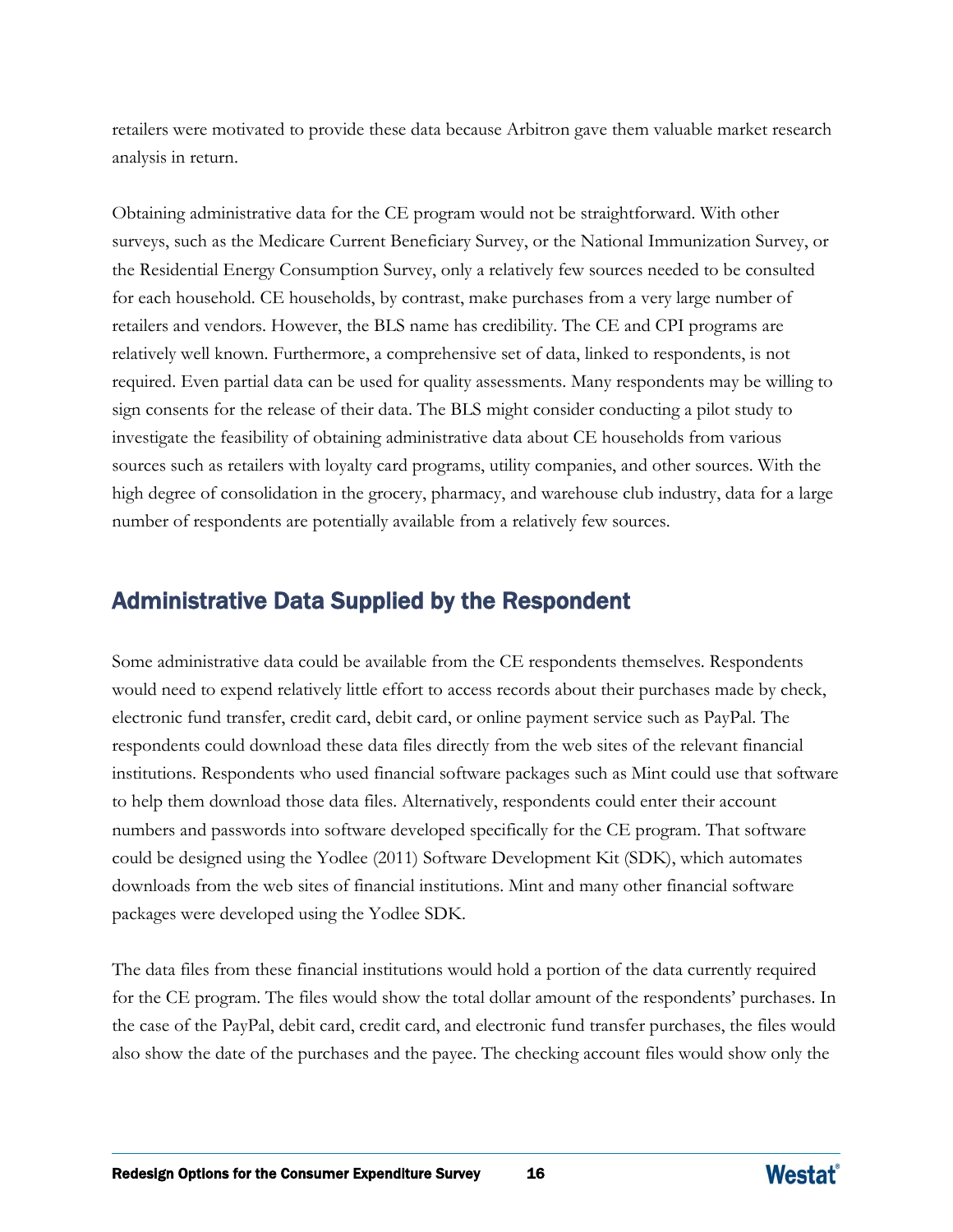retailers were motivated to provide these data because Arbitron gave them valuable market research analysis in return.

Obtaining administrative data for the CE program would not be straightforward. With other surveys, such as the Medicare Current Beneficiary Survey, or the National Immunization Survey, or the Residential Energy Consumption Survey, only a relatively few sources needed to be consulted for each household. CE households, by contrast, make purchases from a very large number of retailers and vendors. However, the BLS name has credibility. The CE and CPI programs are relatively well known. Furthermore, a comprehensive set of data, linked to respondents, is not required. Even partial data can be used for quality assessments. Many respondents may be willing to sign consents for the release of their data. The BLS might consider conducting a pilot study to investigate the feasibility of obtaining administrative data about CE households from various sources such as retailers with loyalty card programs, utility companies, and other sources. With the high degree of consolidation in the grocery, pharmacy, and warehouse club industry, data for a large number of respondents are potentially available from a relatively few sources.

# Administrative Data Supplied by the Respondent

Some administrative data could be available from the CE respondents themselves. Respondents would need to expend relatively little effort to access records about their purchases made by check, electronic fund transfer, credit card, debit card, or online payment service such as PayPal. The respondents could download these data files directly from the web sites of the relevant financial institutions. Respondents who used financial software packages such as Mint could use that software to help them download those data files. Alternatively, respondents could enter their account numbers and passwords into software developed specifically for the CE program. That software could be designed using the Yodlee (2011) Software Development Kit (SDK), which automates downloads from the web sites of financial institutions. Mint and many other financial software packages were developed using the Yodlee SDK.

The data files from these financial institutions would hold a portion of the data currently required for the CE program. The files would show the total dollar amount of the respondents' purchases. In the case of the PayPal, debit card, credit card, and electronic fund transfer purchases, the files would also show the date of the purchases and the payee. The checking account files would show only the

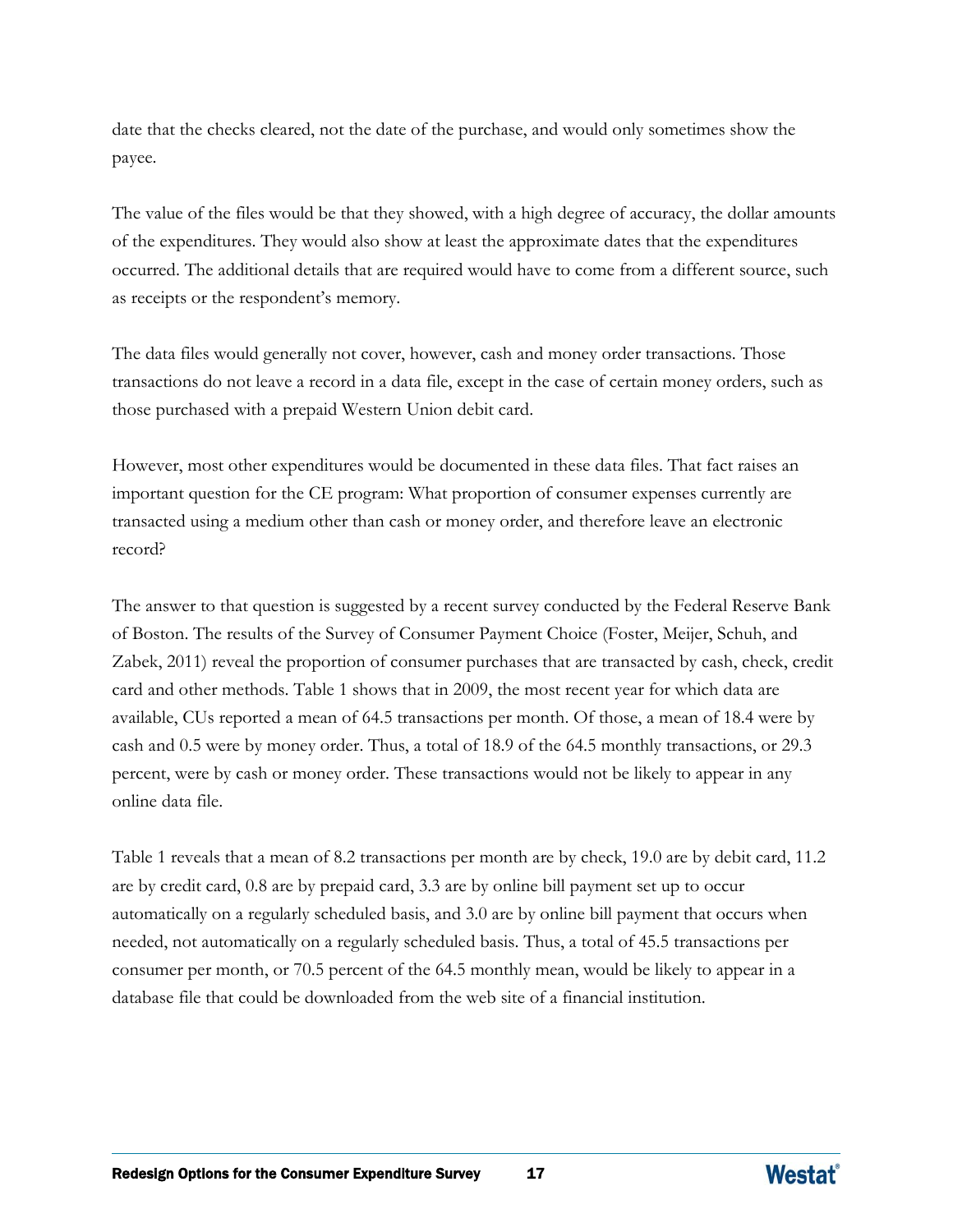date that the checks cleared, not the date of the purchase, and would only sometimes show the payee.

The value of the files would be that they showed, with a high degree of accuracy, the dollar amounts of the expenditures. They would also show at least the approximate dates that the expenditures occurred. The additional details that are required would have to come from a different source, such as receipts or the respondent's memory.

The data files would generally not cover, however, cash and money order transactions. Those transactions do not leave a record in a data file, except in the case of certain money orders, such as those purchased with a prepaid Western Union debit card.

However, most other expenditures would be documented in these data files. That fact raises an important question for the CE program: What proportion of consumer expenses currently are transacted using a medium other than cash or money order, and therefore leave an electronic record?

The answer to that question is suggested by a recent survey conducted by the Federal Reserve Bank of Boston. The results of the Survey of Consumer Payment Choice (Foster, Meijer, Schuh, and Zabek, 2011) reveal the proportion of consumer purchases that are transacted by cash, check, credit card and other methods. Table 1 shows that in 2009, the most recent year for which data are available, CUs reported a mean of 64.5 transactions per month. Of those, a mean of 18.4 were by cash and 0.5 were by money order. Thus, a total of 18.9 of the 64.5 monthly transactions, or 29.3 percent, were by cash or money order. These transactions would not be likely to appear in any online data file.

Table 1 reveals that a mean of 8.2 transactions per month are by check, 19.0 are by debit card, 11.2 are by credit card, 0.8 are by prepaid card, 3.3 are by online bill payment set up to occur automatically on a regularly scheduled basis, and 3.0 are by online bill payment that occurs when needed, not automatically on a regularly scheduled basis. Thus, a total of 45.5 transactions per consumer per month, or 70.5 percent of the 64.5 monthly mean, would be likely to appear in a database file that could be downloaded from the web site of a financial institution.

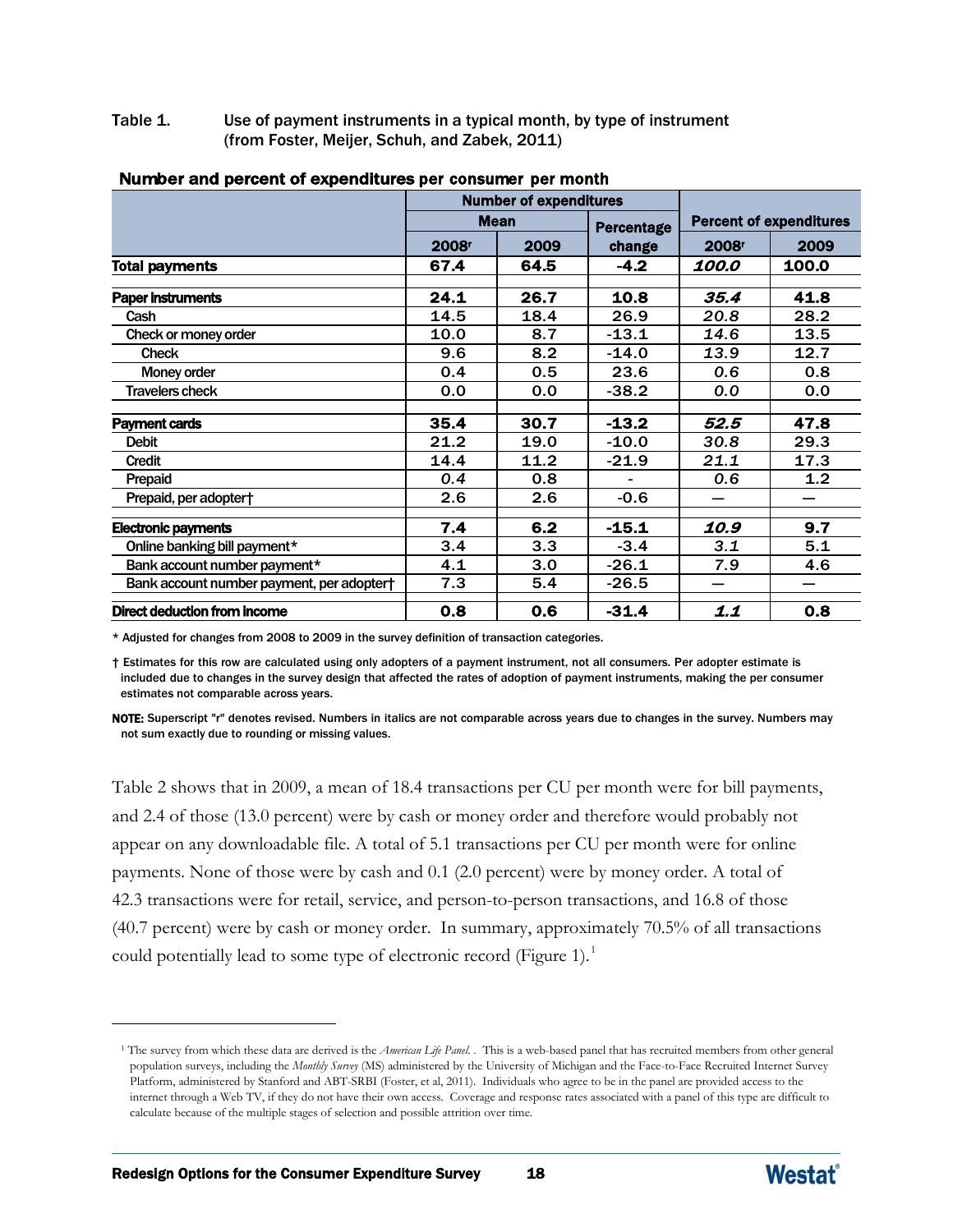Table 1. Use of payment instruments in a typical month, by type of instrument (from Foster, Meijer, Schuh, and Zabek, 2011)

|                                           |                   | <b>Number of expenditures</b> |                   |                   |                                |  |
|-------------------------------------------|-------------------|-------------------------------|-------------------|-------------------|--------------------------------|--|
|                                           |                   | <b>Mean</b>                   | <b>Percentage</b> |                   | <b>Percent of expenditures</b> |  |
|                                           | 2008 <sup>r</sup> | 2009                          | change            | 2008 <sup>r</sup> | 2009                           |  |
| <b>Total payments</b>                     | 67.4              | 64.5                          | $-4.2$            | 100.0             | 100.0                          |  |
| <b>Paper instruments</b>                  | 24.1              | 26.7                          | 10.8              | 35.4              | 41.8                           |  |
| Cash                                      | 14.5              | 18.4                          | 26.9              | 20.8              | 28.2                           |  |
| Check or money order                      | 10.0              | 8.7                           | $-13.1$           | 14.6              | 13.5                           |  |
| <b>Check</b>                              | 9.6               | 8.2                           | $-14.0$           | 13.9              | 12.7                           |  |
| Money order                               | 0.4               | 0.5                           | 23.6              | 0.6               | 0.8                            |  |
| <b>Travelers check</b>                    | 0.0               | 0.0                           | $-38.2$           | 0.0               | 0.0                            |  |
| <b>Payment cards</b>                      | 35.4              | 30.7                          | $-13.2$           | 52.5              | 47.8                           |  |
| <b>Debit</b>                              | 21.2              | 19.0                          | $-10.0$           | 30.8              | 29.3                           |  |
| Credit                                    | 14.4              | 11.2                          | $-21.9$           | 21.1              | 17.3                           |  |
| Prepaid                                   | 0.4               | 0.8                           |                   | 0.6               | 1.2                            |  |
| Prepaid, per adopter†                     | 2.6               | 2.6                           | $-0.6$            |                   |                                |  |
| <b>Electronic payments</b>                | 7.4               | 6.2                           | $-15.1$           | 10.9              | 9.7                            |  |
| Online banking bill payment*              | 3.4               | 3.3                           | $-3.4$            | 3.1               | 5.1                            |  |
| Bank account number payment*              | 4.1               | 3.0                           | $-26.1$           | 7.9               | 4.6                            |  |
| Bank account number payment, per adopter† | 7.3               | 5.4                           | $-26.5$           |                   |                                |  |
| <b>Direct deduction from income</b>       | 0.8               | 0.6                           | $-31.4$           | 1.1               | 0.8                            |  |

#### Number and percent of expenditures per consumer per month

\* Adjusted for changes from 2008 to 2009 in the survey definition of transaction categories.

† Estimates for this row are calculated using only adopters of a payment instrument, not all consumers. Per adopter estimate is included due to changes in the survey design that affected the rates of adoption of payment instruments, making the per consumer estimates not comparable across years.

NOTE: Superscript "r" denotes revised. Numbers in italics are not comparable across years due to changes in the survey. Numbers may not sum exactly due to rounding or missing values.

Table 2 shows that in 2009, a mean of 18.4 transactions per CU per month were for bill payments, and 2.4 of those (13.0 percent) were by cash or money order and therefore would probably not appear on any downloadable file. A total of 5.1 transactions per CU per month were for online payments. None of those were by cash and 0.1 (2.0 percent) were by money order. A total of 42.3 transactions were for retail, service, and person-to-person transactions, and 16.8 of those (40.7 percent) were by cash or money order. In summary, approximately 70.5% of all transactions could potentially lead to some type of electronic record (Figure [1](#page-38-0)).<sup>1</sup>

<span id="page-38-0"></span> $\overline{a}$ 



<sup>1</sup> The survey from which these data are derived is the *American Life Panel*. . This is a web-based panel that has recruited members from other general population surveys, including the *Monthly Survey* (MS) administered by the University of Michigan and the Face-to-Face Recruited Internet Survey Platform, administered by Stanford and ABT-SRBI (Foster, et al, 2011). Individuals who agree to be in the panel are provided access to the internet through a Web TV, if they do not have their own access. Coverage and response rates associated with a panel of this type are difficult to calculate because of the multiple stages of selection and possible attrition over time.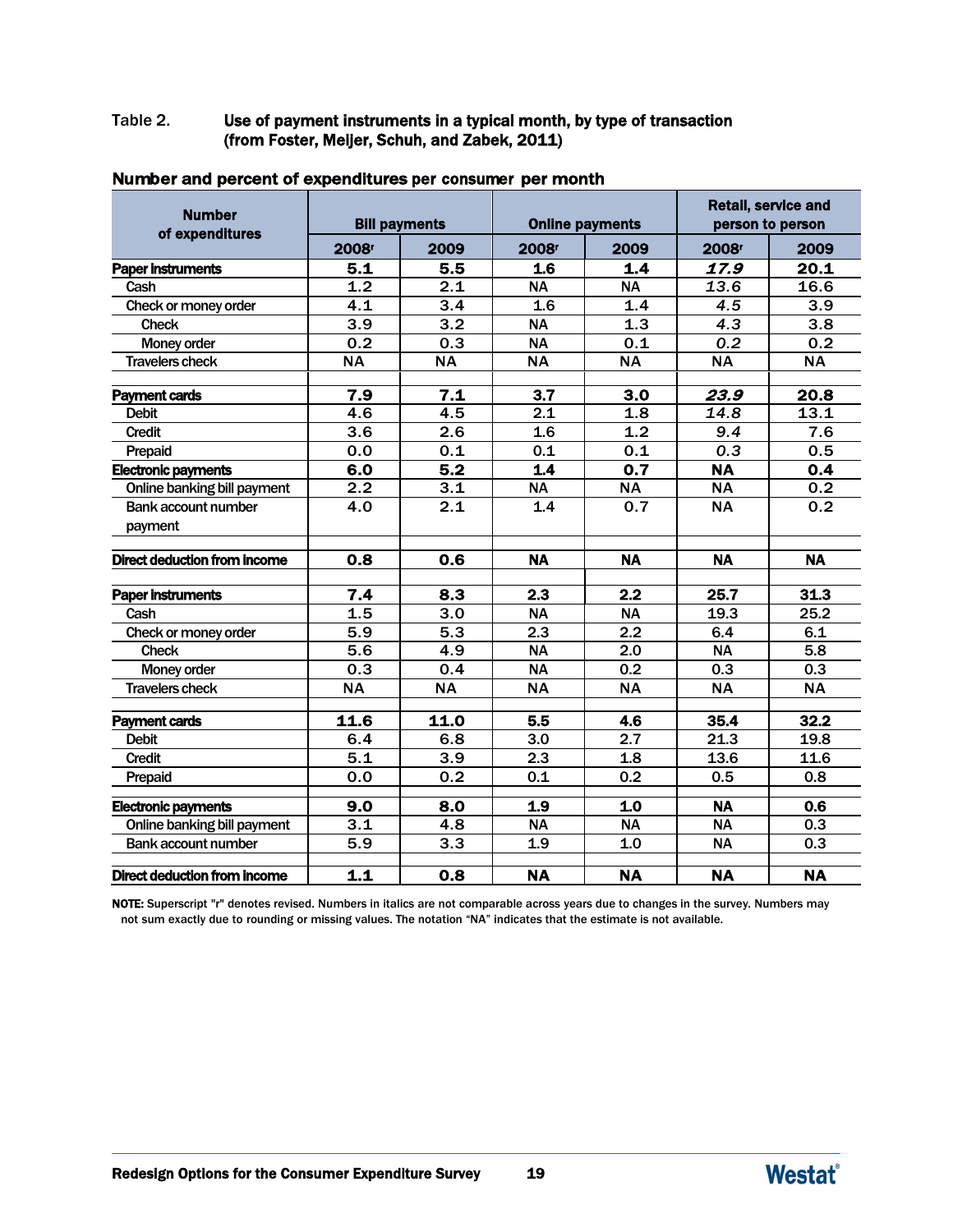#### Table 2. Use of payment instruments in a typical month, by type of transaction (from Foster, Meijer, Schuh, and Zabek, 2011)

| <b>Number</b><br>of expenditures      | <b>Bill payments</b> |            |                   | <b>Online payments</b> |                   | <b>Retail, service and</b><br>person to person |
|---------------------------------------|----------------------|------------|-------------------|------------------------|-------------------|------------------------------------------------|
|                                       | 2008 <sup>r</sup>    | 2009       | 2008 <sup>r</sup> | 2009                   | 2008 <sup>r</sup> | 2009                                           |
| <b>Paper instruments</b>              | 5.1                  | 5.5        | 1.6               | 1.4                    | 17.9              | 20.1                                           |
| Cash                                  | 1.2                  | 2.1        | <b>NA</b>         | <b>NA</b>              | 13.6              | 16.6                                           |
| Check or money order                  | 4.1                  | 3.4        | 1.6               | 1.4                    | 4.5               | 3.9                                            |
| <b>Check</b>                          | 3.9                  | 3.2        | <b>NA</b>         | 1.3                    | 4.3               | 3.8                                            |
| Money order                           | 0.2                  | 0.3        | <b>NA</b>         | 0.1                    | 0.2               | 0.2                                            |
| <b>Travelers check</b>                | <b>NA</b>            | <b>NA</b>  | <b>NA</b>         | <b>NA</b>              | <b>NA</b>         | <b>NA</b>                                      |
| <b>Payment cards</b>                  | 7.9                  | 7.1        | 3.7               | 3.0                    | 23.9              | 20.8                                           |
| <b>Debit</b>                          | 4.6                  | 4.5        | 2.1               | 1.8                    | 14.8              | 13.1                                           |
| <b>Credit</b>                         | 3.6                  | 2.6        | 1.6               | 1.2                    | 9.4               | 7.6                                            |
| Prepaid                               | 0.0                  | 0.1        | 0.1               | 0.1                    | 0.3               | 0.5                                            |
| <b>Electronic payments</b>            | 6.0                  | 5.2        | 1.4               | 0.7                    | <b>NA</b>         | 0.4                                            |
| Online banking bill payment           | 2.2                  | 3.1        | <b>NA</b>         | <b>NA</b>              | <b>NA</b>         | 0.2                                            |
| <b>Bank account number</b>            | 4.0                  | 2.1        | 1.4               | 0.7                    | <b>NA</b>         | 0.2                                            |
| payment                               |                      |            |                   |                        |                   |                                                |
| <b>Direct deduction from income</b>   | 0.8                  | 0.6        | <b>NA</b>         | <b>NA</b>              | <b>NA</b>         | <b>NA</b>                                      |
|                                       | 7.4                  | 8.3        | $\overline{2.3}$  | $\overline{2.2}$       | 25.7              | 31.3                                           |
| <b>Paper instruments</b>              | 1.5                  | 3.0        |                   | <b>NA</b>              |                   | 25.2                                           |
| Cash                                  | 5.9                  |            | <b>NA</b>         | 2.2                    | 19.3              |                                                |
| Check or money order                  |                      | 5.3        | 2.3               |                        | 6.4               | 6.1                                            |
| <b>Check</b>                          | 5.6                  | 4.9<br>0.4 | <b>NA</b>         | 2.0<br>0.2             | <b>NA</b>         | 5.8                                            |
| Money order<br><b>Travelers check</b> | 0.3                  |            | <b>NA</b>         |                        | 0.3               | 0.3<br><b>NA</b>                               |
|                                       | <b>NA</b>            | <b>NA</b>  | <b>NA</b>         | <b>NA</b>              | <b>NA</b>         |                                                |
| <b>Payment cards</b>                  | 11.6                 | 11.0       | 5.5               | 4.6                    | 35.4              | 32.2                                           |
| <b>Debit</b>                          | 6.4                  | 6.8        | 3.0               | 2.7                    | 21.3              | 19.8                                           |
| <b>Credit</b>                         | 5.1                  | 3.9        | 2.3               | 1.8                    | 13.6              | 11.6                                           |
| Prepaid                               | 0.0                  | 0.2        | 0.1               | 0.2                    | 0.5               | 0.8                                            |
| <b>Electronic payments</b>            | 9.0                  | 8.0        | 1.9               | 1.0                    | <b>NA</b>         | 0.6                                            |
| Online banking bill payment           | 3.1                  | 4.8        | <b>NA</b>         | <b>NA</b>              | <b>NA</b>         | 0.3                                            |
| Bank account number                   | 5.9                  | 3.3        | 1.9               | 1.0                    | <b>NA</b>         | 0.3                                            |
| <b>Direct deduction from income</b>   | 1.1                  | 0.8        | <b>NA</b>         | <b>NA</b>              | <b>NA</b>         | <b>NA</b>                                      |

#### Number and percent of expenditures per consumer per month

NOTE: Superscript "r" denotes revised. Numbers in italics are not comparable across years due to changes in the survey. Numbers may not sum exactly due to rounding or missing values. The notation "NA" indicates that the estimate is not available.

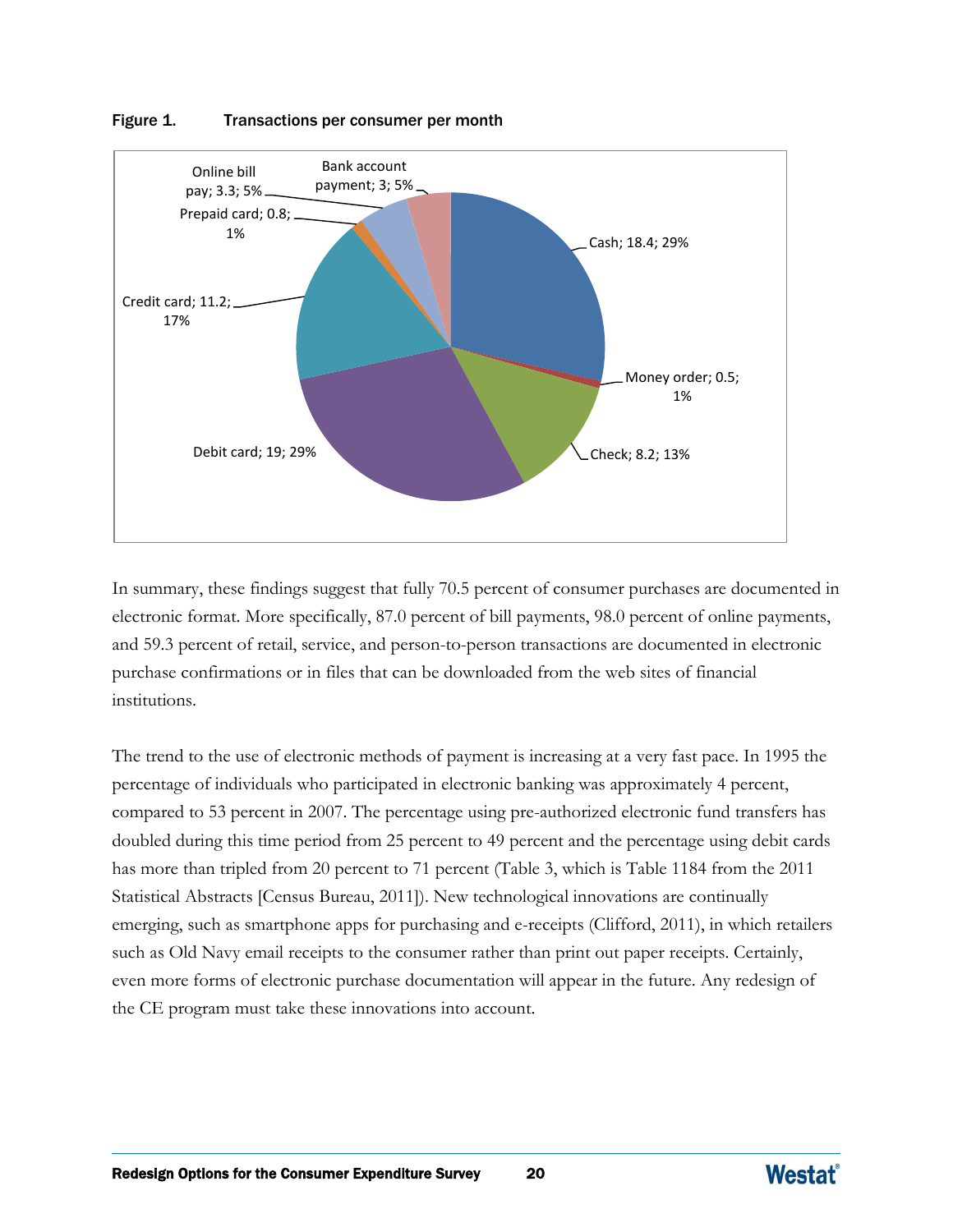

#### Figure 1. Transactions per consumer per month

In summary, these findings suggest that fully 70.5 percent of consumer purchases are documented in electronic format. More specifically, 87.0 percent of bill payments, 98.0 percent of online payments, and 59.3 percent of retail, service, and person-to-person transactions are documented in electronic purchase confirmations or in files that can be downloaded from the web sites of financial institutions.

The trend to the use of electronic methods of payment is increasing at a very fast pace. In 1995 the percentage of individuals who participated in electronic banking was approximately 4 percent, compared to 53 percent in 2007. The percentage using pre-authorized electronic fund transfers has doubled during this time period from 25 percent to 49 percent and the percentage using debit cards has more than tripled from 20 percent to 71 percent (Table 3, which is Table 1184 from the 2011 Statistical Abstracts [Census Bureau, 2011]). New technological innovations are continually emerging, such as smartphone apps for purchasing and e-receipts (Clifford, 2011), in which retailers such as Old Navy email receipts to the consumer rather than print out paper receipts. Certainly, even more forms of electronic purchase documentation will appear in the future. Any redesign of the CE program must take these innovations into account.

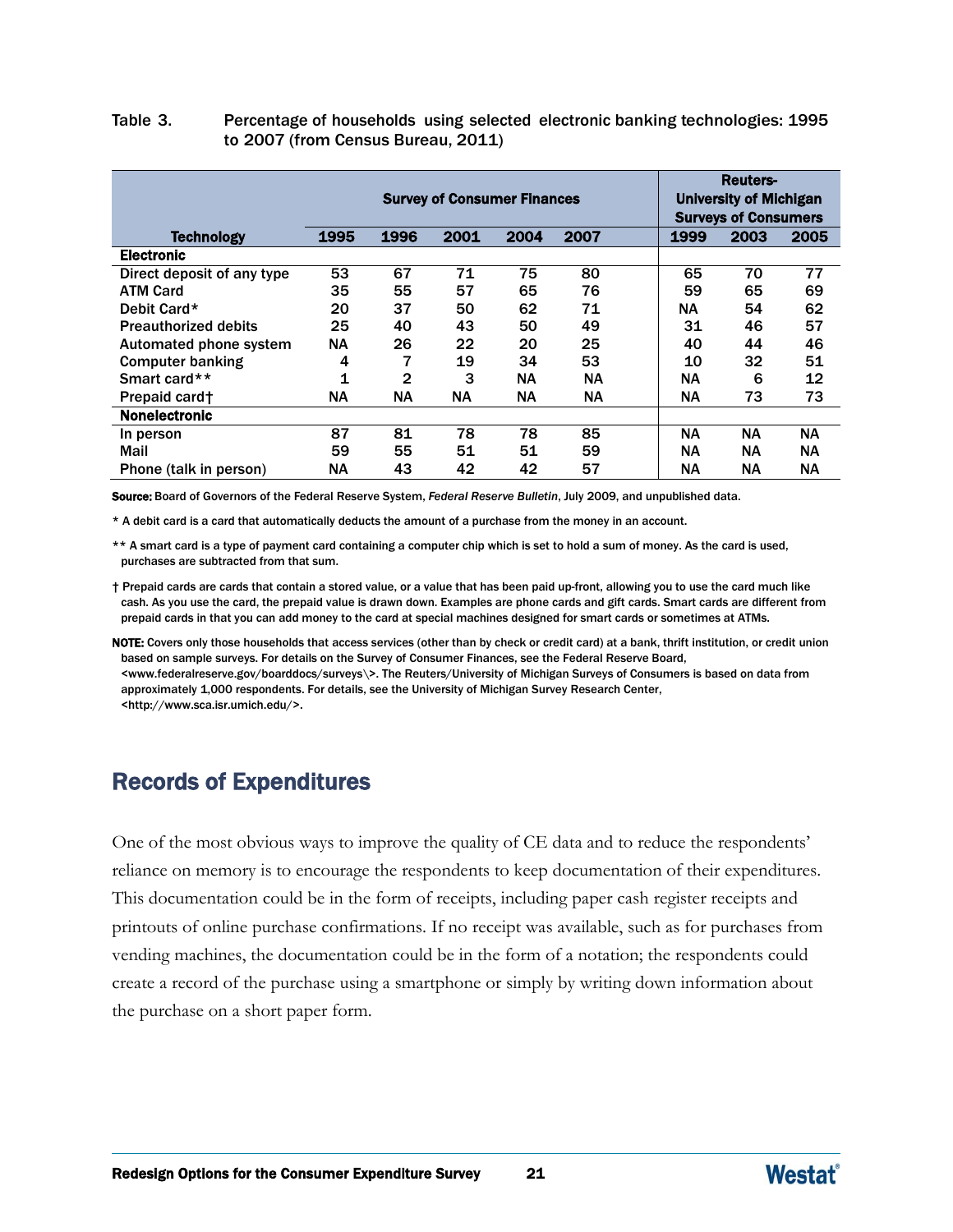#### Table 3. Percentage of households using selected electronic banking technologies: 1995 to 2007 (from Census Bureau, 2011)

|                             | <b>Survey of Consumer Finances</b> |              |           |           |           |           | Reuters-<br><b>University of Michigan</b><br><b>Surveys of Consumers</b> |      |  |
|-----------------------------|------------------------------------|--------------|-----------|-----------|-----------|-----------|--------------------------------------------------------------------------|------|--|
| <b>Technology</b>           | 1995                               | 1996         | 2001      | 2004      | 2007      | 1999      | 2003                                                                     | 2005 |  |
| <b>Electronic</b>           |                                    |              |           |           |           |           |                                                                          |      |  |
| Direct deposit of any type  | 53                                 | 67           | 71        | 75        | 80        | 65        | 70                                                                       | 77   |  |
| <b>ATM Card</b>             | 35                                 | 55           | 57        | 65        | 76        | 59        | 65                                                                       | 69   |  |
| Debit Card*                 | 20                                 | 37           | 50        | 62        | 71        | ΝA        | 54                                                                       | 62   |  |
| <b>Preauthorized debits</b> | 25                                 | 40           | 43        | 50        | 49        | 31        | 46                                                                       | 57   |  |
| Automated phone system      | ΝA                                 | 26           | 22        | 20        | 25        | 40        | 44                                                                       | 46   |  |
| <b>Computer banking</b>     | 4                                  | 7            | 19        | 34        | 53        | 10        | 32                                                                       | 51   |  |
| Smart card**                | $\mathbf 1$                        | $\mathbf{2}$ | 3         | <b>NA</b> | <b>NA</b> | <b>NA</b> | 6                                                                        | 12   |  |
| Prepaid card†               | ΝA                                 | <b>NA</b>    | <b>NA</b> | <b>NA</b> | <b>NA</b> | <b>NA</b> | 73                                                                       | 73   |  |
| <b>Nonelectronic</b>        |                                    |              |           |           |           |           |                                                                          |      |  |
| In person                   | 87                                 | 81           | 78        | 78        | 85        | <b>NA</b> | <b>NA</b>                                                                | ΝA   |  |
| Mail                        | 59                                 | 55           | 51        | 51        | 59        | <b>NA</b> | ΝA.                                                                      | NА   |  |
| Phone (talk in person)      | ΝA                                 | 43           | 42        | 42        | 57        | NΑ        | <b>NA</b>                                                                | NΑ   |  |

Source: Board of Governors of the Federal Reserve System, *Federal Reserve Bulletin*, July 2009, and unpublished data.

\* A debit card is a card that automatically deducts the amount of a purchase from the money in an account.

\*\* A smart card is a type of payment card containing a computer chip which is set to hold a sum of money. As the card is used, purchases are subtracted from that sum.

† Prepaid cards are cards that contain a stored value, or a value that has been paid up-front, allowing you to use the card much like cash. As you use the card, the prepaid value is drawn down. Examples are phone cards and gift cards. Smart cards are different from prepaid cards in that you can add money to the card at special machines designed for smart cards or sometimes at ATMs.

NOTE: Covers only those households that access services (other than by check or credit card) at a bank, thrift institution, or credit union based on sample surveys. For details on the Survey of Consumer Finances, see the Federal Reserve Board, [<www.federalreserve.gov/boarddocs/surveys\>. T](http://www.federalreserve.gov/boarddocs/surveys)he Reuters/University of Michigan Surveys of Consumers is based on data from approximately 1,000 respondents. For details, see the University of Michigan Survey Research Cente[r,](http://www.sca.isr.umich/)  [<http://www.sca.isr.umich.e](http://www.sca.isr.umich/)du/>.

# Records of Expenditures

One of the most obvious ways to improve the quality of CE data and to reduce the respondents' reliance on memory is to encourage the respondents to keep documentation of their expenditures. This documentation could be in the form of receipts, including paper cash register receipts and printouts of online purchase confirmations. If no receipt was available, such as for purchases from vending machines, the documentation could be in the form of a notation; the respondents could create a record of the purchase using a smartphone or simply by writing down information about the purchase on a short paper form.

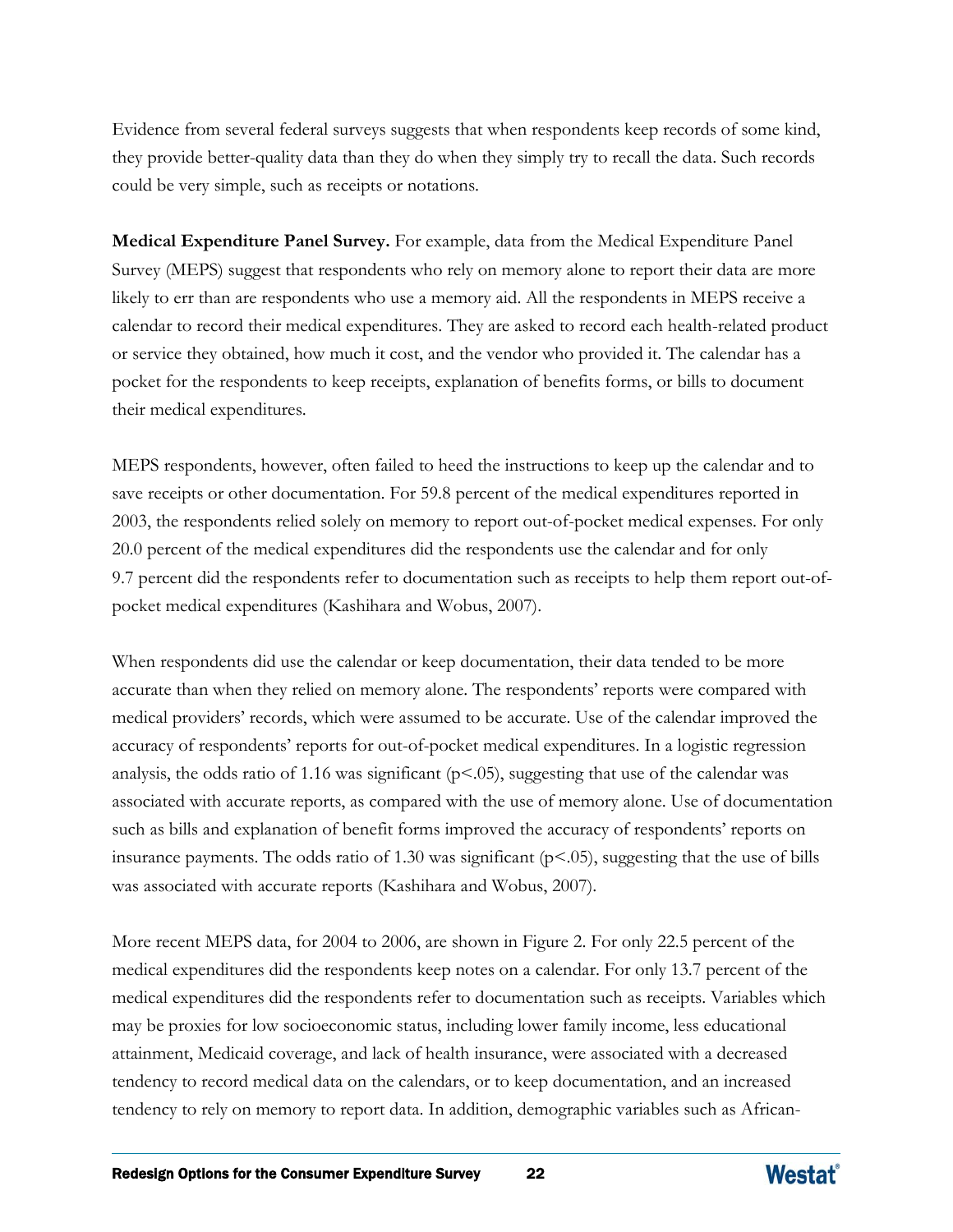Evidence from several federal surveys suggests that when respondents keep records of some kind, they provide better-quality data than they do when they simply try to recall the data. Such records could be very simple, such as receipts or notations.

**Medical Expenditure Panel Survey.** For example, data from the Medical Expenditure Panel Survey (MEPS) suggest that respondents who rely on memory alone to report their data are more likely to err than are respondents who use a memory aid. All the respondents in MEPS receive a calendar to record their medical expenditures. They are asked to record each health-related product or service they obtained, how much it cost, and the vendor who provided it. The calendar has a pocket for the respondents to keep receipts, explanation of benefits forms, or bills to document their medical expenditures.

MEPS respondents, however, often failed to heed the instructions to keep up the calendar and to save receipts or other documentation. For 59.8 percent of the medical expenditures reported in 2003, the respondents relied solely on memory to report out-of-pocket medical expenses. For only 20.0 percent of the medical expenditures did the respondents use the calendar and for only 9.7 percent did the respondents refer to documentation such as receipts to help them report out-ofpocket medical expenditures (Kashihara and Wobus, 2007).

When respondents did use the calendar or keep documentation, their data tended to be more accurate than when they relied on memory alone. The respondents' reports were compared with medical providers' records, which were assumed to be accurate. Use of the calendar improved the accuracy of respondents' reports for out-of-pocket medical expenditures. In a logistic regression analysis, the odds ratio of 1.16 was significant  $(p<0.05)$ , suggesting that use of the calendar was associated with accurate reports, as compared with the use of memory alone. Use of documentation such as bills and explanation of benefit forms improved the accuracy of respondents' reports on insurance payments. The odds ratio of 1.30 was significant (p<.05), suggesting that the use of bills was associated with accurate reports (Kashihara and Wobus, 2007).

More recent MEPS data, for 2004 to 2006, are shown in Figure 2. For only 22.5 percent of the medical expenditures did the respondents keep notes on a calendar. For only 13.7 percent of the medical expenditures did the respondents refer to documentation such as receipts. Variables which may be proxies for low socioeconomic status, including lower family income, less educational attainment, Medicaid coverage, and lack of health insurance, were associated with a decreased tendency to record medical data on the calendars, or to keep documentation, and an increased tendency to rely on memory to report data. In addition, demographic variables such as African-

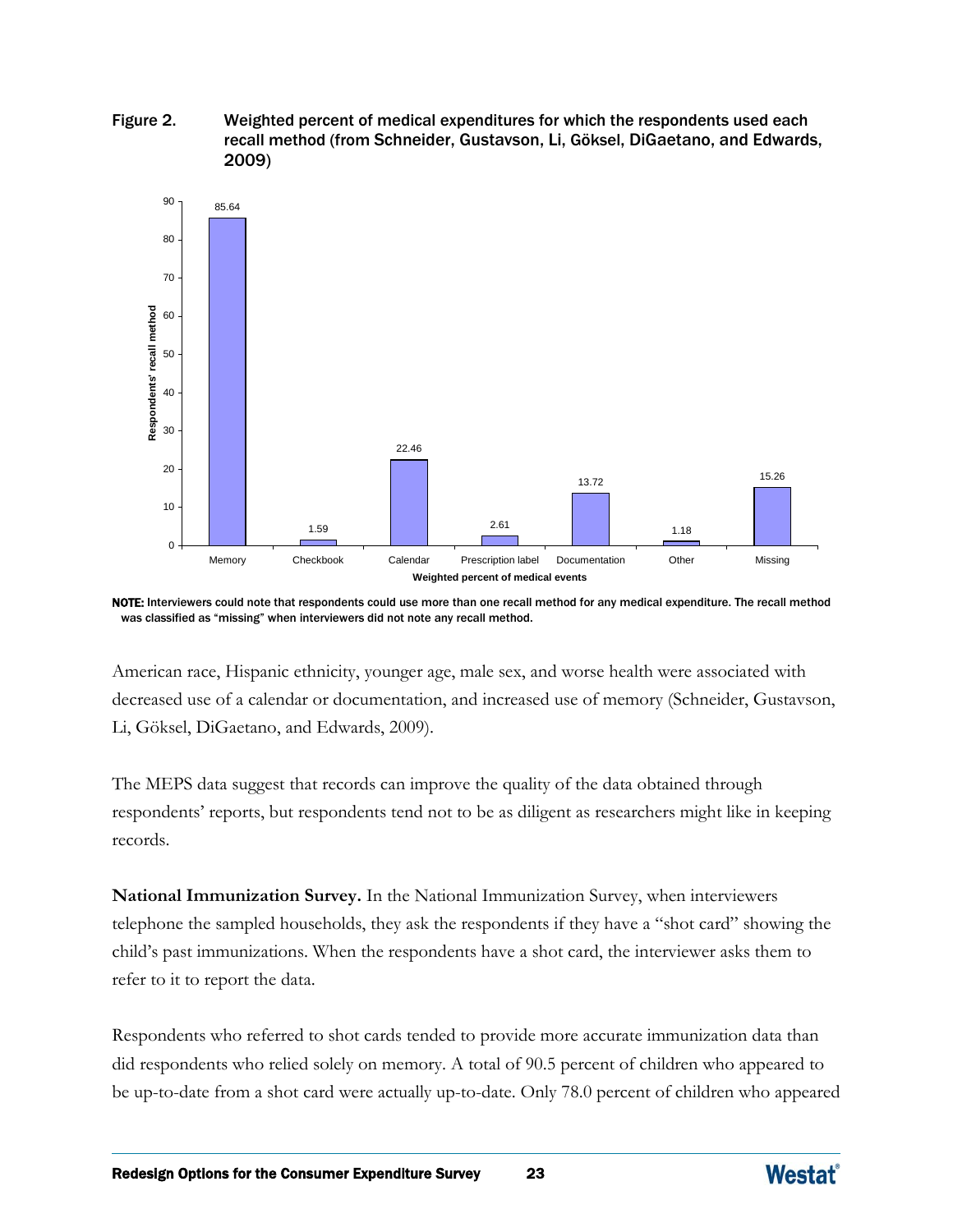



NOTE: Interviewers could note that respondents could use more than one recall method for any medical expenditure. The recall method was classified as "missing" when interviewers did not note any recall method.

American race, Hispanic ethnicity, younger age, male sex, and worse health were associated with decreased use of a calendar or documentation, and increased use of memory (Schneider, Gustavson, Li, Göksel, DiGaetano, and Edwards, 2009).

The MEPS data suggest that records can improve the quality of the data obtained through respondents' reports, but respondents tend not to be as diligent as researchers might like in keeping records.

**National Immunization Survey.** In the National Immunization Survey, when interviewers telephone the sampled households, they ask the respondents if they have a "shot card" showing the child's past immunizations. When the respondents have a shot card, the interviewer asks them to refer to it to report the data.

Respondents who referred to shot cards tended to provide more accurate immunization data than did respondents who relied solely on memory. A total of 90.5 percent of children who appeared to be up-to-date from a shot card were actually up-to-date. Only 78.0 percent of children who appeared

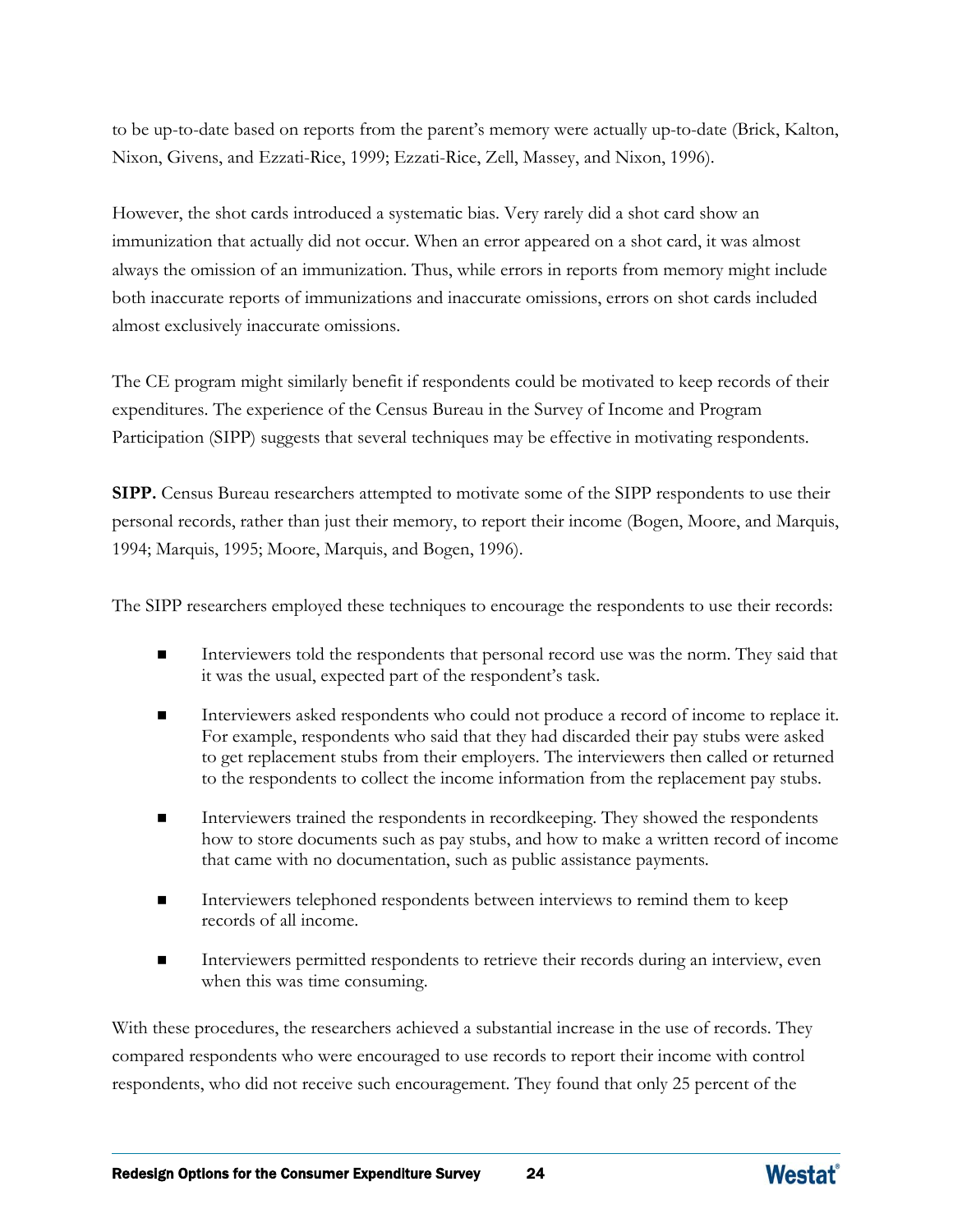to be up-to-date based on reports from the parent's memory were actually up-to-date (Brick, Kalton, Nixon, Givens, and Ezzati-Rice, 1999; Ezzati-Rice, Zell, Massey, and Nixon, 1996).

However, the shot cards introduced a systematic bias. Very rarely did a shot card show an immunization that actually did not occur. When an error appeared on a shot card, it was almost always the omission of an immunization. Thus, while errors in reports from memory might include both inaccurate reports of immunizations and inaccurate omissions, errors on shot cards included almost exclusively inaccurate omissions.

The CE program might similarly benefit if respondents could be motivated to keep records of their expenditures. The experience of the Census Bureau in the Survey of Income and Program Participation (SIPP) suggests that several techniques may be effective in motivating respondents.

**SIPP.** Census Bureau researchers attempted to motivate some of the SIPP respondents to use their personal records, rather than just their memory, to report their income (Bogen, Moore, and Marquis, 1994; Marquis, 1995; Moore, Marquis, and Bogen, 1996).

The SIPP researchers employed these techniques to encourage the respondents to use their records:

- Interviewers told the respondents that personal record use was the norm. They said that it was the usual, expected part of the respondent's task.
- Interviewers asked respondents who could not produce a record of income to replace it. For example, respondents who said that they had discarded their pay stubs were asked to get replacement stubs from their employers. The interviewers then called or returned to the respondents to collect the income information from the replacement pay stubs.
- Interviewers trained the respondents in recordkeeping. They showed the respondents how to store documents such as pay stubs, and how to make a written record of income that came with no documentation, such as public assistance payments.
- Interviewers telephoned respondents between interviews to remind them to keep records of all income.
- Interviewers permitted respondents to retrieve their records during an interview, even when this was time consuming.

With these procedures, the researchers achieved a substantial increase in the use of records. They compared respondents who were encouraged to use records to report their income with control respondents, who did not receive such encouragement. They found that only 25 percent of the

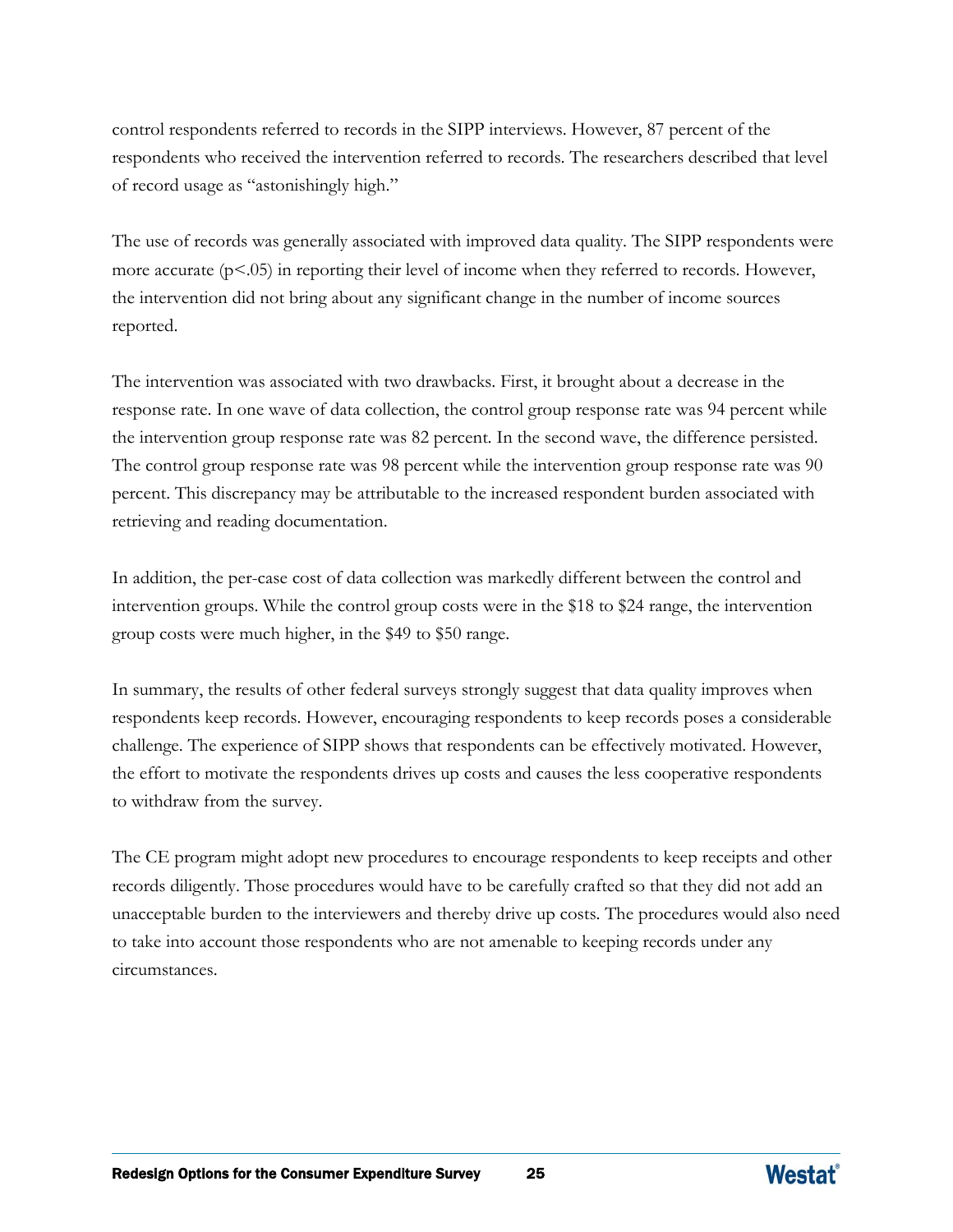control respondents referred to records in the SIPP interviews. However, 87 percent of the respondents who received the intervention referred to records. The researchers described that level of record usage as "astonishingly high."

The use of records was generally associated with improved data quality. The SIPP respondents were more accurate  $(p<.05)$  in reporting their level of income when they referred to records. However, the intervention did not bring about any significant change in the number of income sources reported.

The intervention was associated with two drawbacks. First, it brought about a decrease in the response rate. In one wave of data collection, the control group response rate was 94 percent while the intervention group response rate was 82 percent. In the second wave, the difference persisted. The control group response rate was 98 percent while the intervention group response rate was 90 percent. This discrepancy may be attributable to the increased respondent burden associated with retrieving and reading documentation.

In addition, the per-case cost of data collection was markedly different between the control and intervention groups. While the control group costs were in the \$18 to \$24 range, the intervention group costs were much higher, in the \$49 to \$50 range.

In summary, the results of other federal surveys strongly suggest that data quality improves when respondents keep records. However, encouraging respondents to keep records poses a considerable challenge. The experience of SIPP shows that respondents can be effectively motivated. However, the effort to motivate the respondents drives up costs and causes the less cooperative respondents to withdraw from the survey.

The CE program might adopt new procedures to encourage respondents to keep receipts and other records diligently. Those procedures would have to be carefully crafted so that they did not add an unacceptable burden to the interviewers and thereby drive up costs. The procedures would also need to take into account those respondents who are not amenable to keeping records under any circumstances.

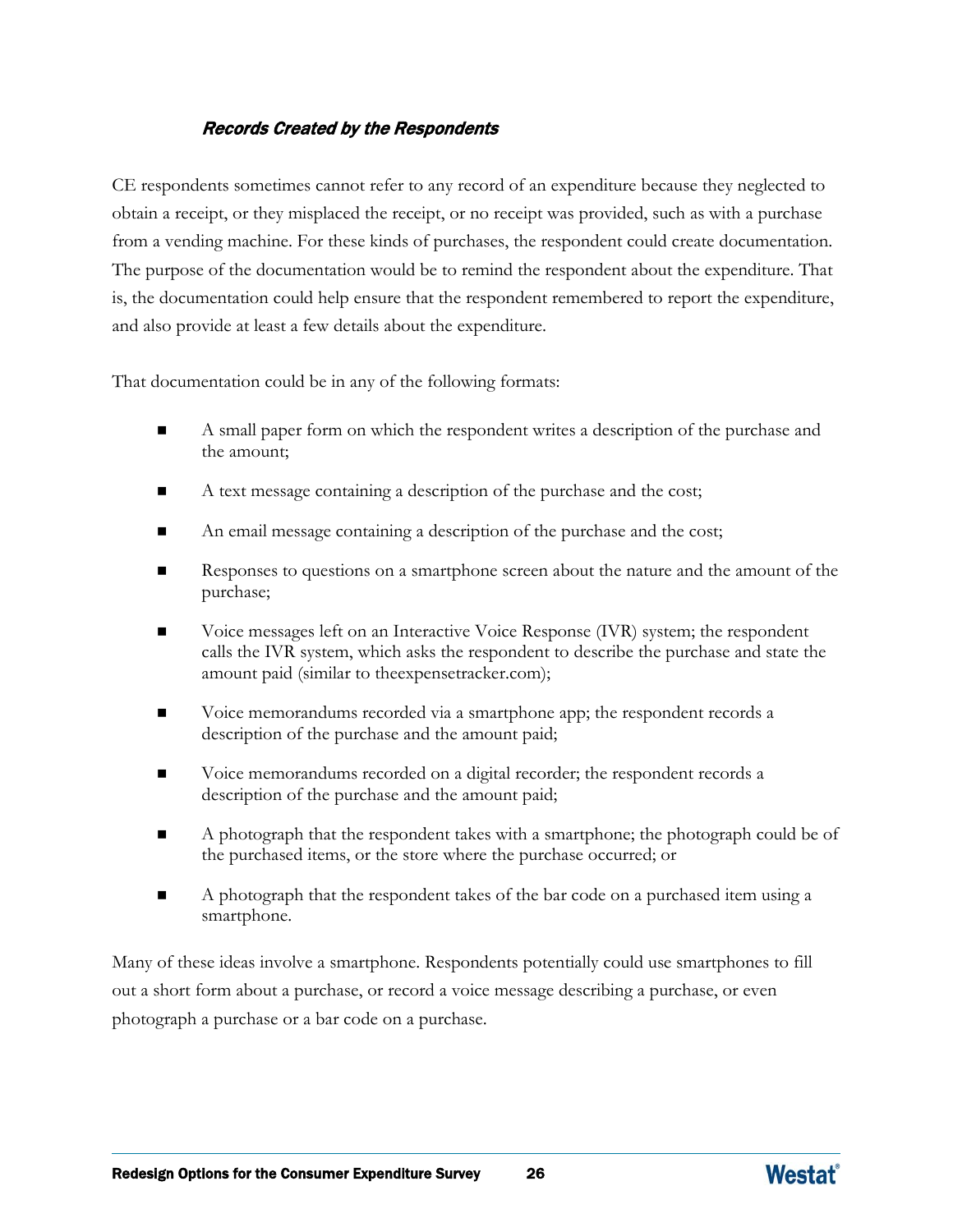## Records Created by the Respondents

CE respondents sometimes cannot refer to any record of an expenditure because they neglected to obtain a receipt, or they misplaced the receipt, or no receipt was provided, such as with a purchase from a vending machine. For these kinds of purchases, the respondent could create documentation. The purpose of the documentation would be to remind the respondent about the expenditure. That is, the documentation could help ensure that the respondent remembered to report the expenditure, and also provide at least a few details about the expenditure.

That documentation could be in any of the following formats:

- A small paper form on which the respondent writes a description of the purchase and the amount;
- A text message containing a description of the purchase and the cost;
- An email message containing a description of the purchase and the cost;
- Responses to questions on a smartphone screen about the nature and the amount of the purchase;
- Voice messages left on an Interactive Voice Response (IVR) system; the respondent calls the IVR system, which asks the respondent to describe the purchase and state the amount paid (similar to theexpensetracker.com);
- Voice memorandums recorded via a smartphone app; the respondent records a description of the purchase and the amount paid;
- Voice memorandums recorded on a digital recorder; the respondent records a description of the purchase and the amount paid;
- A photograph that the respondent takes with a smartphone; the photograph could be of the purchased items, or the store where the purchase occurred; or
- A photograph that the respondent takes of the bar code on a purchased item using a smartphone.

Many of these ideas involve a smartphone. Respondents potentially could use smartphones to fill out a short form about a purchase, or record a voice message describing a purchase, or even photograph a purchase or a bar code on a purchase.

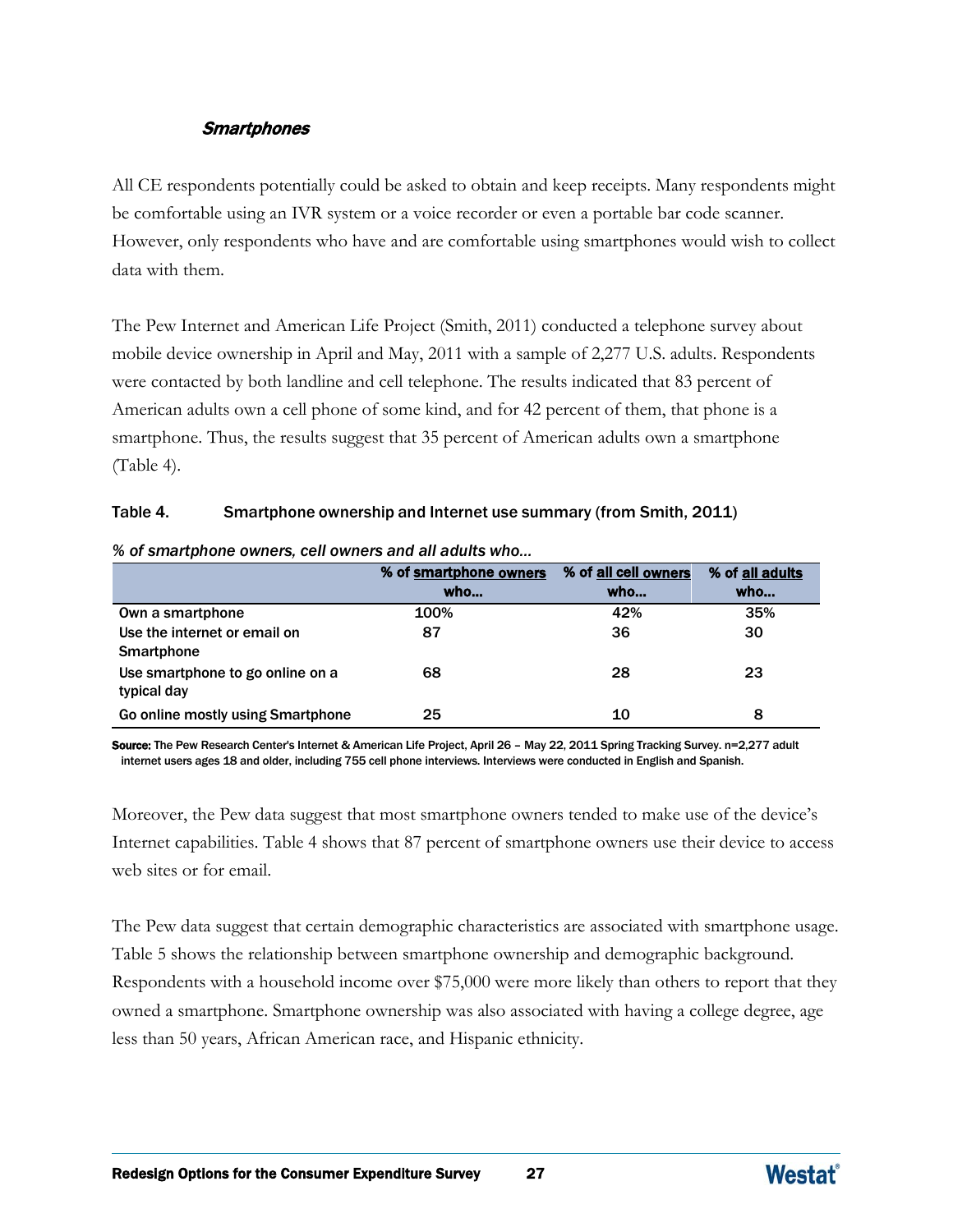## **Smartphones**

All CE respondents potentially could be asked to obtain and keep receipts. Many respondents might be comfortable using an IVR system or a voice recorder or even a portable bar code scanner. However, only respondents who have and are comfortable using smartphones would wish to collect data with them.

The Pew Internet and American Life Project (Smith, 2011) conducted a telephone survey about mobile device ownership in April and May, 2011 with a sample of 2,277 U.S. adults. Respondents were contacted by both landline and cell telephone. The results indicated that 83 percent of American adults own a cell phone of some kind, and for 42 percent of them, that phone is a smartphone. Thus, the results suggest that 35 percent of American adults own a smartphone (Table 4).

#### Table 4. Smartphone ownership and Internet use summary (from Smith, 2011)

|                                   | % of smartphone owners | % of all cell owners | % of all adults |
|-----------------------------------|------------------------|----------------------|-----------------|
|                                   | who                    | who                  | who             |
| Own a smartphone                  | 100%                   | 42%                  | 35%             |
| Use the internet or email on      | 87                     | 36                   | 30              |
| Smartphone                        |                        |                      |                 |
| Use smartphone to go online on a  | 68                     | 28                   | 23              |
| typical day                       |                        |                      |                 |
| Go online mostly using Smartphone | 25                     | 10                   | 8               |

#### *% of smartphone owners, cell owners and all adults who…*

Source: The Pew Research Center's Internet & American Life Project, April 26 – May 22, 2011 Spring Tracking Survey. n=2,277 adult internet users ages 18 and older, including 755 cell phone interviews. Interviews were conducted in English and Spanish.

Moreover, the Pew data suggest that most smartphone owners tended to make use of the device's Internet capabilities. Table 4 shows that 87 percent of smartphone owners use their device to access web sites or for email.

The Pew data suggest that certain demographic characteristics are associated with smartphone usage. Table 5 shows the relationship between smartphone ownership and demographic background. Respondents with a household income over \$75,000 were more likely than others to report that they owned a smartphone. Smartphone ownership was also associated with having a college degree, age less than 50 years, African American race, and Hispanic ethnicity.

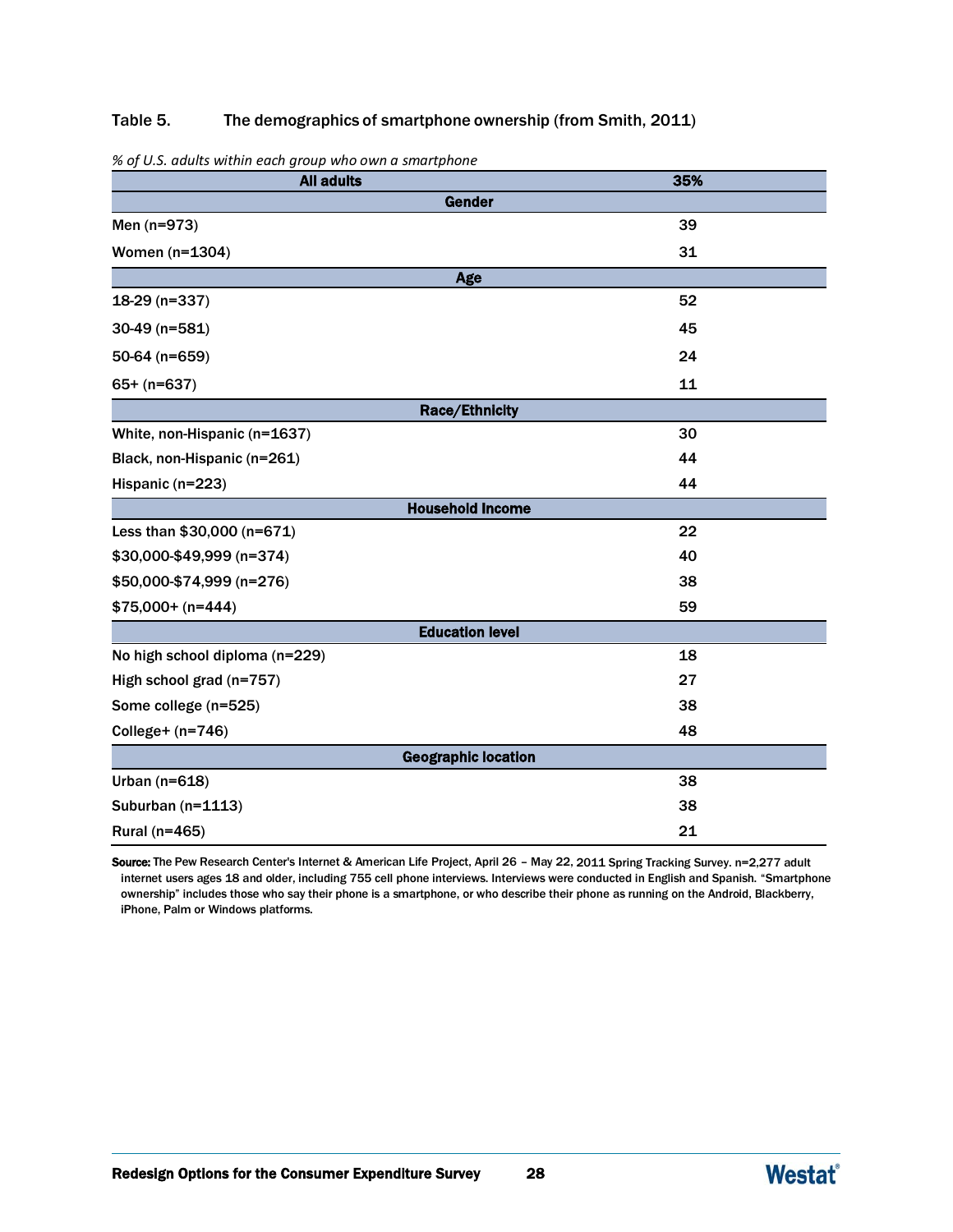#### Table 5. The demographics of smartphone ownership (from Smith, 2011)

| <b>All adults</b>              | 35% |  |  |  |  |  |  |
|--------------------------------|-----|--|--|--|--|--|--|
| Gender                         |     |  |  |  |  |  |  |
| Men (n=973)                    | 39  |  |  |  |  |  |  |
| Women (n=1304)                 | 31  |  |  |  |  |  |  |
| Age                            |     |  |  |  |  |  |  |
| 18-29 (n=337)                  | 52  |  |  |  |  |  |  |
| 30-49 (n=581)                  | 45  |  |  |  |  |  |  |
| 50-64 (n=659)                  | 24  |  |  |  |  |  |  |
| $65+ (n=637)$                  | 11  |  |  |  |  |  |  |
| <b>Race/Ethnicity</b>          |     |  |  |  |  |  |  |
| White, non-Hispanic (n=1637)   | 30  |  |  |  |  |  |  |
| Black, non-Hispanic (n=261)    | 44  |  |  |  |  |  |  |
| Hispanic (n=223)               | 44  |  |  |  |  |  |  |
| <b>Household Income</b>        |     |  |  |  |  |  |  |
| Less than \$30,000 (n=671)     | 22  |  |  |  |  |  |  |
| \$30,000-\$49,999 (n=374)      | 40  |  |  |  |  |  |  |
| \$50,000-\$74,999 (n=276)      | 38  |  |  |  |  |  |  |
| $$75,000+ (n=444)$             | 59  |  |  |  |  |  |  |
| <b>Education level</b>         |     |  |  |  |  |  |  |
| No high school diploma (n=229) | 18  |  |  |  |  |  |  |
| High school grad (n=757)       | 27  |  |  |  |  |  |  |
| Some college (n=525)           | 38  |  |  |  |  |  |  |
| College+ $(n=746)$             | 48  |  |  |  |  |  |  |
| <b>Geographic location</b>     |     |  |  |  |  |  |  |
| Urban ( $n=618$ )              | 38  |  |  |  |  |  |  |
| Suburban (n=1113)              | 38  |  |  |  |  |  |  |
| Rural (n=465)                  | 21  |  |  |  |  |  |  |

*% of U.S. adults within each group who own a smartphone*

Source: The Pew Research Center's Internet & American Life Project, April 26 - May 22, 2011 Spring Tracking Survey. n=2,277 adult internet users ages 18 and older, including 755 cell phone interviews. Interviews were conducted in English and Spanish. "Smartphone ownership" includes those who say their phone is a smartphone, or who describe their phone as running on the Android, Blackberry, iPhone, Palm or Windows platforms.

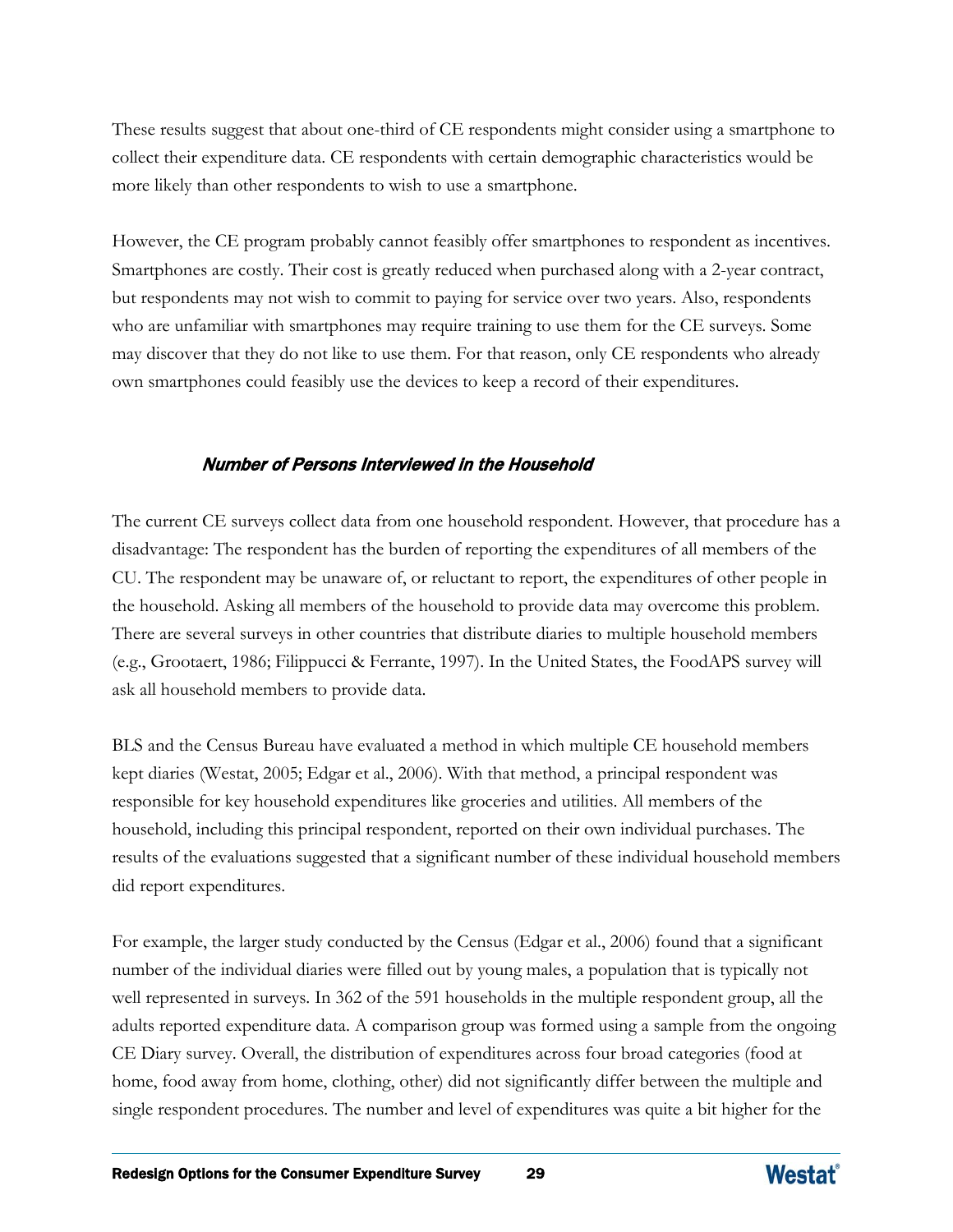These results suggest that about one-third of CE respondents might consider using a smartphone to collect their expenditure data. CE respondents with certain demographic characteristics would be more likely than other respondents to wish to use a smartphone.

However, the CE program probably cannot feasibly offer smartphones to respondent as incentives. Smartphones are costly. Their cost is greatly reduced when purchased along with a 2-year contract, but respondents may not wish to commit to paying for service over two years. Also, respondents who are unfamiliar with smartphones may require training to use them for the CE surveys. Some may discover that they do not like to use them. For that reason, only CE respondents who already own smartphones could feasibly use the devices to keep a record of their expenditures.

#### Number of Persons Interviewed in the Household

The current CE surveys collect data from one household respondent. However, that procedure has a disadvantage: The respondent has the burden of reporting the expenditures of all members of the CU. The respondent may be unaware of, or reluctant to report, the expenditures of other people in the household. Asking all members of the household to provide data may overcome this problem. There are several surveys in other countries that distribute diaries to multiple household members (e.g., Grootaert, 1986; Filippucci & Ferrante, 1997). In the United States, the FoodAPS survey will ask all household members to provide data.

BLS and the Census Bureau have evaluated a method in which multiple CE household members kept diaries (Westat, 2005; Edgar et al., 2006). With that method, a principal respondent was responsible for key household expenditures like groceries and utilities. All members of the household, including this principal respondent, reported on their own individual purchases. The results of the evaluations suggested that a significant number of these individual household members did report expenditures.

For example, the larger study conducted by the Census (Edgar et al., 2006) found that a significant number of the individual diaries were filled out by young males, a population that is typically not well represented in surveys. In 362 of the 591 households in the multiple respondent group, all the adults reported expenditure data. A comparison group was formed using a sample from the ongoing CE Diary survey. Overall, the distribution of expenditures across four broad categories (food at home, food away from home, clothing, other) did not significantly differ between the multiple and single respondent procedures. The number and level of expenditures was quite a bit higher for the

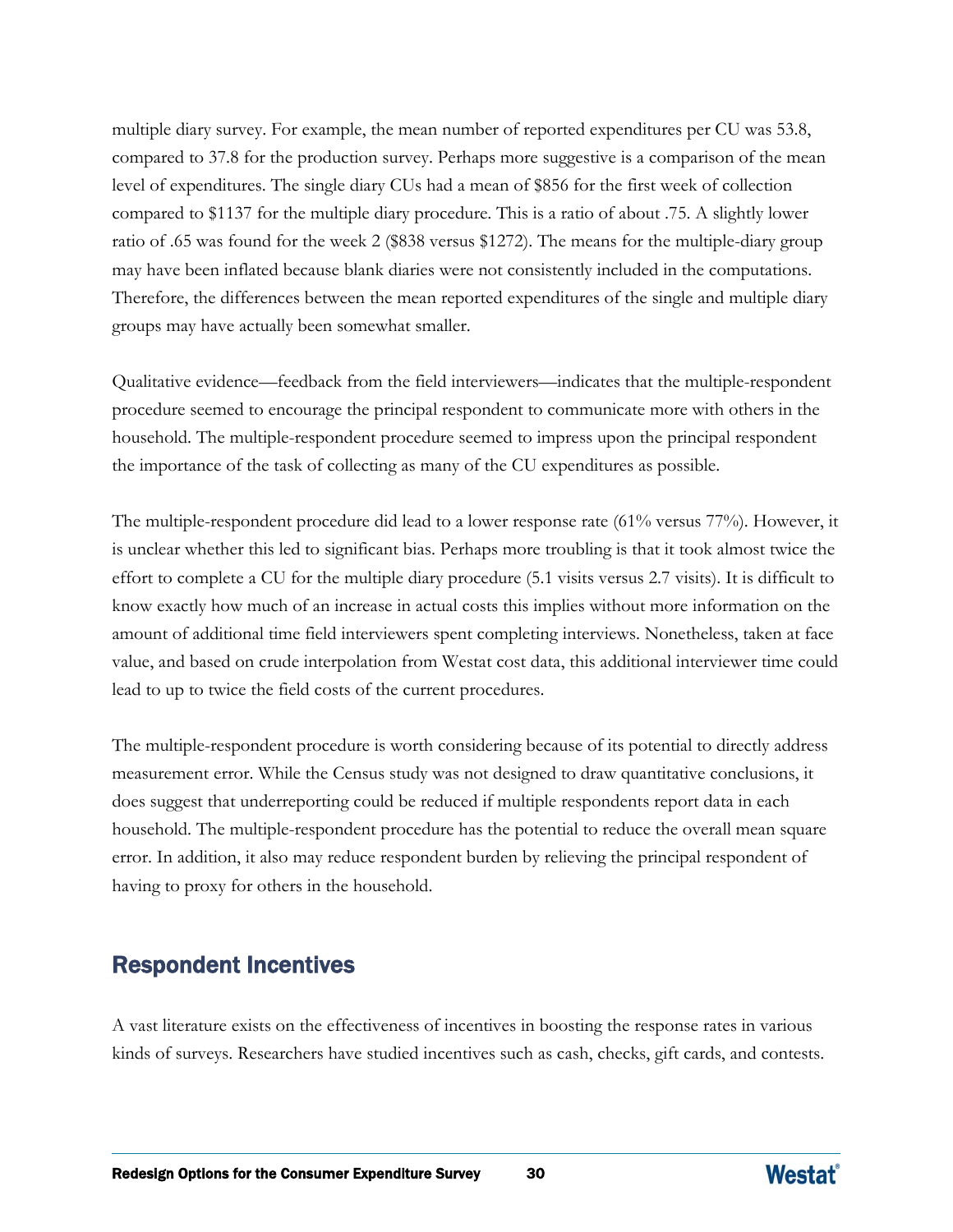multiple diary survey. For example, the mean number of reported expenditures per CU was 53.8, compared to 37.8 for the production survey. Perhaps more suggestive is a comparison of the mean level of expenditures. The single diary CUs had a mean of \$856 for the first week of collection compared to \$1137 for the multiple diary procedure. This is a ratio of about .75. A slightly lower ratio of .65 was found for the week 2 (\$838 versus \$1272). The means for the multiple-diary group may have been inflated because blank diaries were not consistently included in the computations. Therefore, the differences between the mean reported expenditures of the single and multiple diary groups may have actually been somewhat smaller.

Qualitative evidence—feedback from the field interviewers—indicates that the multiple-respondent procedure seemed to encourage the principal respondent to communicate more with others in the household. The multiple-respondent procedure seemed to impress upon the principal respondent the importance of the task of collecting as many of the CU expenditures as possible.

The multiple-respondent procedure did lead to a lower response rate (61% versus 77%). However, it is unclear whether this led to significant bias. Perhaps more troubling is that it took almost twice the effort to complete a CU for the multiple diary procedure (5.1 visits versus 2.7 visits). It is difficult to know exactly how much of an increase in actual costs this implies without more information on the amount of additional time field interviewers spent completing interviews. Nonetheless, taken at face value, and based on crude interpolation from Westat cost data, this additional interviewer time could lead to up to twice the field costs of the current procedures.

The multiple-respondent procedure is worth considering because of its potential to directly address measurement error. While the Census study was not designed to draw quantitative conclusions, it does suggest that underreporting could be reduced if multiple respondents report data in each household. The multiple-respondent procedure has the potential to reduce the overall mean square error. In addition, it also may reduce respondent burden by relieving the principal respondent of having to proxy for others in the household.

# Respondent Incentives

A vast literature exists on the effectiveness of incentives in boosting the response rates in various kinds of surveys. Researchers have studied incentives such as cash, checks, gift cards, and contests.

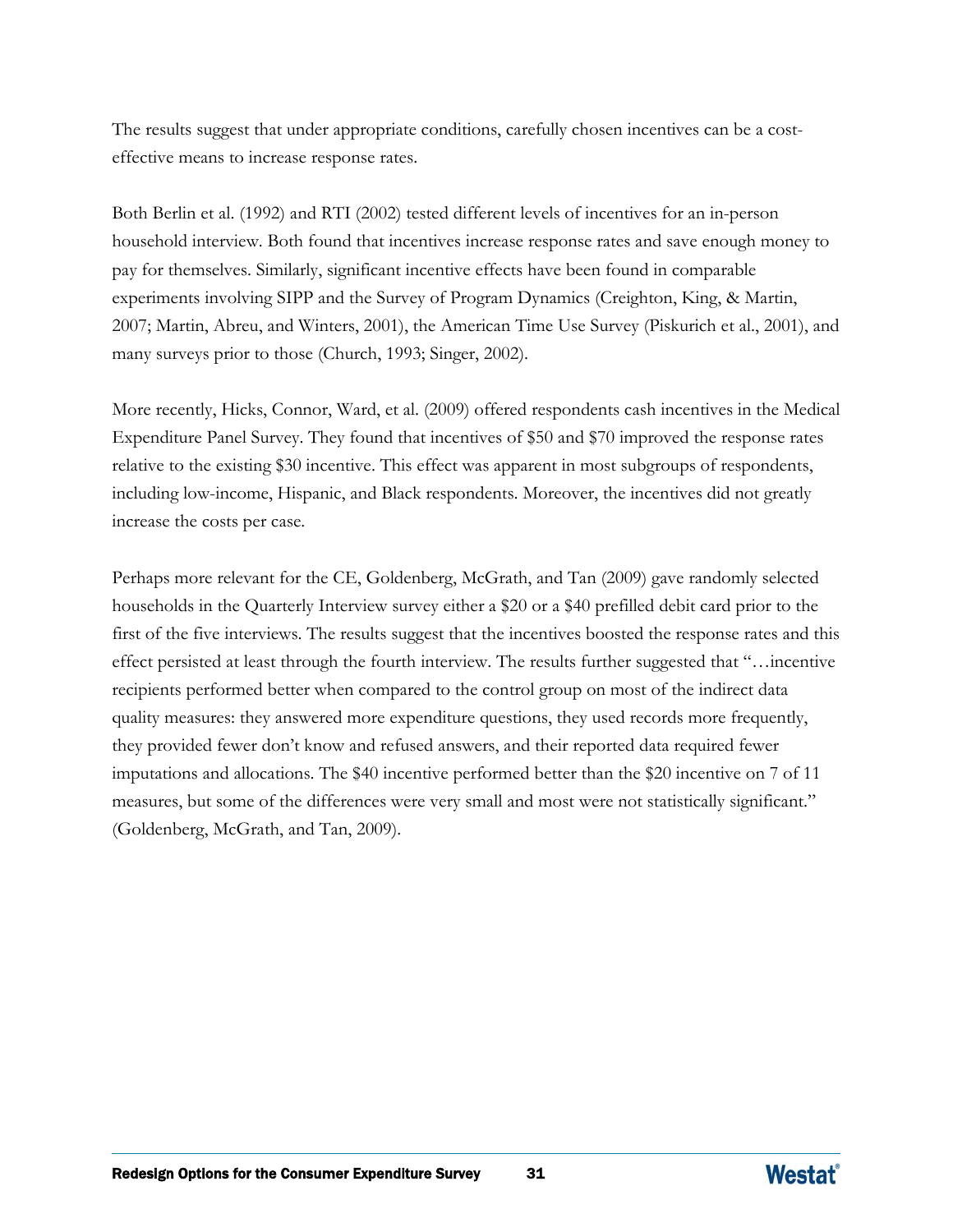The results suggest that under appropriate conditions, carefully chosen incentives can be a costeffective means to increase response rates.

Both Berlin et al. (1992) and RTI (2002) tested different levels of incentives for an in-person household interview. Both found that incentives increase response rates and save enough money to pay for themselves. Similarly, significant incentive effects have been found in comparable experiments involving SIPP and the Survey of Program Dynamics (Creighton, King, & Martin, 2007; Martin, Abreu, and Winters, 2001), the American Time Use Survey (Piskurich et al., 2001), and many surveys prior to those (Church, 1993; Singer, 2002).

More recently, Hicks, Connor, Ward, et al. (2009) offered respondents cash incentives in the Medical Expenditure Panel Survey. They found that incentives of \$50 and \$70 improved the response rates relative to the existing \$30 incentive. This effect was apparent in most subgroups of respondents, including low-income, Hispanic, and Black respondents. Moreover, the incentives did not greatly increase the costs per case.

Perhaps more relevant for the CE, Goldenberg, McGrath, and Tan (2009) gave randomly selected households in the Quarterly Interview survey either a \$20 or a \$40 prefilled debit card prior to the first of the five interviews. The results suggest that the incentives boosted the response rates and this effect persisted at least through the fourth interview. The results further suggested that "…incentive recipients performed better when compared to the control group on most of the indirect data quality measures: they answered more expenditure questions, they used records more frequently, they provided fewer don't know and refused answers, and their reported data required fewer imputations and allocations. The \$40 incentive performed better than the \$20 incentive on 7 of 11 measures, but some of the differences were very small and most were not statistically significant." (Goldenberg, McGrath, and Tan, 2009).

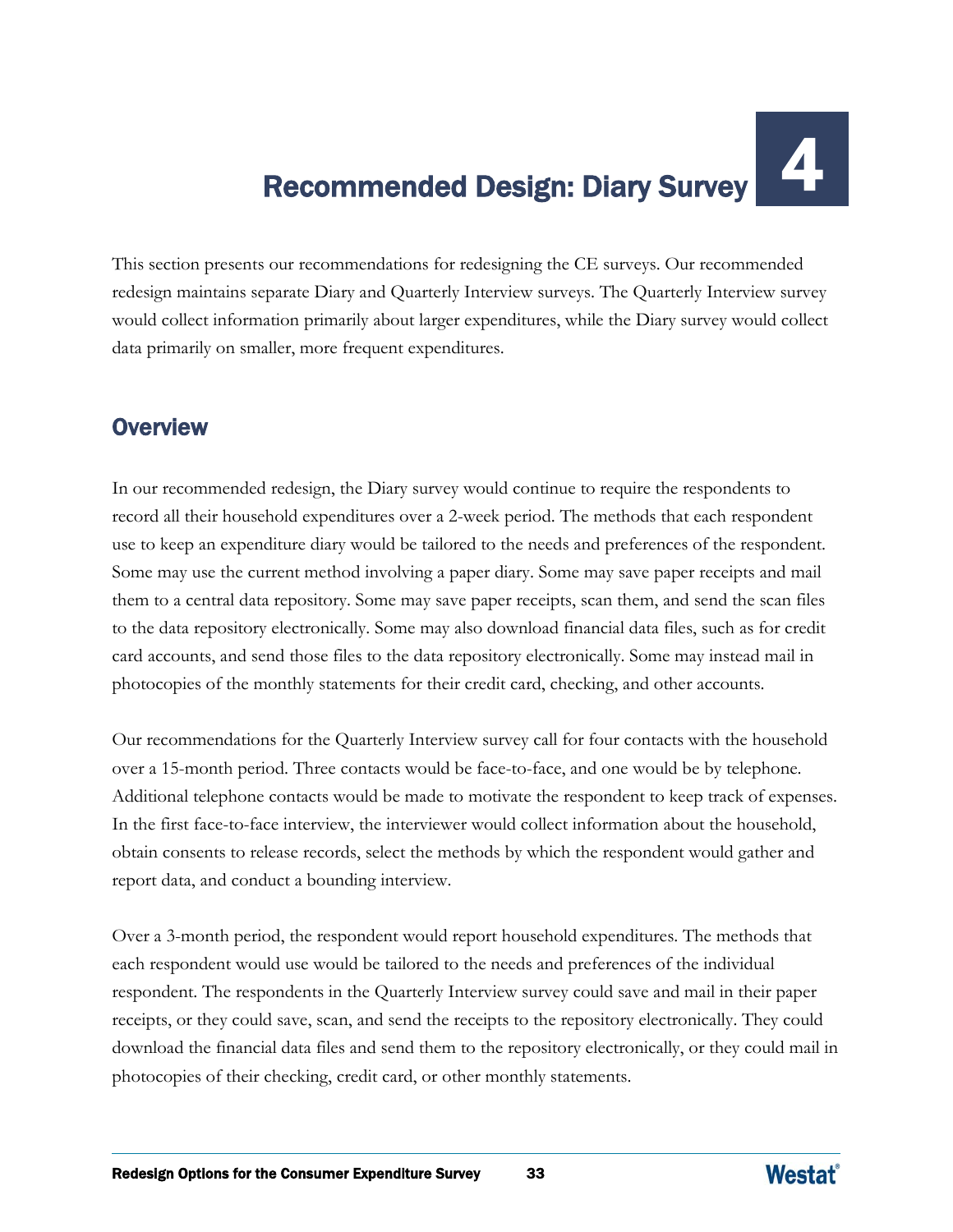# Recommended Design: Diary Survey

This section presents our recommendations for redesigning the CE surveys. Our recommended redesign maintains separate Diary and Quarterly Interview surveys. The Quarterly Interview survey would collect information primarily about larger expenditures, while the Diary survey would collect data primarily on smaller, more frequent expenditures.

## **Overview**

In our recommended redesign, the Diary survey would continue to require the respondents to record all their household expenditures over a 2-week period. The methods that each respondent use to keep an expenditure diary would be tailored to the needs and preferences of the respondent. Some may use the current method involving a paper diary. Some may save paper receipts and mail them to a central data repository. Some may save paper receipts, scan them, and send the scan files to the data repository electronically. Some may also download financial data files, such as for credit card accounts, and send those files to the data repository electronically. Some may instead mail in photocopies of the monthly statements for their credit card, checking, and other accounts.

Our recommendations for the Quarterly Interview survey call for four contacts with the household over a 15-month period. Three contacts would be face-to-face, and one would be by telephone. Additional telephone contacts would be made to motivate the respondent to keep track of expenses. In the first face-to-face interview, the interviewer would collect information about the household, obtain consents to release records, select the methods by which the respondent would gather and report data, and conduct a bounding interview.

Over a 3-month period, the respondent would report household expenditures. The methods that each respondent would use would be tailored to the needs and preferences of the individual respondent. The respondents in the Quarterly Interview survey could save and mail in their paper receipts, or they could save, scan, and send the receipts to the repository electronically. They could download the financial data files and send them to the repository electronically, or they could mail in photocopies of their checking, credit card, or other monthly statements.

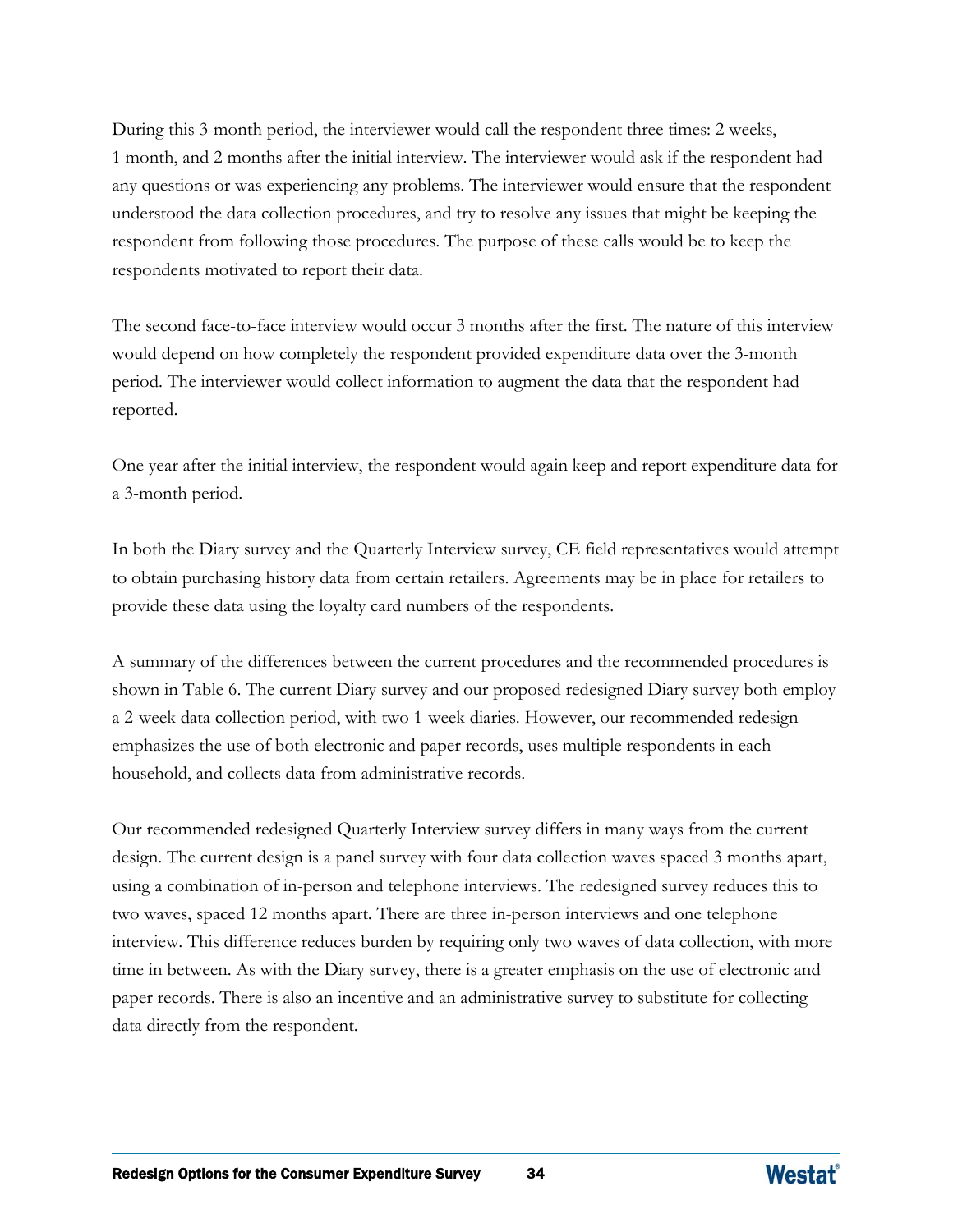During this 3-month period, the interviewer would call the respondent three times: 2 weeks, 1 month, and 2 months after the initial interview. The interviewer would ask if the respondent had any questions or was experiencing any problems. The interviewer would ensure that the respondent understood the data collection procedures, and try to resolve any issues that might be keeping the respondent from following those procedures. The purpose of these calls would be to keep the respondents motivated to report their data.

The second face-to-face interview would occur 3 months after the first. The nature of this interview would depend on how completely the respondent provided expenditure data over the 3-month period. The interviewer would collect information to augment the data that the respondent had reported.

One year after the initial interview, the respondent would again keep and report expenditure data for a 3-month period.

In both the Diary survey and the Quarterly Interview survey, CE field representatives would attempt to obtain purchasing history data from certain retailers. Agreements may be in place for retailers to provide these data using the loyalty card numbers of the respondents.

A summary of the differences between the current procedures and the recommended procedures is shown in Table 6. The current Diary survey and our proposed redesigned Diary survey both employ a 2-week data collection period, with two 1-week diaries. However, our recommended redesign emphasizes the use of both electronic and paper records, uses multiple respondents in each household, and collects data from administrative records.

Our recommended redesigned Quarterly Interview survey differs in many ways from the current design. The current design is a panel survey with four data collection waves spaced 3 months apart, using a combination of in-person and telephone interviews. The redesigned survey reduces this to two waves, spaced 12 months apart. There are three in-person interviews and one telephone interview. This difference reduces burden by requiring only two waves of data collection, with more time in between. As with the Diary survey, there is a greater emphasis on the use of electronic and paper records. There is also an incentive and an administrative survey to substitute for collecting data directly from the respondent.

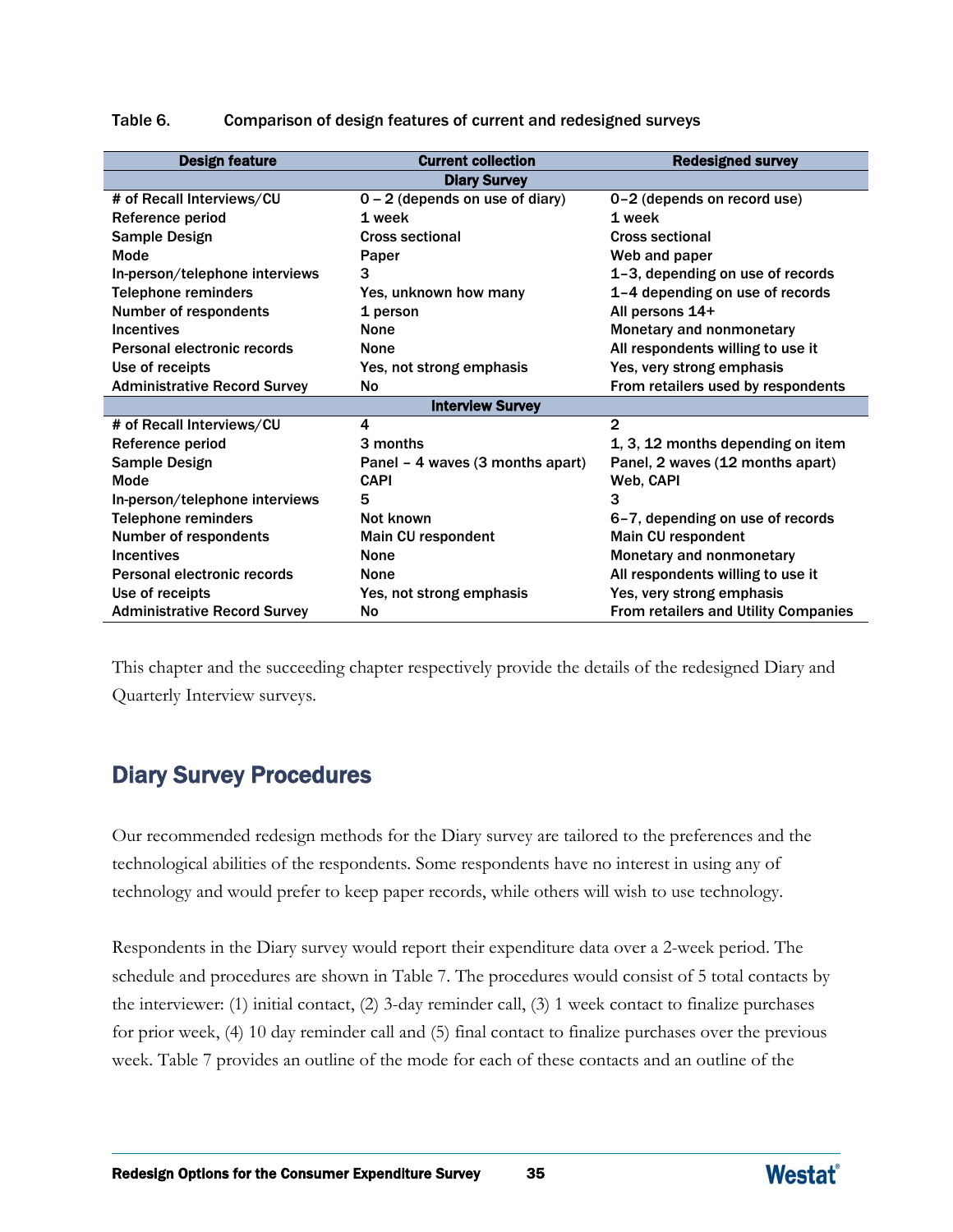| <b>Design feature</b>               | <b>Current collection</b>         | <b>Redesigned survey</b>             |
|-------------------------------------|-----------------------------------|--------------------------------------|
|                                     | <b>Diary Survey</b>               |                                      |
| # of Recall Interviews/CU           | $0 - 2$ (depends on use of diary) | 0-2 (depends on record use)          |
| Reference period                    | 1 week                            | 1 week                               |
| Sample Design                       | <b>Cross sectional</b>            | <b>Cross sectional</b>               |
| <b>Mode</b>                         | Paper                             | Web and paper                        |
| In-person/telephone interviews      | 3                                 | 1-3, depending on use of records     |
| <b>Telephone reminders</b>          | Yes, unknown how many             | 1-4 depending on use of records      |
| Number of respondents               | 1 person                          | All persons 14+                      |
| <b>Incentives</b>                   | <b>None</b>                       | Monetary and nonmonetary             |
| Personal electronic records         | None                              | All respondents willing to use it    |
| Use of receipts                     | Yes, not strong emphasis          | Yes, very strong emphasis            |
| <b>Administrative Record Survey</b> | <b>No</b>                         | From retailers used by respondents   |
|                                     | <b>Interview Survey</b>           |                                      |
| # of Recall Interviews/CU           | 4                                 | $\mathbf{2}$                         |
| Reference period                    | 3 months                          | 1, 3, 12 months depending on item    |
| <b>Sample Design</b>                | Panel – 4 waves (3 months apart)  | Panel, 2 waves (12 months apart)     |
| Mode                                | <b>CAPI</b>                       | Web, CAPI                            |
| In-person/telephone interviews      | 5                                 | 3                                    |
| <b>Telephone reminders</b>          | Not known                         | 6-7, depending on use of records     |
| Number of respondents               | Main CU respondent                | Main CU respondent                   |
| <b>Incentives</b>                   | <b>None</b>                       | Monetary and nonmonetary             |
| <b>Personal electronic records</b>  | None                              | All respondents willing to use it    |
| Use of receipts                     | Yes, not strong emphasis          | Yes, very strong emphasis            |
| <b>Administrative Record Survey</b> | No                                | From retailers and Utility Companies |

Table 6. Comparison of design features of current and redesigned surveys

This chapter and the succeeding chapter respectively provide the details of the redesigned Diary and Quarterly Interview surveys.

# Diary Survey Procedures

Our recommended redesign methods for the Diary survey are tailored to the preferences and the technological abilities of the respondents. Some respondents have no interest in using any of technology and would prefer to keep paper records, while others will wish to use technology.

Respondents in the Diary survey would report their expenditure data over a 2-week period. The schedule and procedures are shown in Table 7. The procedures would consist of 5 total contacts by the interviewer: (1) initial contact, (2) 3-day reminder call, (3) 1 week contact to finalize purchases for prior week, (4) 10 day reminder call and (5) final contact to finalize purchases over the previous week. Table 7 provides an outline of the mode for each of these contacts and an outline of the

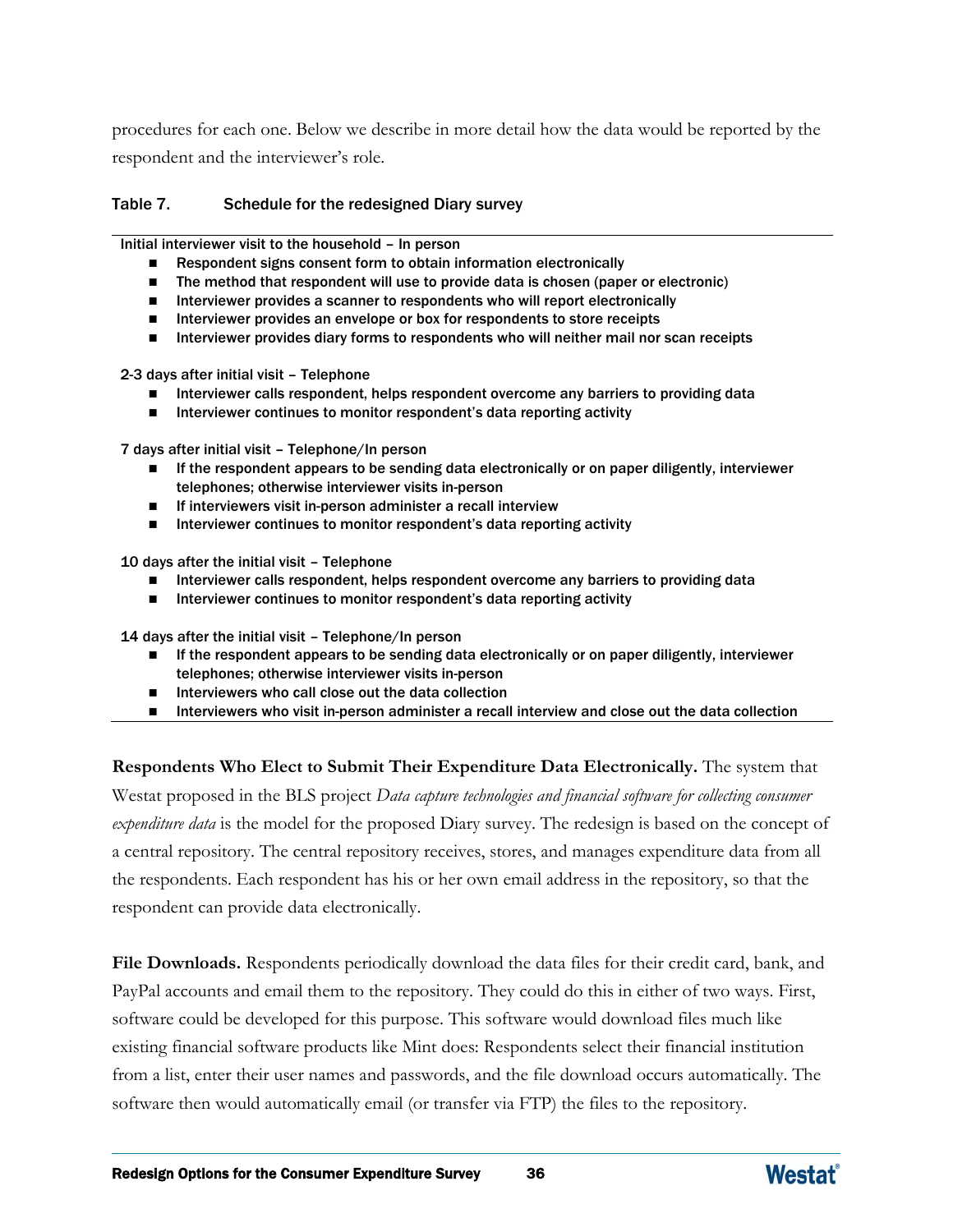procedures for each one. Below we describe in more detail how the data would be reported by the respondent and the interviewer's role.

#### Table 7. Schedule for the redesigned Diary survey

Initial interviewer visit to the household – In person

- Respondent signs consent form to obtain information electronically
- The method that respondent will use to provide data is chosen (paper or electronic)
- Interviewer provides a scanner to respondents who will report electronically
- Interviewer provides an envelope or box for respondents to store receipts
- **Interviewer provides diary forms to respondents who will neither mail nor scan receipts**

2-3 days after initial visit – Telephone

- **Interviewer calls respondent, helps respondent overcome any barriers to providing data**
- $\blacksquare$  Interviewer continues to monitor respondent's data reporting activity

7 days after initial visit – Telephone/In person

- If the respondent appears to be sending data electronically or on paper diligently, interviewer telephones; otherwise interviewer visits in-person
- If interviewers visit in-person administer a recall interview
- $\blacksquare$  Interviewer continues to monitor respondent's data reporting activity

10 days after the initial visit – Telephone

- **Interviewer calls respondent, helps respondent overcome any barriers to providing data**
- **Interviewer continues to monitor respondent's data reporting activity**

14 days after the initial visit – Telephone/In person

- **If the respondent appears to be sending data electronically or on paper diligently, interviewer** telephones; otherwise interviewer visits in-person
- $\blacksquare$  Interviewers who call close out the data collection
- **Interviewers who visit in-person administer a recall interview and close out the data collection**

**Respondents Who Elect to Submit Their Expenditure Data Electronically.** The system that Westat proposed in the BLS project *Data capture technologies and financial software for collecting consumer expenditure data* is the model for the proposed Diary survey. The redesign is based on the concept of a central repository. The central repository receives, stores, and manages expenditure data from all the respondents. Each respondent has his or her own email address in the repository, so that the respondent can provide data electronically.

**File Downloads.** Respondents periodically download the data files for their credit card, bank, and PayPal accounts and email them to the repository. They could do this in either of two ways. First, software could be developed for this purpose. This software would download files much like existing financial software products like Mint does: Respondents select their financial institution from a list, enter their user names and passwords, and the file download occurs automatically. The software then would automatically email (or transfer via FTP) the files to the repository.

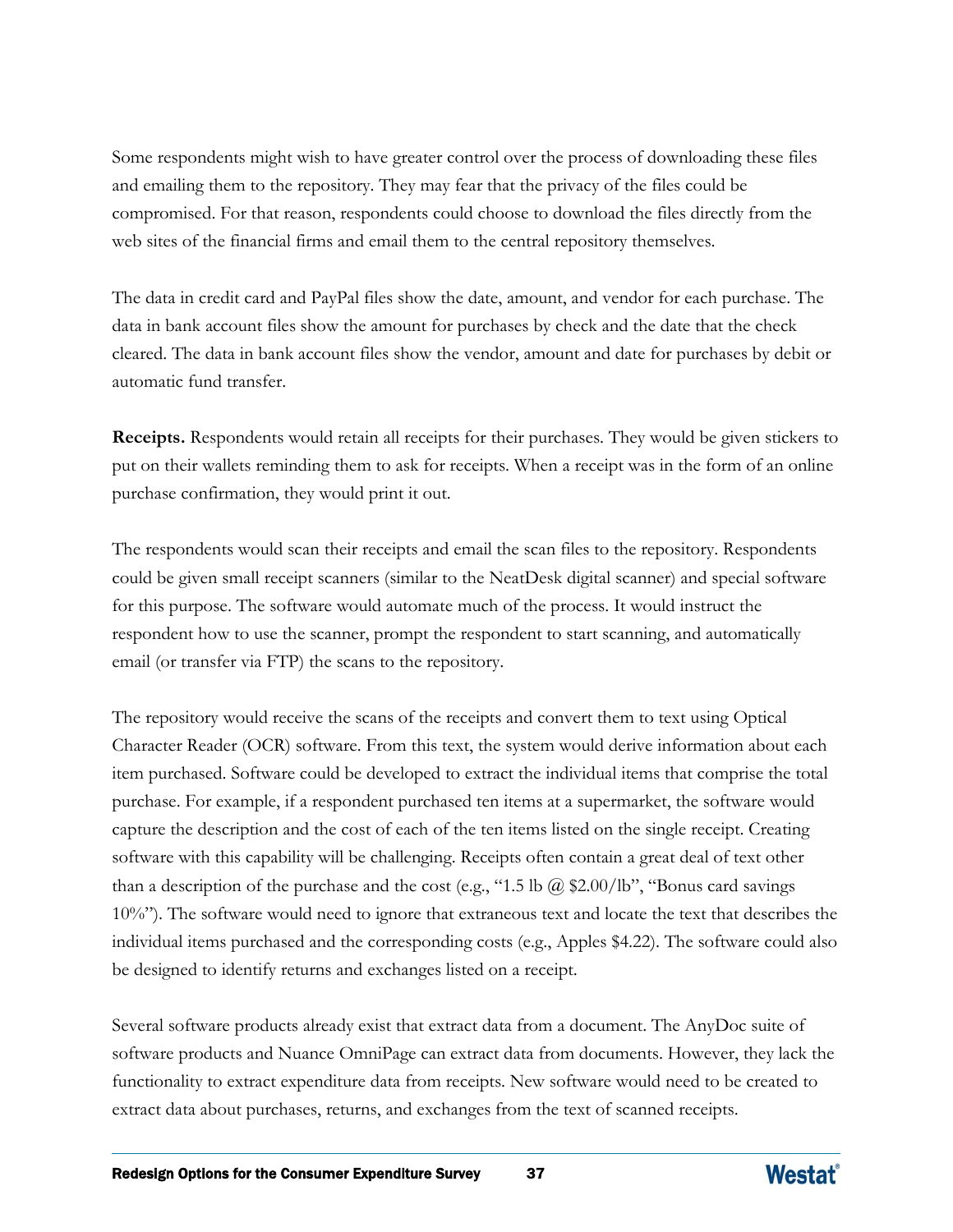Some respondents might wish to have greater control over the process of downloading these files and emailing them to the repository. They may fear that the privacy of the files could be compromised. For that reason, respondents could choose to download the files directly from the web sites of the financial firms and email them to the central repository themselves.

The data in credit card and PayPal files show the date, amount, and vendor for each purchase. The data in bank account files show the amount for purchases by check and the date that the check cleared. The data in bank account files show the vendor, amount and date for purchases by debit or automatic fund transfer.

**Receipts.** Respondents would retain all receipts for their purchases. They would be given stickers to put on their wallets reminding them to ask for receipts. When a receipt was in the form of an online purchase confirmation, they would print it out.

The respondents would scan their receipts and email the scan files to the repository. Respondents could be given small receipt scanners (similar to the NeatDesk digital scanner) and special software for this purpose. The software would automate much of the process. It would instruct the respondent how to use the scanner, prompt the respondent to start scanning, and automatically email (or transfer via FTP) the scans to the repository.

The repository would receive the scans of the receipts and convert them to text using Optical Character Reader (OCR) software. From this text, the system would derive information about each item purchased. Software could be developed to extract the individual items that comprise the total purchase. For example, if a respondent purchased ten items at a supermarket, the software would capture the description and the cost of each of the ten items listed on the single receipt. Creating software with this capability will be challenging. Receipts often contain a great deal of text other than a description of the purchase and the cost (e.g., "1.5 lb  $\omega$  \$2.00/lb", "Bonus card savings") 10%"). The software would need to ignore that extraneous text and locate the text that describes the individual items purchased and the corresponding costs (e.g., Apples \$4.22). The software could also be designed to identify returns and exchanges listed on a receipt.

Several software products already exist that extract data from a document. The AnyDoc suite of software products and Nuance OmniPage can extract data from documents. However, they lack the functionality to extract expenditure data from receipts. New software would need to be created to extract data about purchases, returns, and exchanges from the text of scanned receipts.

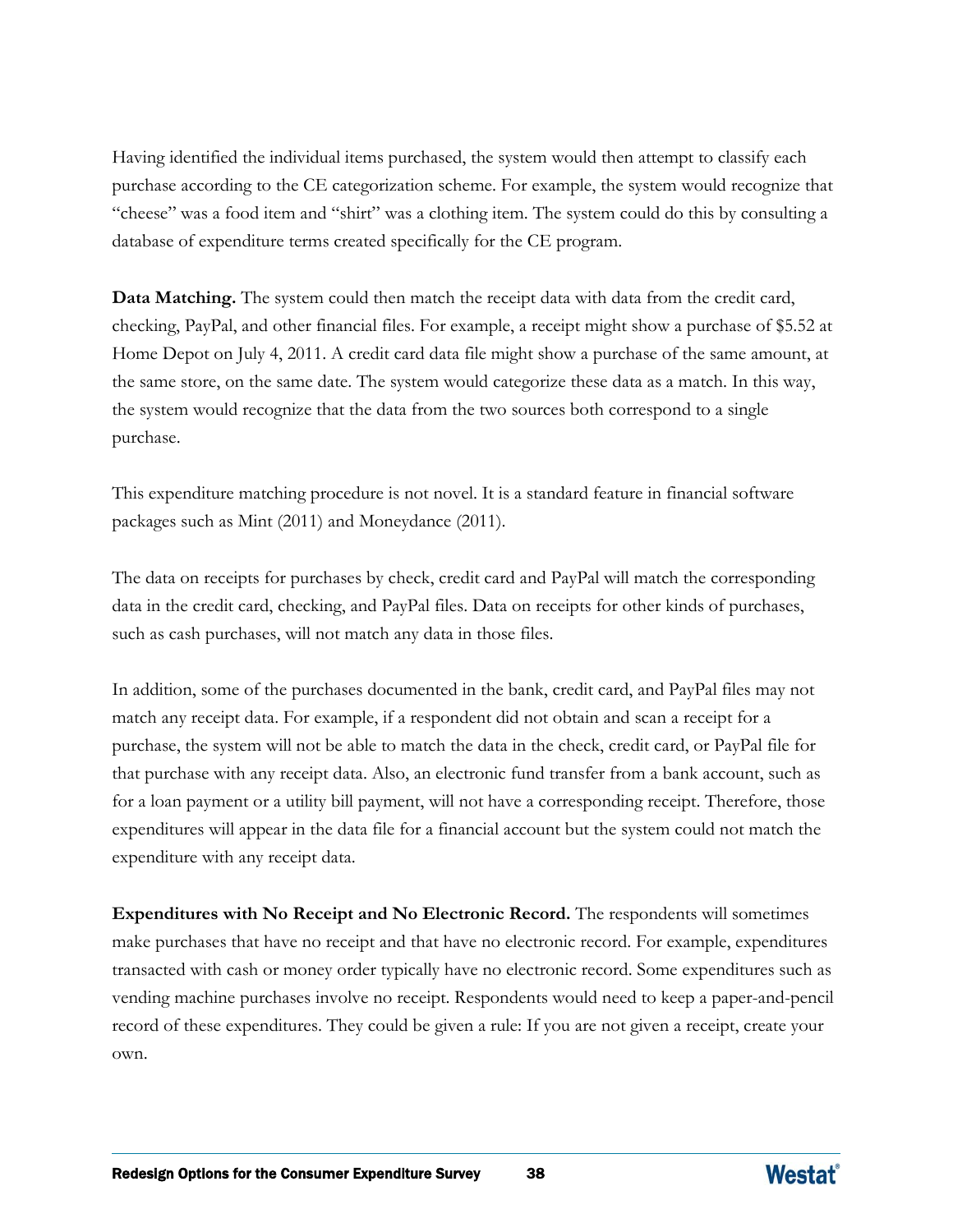Having identified the individual items purchased, the system would then attempt to classify each purchase according to the CE categorization scheme. For example, the system would recognize that "cheese" was a food item and "shirt" was a clothing item. The system could do this by consulting a database of expenditure terms created specifically for the CE program.

**Data Matching.** The system could then match the receipt data with data from the credit card, checking, PayPal, and other financial files. For example, a receipt might show a purchase of \$5.52 at Home Depot on July 4, 2011. A credit card data file might show a purchase of the same amount, at the same store, on the same date. The system would categorize these data as a match. In this way, the system would recognize that the data from the two sources both correspond to a single purchase.

This expenditure matching procedure is not novel. It is a standard feature in financial software packages such as Mint (2011) and Moneydance (2011).

The data on receipts for purchases by check, credit card and PayPal will match the corresponding data in the credit card, checking, and PayPal files. Data on receipts for other kinds of purchases, such as cash purchases, will not match any data in those files.

In addition, some of the purchases documented in the bank, credit card, and PayPal files may not match any receipt data. For example, if a respondent did not obtain and scan a receipt for a purchase, the system will not be able to match the data in the check, credit card, or PayPal file for that purchase with any receipt data. Also, an electronic fund transfer from a bank account, such as for a loan payment or a utility bill payment, will not have a corresponding receipt. Therefore, those expenditures will appear in the data file for a financial account but the system could not match the expenditure with any receipt data.

**Expenditures with No Receipt and No Electronic Record.** The respondents will sometimes make purchases that have no receipt and that have no electronic record. For example, expenditures transacted with cash or money order typically have no electronic record. Some expenditures such as vending machine purchases involve no receipt. Respondents would need to keep a paper-and-pencil record of these expenditures. They could be given a rule: If you are not given a receipt, create your own.

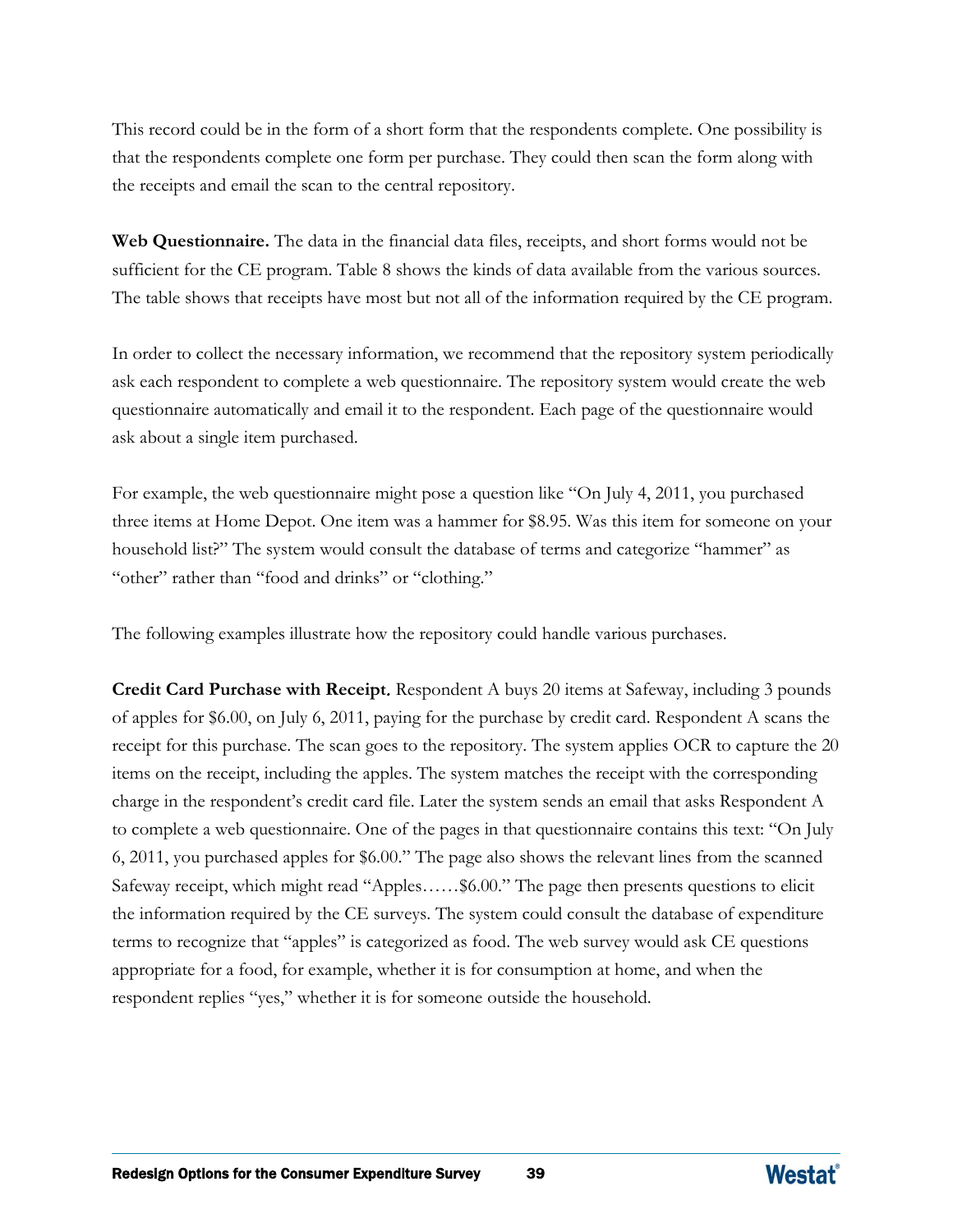This record could be in the form of a short form that the respondents complete. One possibility is that the respondents complete one form per purchase. They could then scan the form along with the receipts and email the scan to the central repository.

**Web Questionnaire.** The data in the financial data files, receipts, and short forms would not be sufficient for the CE program. Table 8 shows the kinds of data available from the various sources. The table shows that receipts have most but not all of the information required by the CE program.

In order to collect the necessary information, we recommend that the repository system periodically ask each respondent to complete a web questionnaire. The repository system would create the web questionnaire automatically and email it to the respondent. Each page of the questionnaire would ask about a single item purchased.

For example, the web questionnaire might pose a question like "On July 4, 2011, you purchased three items at Home Depot. One item was a hammer for \$8.95. Was this item for someone on your household list?" The system would consult the database of terms and categorize "hammer" as "other" rather than "food and drinks" or "clothing."

The following examples illustrate how the repository could handle various purchases.

**Credit Card Purchase with Receipt**. Respondent A buys 20 items at Safeway, including 3 pounds of apples for \$6.00, on July 6, 2011, paying for the purchase by credit card. Respondent A scans the receipt for this purchase. The scan goes to the repository. The system applies OCR to capture the 20 items on the receipt, including the apples. The system matches the receipt with the corresponding charge in the respondent's credit card file. Later the system sends an email that asks Respondent A to complete a web questionnaire. One of the pages in that questionnaire contains this text: "On July 6, 2011, you purchased apples for \$6.00." The page also shows the relevant lines from the scanned Safeway receipt, which might read "Apples……\$6.00." The page then presents questions to elicit the information required by the CE surveys. The system could consult the database of expenditure terms to recognize that "apples" is categorized as food. The web survey would ask CE questions appropriate for a food, for example, whether it is for consumption at home, and when the respondent replies "yes," whether it is for someone outside the household.

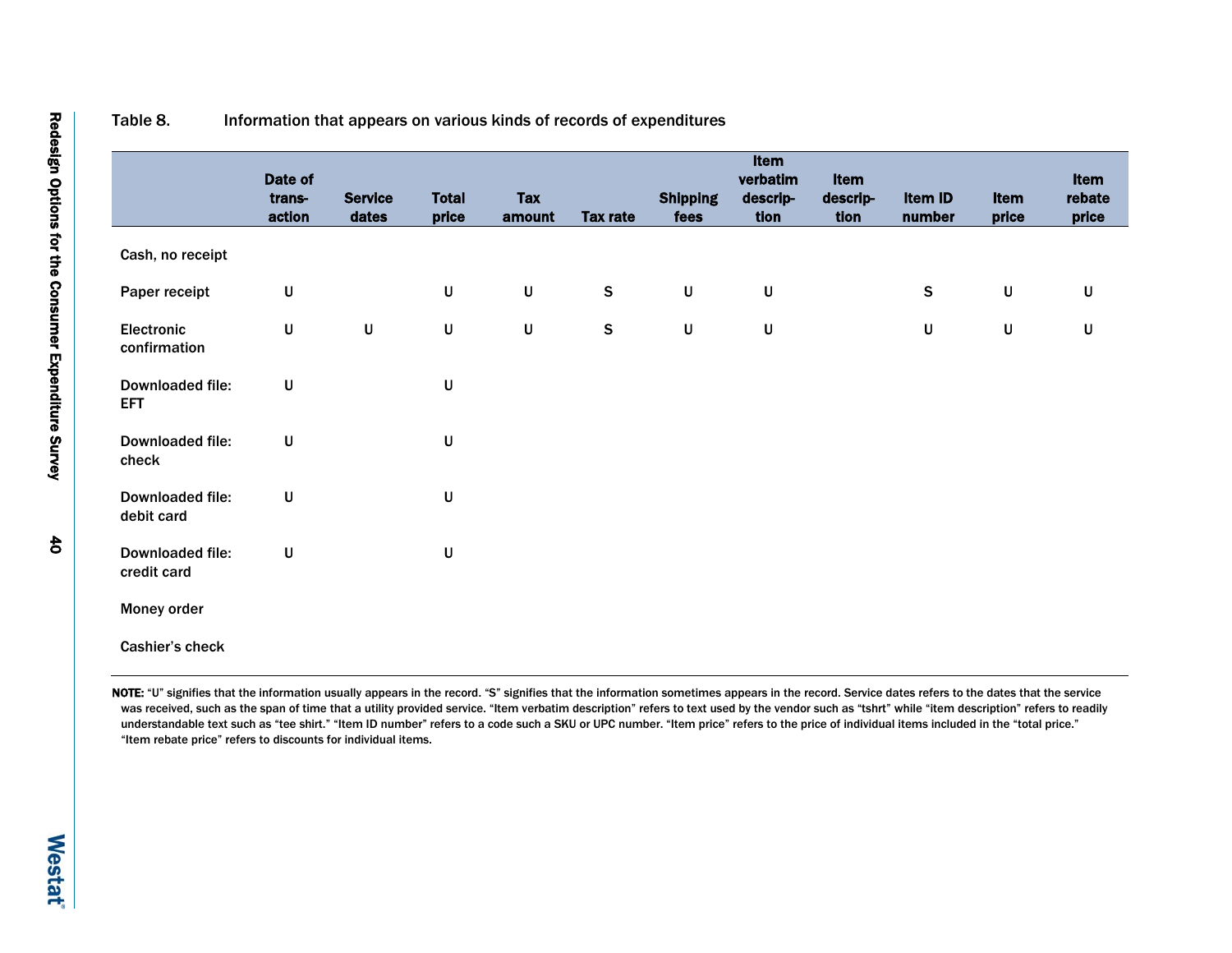|                                 | Date of<br>trans-<br>action | <b>Service</b><br>dates | <b>Total</b><br>price | <b>Tax</b><br>amount | <b>Tax rate</b> | <b>Shipping</b><br>fees | Item<br>verbatim<br>descrip-<br>tion | Item<br>descrip-<br>tion | Item ID<br>number | Item<br>price | Item<br>rebate<br>price |
|---------------------------------|-----------------------------|-------------------------|-----------------------|----------------------|-----------------|-------------------------|--------------------------------------|--------------------------|-------------------|---------------|-------------------------|
| Cash, no receipt                |                             |                         |                       |                      |                 |                         |                                      |                          |                   |               |                         |
| Paper receipt                   | U                           |                         | U                     | $\sf U$              | $\mathsf S$     | $\sf U$                 | $\sf U$                              |                          | $\mathsf S$       | $\sf U$       | $\sf U$                 |
| Electronic<br>confirmation      | U                           | $\sf U$                 | $\sf U$               | $\sf U$              | ${\sf S}$       | $\sf U$                 | $\sf U$                              |                          | U                 | $\sf U$       | $\sf U$                 |
| Downloaded file:<br><b>EFT</b>  | U                           |                         | $\sf U$               |                      |                 |                         |                                      |                          |                   |               |                         |
| Downloaded file:<br>check       | U                           |                         | $\sf U$               |                      |                 |                         |                                      |                          |                   |               |                         |
| Downloaded file:<br>debit card  | U                           |                         | $\sf U$               |                      |                 |                         |                                      |                          |                   |               |                         |
| Downloaded file:<br>credit card | U                           |                         | $\sf U$               |                      |                 |                         |                                      |                          |                   |               |                         |
| Money order                     |                             |                         |                       |                      |                 |                         |                                      |                          |                   |               |                         |
| Cashier's check                 |                             |                         |                       |                      |                 |                         |                                      |                          |                   |               |                         |

#### Table 8. Information that appears on various kinds of records of expenditures

NOTE: "U" signifies that the information usually appears in the record. "S" signifies that the information sometimes appears in the record. Service dates refers to the dates that the service was received, such as the span of time that a utility provided service. "Item verbatim description" refers to text used by the vendor such as "tshrt" while "item description" refers to readily understandable text such as "tee shirt." "Item ID number" refers to a code such a SKU or UPC number. "Item price" refers to the price of individual items included in the "total price." "Item rebate price" refers to discounts for individual items.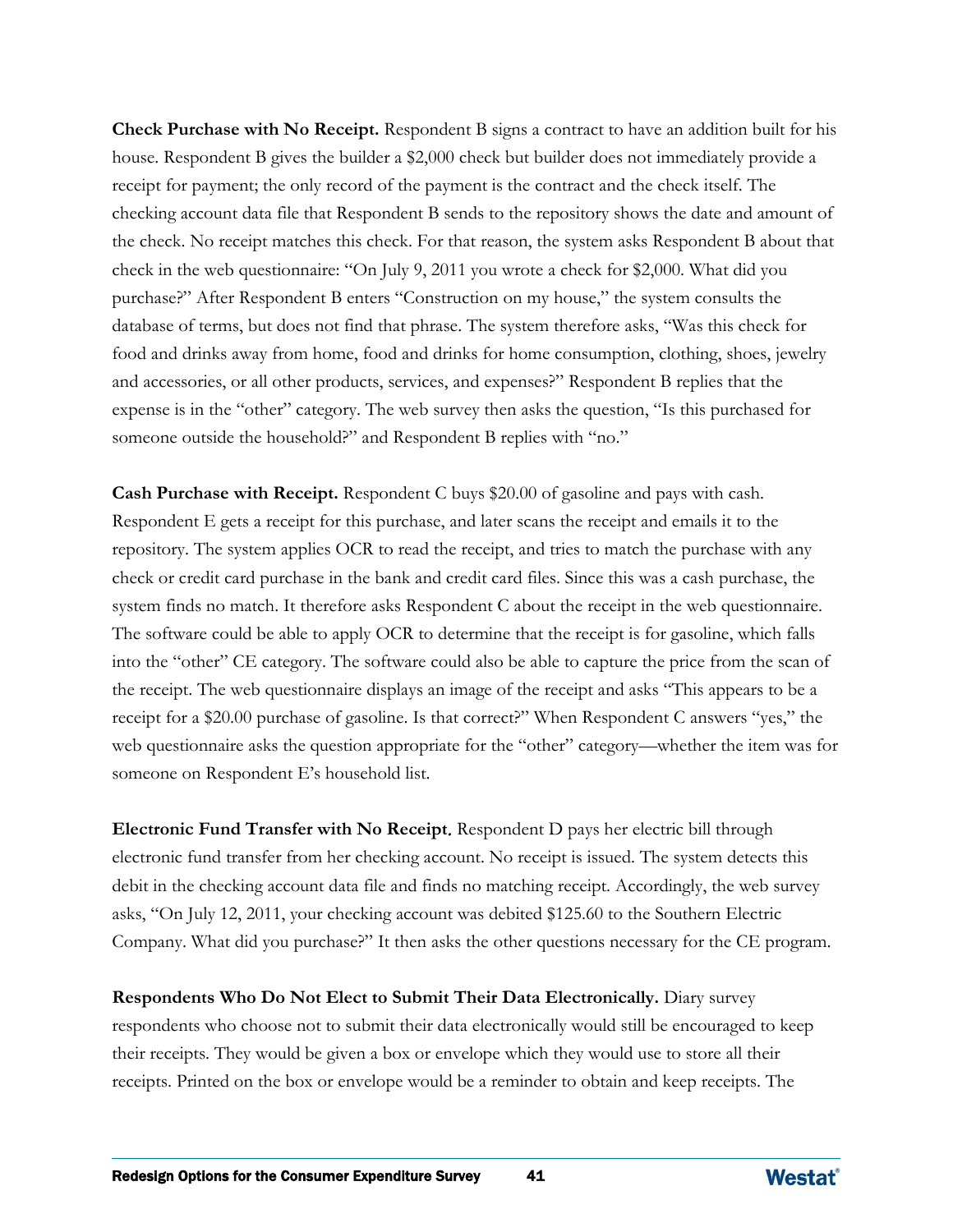**Check Purchase with No Receipt.** Respondent B signs a contract to have an addition built for his house. Respondent B gives the builder a \$2,000 check but builder does not immediately provide a receipt for payment; the only record of the payment is the contract and the check itself. The checking account data file that Respondent B sends to the repository shows the date and amount of the check. No receipt matches this check. For that reason, the system asks Respondent B about that check in the web questionnaire: "On July 9, 2011 you wrote a check for \$2,000. What did you purchase?" After Respondent B enters "Construction on my house," the system consults the database of terms, but does not find that phrase. The system therefore asks, "Was this check for food and drinks away from home, food and drinks for home consumption, clothing, shoes, jewelry and accessories, or all other products, services, and expenses?" Respondent B replies that the expense is in the "other" category. The web survey then asks the question, "Is this purchased for someone outside the household?" and Respondent B replies with "no."

**Cash Purchase with Receipt.** Respondent C buys \$20.00 of gasoline and pays with cash. Respondent E gets a receipt for this purchase, and later scans the receipt and emails it to the repository. The system applies OCR to read the receipt, and tries to match the purchase with any check or credit card purchase in the bank and credit card files. Since this was a cash purchase, the system finds no match. It therefore asks Respondent C about the receipt in the web questionnaire. The software could be able to apply OCR to determine that the receipt is for gasoline, which falls into the "other" CE category. The software could also be able to capture the price from the scan of the receipt. The web questionnaire displays an image of the receipt and asks "This appears to be a receipt for a \$20.00 purchase of gasoline. Is that correct?" When Respondent C answers "yes," the web questionnaire asks the question appropriate for the "other" category—whether the item was for someone on Respondent E's household list.

**Electronic Fund Transfer with No Receipt**. Respondent D pays her electric bill through electronic fund transfer from her checking account. No receipt is issued. The system detects this debit in the checking account data file and finds no matching receipt. Accordingly, the web survey asks, "On July 12, 2011, your checking account was debited \$125.60 to the Southern Electric Company. What did you purchase?" It then asks the other questions necessary for the CE program.

**Respondents Who Do Not Elect to Submit Their Data Electronically.** Diary survey respondents who choose not to submit their data electronically would still be encouraged to keep their receipts. They would be given a box or envelope which they would use to store all their receipts. Printed on the box or envelope would be a reminder to obtain and keep receipts. The

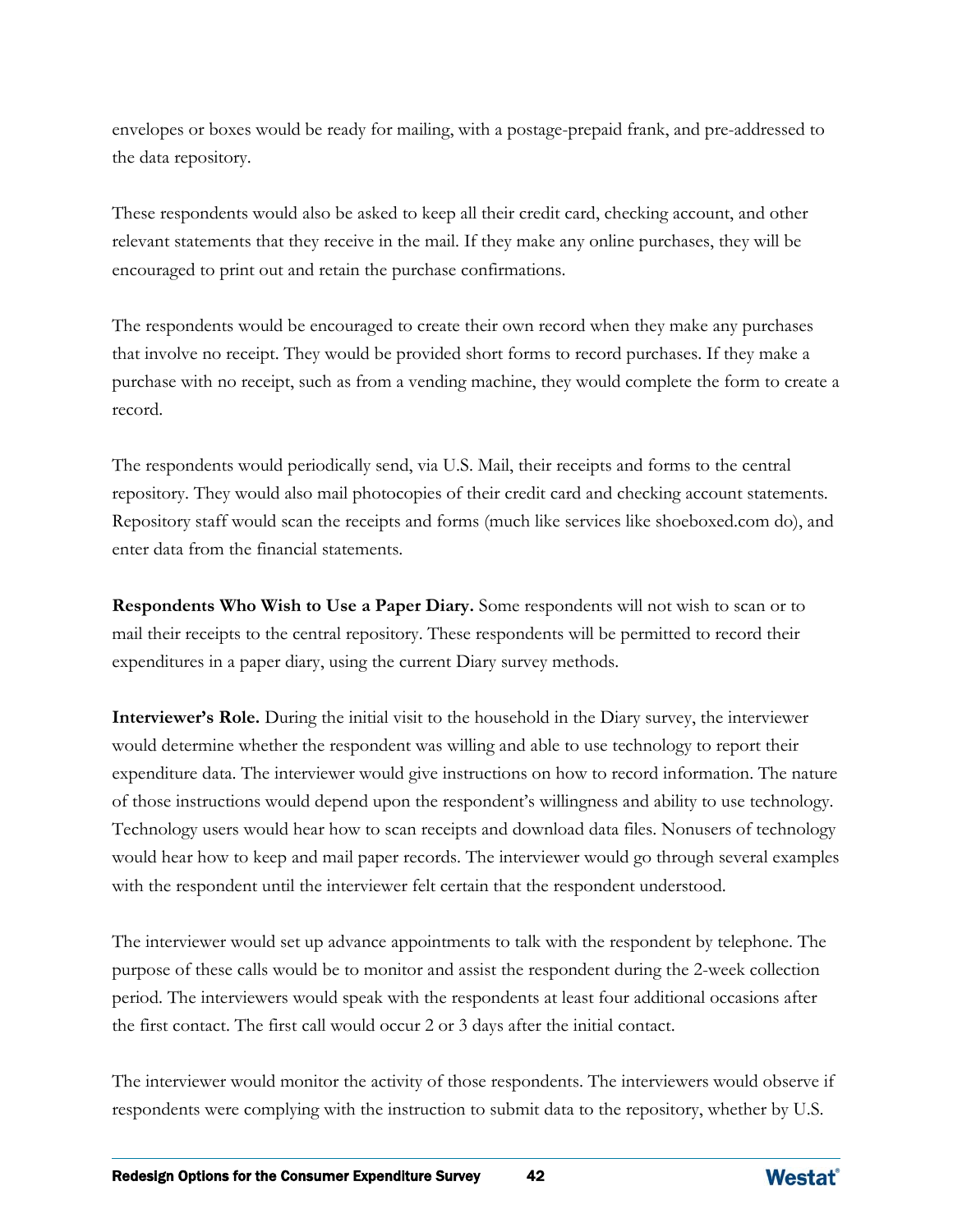envelopes or boxes would be ready for mailing, with a postage-prepaid frank, and pre-addressed to the data repository.

These respondents would also be asked to keep all their credit card, checking account, and other relevant statements that they receive in the mail. If they make any online purchases, they will be encouraged to print out and retain the purchase confirmations.

The respondents would be encouraged to create their own record when they make any purchases that involve no receipt. They would be provided short forms to record purchases. If they make a purchase with no receipt, such as from a vending machine, they would complete the form to create a record.

The respondents would periodically send, via U.S. Mail, their receipts and forms to the central repository. They would also mail photocopies of their credit card and checking account statements. Repository staff would scan the receipts and forms (much like services like shoeboxed.com do), and enter data from the financial statements.

**Respondents Who Wish to Use a Paper Diary.** Some respondents will not wish to scan or to mail their receipts to the central repository. These respondents will be permitted to record their expenditures in a paper diary, using the current Diary survey methods.

**Interviewer's Role.** During the initial visit to the household in the Diary survey, the interviewer would determine whether the respondent was willing and able to use technology to report their expenditure data. The interviewer would give instructions on how to record information. The nature of those instructions would depend upon the respondent's willingness and ability to use technology. Technology users would hear how to scan receipts and download data files. Nonusers of technology would hear how to keep and mail paper records. The interviewer would go through several examples with the respondent until the interviewer felt certain that the respondent understood.

The interviewer would set up advance appointments to talk with the respondent by telephone. The purpose of these calls would be to monitor and assist the respondent during the 2-week collection period. The interviewers would speak with the respondents at least four additional occasions after the first contact. The first call would occur 2 or 3 days after the initial contact.

The interviewer would monitor the activity of those respondents. The interviewers would observe if respondents were complying with the instruction to submit data to the repository, whether by U.S.

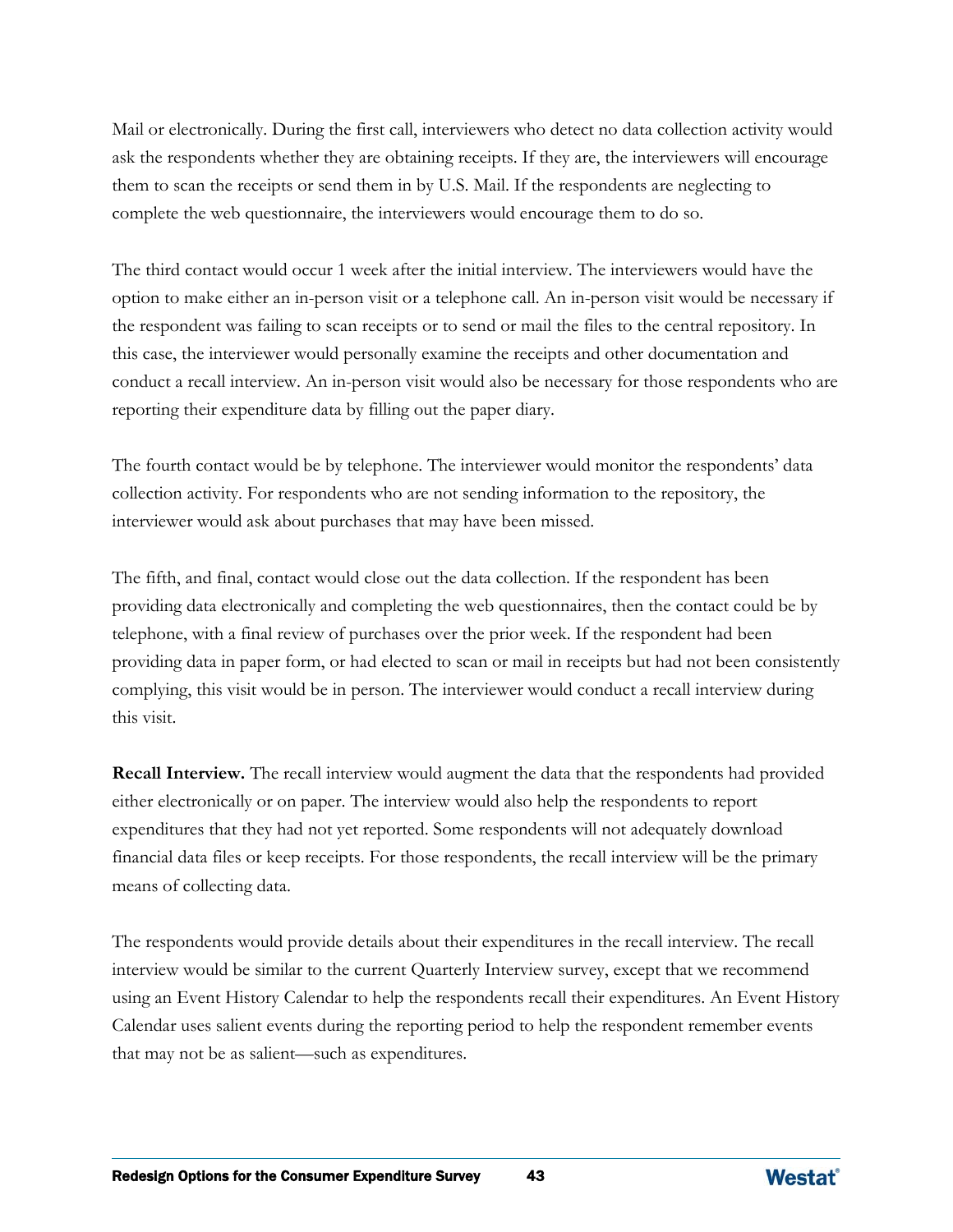Mail or electronically. During the first call, interviewers who detect no data collection activity would ask the respondents whether they are obtaining receipts. If they are, the interviewers will encourage them to scan the receipts or send them in by U.S. Mail. If the respondents are neglecting to complete the web questionnaire, the interviewers would encourage them to do so.

The third contact would occur 1 week after the initial interview. The interviewers would have the option to make either an in-person visit or a telephone call. An in-person visit would be necessary if the respondent was failing to scan receipts or to send or mail the files to the central repository. In this case, the interviewer would personally examine the receipts and other documentation and conduct a recall interview. An in-person visit would also be necessary for those respondents who are reporting their expenditure data by filling out the paper diary.

The fourth contact would be by telephone. The interviewer would monitor the respondents' data collection activity. For respondents who are not sending information to the repository, the interviewer would ask about purchases that may have been missed.

The fifth, and final, contact would close out the data collection. If the respondent has been providing data electronically and completing the web questionnaires, then the contact could be by telephone, with a final review of purchases over the prior week. If the respondent had been providing data in paper form, or had elected to scan or mail in receipts but had not been consistently complying, this visit would be in person. The interviewer would conduct a recall interview during this visit.

**Recall Interview.** The recall interview would augment the data that the respondents had provided either electronically or on paper. The interview would also help the respondents to report expenditures that they had not yet reported. Some respondents will not adequately download financial data files or keep receipts. For those respondents, the recall interview will be the primary means of collecting data.

The respondents would provide details about their expenditures in the recall interview. The recall interview would be similar to the current Quarterly Interview survey, except that we recommend using an Event History Calendar to help the respondents recall their expenditures. An Event History Calendar uses salient events during the reporting period to help the respondent remember events that may not be as salient—such as expenditures.

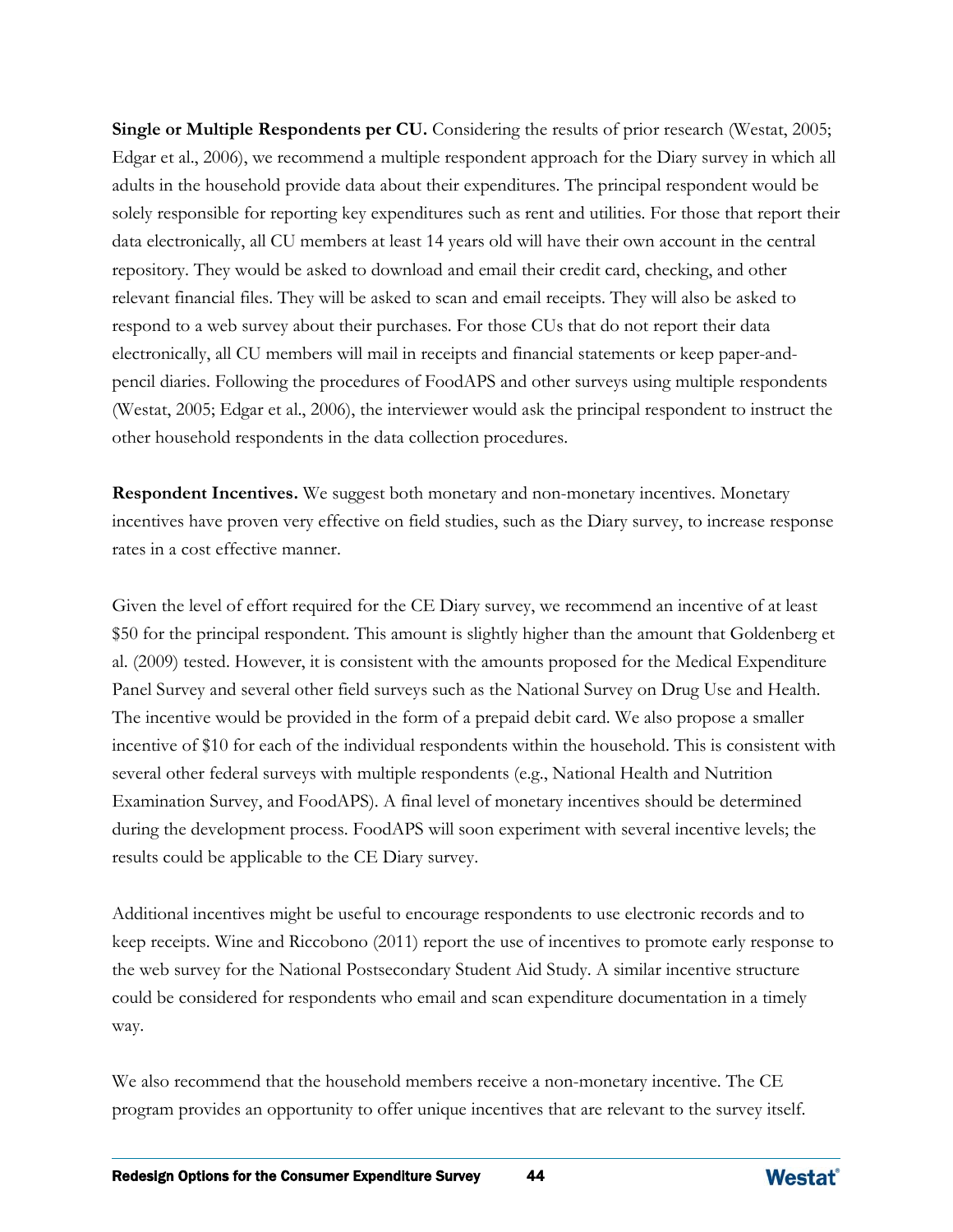**Single or Multiple Respondents per CU.** Considering the results of prior research (Westat, 2005; Edgar et al., 2006), we recommend a multiple respondent approach for the Diary survey in which all adults in the household provide data about their expenditures. The principal respondent would be solely responsible for reporting key expenditures such as rent and utilities. For those that report their data electronically, all CU members at least 14 years old will have their own account in the central repository. They would be asked to download and email their credit card, checking, and other relevant financial files. They will be asked to scan and email receipts. They will also be asked to respond to a web survey about their purchases. For those CUs that do not report their data electronically, all CU members will mail in receipts and financial statements or keep paper-andpencil diaries. Following the procedures of FoodAPS and other surveys using multiple respondents (Westat, 2005; Edgar et al., 2006), the interviewer would ask the principal respondent to instruct the other household respondents in the data collection procedures.

**Respondent Incentives.** We suggest both monetary and non-monetary incentives. Monetary incentives have proven very effective on field studies, such as the Diary survey, to increase response rates in a cost effective manner.

Given the level of effort required for the CE Diary survey, we recommend an incentive of at least \$50 for the principal respondent. This amount is slightly higher than the amount that Goldenberg et al. (2009) tested. However, it is consistent with the amounts proposed for the Medical Expenditure Panel Survey and several other field surveys such as the National Survey on Drug Use and Health. The incentive would be provided in the form of a prepaid debit card. We also propose a smaller incentive of \$10 for each of the individual respondents within the household. This is consistent with several other federal surveys with multiple respondents (e.g., National Health and Nutrition Examination Survey, and FoodAPS). A final level of monetary incentives should be determined during the development process. FoodAPS will soon experiment with several incentive levels; the results could be applicable to the CE Diary survey.

Additional incentives might be useful to encourage respondents to use electronic records and to keep receipts. Wine and Riccobono (2011) report the use of incentives to promote early response to the web survey for the National Postsecondary Student Aid Study. A similar incentive structure could be considered for respondents who email and scan expenditure documentation in a timely way.

We also recommend that the household members receive a non-monetary incentive. The CE program provides an opportunity to offer unique incentives that are relevant to the survey itself.

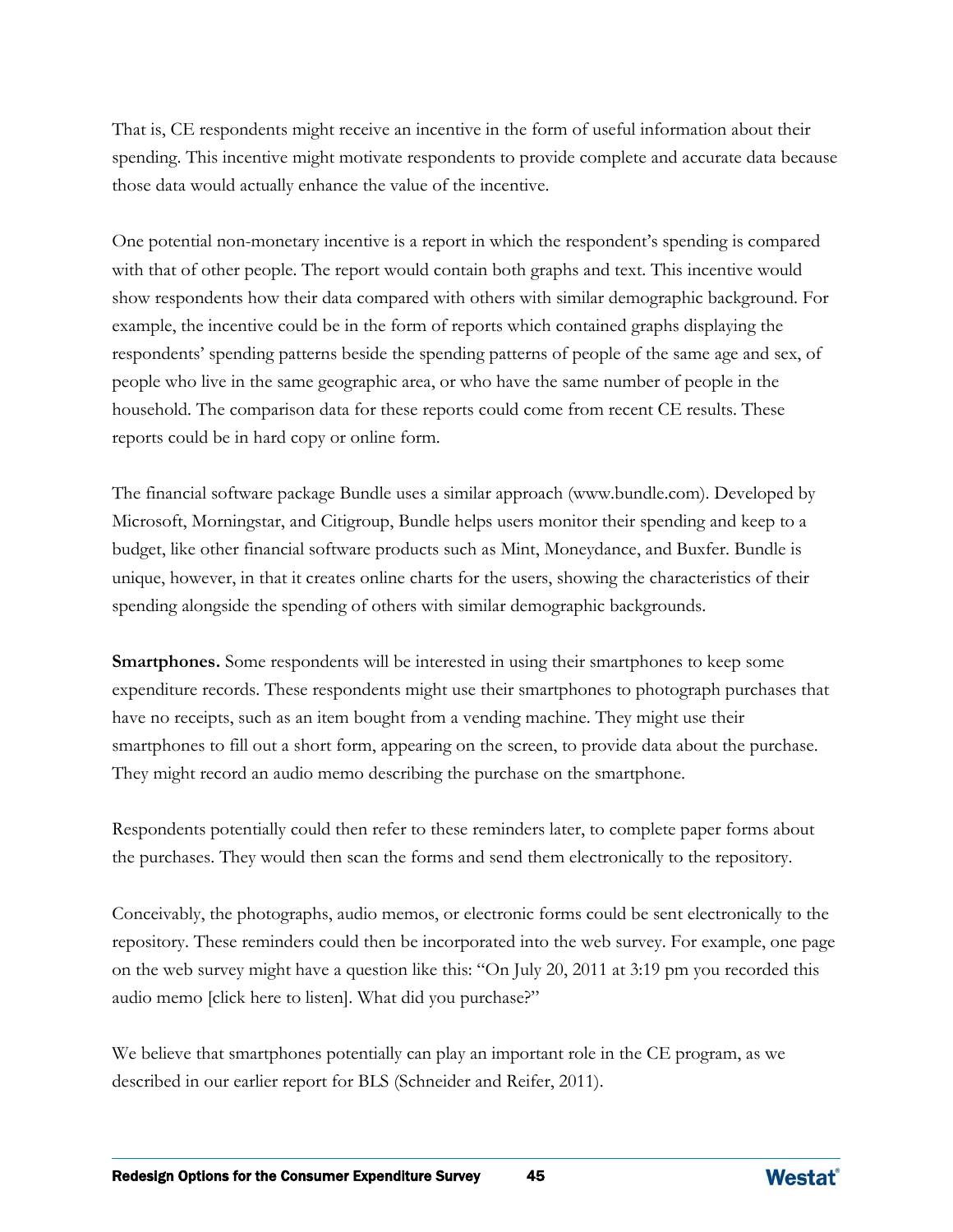That is, CE respondents might receive an incentive in the form of useful information about their spending. This incentive might motivate respondents to provide complete and accurate data because those data would actually enhance the value of the incentive.

One potential non-monetary incentive is a report in which the respondent's spending is compared with that of other people. The report would contain both graphs and text. This incentive would show respondents how their data compared with others with similar demographic background. For example, the incentive could be in the form of reports which contained graphs displaying the respondents' spending patterns beside the spending patterns of people of the same age and sex, of people who live in the same geographic area, or who have the same number of people in the household. The comparison data for these reports could come from recent CE results. These reports could be in hard copy or online form.

The financial software package Bundle uses a similar approach (www.bundle.com). Developed by Microsoft, Morningstar, and Citigroup, Bundle helps users monitor their spending and keep to a budget, like other financial software products such as Mint, Moneydance, and Buxfer. Bundle is unique, however, in that it creates online charts for the users, showing the characteristics of their spending alongside the spending of others with similar demographic backgrounds.

**Smartphones.** Some respondents will be interested in using their smartphones to keep some expenditure records. These respondents might use their smartphones to photograph purchases that have no receipts, such as an item bought from a vending machine. They might use their smartphones to fill out a short form, appearing on the screen, to provide data about the purchase. They might record an audio memo describing the purchase on the smartphone.

Respondents potentially could then refer to these reminders later, to complete paper forms about the purchases. They would then scan the forms and send them electronically to the repository.

Conceivably, the photographs, audio memos, or electronic forms could be sent electronically to the repository. These reminders could then be incorporated into the web survey. For example, one page on the web survey might have a question like this: "On July 20, 2011 at 3:19 pm you recorded this audio memo [click here to listen]. What did you purchase?"

We believe that smartphones potentially can play an important role in the CE program, as we described in our earlier report for BLS (Schneider and Reifer, 2011).

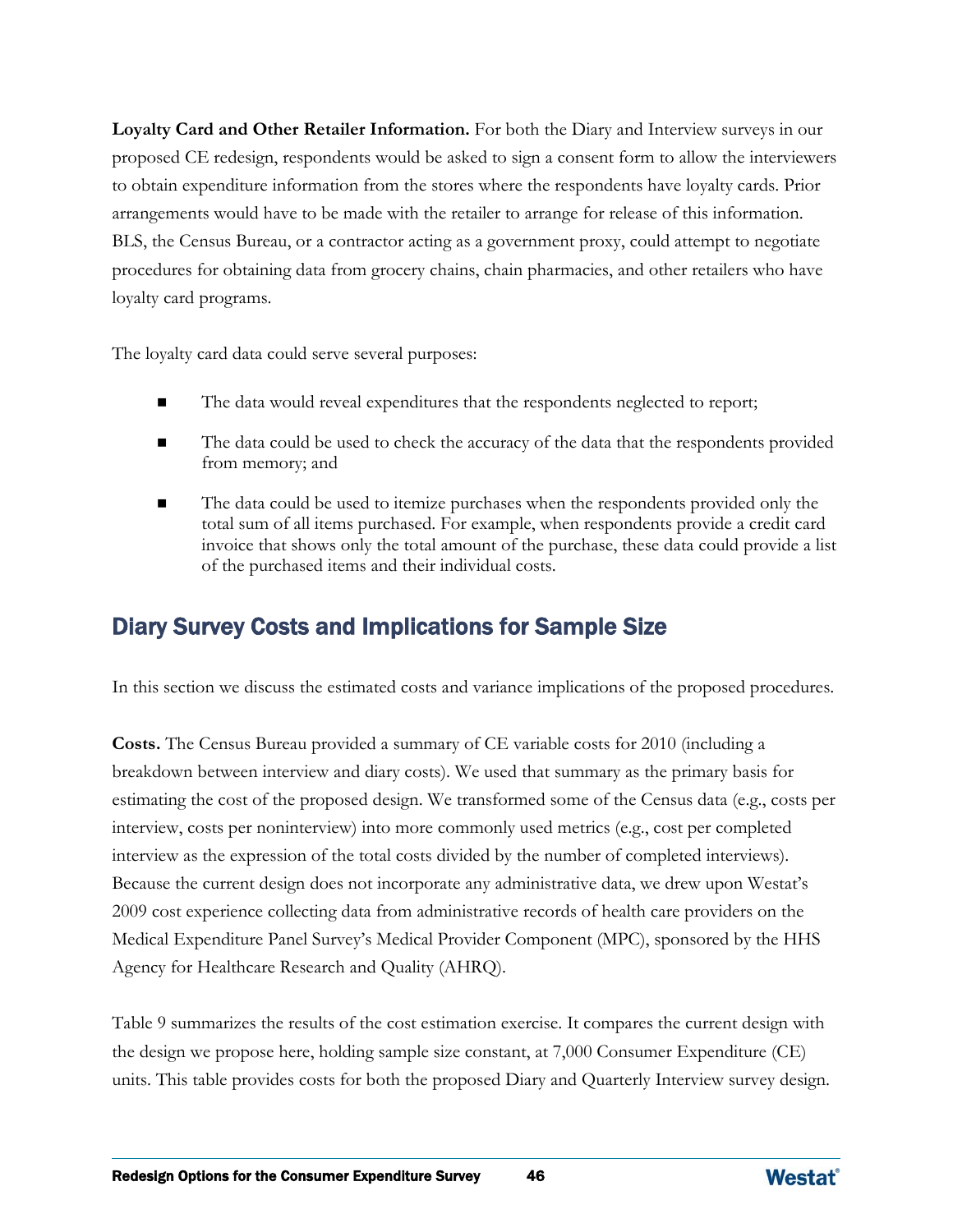**Loyalty Card and Other Retailer Information.** For both the Diary and Interview surveys in our proposed CE redesign, respondents would be asked to sign a consent form to allow the interviewers to obtain expenditure information from the stores where the respondents have loyalty cards. Prior arrangements would have to be made with the retailer to arrange for release of this information. BLS, the Census Bureau, or a contractor acting as a government proxy, could attempt to negotiate procedures for obtaining data from grocery chains, chain pharmacies, and other retailers who have loyalty card programs.

The loyalty card data could serve several purposes:

- The data would reveal expenditures that the respondents neglected to report;
- The data could be used to check the accuracy of the data that the respondents provided from memory; and
- The data could be used to itemize purchases when the respondents provided only the total sum of all items purchased. For example, when respondents provide a credit card invoice that shows only the total amount of the purchase, these data could provide a list of the purchased items and their individual costs.

# Diary Survey Costs and Implications for Sample Size

In this section we discuss the estimated costs and variance implications of the proposed procedures.

**Costs.** The Census Bureau provided a summary of CE variable costs for 2010 (including a breakdown between interview and diary costs). We used that summary as the primary basis for estimating the cost of the proposed design. We transformed some of the Census data (e.g., costs per interview, costs per noninterview) into more commonly used metrics (e.g., cost per completed interview as the expression of the total costs divided by the number of completed interviews). Because the current design does not incorporate any administrative data, we drew upon Westat's 2009 cost experience collecting data from administrative records of health care providers on the Medical Expenditure Panel Survey's Medical Provider Component (MPC), sponsored by the HHS Agency for Healthcare Research and Quality (AHRQ).

Table 9 summarizes the results of the cost estimation exercise. It compares the current design with the design we propose here, holding sample size constant, at 7,000 Consumer Expenditure (CE) units. This table provides costs for both the proposed Diary and Quarterly Interview survey design.

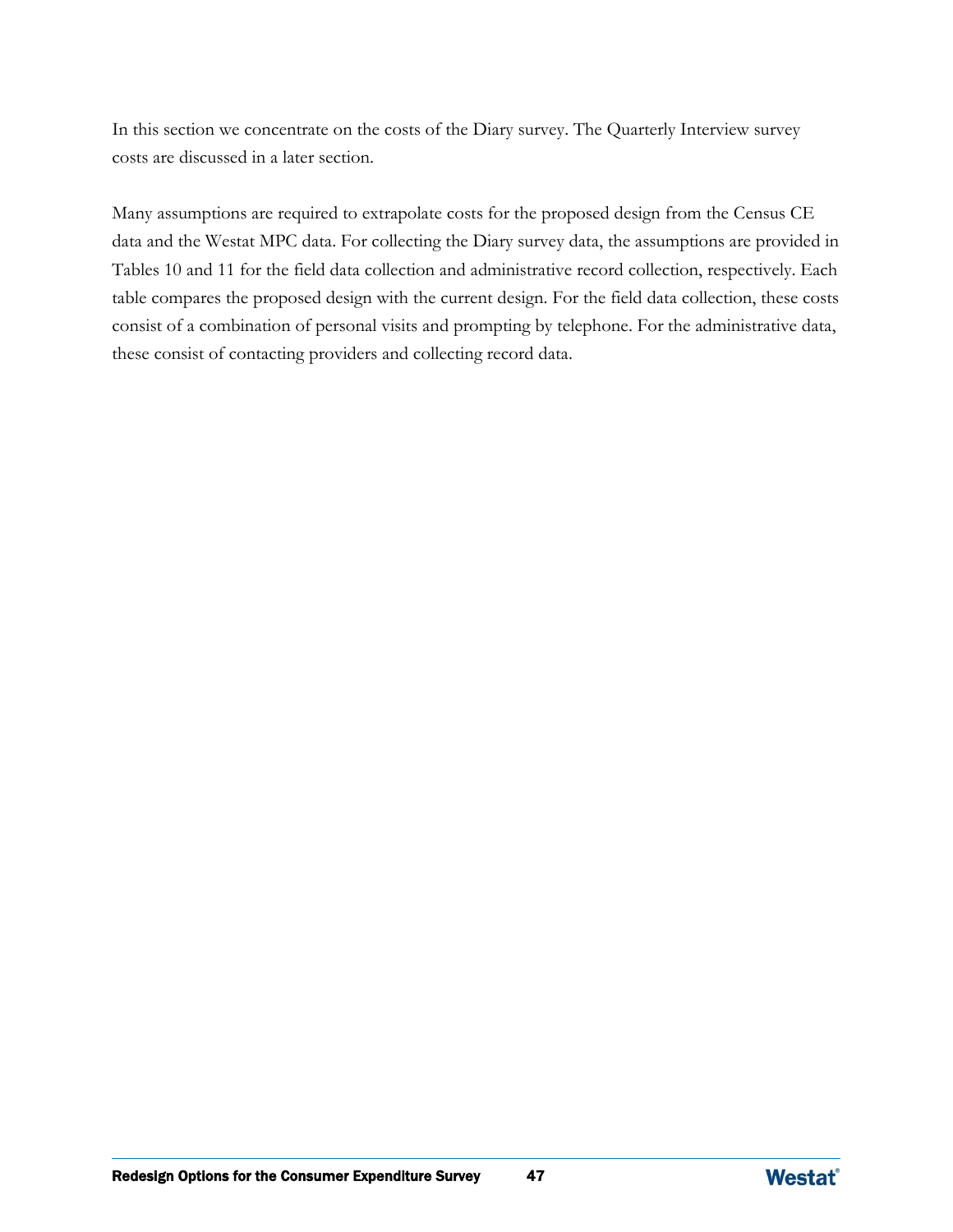In this section we concentrate on the costs of the Diary survey. The Quarterly Interview survey costs are discussed in a later section.

Many assumptions are required to extrapolate costs for the proposed design from the Census CE data and the Westat MPC data. For collecting the Diary survey data, the assumptions are provided in Tables 10 and 11 for the field data collection and administrative record collection, respectively. Each table compares the proposed design with the current design. For the field data collection, these costs consist of a combination of personal visits and prompting by telephone. For the administrative data, these consist of contacting providers and collecting record data.

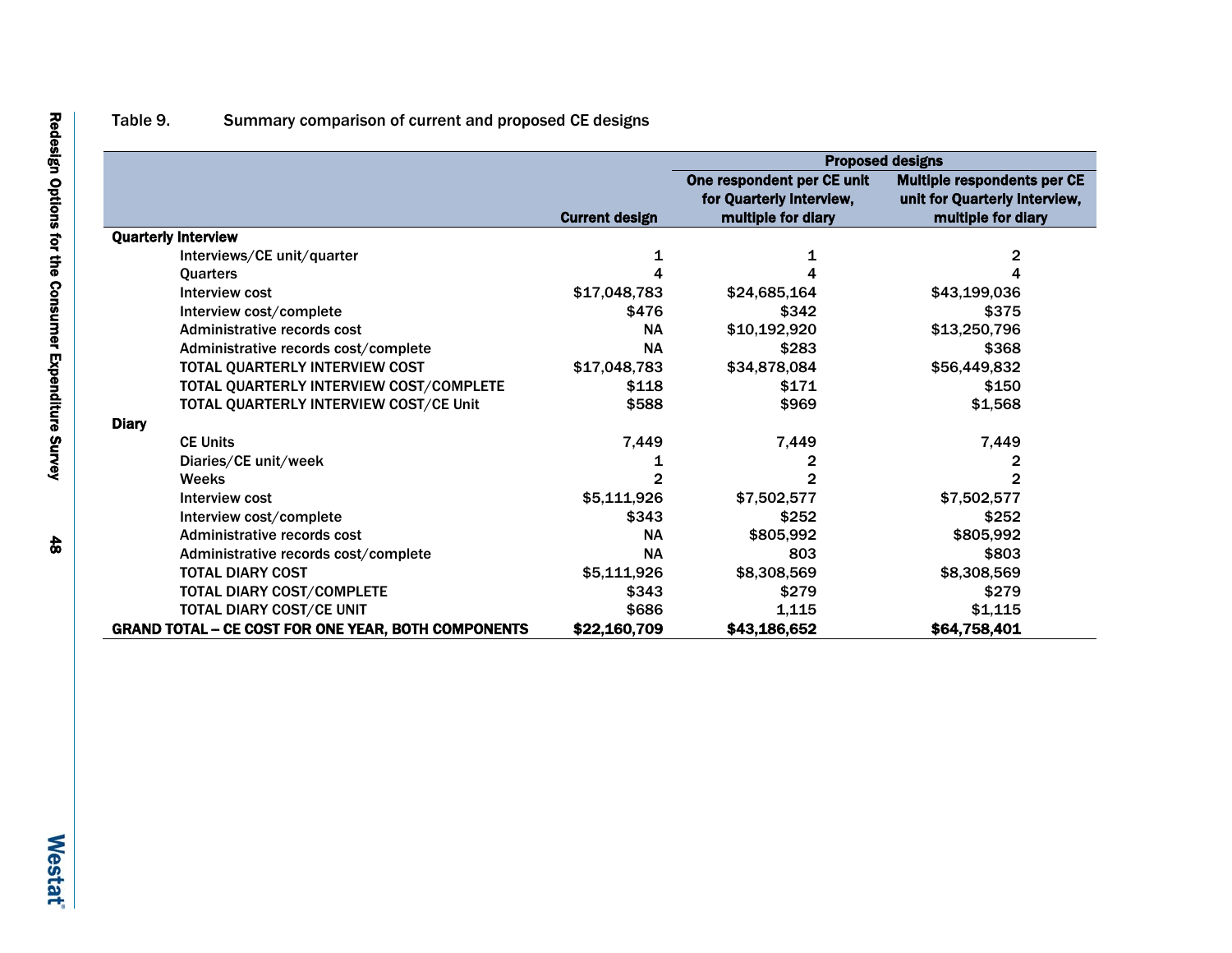## Table 9. Summary comparison of current and proposed CE designs

|                                                            |                       | <b>Proposed designs</b>                                                      |                                                                                           |  |  |  |  |
|------------------------------------------------------------|-----------------------|------------------------------------------------------------------------------|-------------------------------------------------------------------------------------------|--|--|--|--|
|                                                            | <b>Current design</b> | One respondent per CE unit<br>for Quarterly Interview,<br>multiple for diary | <b>Multiple respondents per CE</b><br>unit for Quarterly Interview,<br>multiple for diary |  |  |  |  |
| <b>Quarterly Interview</b>                                 |                       |                                                                              |                                                                                           |  |  |  |  |
| Interviews/CE unit/quarter                                 |                       |                                                                              | 2                                                                                         |  |  |  |  |
| <b>Quarters</b>                                            |                       |                                                                              | 4                                                                                         |  |  |  |  |
| Interview cost                                             | \$17,048,783          | \$24,685,164                                                                 | \$43,199,036                                                                              |  |  |  |  |
| Interview cost/complete                                    | \$476                 | \$342                                                                        | \$375                                                                                     |  |  |  |  |
| Administrative records cost                                | <b>NA</b>             | \$10,192,920                                                                 | \$13,250,796                                                                              |  |  |  |  |
| Administrative records cost/complete                       | <b>NA</b>             | \$283                                                                        | \$368                                                                                     |  |  |  |  |
| TOTAL QUARTERLY INTERVIEW COST                             | \$17,048,783          | \$34,878,084                                                                 | \$56,449,832                                                                              |  |  |  |  |
| TOTAL QUARTERLY INTERVIEW COST/COMPLETE                    | \$118                 | \$171                                                                        | \$150                                                                                     |  |  |  |  |
| TOTAL QUARTERLY INTERVIEW COST/CE Unit                     | \$588                 | \$969                                                                        | \$1,568                                                                                   |  |  |  |  |
| <b>Diary</b>                                               |                       |                                                                              |                                                                                           |  |  |  |  |
| <b>CE Units</b>                                            | 7,449                 | 7,449                                                                        | 7,449                                                                                     |  |  |  |  |
| Diaries/CE unit/week                                       |                       | 2                                                                            | 2                                                                                         |  |  |  |  |
| <b>Weeks</b>                                               |                       |                                                                              | 2                                                                                         |  |  |  |  |
| <b>Interview cost</b>                                      | \$5,111,926           | \$7,502,577                                                                  | \$7,502,577                                                                               |  |  |  |  |
| Interview cost/complete                                    | \$343                 | \$252                                                                        | \$252                                                                                     |  |  |  |  |
| Administrative records cost                                | <b>NA</b>             | \$805,992                                                                    | \$805,992                                                                                 |  |  |  |  |
| Administrative records cost/complete                       | <b>NA</b>             | 803                                                                          | \$803                                                                                     |  |  |  |  |
| <b>TOTAL DIARY COST</b>                                    | \$5,111,926           | \$8,308,569                                                                  | \$8,308,569                                                                               |  |  |  |  |
| <b>TOTAL DIARY COST/COMPLETE</b>                           | \$343                 | \$279                                                                        | \$279                                                                                     |  |  |  |  |
| TOTAL DIARY COST/CE UNIT                                   | \$686                 | 1,115                                                                        | \$1,115                                                                                   |  |  |  |  |
| <b>GRAND TOTAL - CE COST FOR ONE YEAR, BOTH COMPONENTS</b> | \$22,160,709          | \$43,186,652                                                                 | \$64,758,401                                                                              |  |  |  |  |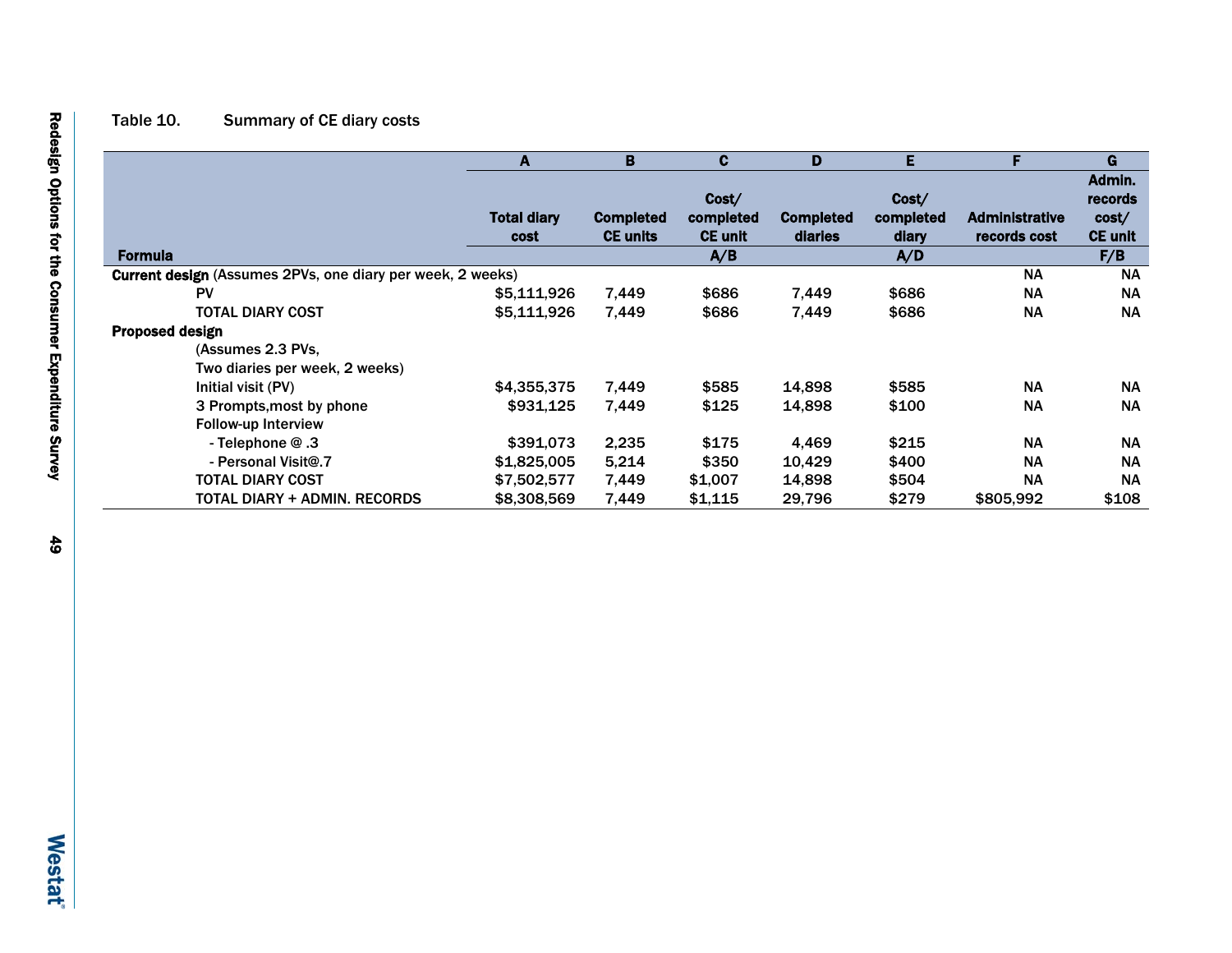## Table 10. Summary of CE diary costs

|                                                            | A                  | B                | C              | D                | Е         |                       | G              |
|------------------------------------------------------------|--------------------|------------------|----------------|------------------|-----------|-----------------------|----------------|
|                                                            |                    |                  |                |                  |           |                       | Admin.         |
|                                                            |                    |                  | Cost/          |                  | Cost/     |                       | records        |
|                                                            | <b>Total diary</b> | <b>Completed</b> | completed      | <b>Completed</b> | completed | <b>Administrative</b> | cost/          |
|                                                            | cost               | <b>CE units</b>  | <b>CE unit</b> | diaries          | diary     | records cost          | <b>CE unit</b> |
| <b>Formula</b>                                             |                    |                  | A/B            |                  | A/D       |                       | F/B            |
| Current design (Assumes 2PVs, one diary per week, 2 weeks) |                    |                  |                |                  |           | <b>NA</b>             | <b>NA</b>      |
| <b>PV</b>                                                  | \$5,111,926        | 7,449            | \$686          | 7,449            | \$686     | <b>NA</b>             | <b>NA</b>      |
| <b>TOTAL DIARY COST</b>                                    | \$5,111,926        | 7,449            | \$686          | 7,449            | \$686     | <b>NA</b>             | <b>NA</b>      |
| Proposed design                                            |                    |                  |                |                  |           |                       |                |
| (Assumes 2.3 PVs.                                          |                    |                  |                |                  |           |                       |                |
| Two diaries per week, 2 weeks)                             |                    |                  |                |                  |           |                       |                |
| Initial visit (PV)                                         | \$4,355,375        | 7,449            | \$585          | 14,898           | \$585     | <b>NA</b>             | <b>NA</b>      |
| 3 Prompts, most by phone                                   | \$931,125          | 7,449            | \$125          | 14,898           | \$100     | <b>NA</b>             | <b>NA</b>      |
| <b>Follow-up Interview</b>                                 |                    |                  |                |                  |           |                       |                |
| - Telephone $@.3$                                          | \$391,073          | 2,235            | \$175          | 4,469            | \$215     | <b>NA</b>             | <b>NA</b>      |
| - Personal Visit@.7                                        | \$1,825,005        | 5,214            | \$350          | 10,429           | \$400     | <b>NA</b>             | <b>NA</b>      |
| <b>TOTAL DIARY COST</b>                                    | \$7,502,577        | 7,449            | \$1,007        | 14,898           | \$504     | <b>NA</b>             | <b>NA</b>      |
| <b>TOTAL DIARY + ADMIN. RECORDS</b>                        | \$8,308,569        | 7,449            | \$1,115        | 29,796           | \$279     | \$805,992             | \$108          |

Г

 $\overline{\phantom{0}}$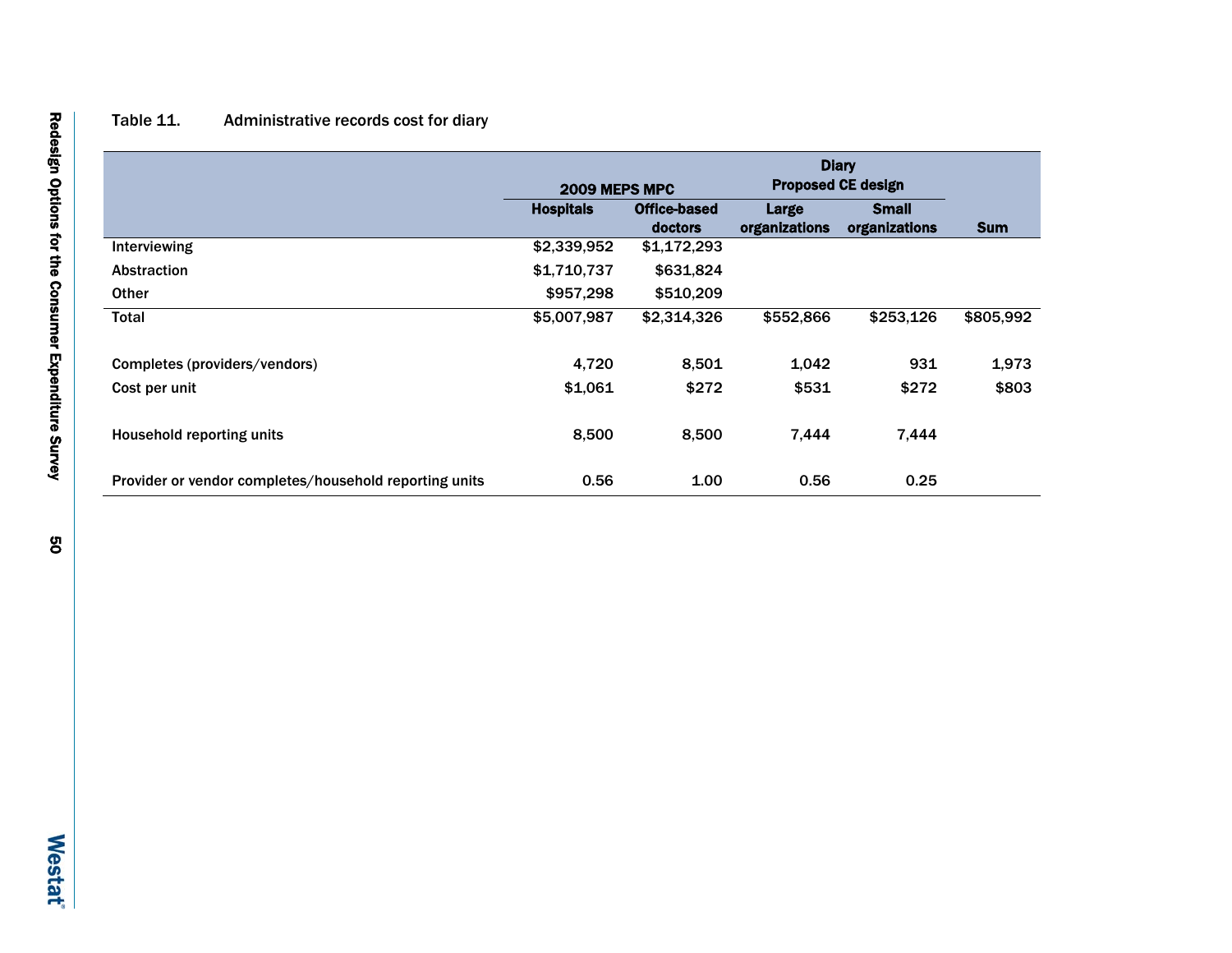## Table 11. Administrative records cost for diary

|                                                        |                  | <b>Diary</b><br><b>Proposed CE design</b><br>2009 MEPS MPC |                        |                               |            |
|--------------------------------------------------------|------------------|------------------------------------------------------------|------------------------|-------------------------------|------------|
|                                                        | <b>Hospitals</b> | Office-based<br>doctors                                    | Large<br>organizations | <b>Small</b><br>organizations | <b>Sum</b> |
| Interviewing                                           | \$2,339,952      | \$1,172,293                                                |                        |                               |            |
| <b>Abstraction</b>                                     | \$1,710,737      | \$631,824                                                  |                        |                               |            |
| <b>Other</b>                                           | \$957,298        | \$510,209                                                  |                        |                               |            |
| Total                                                  | \$5,007,987      | \$2,314,326                                                | \$552,866              | \$253,126                     | \$805,992  |
| Completes (providers/vendors)                          | 4,720            | 8,501                                                      | 1,042                  | 931                           | 1,973      |
| Cost per unit                                          | \$1,061          | \$272                                                      | \$531                  | \$272                         | \$803      |
| <b>Household reporting units</b>                       | 8,500            | 8,500                                                      | 7,444                  | 7,444                         |            |
| Provider or vendor completes/household reporting units | 0.56             | 1.00                                                       | 0.56                   | 0.25                          |            |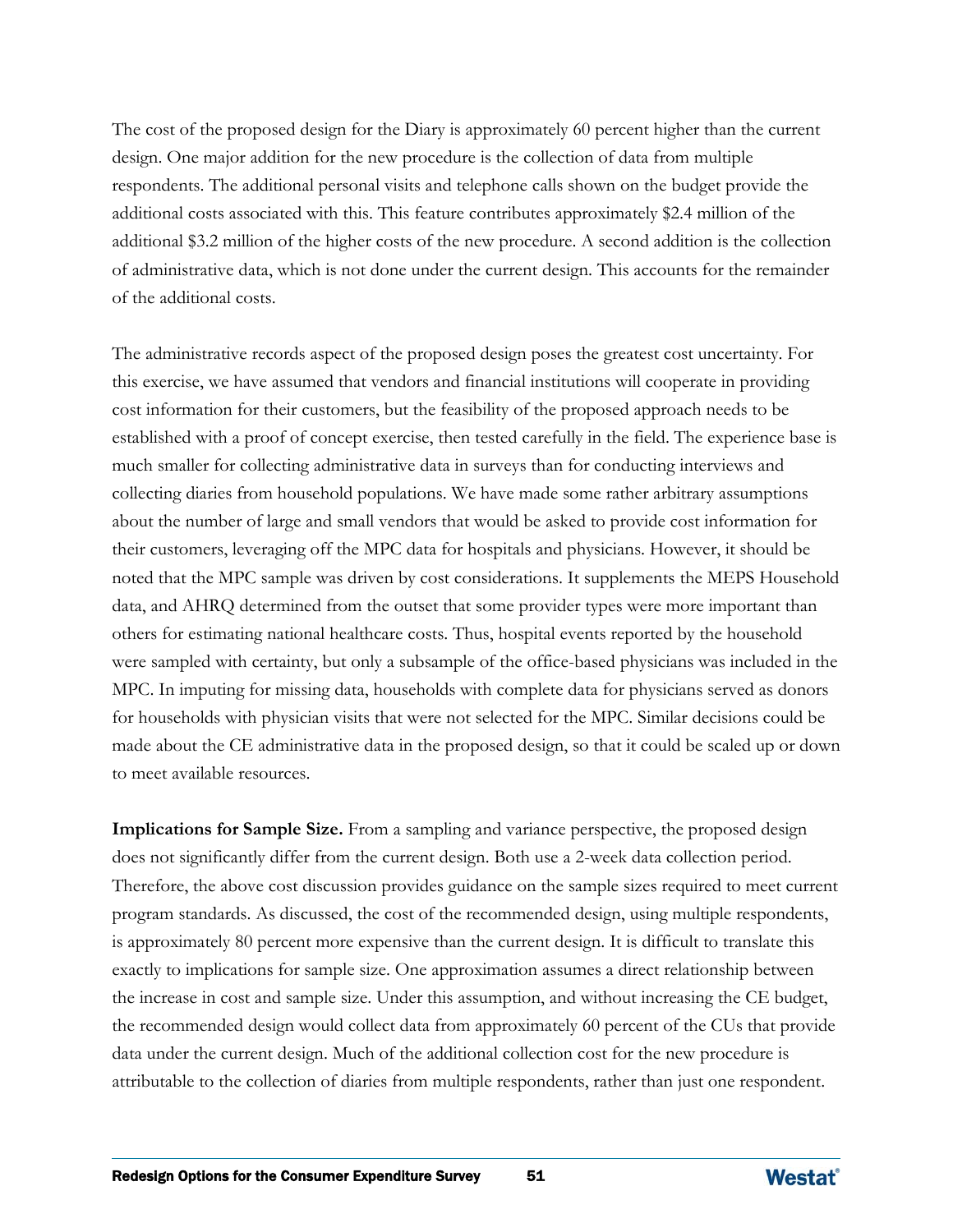The cost of the proposed design for the Diary is approximately 60 percent higher than the current design. One major addition for the new procedure is the collection of data from multiple respondents. The additional personal visits and telephone calls shown on the budget provide the additional costs associated with this. This feature contributes approximately \$2.4 million of the additional \$3.2 million of the higher costs of the new procedure. A second addition is the collection of administrative data, which is not done under the current design. This accounts for the remainder of the additional costs.

The administrative records aspect of the proposed design poses the greatest cost uncertainty. For this exercise, we have assumed that vendors and financial institutions will cooperate in providing cost information for their customers, but the feasibility of the proposed approach needs to be established with a proof of concept exercise, then tested carefully in the field. The experience base is much smaller for collecting administrative data in surveys than for conducting interviews and collecting diaries from household populations. We have made some rather arbitrary assumptions about the number of large and small vendors that would be asked to provide cost information for their customers, leveraging off the MPC data for hospitals and physicians. However, it should be noted that the MPC sample was driven by cost considerations. It supplements the MEPS Household data, and AHRQ determined from the outset that some provider types were more important than others for estimating national healthcare costs. Thus, hospital events reported by the household were sampled with certainty, but only a subsample of the office-based physicians was included in the MPC. In imputing for missing data, households with complete data for physicians served as donors for households with physician visits that were not selected for the MPC. Similar decisions could be made about the CE administrative data in the proposed design, so that it could be scaled up or down to meet available resources.

**Implications for Sample Size.** From a sampling and variance perspective, the proposed design does not significantly differ from the current design. Both use a 2-week data collection period. Therefore, the above cost discussion provides guidance on the sample sizes required to meet current program standards. As discussed, the cost of the recommended design, using multiple respondents, is approximately 80 percent more expensive than the current design. It is difficult to translate this exactly to implications for sample size. One approximation assumes a direct relationship between the increase in cost and sample size. Under this assumption, and without increasing the CE budget, the recommended design would collect data from approximately 60 percent of the CUs that provide data under the current design. Much of the additional collection cost for the new procedure is attributable to the collection of diaries from multiple respondents, rather than just one respondent.

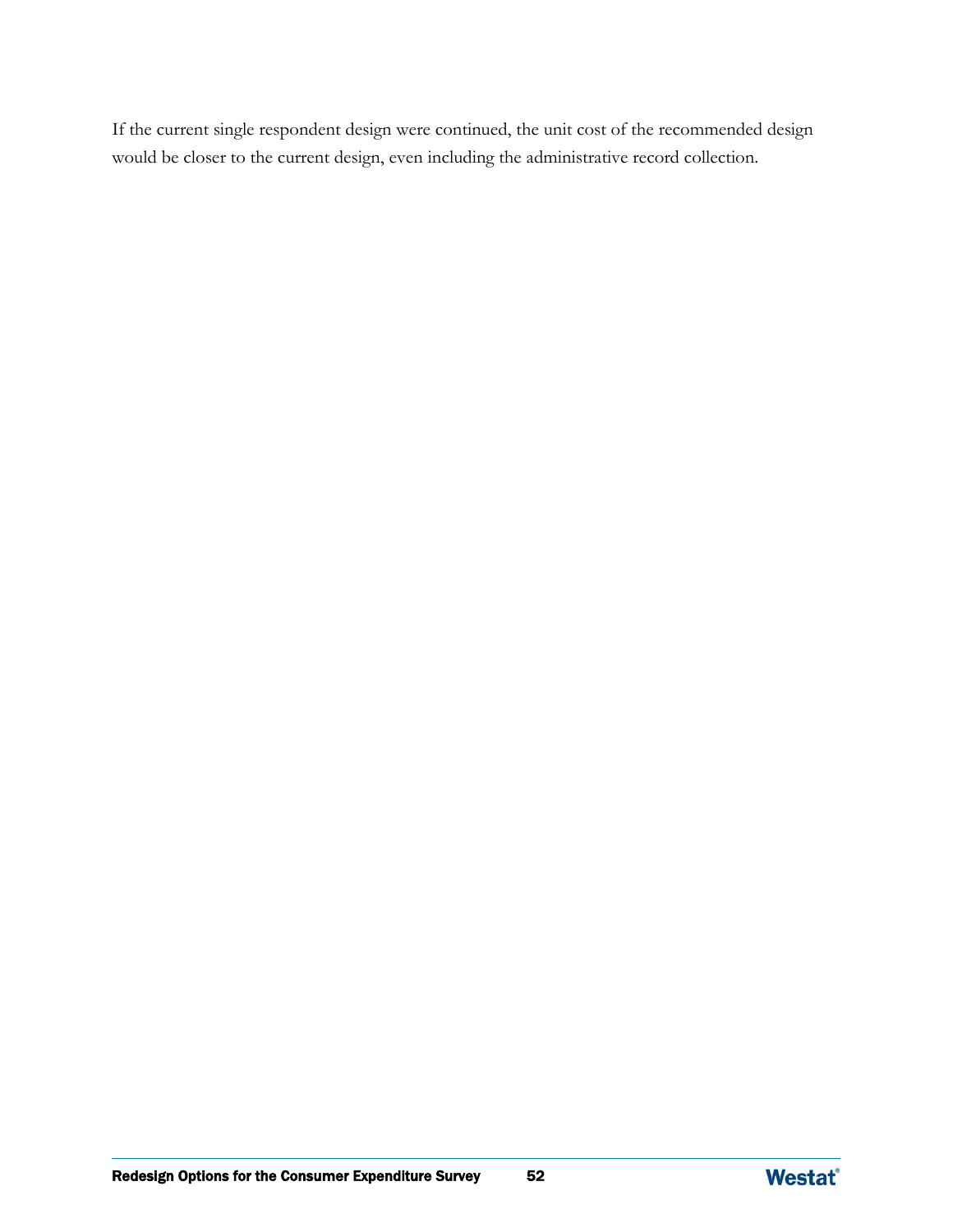If the current single respondent design were continued, the unit cost of the recommended design would be closer to the current design, even including the administrative record collection.

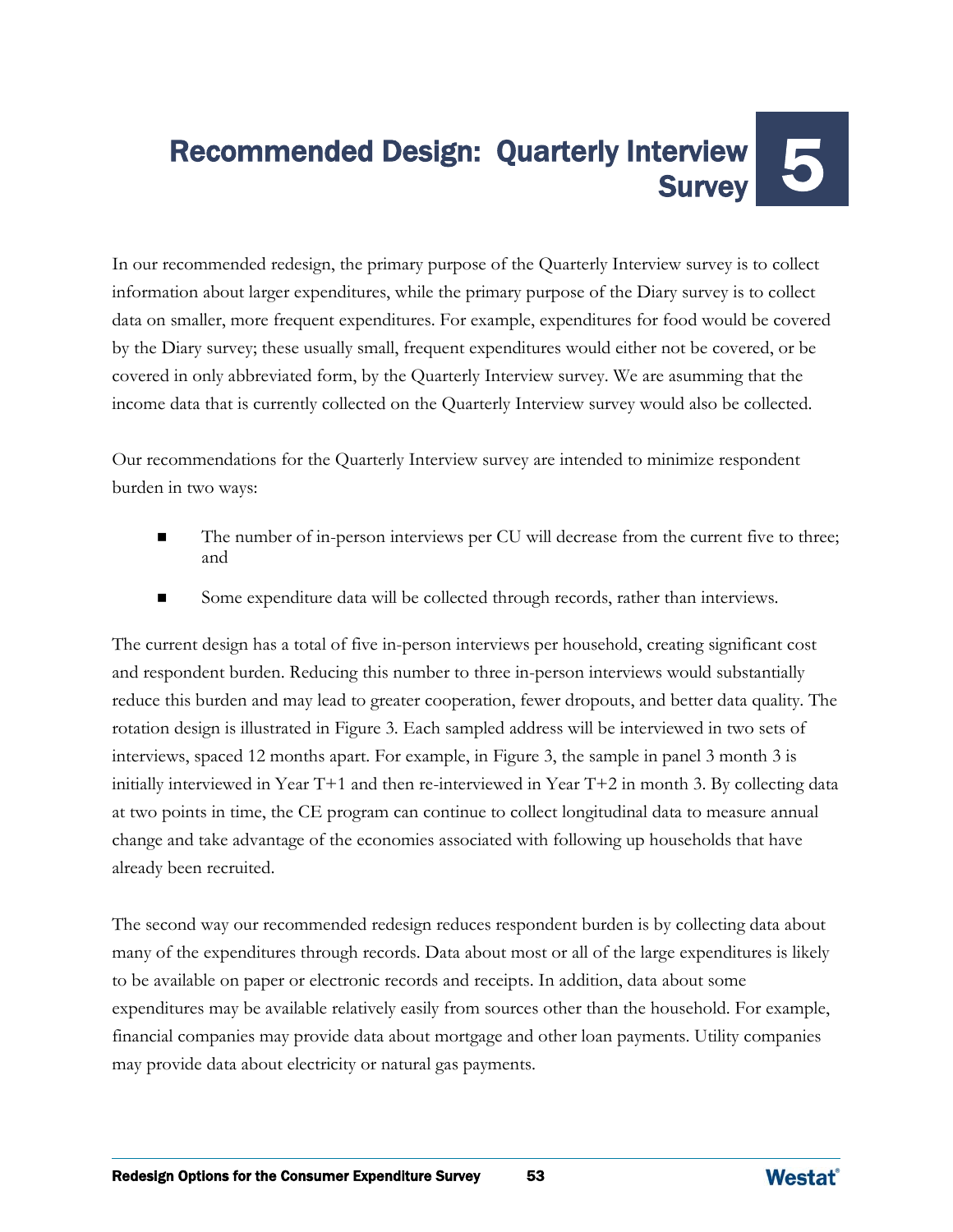# Recommended Design: Quarterly Interview **Survey**

In our recommended redesign, the primary purpose of the Quarterly Interview survey is to collect information about larger expenditures, while the primary purpose of the Diary survey is to collect data on smaller, more frequent expenditures. For example, expenditures for food would be covered by the Diary survey; these usually small, frequent expenditures would either not be covered, or be covered in only abbreviated form, by the Quarterly Interview survey. We are asumming that the income data that is currently collected on the Quarterly Interview survey would also be collected.

Our recommendations for the Quarterly Interview survey are intended to minimize respondent burden in two ways:

- The number of in-person interviews per CU will decrease from the current five to three; and
- Some expenditure data will be collected through records, rather than interviews.

The current design has a total of five in-person interviews per household, creating significant cost and respondent burden. Reducing this number to three in-person interviews would substantially reduce this burden and may lead to greater cooperation, fewer dropouts, and better data quality. The rotation design is illustrated in Figure 3. Each sampled address will be interviewed in two sets of interviews, spaced 12 months apart. For example, in Figure 3, the sample in panel 3 month 3 is initially interviewed in Year T+1 and then re-interviewed in Year T+2 in month 3. By collecting data at two points in time, the CE program can continue to collect longitudinal data to measure annual change and take advantage of the economies associated with following up households that have already been recruited.

The second way our recommended redesign reduces respondent burden is by collecting data about many of the expenditures through records. Data about most or all of the large expenditures is likely to be available on paper or electronic records and receipts. In addition, data about some expenditures may be available relatively easily from sources other than the household. For example, financial companies may provide data about mortgage and other loan payments. Utility companies may provide data about electricity or natural gas payments.

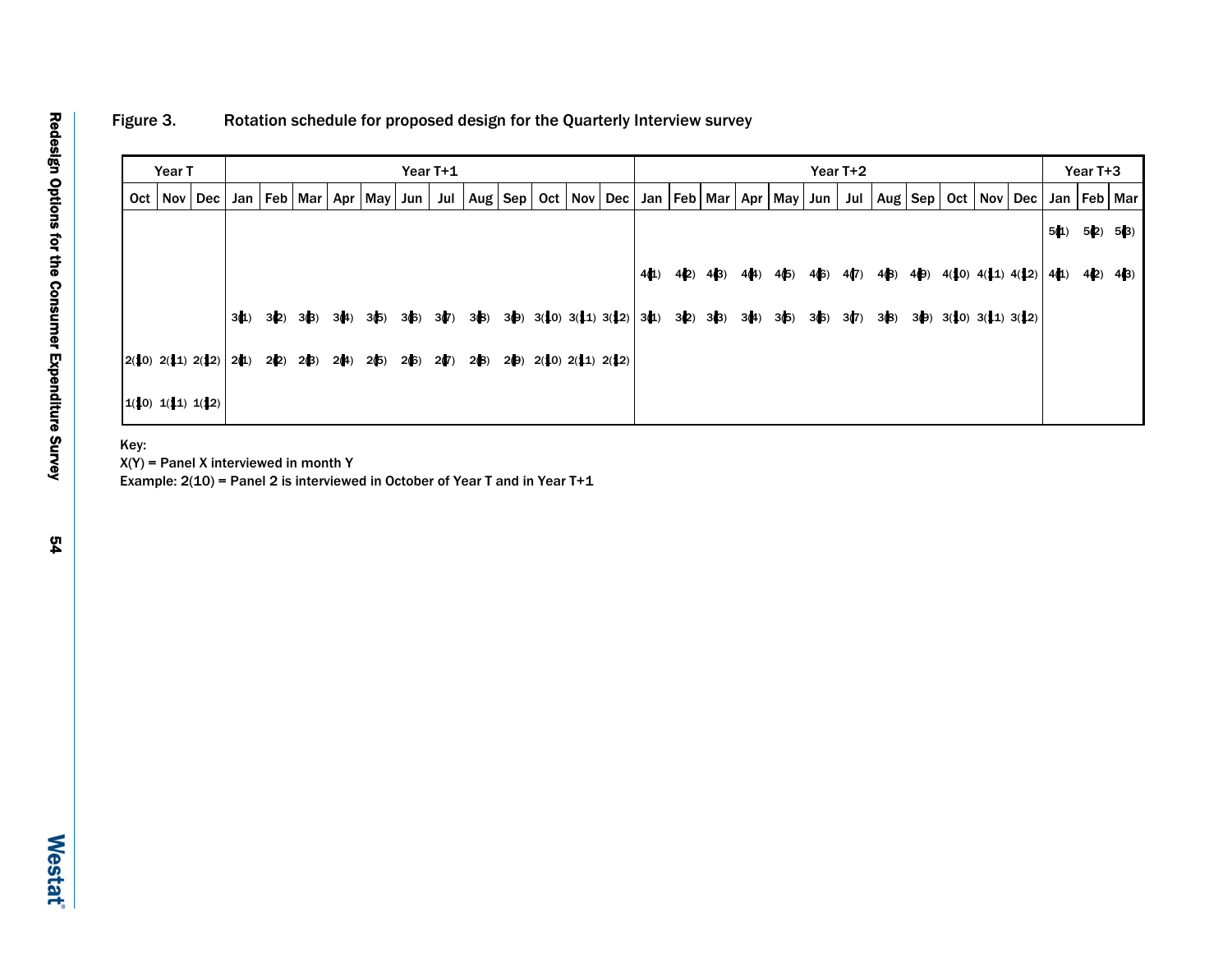## Figure 3. Rotation schedule for proposed design for the Quarterly Interview survey

|     | Year T |                       |      |      |                 |      |           |      | Year T+1 |       |                  |                                |     |      |      |         |      |           |      | Year T+2 |      |      |                                |     |     |      | Year T+3      |           |
|-----|--------|-----------------------|------|------|-----------------|------|-----------|------|----------|-------|------------------|--------------------------------|-----|------|------|---------|------|-----------|------|----------|------|------|--------------------------------|-----|-----|------|---------------|-----------|
| Oct |        | Nov   Dec             |      |      | Jan   Feb   Mar | Apr  | May   Jun |      | Jul      | Aug I | $ \mathsf{Sep} $ | Oct   Nov                      | Dec | Jan  |      | Feb Mar |      | Apr   May | Jun  | Jul      |      |      | Aug   Sep   Oct                | Nov | Dec | Jan  |               | Feb   Mar |
|     |        |                       |      |      |                 |      |           |      |          |       |                  |                                |     |      |      |         |      |           |      |          |      |      |                                |     |     | 5(1) |               | 5(2) 5(3) |
|     |        |                       |      |      |                 |      |           |      |          |       |                  |                                |     | 4(1) | 4(2) | 4(3)    | 4(4) | 4(5)      | 4(6) | 4(7)     | 4(B) | 4(9) | $4(10)$ $4(11)$ $4(12)$        |     |     | 4(1) | $4(2)$ $4(3)$ |           |
|     |        |                       | 3(1) | 3(2) | 3(3)            | 3(4) | 3(5)      | 3(6) | 3(7)     | 3(3)  | 3(9)             | $3(10)$ $3(11)$ $3(12)$ $3(1)$ |     |      | 3(2) | 3(3)    | 3(4) | 3(5)      | 3(6) | 3(7)     | 3(8) |      | $3(9)$ $3(10)$ $3(11)$ $3(12)$ |     |     |      |               |           |
|     |        | $2(10)$ 2(11) $2(12)$ | 2(1) | 2(2) | 2(3)            | 2(4) | 2(5)      | 2(6) | 2(7)     | 2(3)  | 2(9)             | 2(10) 2(11) 2(12)              |     |      |      |         |      |           |      |          |      |      |                                |     |     |      |               |           |
|     |        | 1(10) 1(11) 1(12)     |      |      |                 |      |           |      |          |       |                  |                                |     |      |      |         |      |           |      |          |      |      |                                |     |     |      |               |           |

Key:

 $X(Y)$  = Panel X interviewed in month Y

Example: 2(10) = Panel 2 is interviewed in October of Year T and in Year T+1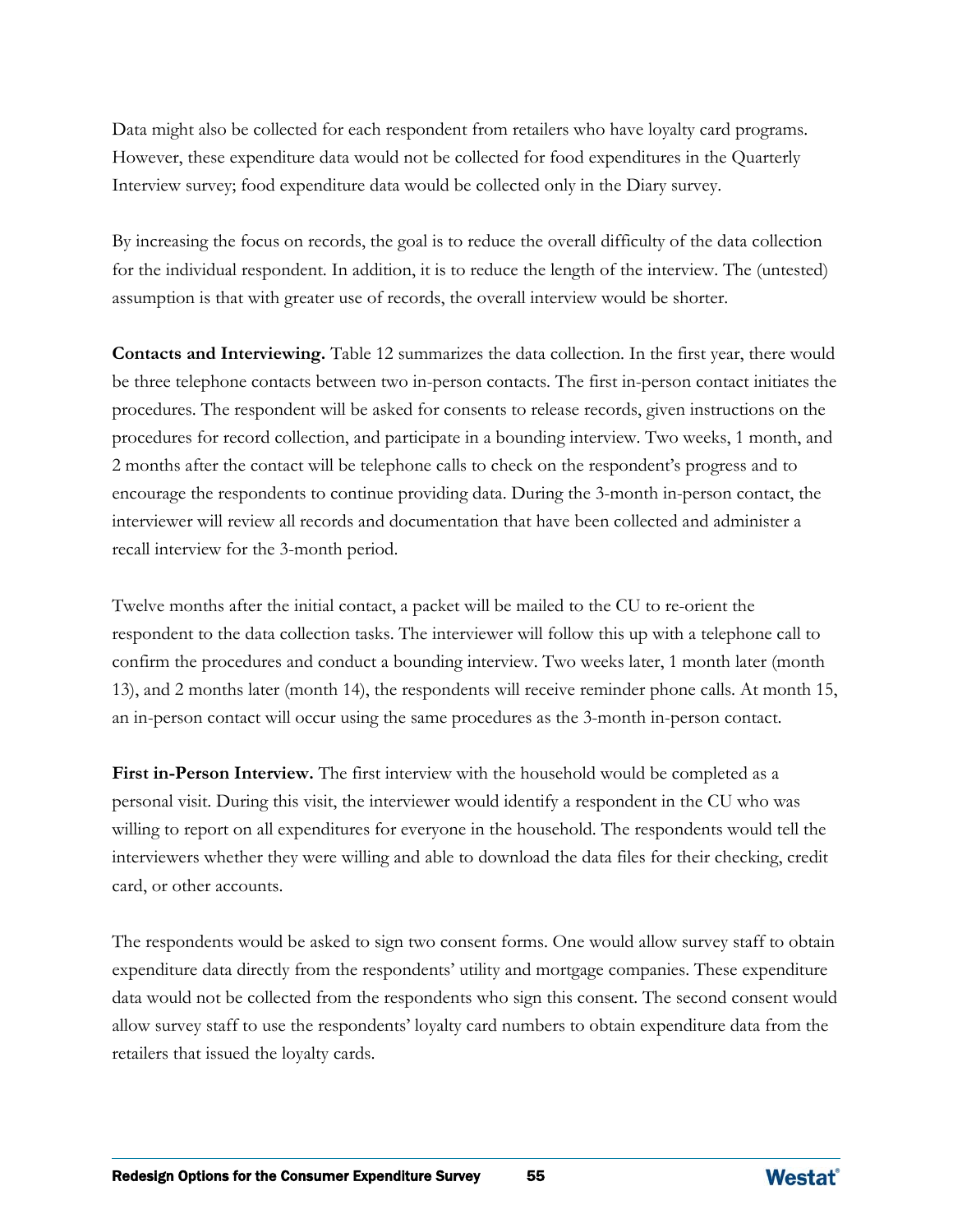Data might also be collected for each respondent from retailers who have loyalty card programs. However, these expenditure data would not be collected for food expenditures in the Quarterly Interview survey; food expenditure data would be collected only in the Diary survey.

By increasing the focus on records, the goal is to reduce the overall difficulty of the data collection for the individual respondent. In addition, it is to reduce the length of the interview. The (untested) assumption is that with greater use of records, the overall interview would be shorter.

**Contacts and Interviewing.** Table 12 summarizes the data collection. In the first year, there would be three telephone contacts between two in-person contacts. The first in-person contact initiates the procedures. The respondent will be asked for consents to release records, given instructions on the procedures for record collection, and participate in a bounding interview. Two weeks, 1 month, and 2 months after the contact will be telephone calls to check on the respondent's progress and to encourage the respondents to continue providing data. During the 3-month in-person contact, the interviewer will review all records and documentation that have been collected and administer a recall interview for the 3-month period.

Twelve months after the initial contact, a packet will be mailed to the CU to re-orient the respondent to the data collection tasks. The interviewer will follow this up with a telephone call to confirm the procedures and conduct a bounding interview. Two weeks later, 1 month later (month 13), and 2 months later (month 14), the respondents will receive reminder phone calls. At month 15, an in-person contact will occur using the same procedures as the 3-month in-person contact.

**First in-Person Interview.** The first interview with the household would be completed as a personal visit. During this visit, the interviewer would identify a respondent in the CU who was willing to report on all expenditures for everyone in the household. The respondents would tell the interviewers whether they were willing and able to download the data files for their checking, credit card, or other accounts.

The respondents would be asked to sign two consent forms. One would allow survey staff to obtain expenditure data directly from the respondents' utility and mortgage companies. These expenditure data would not be collected from the respondents who sign this consent. The second consent would allow survey staff to use the respondents' loyalty card numbers to obtain expenditure data from the retailers that issued the loyalty cards.

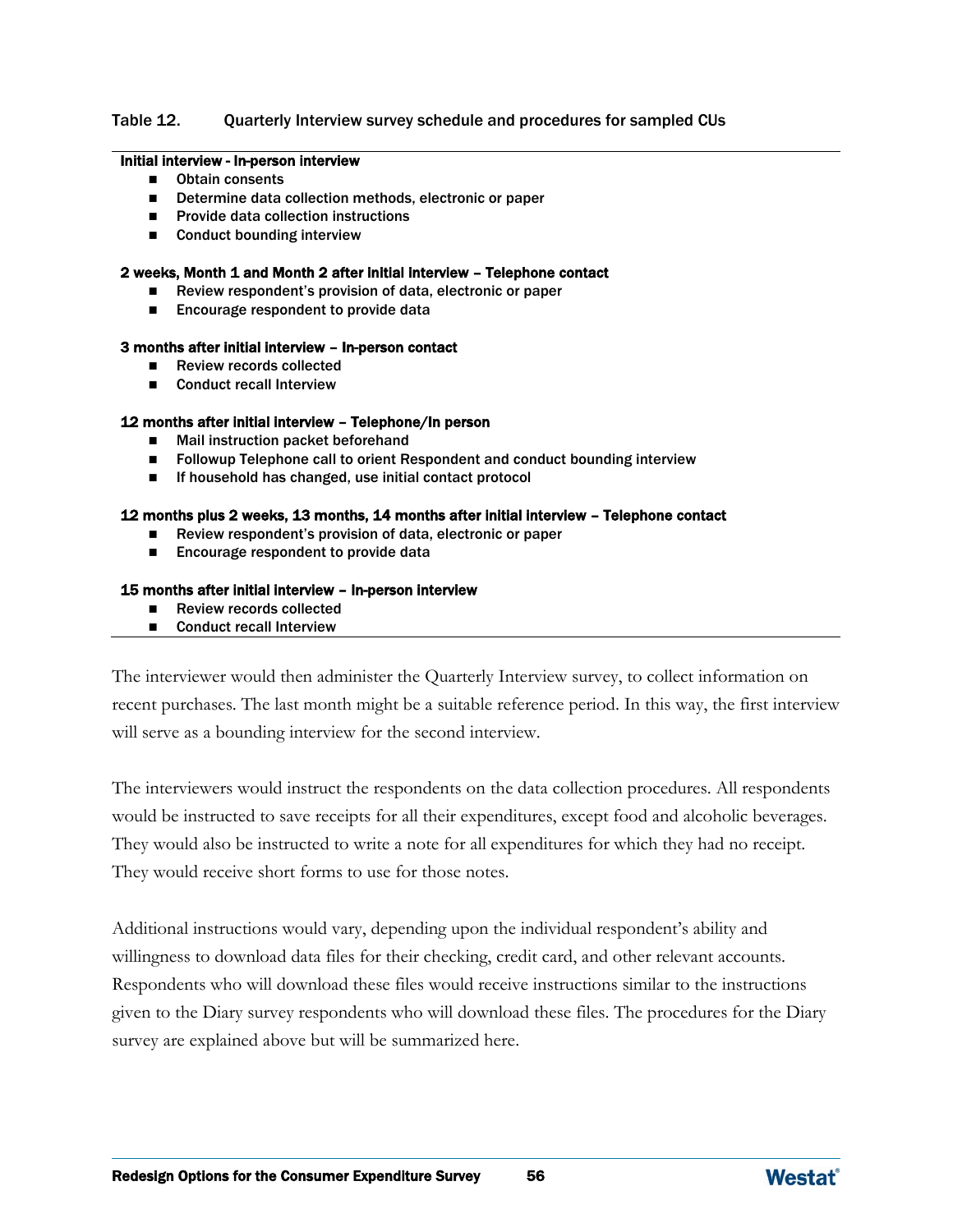#### Table 12. Quarterly Interview survey schedule and procedures for sampled CUs

#### Initial interview - In-person interview

- **D** Obtain consents
- Determine data collection methods, electronic or paper
- $\blacksquare$  Provide data collection instructions
- Conduct bounding interview

#### 2 weeks, Month 1 and Month 2 after initial interview – Telephone contact

- Review respondent's provision of data, electronic or paper
- Encourage respondent to provide data

#### 3 months after initial interview – In-person contact

- Review records collected
- Conduct recall Interview

#### 12 months after initial interview – Telephone/In person

- Mail instruction packet beforehand
- **Followup Telephone call to orient Respondent and conduct bounding interview**
- If household has changed, use initial contact protocol

#### 12 months plus 2 weeks, 13 months, 14 months after initial interview – Telephone contact

- Review respondent's provision of data, electronic or paper
- Encourage respondent to provide data

#### 15 months after initial interview – In-person interview

- Review records collected
- Conduct recall Interview

The interviewer would then administer the Quarterly Interview survey, to collect information on recent purchases. The last month might be a suitable reference period. In this way, the first interview will serve as a bounding interview for the second interview.

The interviewers would instruct the respondents on the data collection procedures. All respondents would be instructed to save receipts for all their expenditures, except food and alcoholic beverages. They would also be instructed to write a note for all expenditures for which they had no receipt. They would receive short forms to use for those notes.

Additional instructions would vary, depending upon the individual respondent's ability and willingness to download data files for their checking, credit card, and other relevant accounts. Respondents who will download these files would receive instructions similar to the instructions given to the Diary survey respondents who will download these files. The procedures for the Diary survey are explained above but will be summarized here.

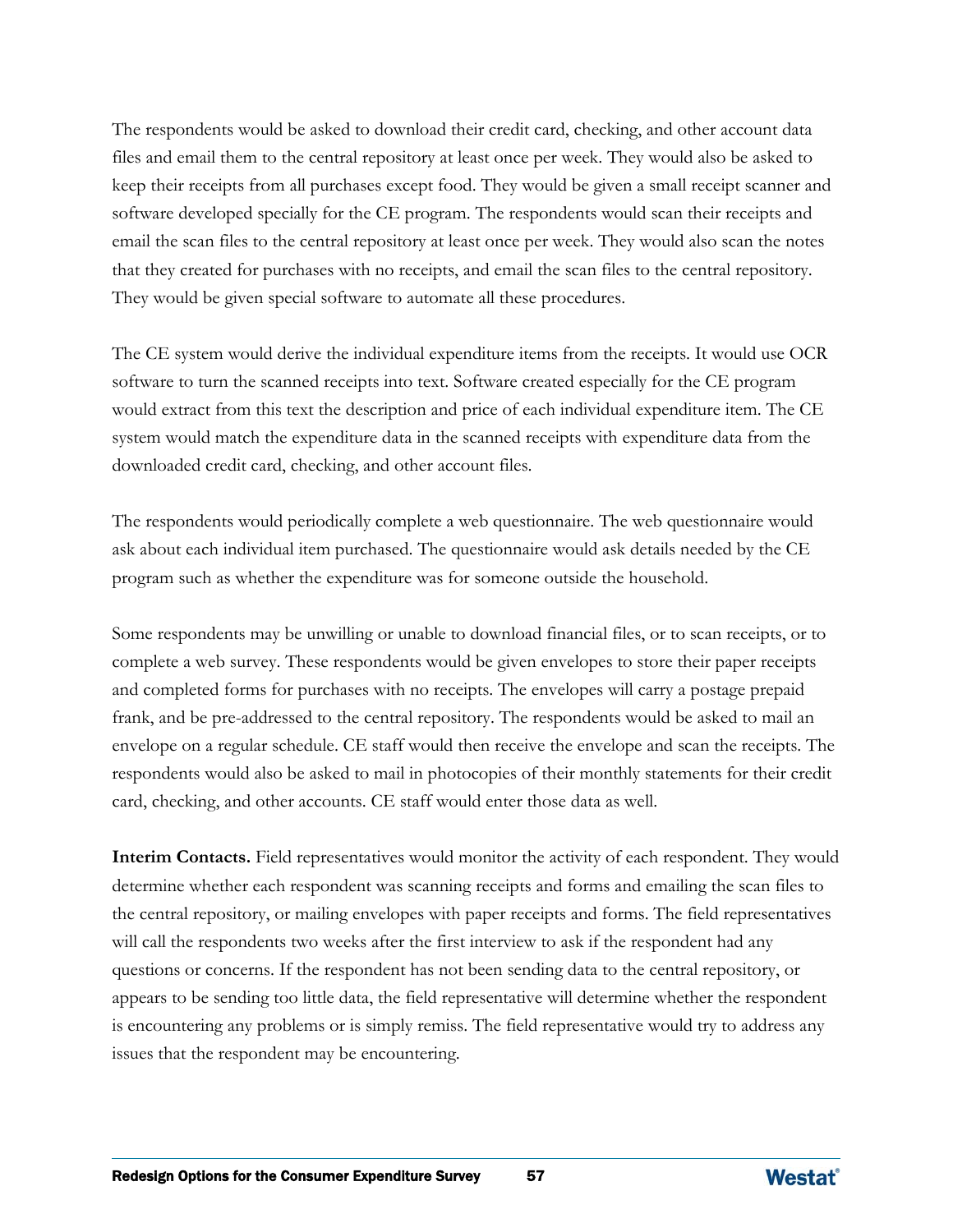The respondents would be asked to download their credit card, checking, and other account data files and email them to the central repository at least once per week. They would also be asked to keep their receipts from all purchases except food. They would be given a small receipt scanner and software developed specially for the CE program. The respondents would scan their receipts and email the scan files to the central repository at least once per week. They would also scan the notes that they created for purchases with no receipts, and email the scan files to the central repository. They would be given special software to automate all these procedures.

The CE system would derive the individual expenditure items from the receipts. It would use OCR software to turn the scanned receipts into text. Software created especially for the CE program would extract from this text the description and price of each individual expenditure item. The CE system would match the expenditure data in the scanned receipts with expenditure data from the downloaded credit card, checking, and other account files.

The respondents would periodically complete a web questionnaire. The web questionnaire would ask about each individual item purchased. The questionnaire would ask details needed by the CE program such as whether the expenditure was for someone outside the household.

Some respondents may be unwilling or unable to download financial files, or to scan receipts, or to complete a web survey. These respondents would be given envelopes to store their paper receipts and completed forms for purchases with no receipts. The envelopes will carry a postage prepaid frank, and be pre-addressed to the central repository. The respondents would be asked to mail an envelope on a regular schedule. CE staff would then receive the envelope and scan the receipts. The respondents would also be asked to mail in photocopies of their monthly statements for their credit card, checking, and other accounts. CE staff would enter those data as well.

**Interim Contacts.** Field representatives would monitor the activity of each respondent. They would determine whether each respondent was scanning receipts and forms and emailing the scan files to the central repository, or mailing envelopes with paper receipts and forms. The field representatives will call the respondents two weeks after the first interview to ask if the respondent had any questions or concerns. If the respondent has not been sending data to the central repository, or appears to be sending too little data, the field representative will determine whether the respondent is encountering any problems or is simply remiss. The field representative would try to address any issues that the respondent may be encountering.

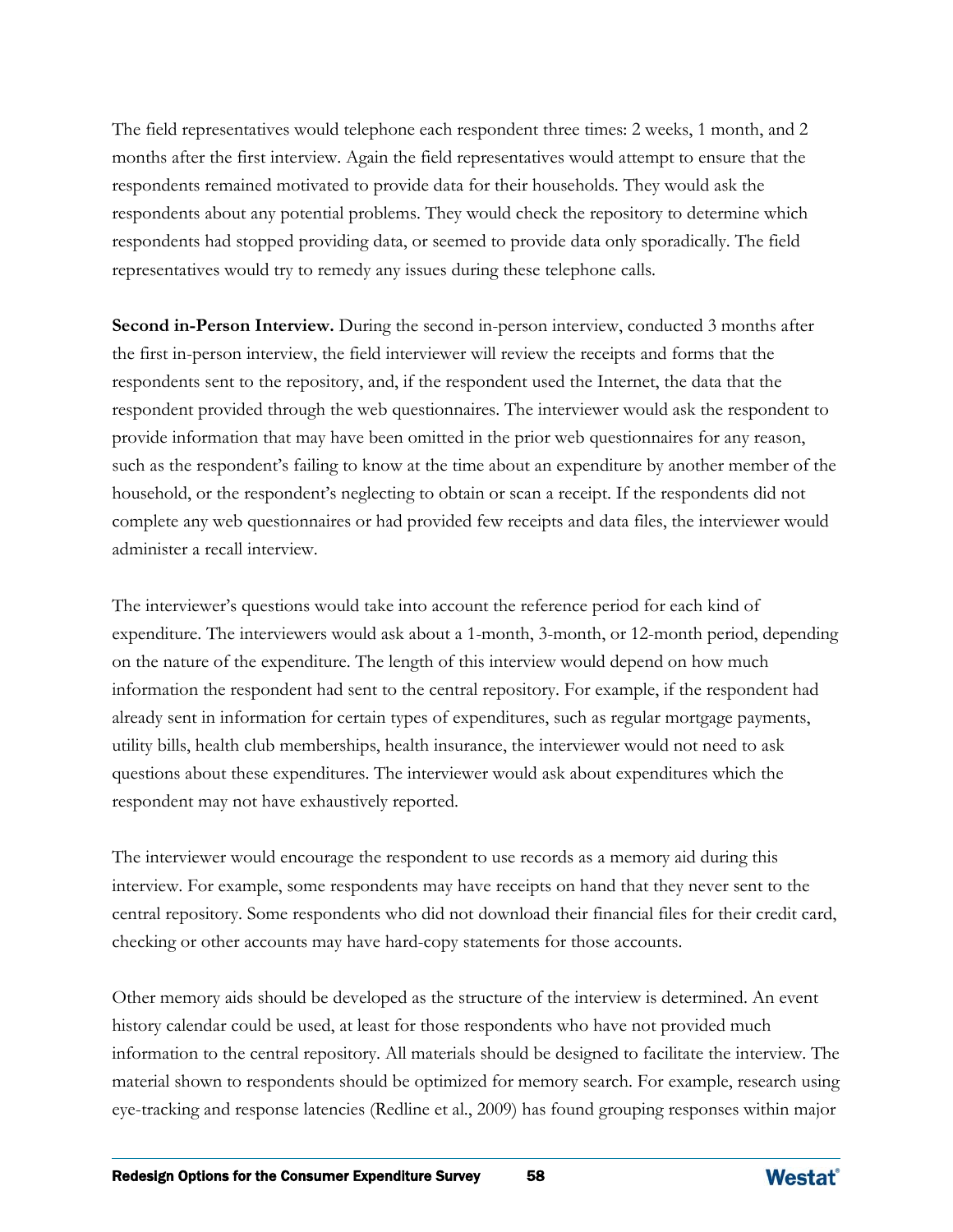The field representatives would telephone each respondent three times: 2 weeks, 1 month, and 2 months after the first interview. Again the field representatives would attempt to ensure that the respondents remained motivated to provide data for their households. They would ask the respondents about any potential problems. They would check the repository to determine which respondents had stopped providing data, or seemed to provide data only sporadically. The field representatives would try to remedy any issues during these telephone calls.

**Second in-Person Interview.** During the second in-person interview, conducted 3 months after the first in-person interview, the field interviewer will review the receipts and forms that the respondents sent to the repository, and, if the respondent used the Internet, the data that the respondent provided through the web questionnaires. The interviewer would ask the respondent to provide information that may have been omitted in the prior web questionnaires for any reason, such as the respondent's failing to know at the time about an expenditure by another member of the household, or the respondent's neglecting to obtain or scan a receipt. If the respondents did not complete any web questionnaires or had provided few receipts and data files, the interviewer would administer a recall interview.

The interviewer's questions would take into account the reference period for each kind of expenditure. The interviewers would ask about a 1-month, 3-month, or 12-month period, depending on the nature of the expenditure. The length of this interview would depend on how much information the respondent had sent to the central repository. For example, if the respondent had already sent in information for certain types of expenditures, such as regular mortgage payments, utility bills, health club memberships, health insurance, the interviewer would not need to ask questions about these expenditures. The interviewer would ask about expenditures which the respondent may not have exhaustively reported.

The interviewer would encourage the respondent to use records as a memory aid during this interview. For example, some respondents may have receipts on hand that they never sent to the central repository. Some respondents who did not download their financial files for their credit card, checking or other accounts may have hard-copy statements for those accounts.

Other memory aids should be developed as the structure of the interview is determined. An event history calendar could be used, at least for those respondents who have not provided much information to the central repository. All materials should be designed to facilitate the interview. The material shown to respondents should be optimized for memory search. For example, research using eye-tracking and response latencies (Redline et al., 2009) has found grouping responses within major

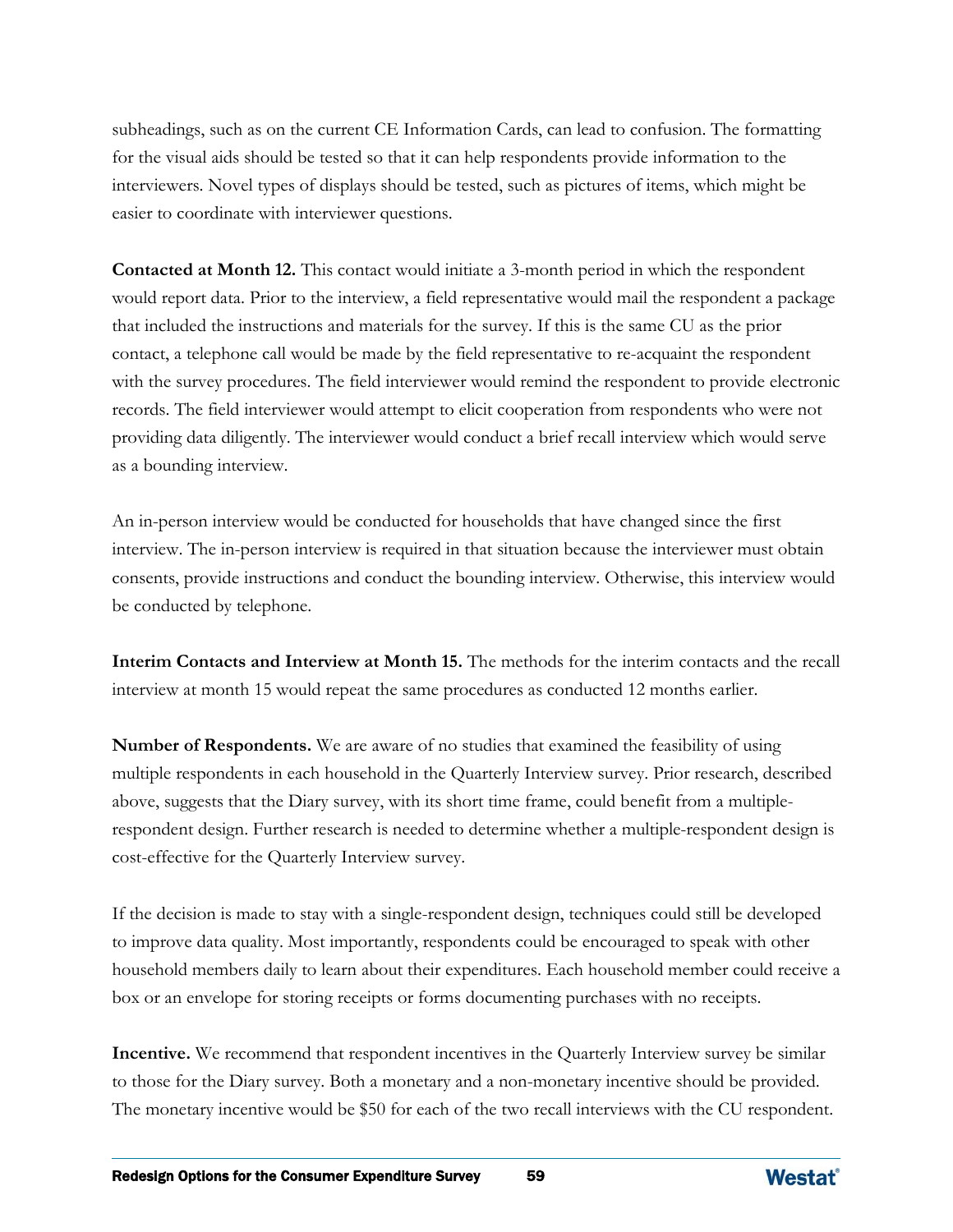subheadings, such as on the current CE Information Cards, can lead to confusion. The formatting for the visual aids should be tested so that it can help respondents provide information to the interviewers. Novel types of displays should be tested, such as pictures of items, which might be easier to coordinate with interviewer questions.

**Contacted at Month 12.** This contact would initiate a 3-month period in which the respondent would report data. Prior to the interview, a field representative would mail the respondent a package that included the instructions and materials for the survey. If this is the same CU as the prior contact, a telephone call would be made by the field representative to re-acquaint the respondent with the survey procedures. The field interviewer would remind the respondent to provide electronic records. The field interviewer would attempt to elicit cooperation from respondents who were not providing data diligently. The interviewer would conduct a brief recall interview which would serve as a bounding interview.

An in-person interview would be conducted for households that have changed since the first interview. The in-person interview is required in that situation because the interviewer must obtain consents, provide instructions and conduct the bounding interview. Otherwise, this interview would be conducted by telephone.

**Interim Contacts and Interview at Month 15.** The methods for the interim contacts and the recall interview at month 15 would repeat the same procedures as conducted 12 months earlier.

**Number of Respondents.** We are aware of no studies that examined the feasibility of using multiple respondents in each household in the Quarterly Interview survey. Prior research, described above, suggests that the Diary survey, with its short time frame, could benefit from a multiplerespondent design. Further research is needed to determine whether a multiple-respondent design is cost-effective for the Quarterly Interview survey.

If the decision is made to stay with a single-respondent design, techniques could still be developed to improve data quality. Most importantly, respondents could be encouraged to speak with other household members daily to learn about their expenditures. Each household member could receive a box or an envelope for storing receipts or forms documenting purchases with no receipts.

**Incentive.** We recommend that respondent incentives in the Quarterly Interview survey be similar to those for the Diary survey. Both a monetary and a non-monetary incentive should be provided. The monetary incentive would be \$50 for each of the two recall interviews with the CU respondent.

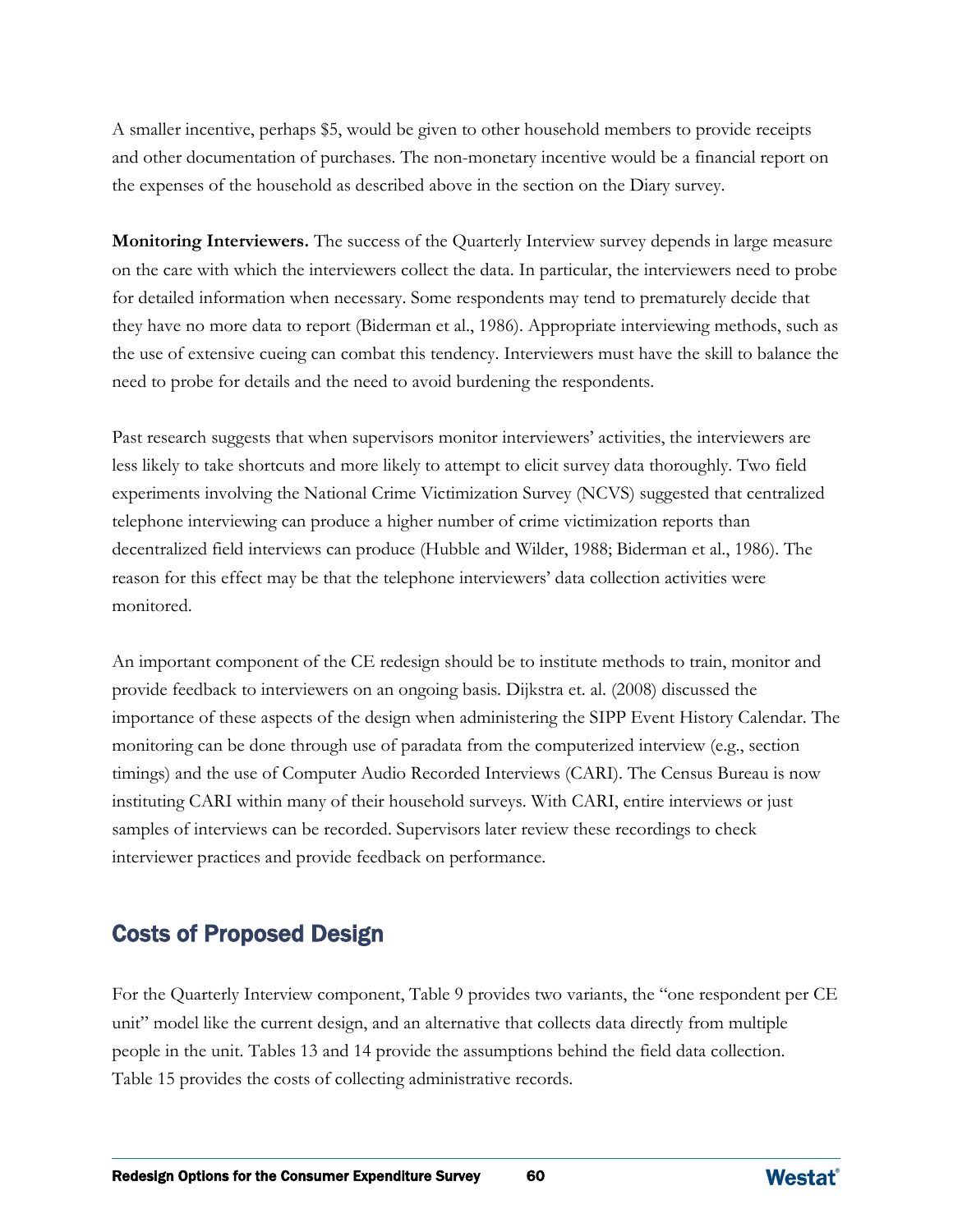A smaller incentive, perhaps \$5, would be given to other household members to provide receipts and other documentation of purchases. The non-monetary incentive would be a financial report on the expenses of the household as described above in the section on the Diary survey.

**Monitoring Interviewers.** The success of the Quarterly Interview survey depends in large measure on the care with which the interviewers collect the data. In particular, the interviewers need to probe for detailed information when necessary. Some respondents may tend to prematurely decide that they have no more data to report (Biderman et al., 1986). Appropriate interviewing methods, such as the use of extensive cueing can combat this tendency. Interviewers must have the skill to balance the need to probe for details and the need to avoid burdening the respondents.

Past research suggests that when supervisors monitor interviewers' activities, the interviewers are less likely to take shortcuts and more likely to attempt to elicit survey data thoroughly. Two field experiments involving the National Crime Victimization Survey (NCVS) suggested that centralized telephone interviewing can produce a higher number of crime victimization reports than decentralized field interviews can produce (Hubble and Wilder, 1988; Biderman et al., 1986). The reason for this effect may be that the telephone interviewers' data collection activities were monitored.

An important component of the CE redesign should be to institute methods to train, monitor and provide feedback to interviewers on an ongoing basis. Dijkstra et. al. (2008) discussed the importance of these aspects of the design when administering the SIPP Event History Calendar. The monitoring can be done through use of paradata from the computerized interview (e.g., section timings) and the use of Computer Audio Recorded Interviews (CARI). The Census Bureau is now instituting CARI within many of their household surveys. With CARI, entire interviews or just samples of interviews can be recorded. Supervisors later review these recordings to check interviewer practices and provide feedback on performance.

## Costs of Proposed Design

For the Quarterly Interview component, Table 9 provides two variants, the "one respondent per CE unit" model like the current design, and an alternative that collects data directly from multiple people in the unit. Tables 13 and 14 provide the assumptions behind the field data collection. Table 15 provides the costs of collecting administrative records.

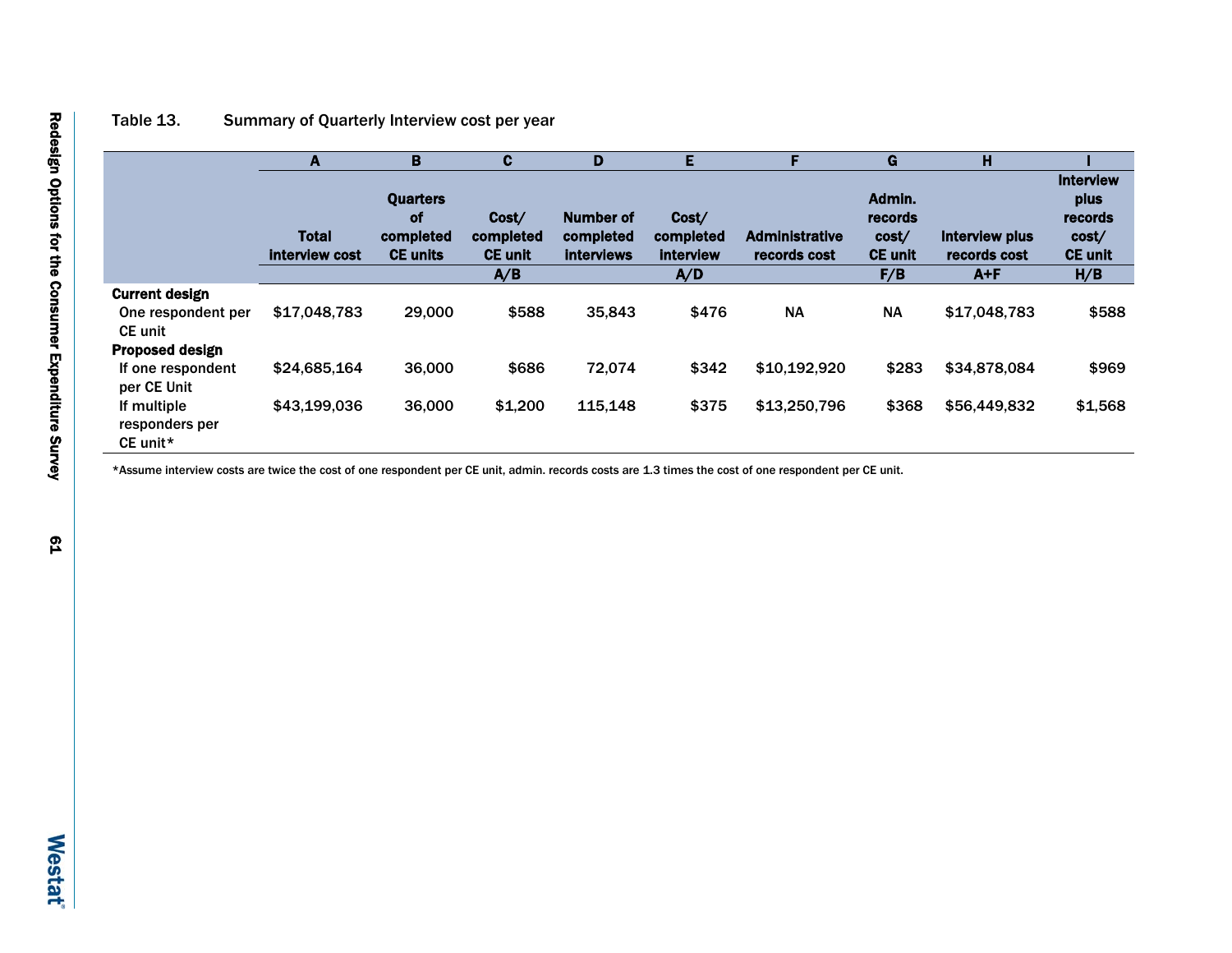## Table 13. Summary of Quarterly Interview cost per year

|                                           | A                              | B                                                            | $\mathbf{c}$                                | D                                           | E                                      | Е                                     | G                                                   | н                                         |                                                                       |
|-------------------------------------------|--------------------------------|--------------------------------------------------------------|---------------------------------------------|---------------------------------------------|----------------------------------------|---------------------------------------|-----------------------------------------------------|-------------------------------------------|-----------------------------------------------------------------------|
|                                           | <b>Total</b><br>interview cost | <b>Quarters</b><br><b>of</b><br>completed<br><b>CE units</b> | Cost/<br>completed<br><b>CE unit</b><br>A/B | Number of<br>completed<br><b>interviews</b> | Cost/<br>completed<br>interview<br>A/D | <b>Administrative</b><br>records cost | Admin.<br>records<br>cost/<br><b>CE unit</b><br>F/B | Interview plus<br>records cost<br>$A + F$ | <b>Interview</b><br>plus<br>records<br>cost/<br><b>CE unit</b><br>H/B |
| <b>Current design</b>                     |                                |                                                              |                                             |                                             |                                        |                                       |                                                     |                                           |                                                                       |
| One respondent per<br><b>CE</b> unit      | \$17,048,783                   | 29,000                                                       | \$588                                       | 35,843                                      | \$476                                  | <b>NA</b>                             | <b>NA</b>                                           | \$17,048,783                              | \$588                                                                 |
| <b>Proposed design</b>                    |                                |                                                              |                                             |                                             |                                        |                                       |                                                     |                                           |                                                                       |
| If one respondent<br>per CE Unit          | \$24,685,164                   | 36,000                                                       | \$686                                       | 72.074                                      | \$342                                  | \$10,192,920                          | \$283                                               | \$34,878,084                              | \$969                                                                 |
| If multiple<br>responders per<br>CE unit* | \$43,199,036                   | 36,000                                                       | \$1,200                                     | 115,148                                     | \$375                                  | \$13,250,796                          | \$368                                               | \$56,449,832                              | \$1,568                                                               |

\*Assume interview costs are twice the cost of one respondent per CE unit, admin. records costs are 1.3 times the cost of one respondent per CE unit.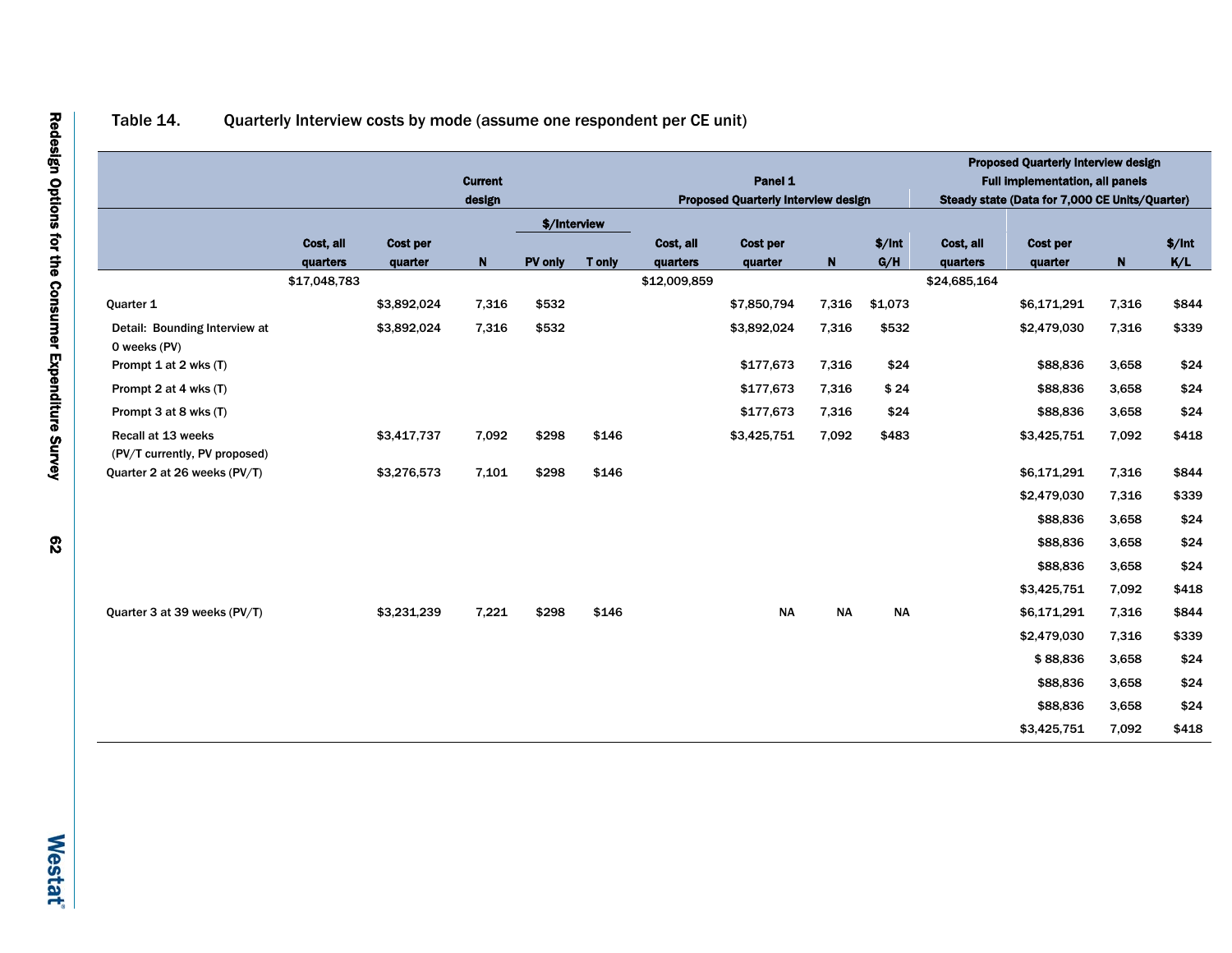## Table 14. Quarterly Interview costs by mode (assume one respondent per CE unit)

|                                                     |              |                 | <b>Current</b><br>design |              |               |              | Panel 1<br><b>Proposed Quarterly Interview design</b> |             |           |              | <b>Proposed Quarterly Interview design</b><br><b>Full implementation, all panels</b><br>Steady state (Data for 7,000 CE Units/Quarter) |             |        |
|-----------------------------------------------------|--------------|-----------------|--------------------------|--------------|---------------|--------------|-------------------------------------------------------|-------------|-----------|--------------|----------------------------------------------------------------------------------------------------------------------------------------|-------------|--------|
|                                                     |              |                 |                          | \$/Interview |               |              |                                                       |             |           |              |                                                                                                                                        |             |        |
|                                                     | Cost, all    | <b>Cost per</b> |                          |              |               | Cost, all    | Cost per                                              |             | \$/Int    | Cost, all    | Cost per                                                                                                                               |             | \$/Int |
|                                                     | quarters     | quarter         | $\mathbf N$              | PV only      | <b>T</b> only | quarters     | quarter                                               | $\mathbf N$ | G/H       | quarters     | quarter                                                                                                                                | $\mathbf N$ | K/L    |
|                                                     | \$17,048,783 |                 |                          |              |               | \$12,009,859 |                                                       |             |           | \$24,685,164 |                                                                                                                                        |             |        |
| Quarter 1                                           |              | \$3,892,024     | 7,316                    | \$532        |               |              | \$7,850,794                                           | 7,316       | \$1,073   |              | \$6,171,291                                                                                                                            | 7,316       | \$844  |
| Detail: Bounding Interview at<br>0 weeks (PV)       |              | \$3,892,024     | 7,316                    | \$532        |               |              | \$3,892,024                                           | 7,316       | \$532     |              | \$2,479,030                                                                                                                            | 7,316       | \$339  |
| Prompt 1 at 2 wks (T)                               |              |                 |                          |              |               |              | \$177,673                                             | 7,316       | \$24      |              | \$88,836                                                                                                                               | 3,658       | \$24   |
| Prompt 2 at 4 wks (T)                               |              |                 |                          |              |               |              | \$177,673                                             | 7,316       | \$24      |              | \$88,836                                                                                                                               | 3,658       | \$24   |
| Prompt 3 at 8 wks (T)                               |              |                 |                          |              |               |              | \$177,673                                             | 7,316       | \$24      |              | \$88,836                                                                                                                               | 3,658       | \$24   |
| Recall at 13 weeks<br>(PV/T currently, PV proposed) |              | \$3,417,737     | 7,092                    | \$298        | \$146         |              | \$3,425,751                                           | 7,092       | \$483     |              | \$3,425,751                                                                                                                            | 7,092       | \$418  |
| Quarter 2 at 26 weeks (PV/T)                        |              | \$3,276,573     | 7,101                    | \$298        | \$146         |              |                                                       |             |           |              | \$6,171,291                                                                                                                            | 7,316       | \$844  |
|                                                     |              |                 |                          |              |               |              |                                                       |             |           |              | \$2,479,030                                                                                                                            | 7,316       | \$339  |
|                                                     |              |                 |                          |              |               |              |                                                       |             |           |              | \$88,836                                                                                                                               | 3,658       | \$24   |
|                                                     |              |                 |                          |              |               |              |                                                       |             |           |              | \$88,836                                                                                                                               | 3,658       | \$24   |
|                                                     |              |                 |                          |              |               |              |                                                       |             |           |              | \$88,836                                                                                                                               | 3,658       | \$24   |
|                                                     |              |                 |                          |              |               |              |                                                       |             |           |              | \$3,425,751                                                                                                                            | 7,092       | \$418  |
| Quarter 3 at 39 weeks (PV/T)                        |              | \$3,231,239     | 7,221                    | \$298        | \$146         |              | <b>NA</b>                                             | <b>NA</b>   | <b>NA</b> |              | \$6,171,291                                                                                                                            | 7,316       | \$844  |
|                                                     |              |                 |                          |              |               |              |                                                       |             |           |              | \$2,479,030                                                                                                                            | 7,316       | \$339  |
|                                                     |              |                 |                          |              |               |              |                                                       |             |           |              | \$88,836                                                                                                                               | 3,658       | \$24   |
|                                                     |              |                 |                          |              |               |              |                                                       |             |           |              | \$88,836                                                                                                                               | 3,658       | \$24   |
|                                                     |              |                 |                          |              |               |              |                                                       |             |           |              | \$88,836                                                                                                                               | 3,658       | \$24   |
|                                                     |              |                 |                          |              |               |              |                                                       |             |           |              |                                                                                                                                        |             |        |
|                                                     |              |                 |                          |              |               |              |                                                       |             |           |              | \$3,425,751                                                                                                                            | 7,092       | \$418  |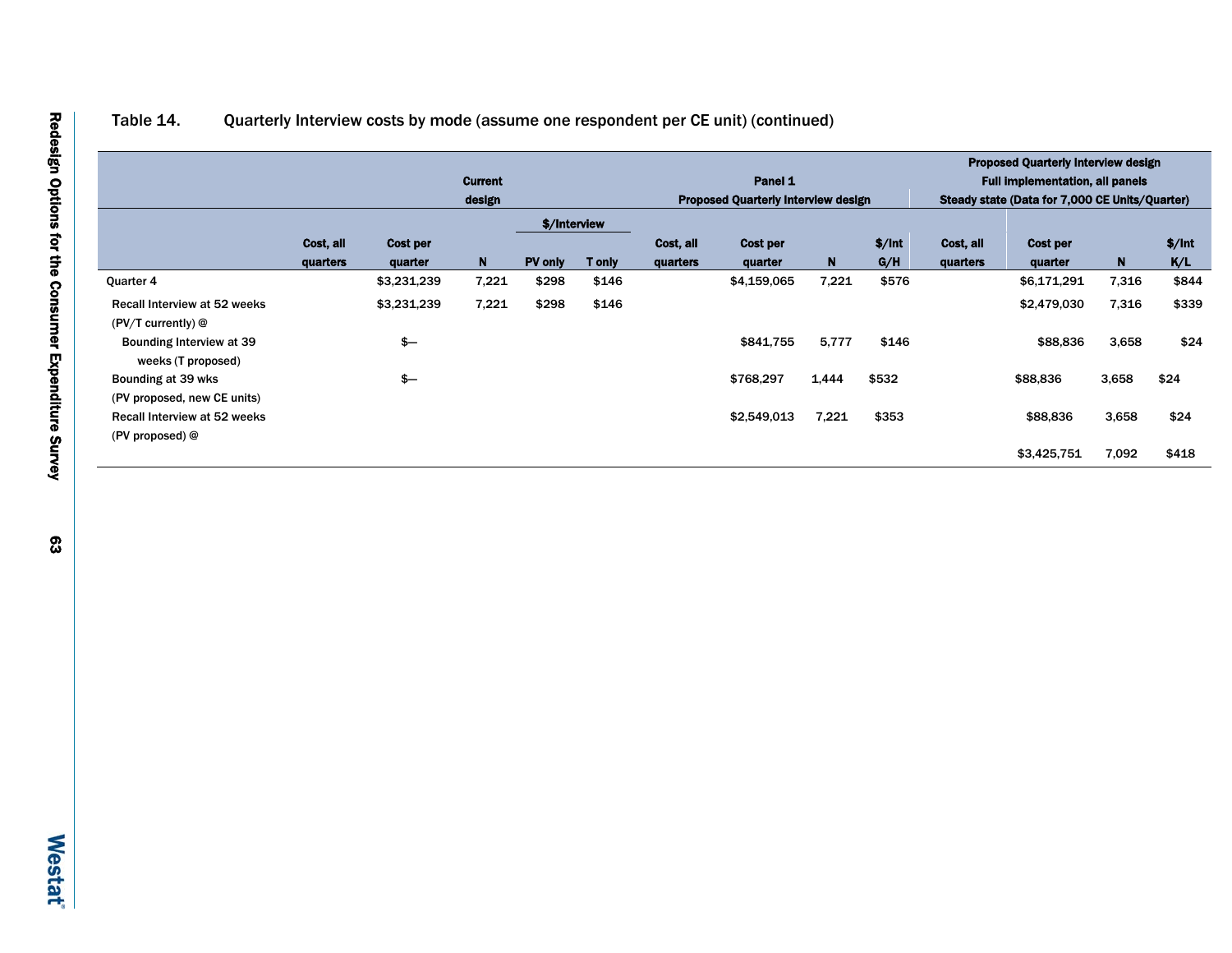## Table 14. Quarterly Interview costs by mode (assume one respondent per CE unit) (continued)

|                                                |           |               |                |              |               |           |                                            |       |        |           | <b>Proposed Quarterly Interview design</b>     |       |        |  |  |
|------------------------------------------------|-----------|---------------|----------------|--------------|---------------|-----------|--------------------------------------------|-------|--------|-----------|------------------------------------------------|-------|--------|--|--|
|                                                |           |               | <b>Current</b> |              |               |           | Panel 1                                    |       |        |           | <b>Full implementation, all panels</b>         |       |        |  |  |
|                                                |           | design        |                |              |               |           | <b>Proposed Quarterly Interview design</b> |       |        |           | Steady state (Data for 7,000 CE Units/Quarter) |       |        |  |  |
|                                                |           |               |                | \$/Interview |               |           |                                            |       |        |           |                                                |       |        |  |  |
|                                                | Cost, all | Cost per      |                |              |               | Cost. all | Cost per                                   |       | \$/Int | Cost, all | Cost per                                       |       | \$/Int |  |  |
|                                                | quarters  | quarter       | $\mathbf N$    | PV only      | <b>T</b> only | quarters  | quarter                                    | N     | G/H    | quarters  | quarter                                        | N.    | K/L    |  |  |
| Quarter 4                                      |           | \$3,231,239   | 7,221          | \$298        | \$146         |           | \$4,159,065                                | 7,221 | \$576  |           | \$6,171,291                                    | 7,316 | \$844  |  |  |
| Recall Interview at 52 weeks                   |           | \$3,231,239   | 7,221          | \$298        | \$146         |           |                                            |       |        |           | \$2,479,030                                    | 7,316 | \$339  |  |  |
| $(PV/T$ currently) $@$                         |           |               |                |              |               |           |                                            |       |        |           |                                                |       |        |  |  |
| Bounding Interview at 39<br>weeks (T proposed) |           | $\frac{2}{3}$ |                |              |               |           | \$841,755                                  | 5,777 | \$146  |           | \$88,836                                       | 3,658 | \$24   |  |  |
| Bounding at 39 wks                             |           | $s-$          |                |              |               |           | \$768,297                                  | 1,444 | \$532  |           | \$88,836                                       | 3,658 | \$24   |  |  |
| (PV proposed, new CE units)                    |           |               |                |              |               |           |                                            |       |        |           |                                                |       |        |  |  |
| Recall Interview at 52 weeks                   |           |               |                |              |               |           | \$2,549,013                                | 7,221 | \$353  |           | \$88,836                                       | 3,658 | \$24   |  |  |
| (PV proposed) $@$                              |           |               |                |              |               |           |                                            |       |        |           |                                                |       |        |  |  |
|                                                |           |               |                |              |               |           |                                            |       |        |           | \$3,425,751                                    | 7,092 | \$418  |  |  |
|                                                |           |               |                |              |               |           |                                            |       |        |           |                                                |       |        |  |  |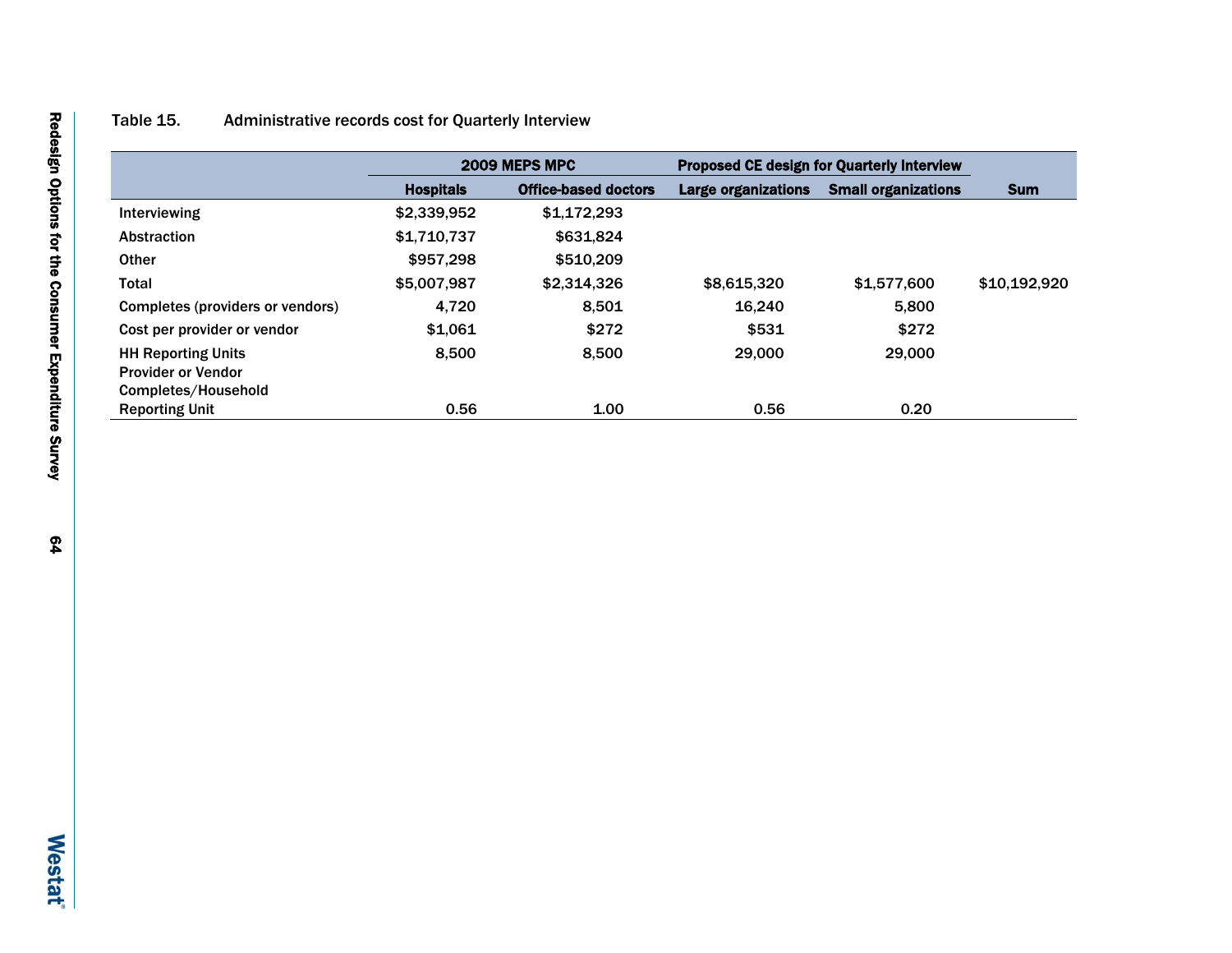## Table 15. Administrative records cost for Quarterly Interview

|                                              |                  | 2009 MEPS MPC               |                            | <b>Proposed CE design for Quarterly Interview</b> |              |
|----------------------------------------------|------------------|-----------------------------|----------------------------|---------------------------------------------------|--------------|
|                                              | <b>Hospitals</b> | <b>Office-based doctors</b> | <b>Large organizations</b> | <b>Small organizations</b>                        | <b>Sum</b>   |
| Interviewing                                 | \$2,339,952      | \$1.172.293                 |                            |                                                   |              |
| Abstraction                                  | \$1,710,737      | \$631,824                   |                            |                                                   |              |
| <b>Other</b>                                 | \$957,298        | \$510,209                   |                            |                                                   |              |
| <b>Total</b>                                 | \$5,007.987      | \$2,314,326                 | \$8,615,320                | \$1,577,600                                       | \$10,192,920 |
| Completes (providers or vendors)             | 4.720            | 8.501                       | 16.240                     | 5.800                                             |              |
| Cost per provider or vendor                  | \$1.061          | \$272                       | \$531                      | \$272                                             |              |
| <b>HH Reporting Units</b>                    | 8.500            | 8.500                       | 29,000                     | 29,000                                            |              |
| <b>Provider or Vendor</b>                    |                  |                             |                            |                                                   |              |
| Completes/Household<br><b>Reporting Unit</b> | 0.56             | 1.00                        | 0.56                       | 0.20                                              |              |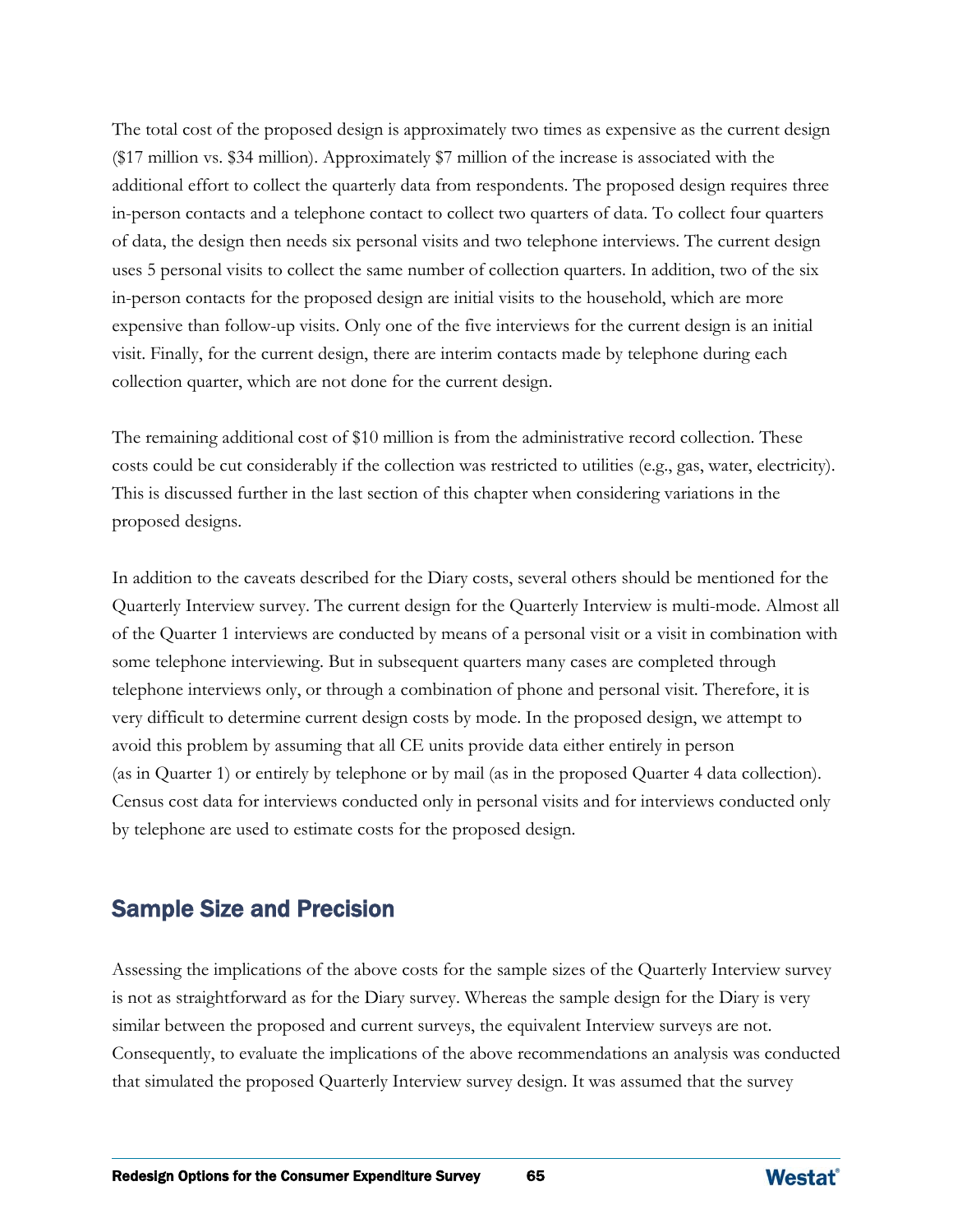The total cost of the proposed design is approximately two times as expensive as the current design (\$17 million vs. \$34 million). Approximately \$7 million of the increase is associated with the additional effort to collect the quarterly data from respondents. The proposed design requires three in-person contacts and a telephone contact to collect two quarters of data. To collect four quarters of data, the design then needs six personal visits and two telephone interviews. The current design uses 5 personal visits to collect the same number of collection quarters. In addition, two of the six in-person contacts for the proposed design are initial visits to the household, which are more expensive than follow-up visits. Only one of the five interviews for the current design is an initial visit. Finally, for the current design, there are interim contacts made by telephone during each collection quarter, which are not done for the current design.

The remaining additional cost of \$10 million is from the administrative record collection. These costs could be cut considerably if the collection was restricted to utilities (e.g., gas, water, electricity). This is discussed further in the last section of this chapter when considering variations in the proposed designs.

In addition to the caveats described for the Diary costs, several others should be mentioned for the Quarterly Interview survey. The current design for the Quarterly Interview is multi-mode. Almost all of the Quarter 1 interviews are conducted by means of a personal visit or a visit in combination with some telephone interviewing. But in subsequent quarters many cases are completed through telephone interviews only, or through a combination of phone and personal visit. Therefore, it is very difficult to determine current design costs by mode. In the proposed design, we attempt to avoid this problem by assuming that all CE units provide data either entirely in person (as in Quarter 1) or entirely by telephone or by mail (as in the proposed Quarter 4 data collection). Census cost data for interviews conducted only in personal visits and for interviews conducted only by telephone are used to estimate costs for the proposed design.

## Sample Size and Precision

Assessing the implications of the above costs for the sample sizes of the Quarterly Interview survey is not as straightforward as for the Diary survey. Whereas the sample design for the Diary is very similar between the proposed and current surveys, the equivalent Interview surveys are not. Consequently, to evaluate the implications of the above recommendations an analysis was conducted that simulated the proposed Quarterly Interview survey design. It was assumed that the survey

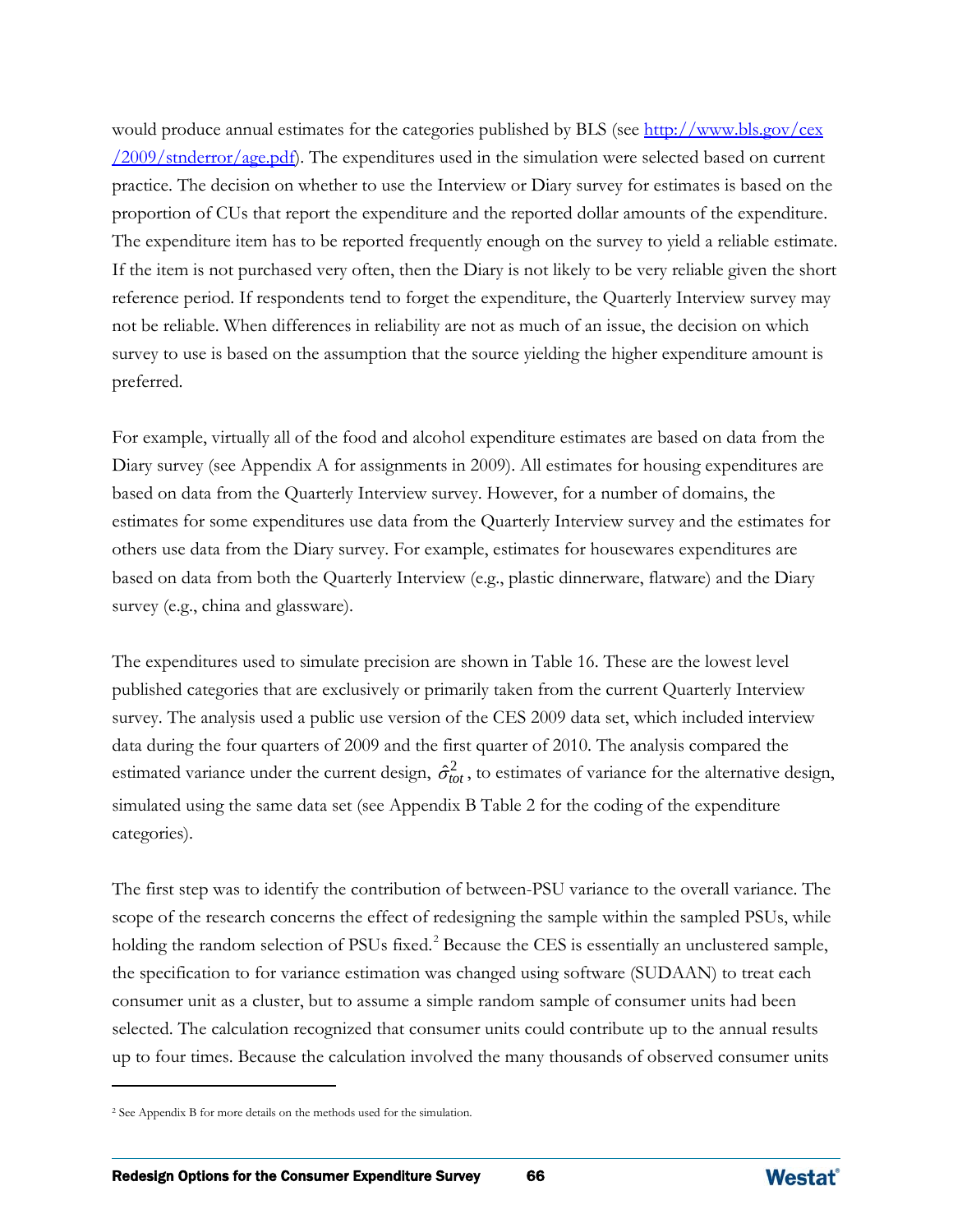would produce annual estimates for the categories published by BLS (see [http://www.bls.gov/cex](http://www.bls.gov/cex/2009/stnderror/age.pdf)  $/2009/\text{stnderror}/\text{age.pdf}$ . The expenditures used in the simulation were selected based on current practice. The decision on whether to use the Interview or Diary survey for estimates is based on the proportion of CUs that report the expenditure and the reported dollar amounts of the expenditure. The expenditure item has to be reported frequently enough on the survey to yield a reliable estimate. If the item is not purchased very often, then the Diary is not likely to be very reliable given the short reference period. If respondents tend to forget the expenditure, the Quarterly Interview survey may not be reliable. When differences in reliability are not as much of an issue, the decision on which survey to use is based on the assumption that the source yielding the higher expenditure amount is preferred.

For example, virtually all of the food and alcohol expenditure estimates are based on data from the Diary survey (see Appendix A for assignments in 2009). All estimates for housing expenditures are based on data from the Quarterly Interview survey. However, for a number of domains, the estimates for some expenditures use data from the Quarterly Interview survey and the estimates for others use data from the Diary survey. For example, estimates for housewares expenditures are based on data from both the Quarterly Interview (e.g., plastic dinnerware, flatware) and the Diary survey (e.g., china and glassware).

The expenditures used to simulate precision are shown in Table 16. These are the lowest level published categories that are exclusively or primarily taken from the current Quarterly Interview survey. The analysis used a public use version of the CES 2009 data set, which included interview data during the four quarters of 2009 and the first quarter of 2010. The analysis compared the estimated variance under the current design,  $\hat{\sigma}_{tot}^2$ , to estimates of variance for the alternative design, simulated using the same data set (see Appendix B Table 2 for the coding of the expenditure categories).

The first step was to identify the contribution of between-PSU variance to the overall variance. The scope of the research concerns the effect of redesigning the sample within the sampled PSUs, while holding the random selection of PSUs fixed.<sup>[2](#page-86-0)</sup> Because the CES is essentially an unclustered sample, the specification to for variance estimation was changed using software (SUDAAN) to treat each consumer unit as a cluster, but to assume a simple random sample of consumer units had been selected. The calculation recognized that consumer units could contribute up to the annual results up to four times. Because the calculation involved the many thousands of observed consumer units

 $\overline{a}$ 



<span id="page-86-0"></span><sup>2</sup> See Appendix B for more details on the methods used for the simulation.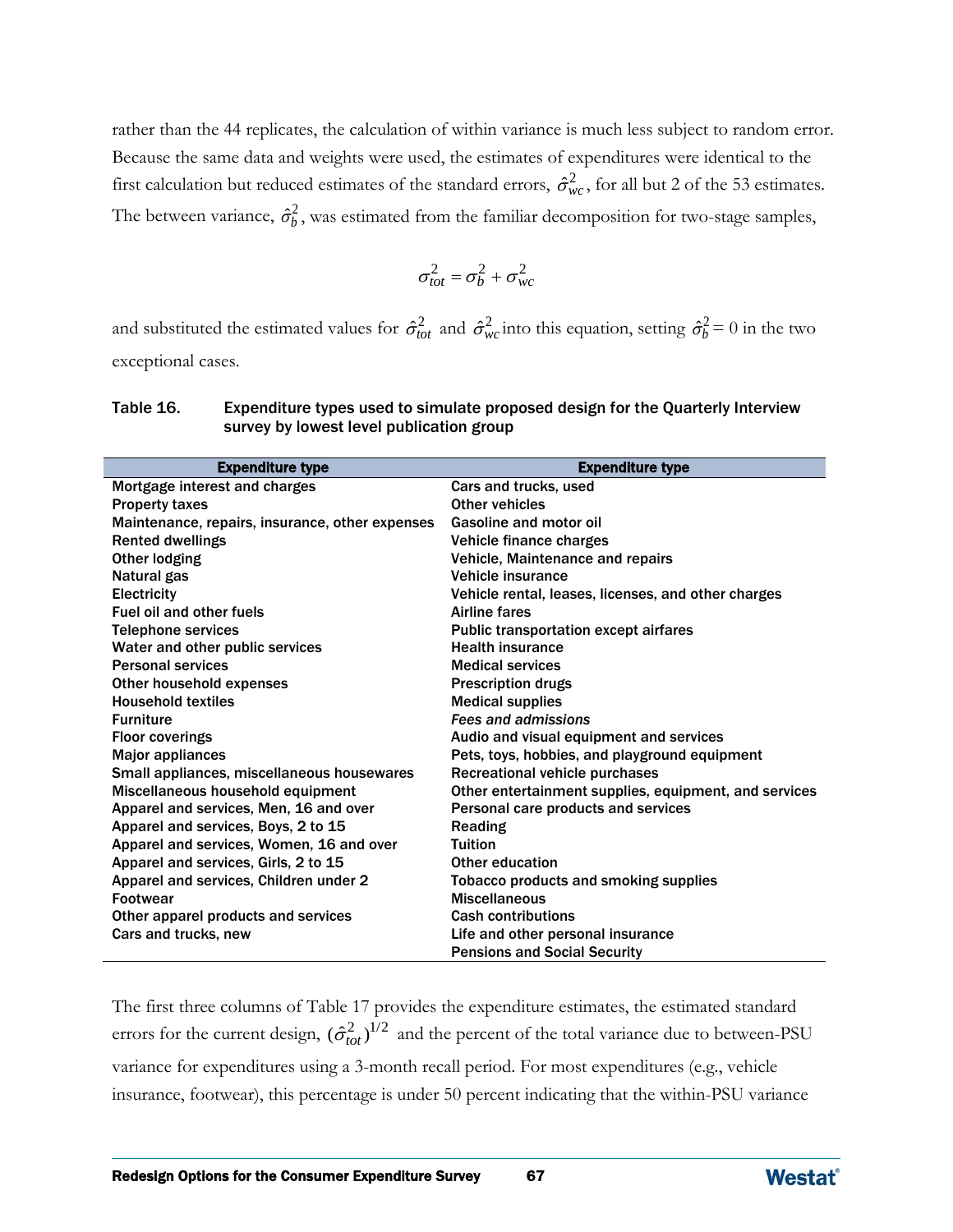rather than the 44 replicates, the calculation of within variance is much less subject to random error. Because the same data and weights were used, the estimates of expenditures were identical to the first calculation but reduced estimates of the standard errors,  $\hat{\sigma}_{wc}^2$ , for all but 2 of the 53 estimates. The between variance,  $\hat{\sigma}_b^2$ , was estimated from the familiar decomposition for two-stage samples,

$$
\sigma_{tot}^2 = \sigma_b^2 + \sigma_{wc}^2
$$

and substituted the estimated values for  $\hat{\sigma}_{tot}^2$  and  $\hat{\sigma}_{wc}^2$  into this equation, setting  $\hat{\sigma}_b^2 = 0$  in the two exceptional cases.

| <b>Expenditure type</b>                         | <b>Expenditure type</b>                               |
|-------------------------------------------------|-------------------------------------------------------|
| Mortgage interest and charges                   | Cars and trucks, used                                 |
| <b>Property taxes</b>                           | Other vehicles                                        |
| Maintenance, repairs, insurance, other expenses | <b>Gasoline and motor oil</b>                         |
| <b>Rented dwellings</b>                         | Vehicle finance charges                               |
| Other lodging                                   | Vehicle, Maintenance and repairs                      |
| Natural gas                                     | Vehicle insurance                                     |
| Electricity                                     | Vehicle rental, leases, licenses, and other charges   |
| <b>Fuel oil and other fuels</b>                 | <b>Airline fares</b>                                  |
| <b>Telephone services</b>                       | <b>Public transportation except airfares</b>          |
| Water and other public services                 | <b>Health insurance</b>                               |
| <b>Personal services</b>                        | <b>Medical services</b>                               |
| Other household expenses                        | <b>Prescription drugs</b>                             |
| <b>Household textiles</b>                       | <b>Medical supplies</b>                               |
| <b>Furniture</b>                                | <b>Fees and admissions</b>                            |
| <b>Floor coverings</b>                          | Audio and visual equipment and services               |
| Major appliances                                | Pets, toys, hobbies, and playground equipment         |
| Small appliances, miscellaneous housewares      | Recreational vehicle purchases                        |
| Miscellaneous household equipment               | Other entertainment supplies, equipment, and services |
| Apparel and services, Men, 16 and over          | Personal care products and services                   |
| Apparel and services, Boys, 2 to 15             | Reading                                               |
| Apparel and services, Women, 16 and over        | <b>Tuition</b>                                        |
| Apparel and services, Girls, 2 to 15            | Other education                                       |
| Apparel and services, Children under 2          | <b>Tobacco products and smoking supplies</b>          |
| <b>Footwear</b>                                 | <b>Miscellaneous</b>                                  |
| Other apparel products and services             | <b>Cash contributions</b>                             |
| Cars and trucks, new                            | Life and other personal insurance                     |
|                                                 | <b>Pensions and Social Security</b>                   |

| Table 16. | Expenditure types used to simulate proposed design for the Quarterly Interview |
|-----------|--------------------------------------------------------------------------------|
|           | survey by lowest level publication group                                       |

The first three columns of Table 17 provides the expenditure estimates, the estimated standard errors for the current design,  $(\hat{\sigma}_{tot}^2)^{1/2}$  and the percent of the total variance due to between-PSU variance for expenditures using a 3-month recall period. For most expenditures (e.g., vehicle insurance, footwear), this percentage is under 50 percent indicating that the within-PSU variance

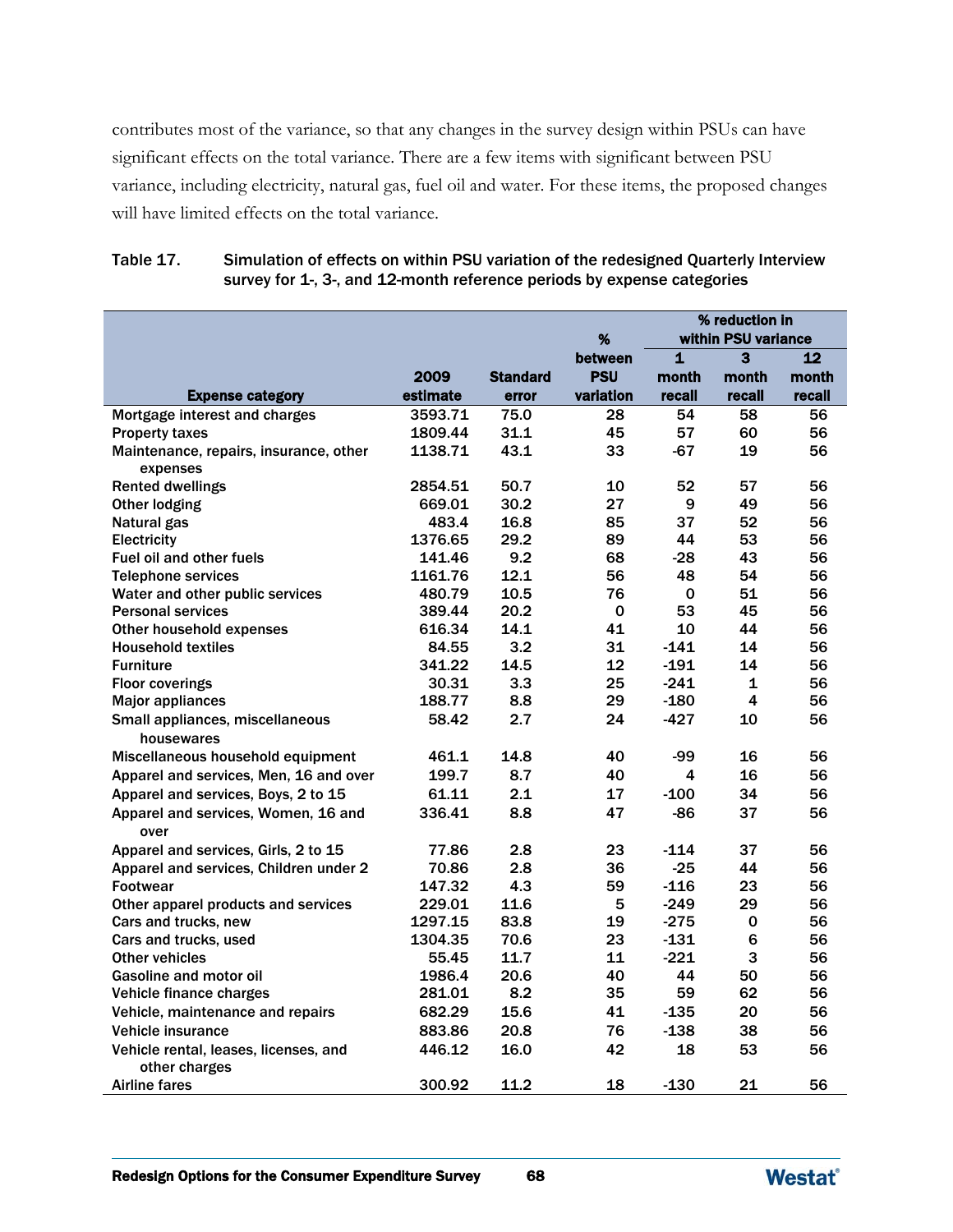contributes most of the variance, so that any changes in the survey design within PSUs can have significant effects on the total variance. There are a few items with significant between PSU variance, including electricity, natural gas, fuel oil and water. For these items, the proposed changes will have limited effects on the total variance.

|                                                        |                |                          | %                     |                 | % reduction in<br>within PSU variance |                 |
|--------------------------------------------------------|----------------|--------------------------|-----------------------|-----------------|---------------------------------------|-----------------|
|                                                        |                |                          |                       | $\mathbf{1}$    | 3                                     | 12              |
|                                                        | 2009           |                          | between<br><b>PSU</b> |                 |                                       |                 |
| <b>Expense category</b>                                | estimate       | <b>Standard</b><br>error | variation             | month<br>recall | month<br>recall                       | month<br>recall |
| Mortgage interest and charges                          | 3593.71        | 75.0                     | 28                    | 54              | 58                                    | 56              |
| <b>Property taxes</b>                                  | 1809.44        | 31.1                     | 45                    | 57              | 60                                    | 56              |
| Maintenance, repairs, insurance, other                 | 1138.71        | 43.1                     | 33                    | -67             | 19                                    | 56              |
| expenses                                               |                |                          |                       |                 |                                       |                 |
| <b>Rented dwellings</b>                                | 2854.51        | 50.7                     | 10                    | 52              | 57                                    | 56              |
| <b>Other lodging</b>                                   | 669.01         | 30.2                     | 27                    | 9               | 49                                    | 56              |
| Natural gas                                            | 483.4          | 16.8                     | 85                    | 37              | 52                                    | 56              |
| Electricity                                            | 1376.65        | 29.2                     | 89                    | 44              | 53                                    | 56              |
| <b>Fuel oil and other fuels</b>                        | 141.46         | 9.2                      | 68                    | $-28$           | 43                                    | 56              |
| <b>Telephone services</b>                              | 1161.76        | 12.1                     | 56                    | 48              | 54                                    | 56              |
| Water and other public services                        | 480.79         | 10.5                     | 76                    | $\mathbf 0$     | 51                                    | 56              |
| <b>Personal services</b>                               | 389.44         | 20.2                     | 0                     | 53              | 45                                    | 56              |
| Other household expenses                               | 616.34         | 14.1                     | 41                    | 10              | 44                                    | 56              |
| <b>Household textiles</b>                              | 84.55          | 3.2                      | 31                    | $-141$          | 14                                    | 56              |
| <b>Furniture</b>                                       | 341.22         | 14.5                     | 12                    | $-191$          | 14                                    | 56              |
| <b>Floor coverings</b>                                 | 30.31          | 3.3                      | 25                    | $-241$          | 1                                     | 56              |
| <b>Major appliances</b>                                | 188.77         | 8.8                      | 29                    | $-180$          | 4                                     | 56              |
| Small appliances, miscellaneous<br>housewares          | 58.42          | 2.7                      | 24                    | $-427$          | 10                                    | 56              |
|                                                        |                | 14.8                     | 40                    |                 | 16                                    | 56              |
| Miscellaneous household equipment                      | 461.1<br>199.7 |                          |                       | -99             |                                       |                 |
| Apparel and services, Men, 16 and over                 |                | 8.7                      | 40                    | 4               | 16                                    | 56              |
| Apparel and services, Boys, 2 to 15                    | 61.11          | 2.1                      | 17                    | $-100$          | 34                                    | 56              |
| Apparel and services, Women, 16 and<br>over            | 336.41         | 8.8                      | 47                    | $-86$           | 37                                    | 56              |
| Apparel and services, Girls, 2 to 15                   | 77.86          | 2.8                      | 23                    | $-114$          | 37                                    | 56              |
| Apparel and services, Children under 2                 | 70.86          | 2.8                      | 36                    | $-25$           | 44                                    | 56              |
| <b>Footwear</b>                                        | 147.32         | 4.3                      | 59                    | $-116$          | 23                                    | 56              |
| Other apparel products and services                    | 229.01         | 11.6                     | 5                     | $-249$          | 29                                    | 56              |
| Cars and trucks, new                                   | 1297.15        | 83.8                     | 19                    | $-275$          | 0                                     | 56              |
| Cars and trucks, used                                  | 1304.35        | 70.6                     | 23                    | $-131$          | 6                                     | 56              |
| Other vehicles                                         | 55.45          | 11.7                     | 11                    | $-221$          | 3                                     | 56              |
| <b>Gasoline and motor oil</b>                          | 1986.4         | 20.6                     | 40                    | 44              | 50                                    | 56              |
| Vehicle finance charges                                | 281.01         | 8.2                      | 35                    | 59              | 62                                    | 56              |
| Vehicle, maintenance and repairs                       | 682.29         | 15.6                     | 41                    | $-135$          | 20                                    | 56              |
| Vehicle insurance                                      | 883.86         | 20.8                     | 76                    | $-138$          | 38                                    | 56              |
| Vehicle rental, leases, licenses, and<br>other charges | 446.12         | 16.0                     | 42                    | 18              | 53                                    | 56              |
| <b>Airline fares</b>                                   | 300.92         | 11.2                     | 18                    | $-130$          | 21                                    | 56              |

#### Table 17. Simulation of effects on within PSU variation of the redesigned Quarterly Interview survey for 1-, 3-, and 12-month reference periods by expense categories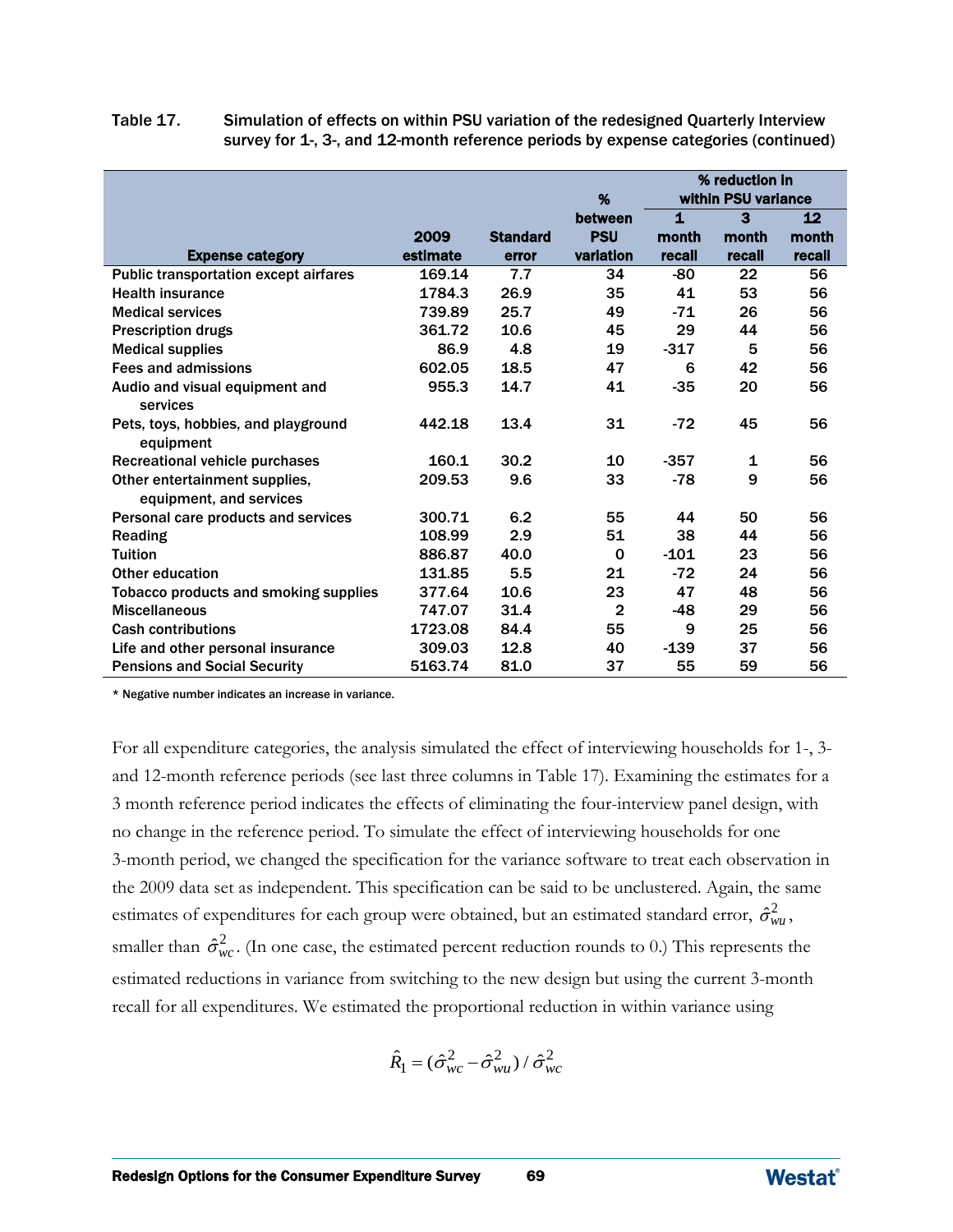| Table 17. | Simulation of effects on within PSU variation of the redesigned Quarterly Interview |
|-----------|-------------------------------------------------------------------------------------|
|           | survey for 1-, 3-, and 12-month reference periods by expense categories (continued) |

|                                                          |          |                 | %              |              | % reduction in<br>within PSU variance |        |
|----------------------------------------------------------|----------|-----------------|----------------|--------------|---------------------------------------|--------|
|                                                          |          |                 | between        | $\mathbf{1}$ | 3                                     | 12     |
|                                                          | 2009     | <b>Standard</b> | <b>PSU</b>     | month        | month                                 | month  |
| <b>Expense category</b>                                  | estimate | error           | variation      | recall       | recall                                | recall |
| <b>Public transportation except airfares</b>             | 169.14   | 7.7             | 34             | -80          | 22                                    | 56     |
| <b>Health insurance</b>                                  | 1784.3   | 26.9            | 35             | 41           | 53                                    | 56     |
| <b>Medical services</b>                                  | 739.89   | 25.7            | 49             | -71          | 26                                    | 56     |
| <b>Prescription drugs</b>                                | 361.72   | 10.6            | 45             | 29           | 44                                    | 56     |
| <b>Medical supplies</b>                                  | 86.9     | 4.8             | 19             | $-317$       | 5                                     | 56     |
| <b>Fees and admissions</b>                               | 602.05   | 18.5            | 47             | 6            | 42                                    | 56     |
| Audio and visual equipment and                           | 955.3    | 14.7            | 41             | $-35$        | 20                                    | 56     |
| services                                                 |          |                 |                |              |                                       |        |
| Pets, toys, hobbies, and playground<br>equipment         | 442.18   | 13.4            | 31             | $-72$        | 45                                    | 56     |
| Recreational vehicle purchases                           | 160.1    | 30.2            | 10             | $-357$       | 1                                     | 56     |
| Other entertainment supplies,<br>equipment, and services | 209.53   | 9.6             | 33             | $-78$        | 9                                     | 56     |
| Personal care products and services                      | 300.71   | 6.2             | 55             | 44           | 50                                    | 56     |
| Reading                                                  | 108.99   | 2.9             | 51             | 38           | 44                                    | 56     |
| <b>Tuition</b>                                           | 886.87   | 40.0            | $\Omega$       | $-101$       | 23                                    | 56     |
| Other education                                          | 131.85   | 5.5             | 21             | $-72$        | 24                                    | 56     |
| <b>Tobacco products and smoking supplies</b>             | 377.64   | 10.6            | 23             | 47           | 48                                    | 56     |
| <b>Miscellaneous</b>                                     | 747.07   | 31.4            | $\overline{2}$ | -48          | 29                                    | 56     |
| <b>Cash contributions</b>                                | 1723.08  | 84.4            | 55             | 9            | 25                                    | 56     |
| Life and other personal insurance                        | 309.03   | 12.8            | 40             | $-139$       | 37                                    | 56     |
| <b>Pensions and Social Security</b>                      | 5163.74  | 81.0            | 37             | 55           | 59                                    | 56     |

\* Negative number indicates an increase in variance.

For all expenditure categories, the analysis simulated the effect of interviewing households for 1-, 3 and 12-month reference periods (see last three columns in Table 17). Examining the estimates for a 3 month reference period indicates the effects of eliminating the four-interview panel design, with no change in the reference period. To simulate the effect of interviewing households for one 3-month period, we changed the specification for the variance software to treat each observation in the 2009 data set as independent. This specification can be said to be unclustered. Again, the same estimates of expenditures for each group were obtained, but an estimated standard error,  $\hat{\sigma}_{wu}^2$ , smaller than  $\hat{\sigma}_{wc}^2$ . (In one case, the estimated percent reduction rounds to 0.) This represents the estimated reductions in variance from switching to the new design but using the current 3-month recall for all expenditures. We estimated the proportional reduction in within variance using

$$
\hat{R}_1 = (\hat{\sigma}_{wc}^2 - \hat{\sigma}_{wu}^2) / \hat{\sigma}_{wc}^2
$$

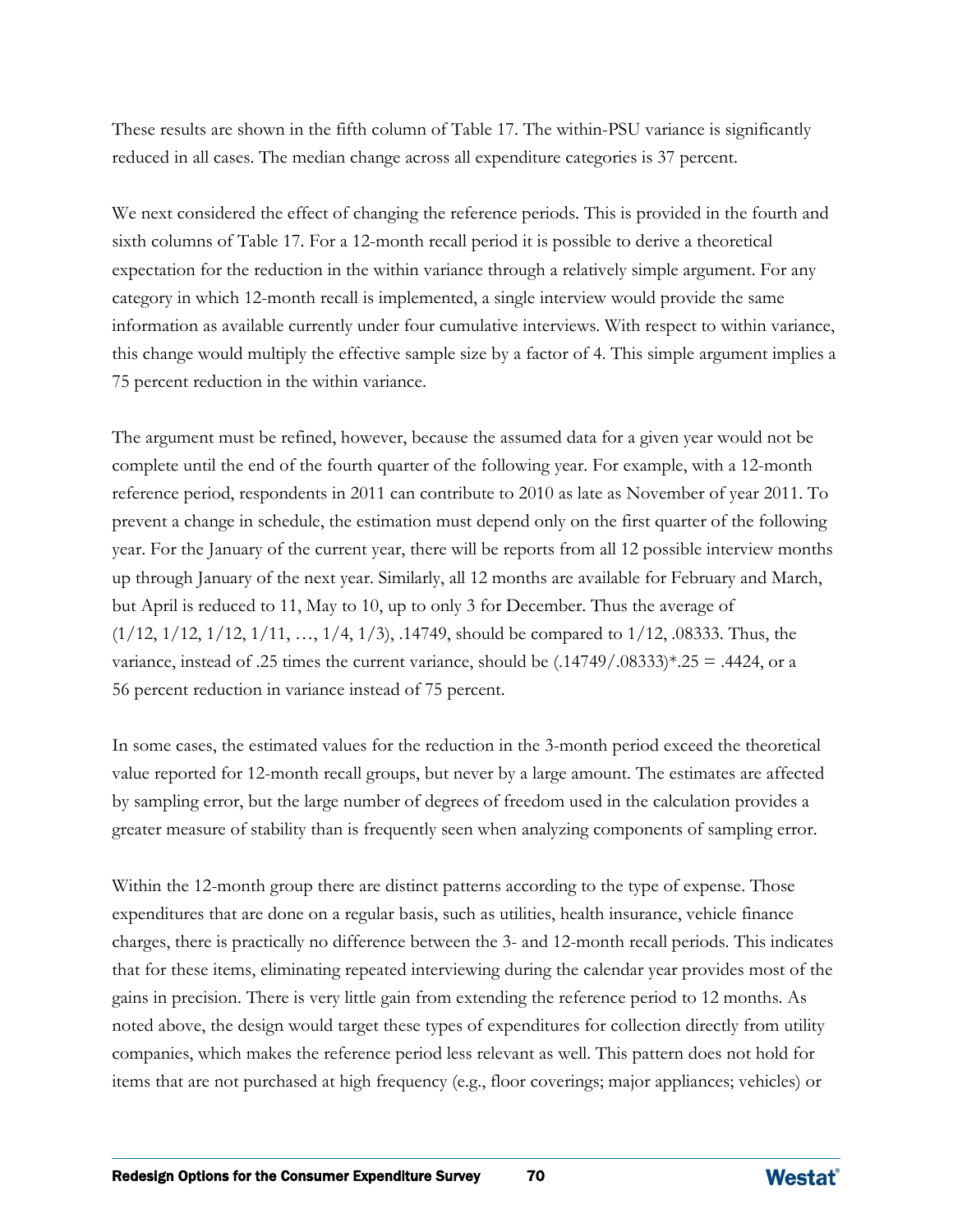These results are shown in the fifth column of Table 17. The within-PSU variance is significantly reduced in all cases. The median change across all expenditure categories is 37 percent.

We next considered the effect of changing the reference periods. This is provided in the fourth and sixth columns of Table 17. For a 12-month recall period it is possible to derive a theoretical expectation for the reduction in the within variance through a relatively simple argument. For any category in which 12-month recall is implemented, a single interview would provide the same information as available currently under four cumulative interviews. With respect to within variance, this change would multiply the effective sample size by a factor of 4. This simple argument implies a 75 percent reduction in the within variance.

The argument must be refined, however, because the assumed data for a given year would not be complete until the end of the fourth quarter of the following year. For example, with a 12-month reference period, respondents in 2011 can contribute to 2010 as late as November of year 2011. To prevent a change in schedule, the estimation must depend only on the first quarter of the following year. For the January of the current year, there will be reports from all 12 possible interview months up through January of the next year. Similarly, all 12 months are available for February and March, but April is reduced to 11, May to 10, up to only 3 for December. Thus the average of  $(1/12, 1/12, 1/12, 1/11, \ldots, 1/4, 1/3),$  .14749, should be compared to  $1/12$ , .08333. Thus, the variance, instead of .25 times the current variance, should be  $(.14749/.08333)*.25 = .4424$ , or a 56 percent reduction in variance instead of 75 percent.

In some cases, the estimated values for the reduction in the 3-month period exceed the theoretical value reported for 12-month recall groups, but never by a large amount. The estimates are affected by sampling error, but the large number of degrees of freedom used in the calculation provides a greater measure of stability than is frequently seen when analyzing components of sampling error.

Within the 12-month group there are distinct patterns according to the type of expense. Those expenditures that are done on a regular basis, such as utilities, health insurance, vehicle finance charges, there is practically no difference between the 3- and 12-month recall periods. This indicates that for these items, eliminating repeated interviewing during the calendar year provides most of the gains in precision. There is very little gain from extending the reference period to 12 months. As noted above, the design would target these types of expenditures for collection directly from utility companies, which makes the reference period less relevant as well. This pattern does not hold for items that are not purchased at high frequency (e.g., floor coverings; major appliances; vehicles) or

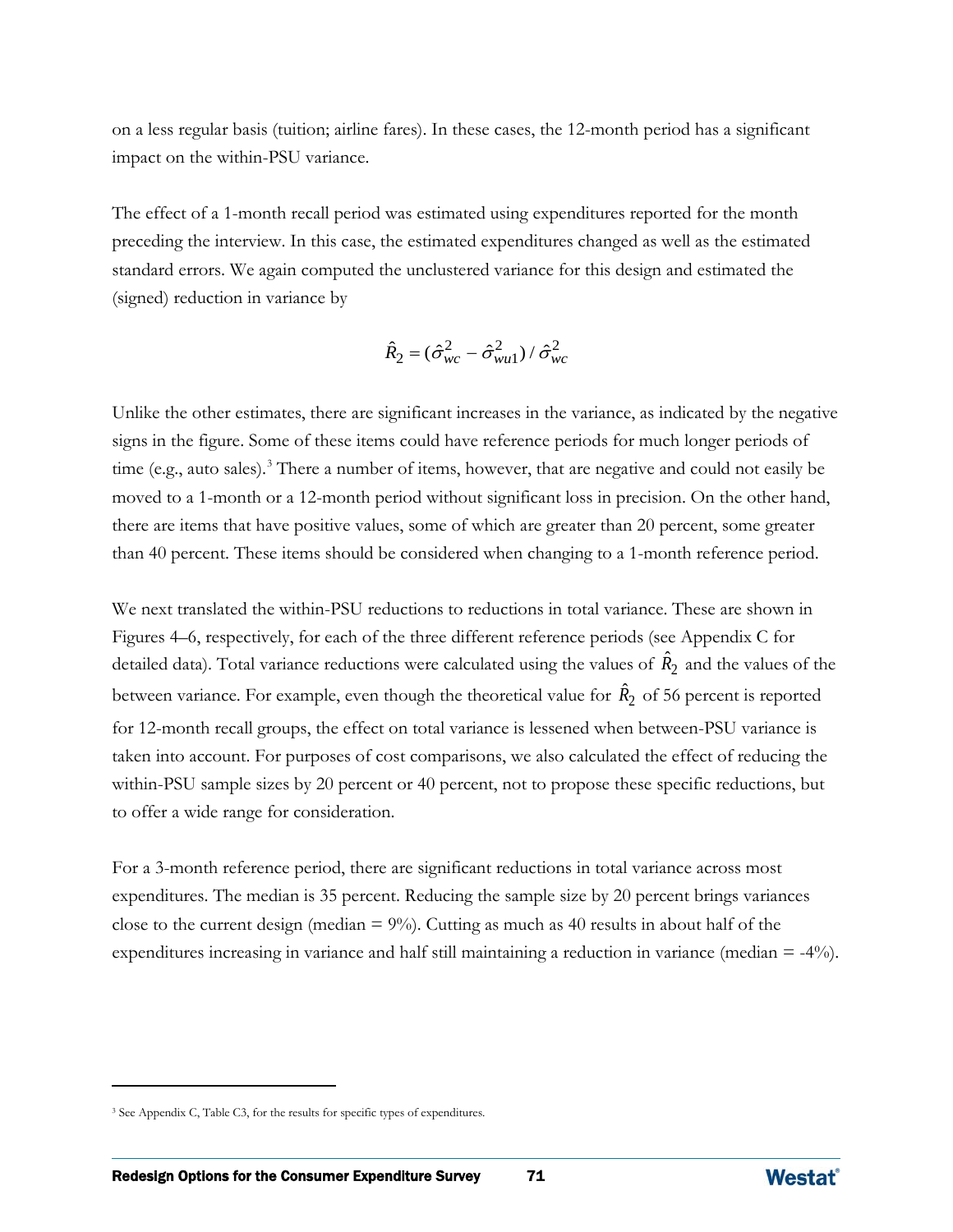on a less regular basis (tuition; airline fares). In these cases, the 12-month period has a significant impact on the within-PSU variance.

The effect of a 1-month recall period was estimated using expenditures reported for the month preceding the interview. In this case, the estimated expenditures changed as well as the estimated standard errors. We again computed the unclustered variance for this design and estimated the (signed) reduction in variance by

$$
\hat{R}_2 = (\hat{\sigma}_{wc}^2 - \hat{\sigma}_{wu1}^2) / \hat{\sigma}_{wc}^2
$$

Unlike the other estimates, there are significant increases in the variance, as indicated by the negative signs in the figure. Some of these items could have reference periods for much longer periods of time (e.g., auto sales).<sup>[3](#page-91-0)</sup> There a number of items, however, that are negative and could not easily be moved to a 1-month or a 12-month period without significant loss in precision. On the other hand, there are items that have positive values, some of which are greater than 20 percent, some greater than 40 percent. These items should be considered when changing to a 1-month reference period.

We next translated the within-PSU reductions to reductions in total variance. These are shown in Figures 4–6, respectively, for each of the three different reference periods (see Appendix C for detailed data). Total variance reductions were calculated using the values of  $\hat{R}_2$  and the values of the between variance. For example, even though the theoretical value for  $\hat{R}_2$  of 56 percent is reported for 12-month recall groups, the effect on total variance is lessened when between-PSU variance is taken into account. For purposes of cost comparisons, we also calculated the effect of reducing the within-PSU sample sizes by 20 percent or 40 percent, not to propose these specific reductions, but to offer a wide range for consideration.

For a 3-month reference period, there are significant reductions in total variance across most expenditures. The median is 35 percent. Reducing the sample size by 20 percent brings variances close to the current design (median  $= 9\%$ ). Cutting as much as 40 results in about half of the expenditures increasing in variance and half still maintaining a reduction in variance (median = -4%).

 $\overline{a}$ 



<span id="page-91-0"></span><sup>&</sup>lt;sup>3</sup> See Appendix C, Table C3, for the results for specific types of expenditures.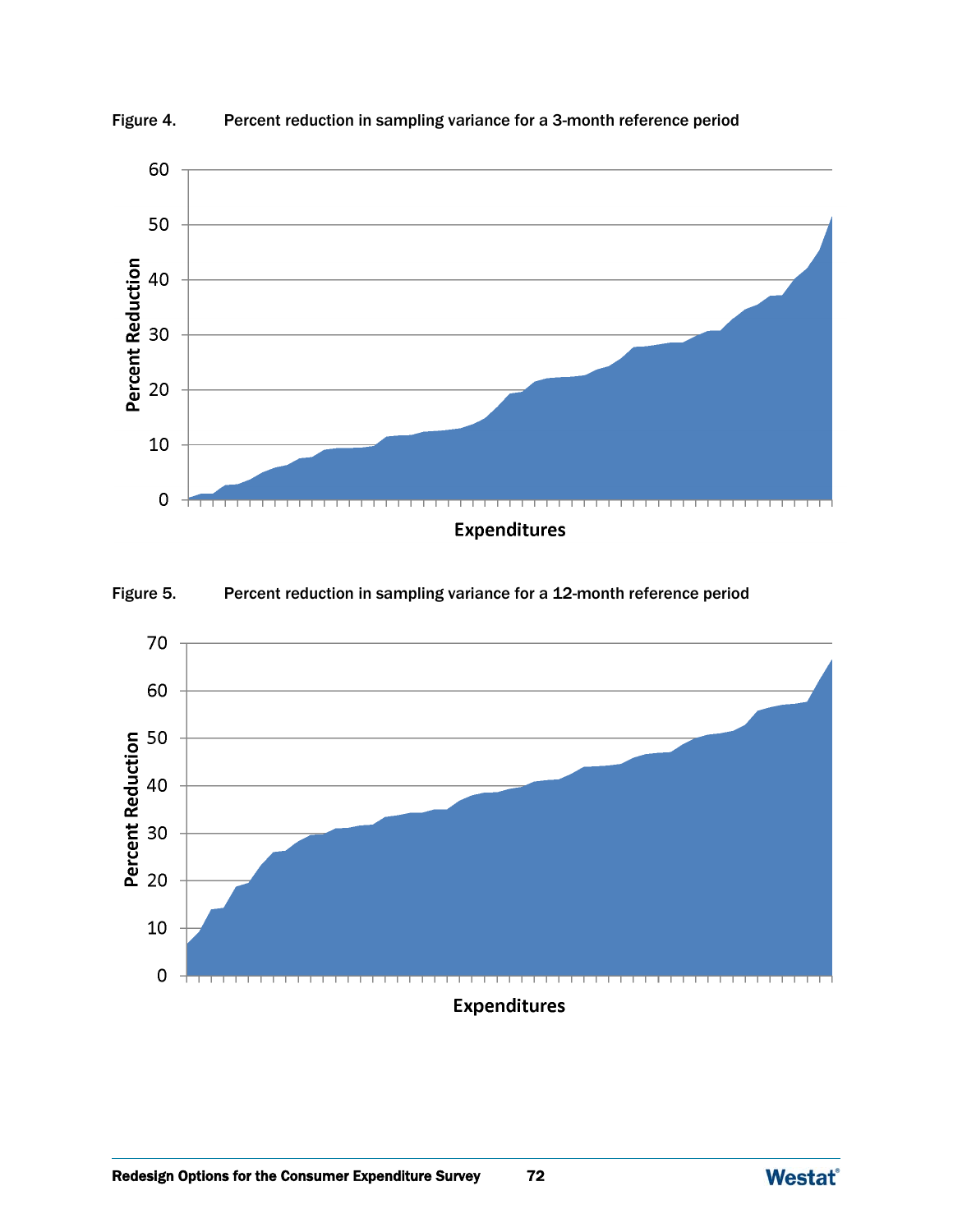

Figure 4. Percent reduction in sampling variance for a 3-month reference period

Figure 5. Percent reduction in sampling variance for a 12-month reference period



**Expenditures** 

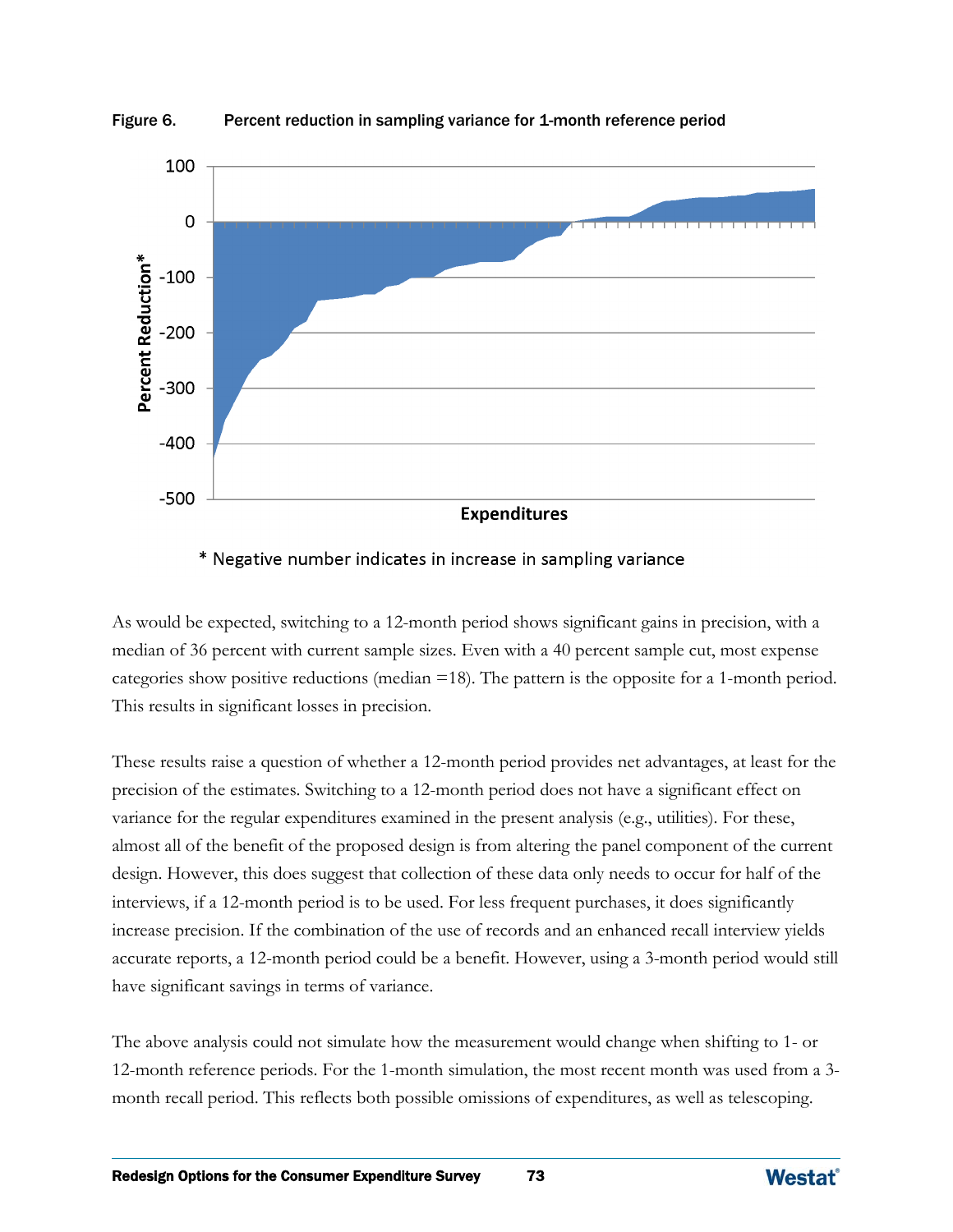

Figure 6. Percent reduction in sampling variance for 1-month reference period

### \* Negative number indicates in increase in sampling variance

As would be expected, switching to a 12-month period shows significant gains in precision, with a median of 36 percent with current sample sizes. Even with a 40 percent sample cut, most expense categories show positive reductions (median =18). The pattern is the opposite for a 1-month period. This results in significant losses in precision.

These results raise a question of whether a 12-month period provides net advantages, at least for the precision of the estimates. Switching to a 12-month period does not have a significant effect on variance for the regular expenditures examined in the present analysis (e.g., utilities). For these, almost all of the benefit of the proposed design is from altering the panel component of the current design. However, this does suggest that collection of these data only needs to occur for half of the interviews, if a 12-month period is to be used. For less frequent purchases, it does significantly increase precision. If the combination of the use of records and an enhanced recall interview yields accurate reports, a 12-month period could be a benefit. However, using a 3-month period would still have significant savings in terms of variance.

The above analysis could not simulate how the measurement would change when shifting to 1- or 12-month reference periods. For the 1-month simulation, the most recent month was used from a 3 month recall period. This reflects both possible omissions of expenditures, as well as telescoping.

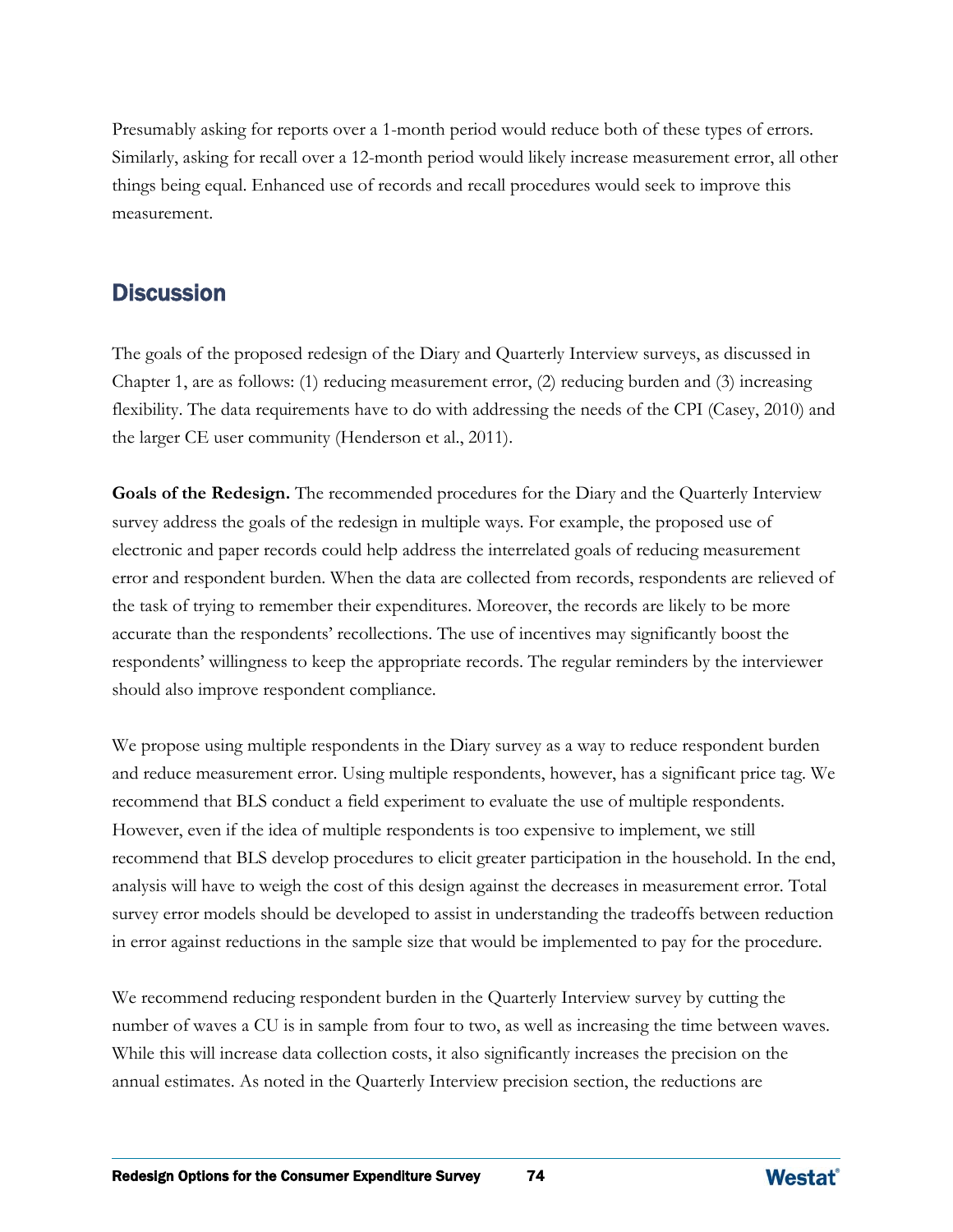Presumably asking for reports over a 1-month period would reduce both of these types of errors. Similarly, asking for recall over a 12-month period would likely increase measurement error, all other things being equal. Enhanced use of records and recall procedures would seek to improve this measurement.

## **Discussion**

The goals of the proposed redesign of the Diary and Quarterly Interview surveys, as discussed in Chapter 1, are as follows: (1) reducing measurement error, (2) reducing burden and (3) increasing flexibility. The data requirements have to do with addressing the needs of the CPI (Casey, 2010) and the larger CE user community (Henderson et al., 2011).

**Goals of the Redesign.** The recommended procedures for the Diary and the Quarterly Interview survey address the goals of the redesign in multiple ways. For example, the proposed use of electronic and paper records could help address the interrelated goals of reducing measurement error and respondent burden. When the data are collected from records, respondents are relieved of the task of trying to remember their expenditures. Moreover, the records are likely to be more accurate than the respondents' recollections. The use of incentives may significantly boost the respondents' willingness to keep the appropriate records. The regular reminders by the interviewer should also improve respondent compliance.

We propose using multiple respondents in the Diary survey as a way to reduce respondent burden and reduce measurement error. Using multiple respondents, however, has a significant price tag. We recommend that BLS conduct a field experiment to evaluate the use of multiple respondents. However, even if the idea of multiple respondents is too expensive to implement, we still recommend that BLS develop procedures to elicit greater participation in the household. In the end, analysis will have to weigh the cost of this design against the decreases in measurement error. Total survey error models should be developed to assist in understanding the tradeoffs between reduction in error against reductions in the sample size that would be implemented to pay for the procedure.

We recommend reducing respondent burden in the Quarterly Interview survey by cutting the number of waves a CU is in sample from four to two, as well as increasing the time between waves. While this will increase data collection costs, it also significantly increases the precision on the annual estimates. As noted in the Quarterly Interview precision section, the reductions are

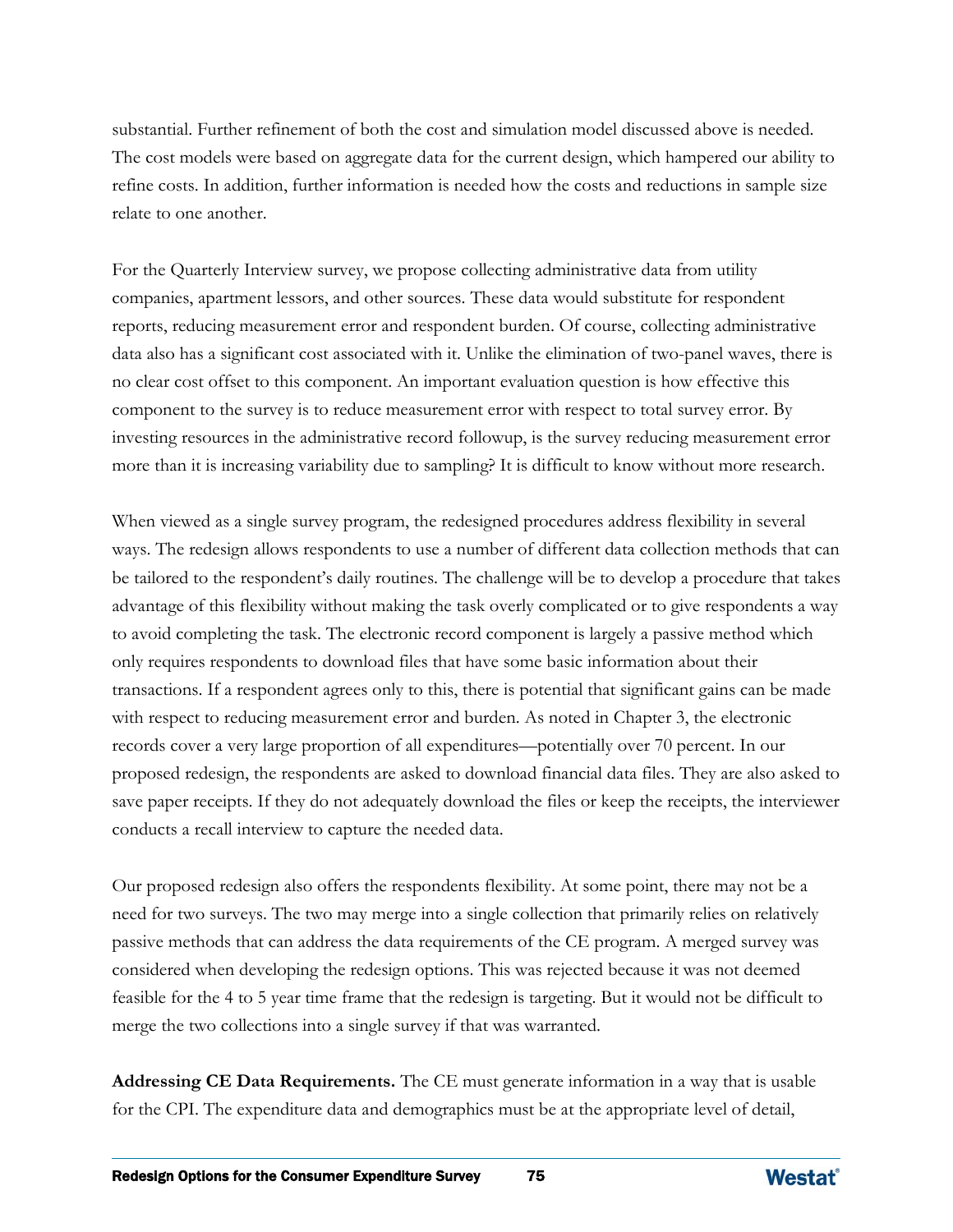substantial. Further refinement of both the cost and simulation model discussed above is needed. The cost models were based on aggregate data for the current design, which hampered our ability to refine costs. In addition, further information is needed how the costs and reductions in sample size relate to one another.

For the Quarterly Interview survey, we propose collecting administrative data from utility companies, apartment lessors, and other sources. These data would substitute for respondent reports, reducing measurement error and respondent burden. Of course, collecting administrative data also has a significant cost associated with it. Unlike the elimination of two-panel waves, there is no clear cost offset to this component. An important evaluation question is how effective this component to the survey is to reduce measurement error with respect to total survey error. By investing resources in the administrative record followup, is the survey reducing measurement error more than it is increasing variability due to sampling? It is difficult to know without more research.

When viewed as a single survey program, the redesigned procedures address flexibility in several ways. The redesign allows respondents to use a number of different data collection methods that can be tailored to the respondent's daily routines. The challenge will be to develop a procedure that takes advantage of this flexibility without making the task overly complicated or to give respondents a way to avoid completing the task. The electronic record component is largely a passive method which only requires respondents to download files that have some basic information about their transactions. If a respondent agrees only to this, there is potential that significant gains can be made with respect to reducing measurement error and burden. As noted in Chapter 3, the electronic records cover a very large proportion of all expenditures—potentially over 70 percent. In our proposed redesign, the respondents are asked to download financial data files. They are also asked to save paper receipts. If they do not adequately download the files or keep the receipts, the interviewer conducts a recall interview to capture the needed data.

Our proposed redesign also offers the respondents flexibility. At some point, there may not be a need for two surveys. The two may merge into a single collection that primarily relies on relatively passive methods that can address the data requirements of the CE program. A merged survey was considered when developing the redesign options. This was rejected because it was not deemed feasible for the 4 to 5 year time frame that the redesign is targeting. But it would not be difficult to merge the two collections into a single survey if that was warranted.

**Addressing CE Data Requirements.** The CE must generate information in a way that is usable for the CPI. The expenditure data and demographics must be at the appropriate level of detail,

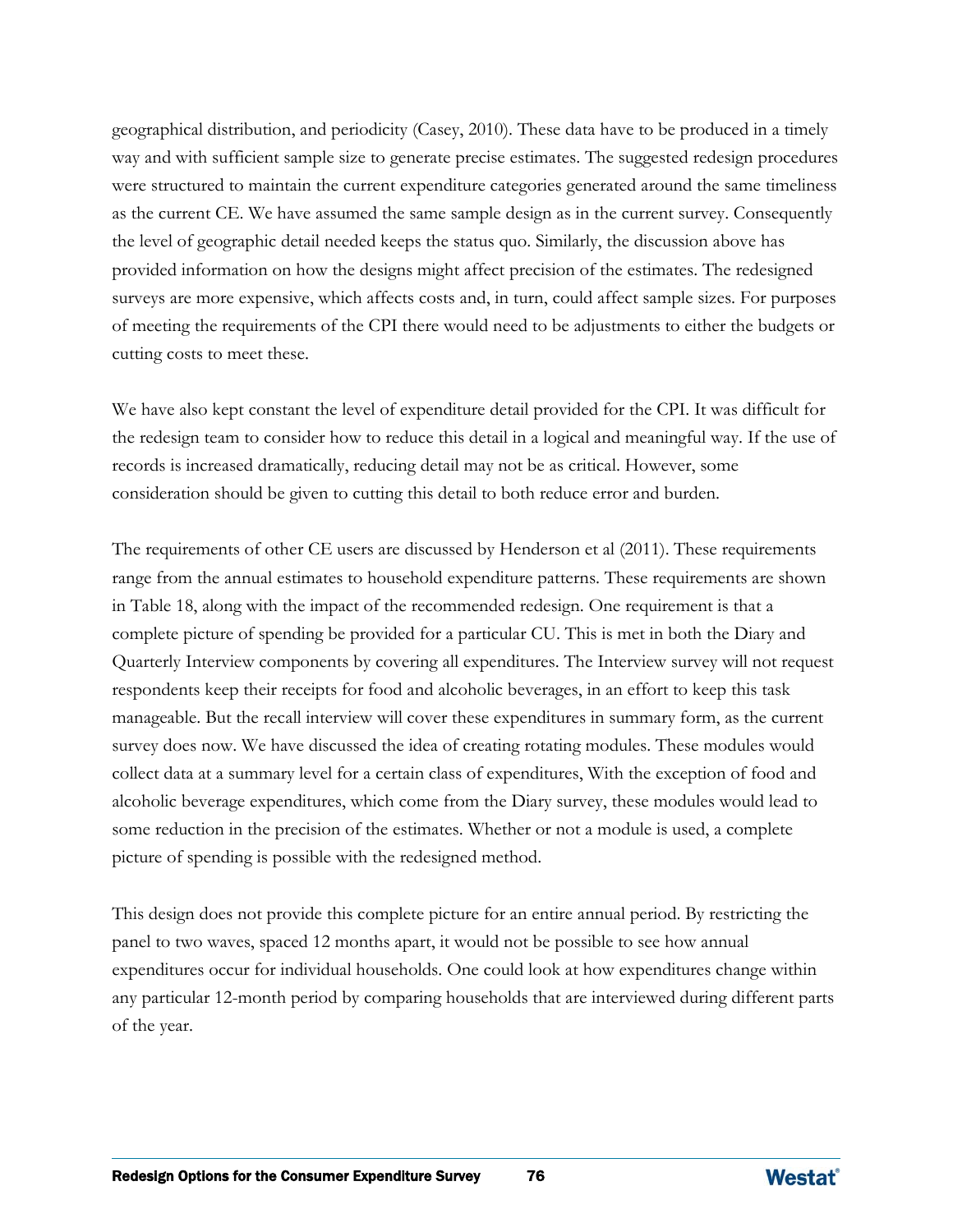geographical distribution, and periodicity (Casey, 2010). These data have to be produced in a timely way and with sufficient sample size to generate precise estimates. The suggested redesign procedures were structured to maintain the current expenditure categories generated around the same timeliness as the current CE. We have assumed the same sample design as in the current survey. Consequently the level of geographic detail needed keeps the status quo. Similarly, the discussion above has provided information on how the designs might affect precision of the estimates. The redesigned surveys are more expensive, which affects costs and, in turn, could affect sample sizes. For purposes of meeting the requirements of the CPI there would need to be adjustments to either the budgets or cutting costs to meet these.

We have also kept constant the level of expenditure detail provided for the CPI. It was difficult for the redesign team to consider how to reduce this detail in a logical and meaningful way. If the use of records is increased dramatically, reducing detail may not be as critical. However, some consideration should be given to cutting this detail to both reduce error and burden.

The requirements of other CE users are discussed by Henderson et al (2011). These requirements range from the annual estimates to household expenditure patterns. These requirements are shown in Table 18, along with the impact of the recommended redesign. One requirement is that a complete picture of spending be provided for a particular CU. This is met in both the Diary and Quarterly Interview components by covering all expenditures. The Interview survey will not request respondents keep their receipts for food and alcoholic beverages, in an effort to keep this task manageable. But the recall interview will cover these expenditures in summary form, as the current survey does now. We have discussed the idea of creating rotating modules. These modules would collect data at a summary level for a certain class of expenditures, With the exception of food and alcoholic beverage expenditures, which come from the Diary survey, these modules would lead to some reduction in the precision of the estimates. Whether or not a module is used, a complete picture of spending is possible with the redesigned method.

This design does not provide this complete picture for an entire annual period. By restricting the panel to two waves, spaced 12 months apart, it would not be possible to see how annual expenditures occur for individual households. One could look at how expenditures change within any particular 12-month period by comparing households that are interviewed during different parts of the year.

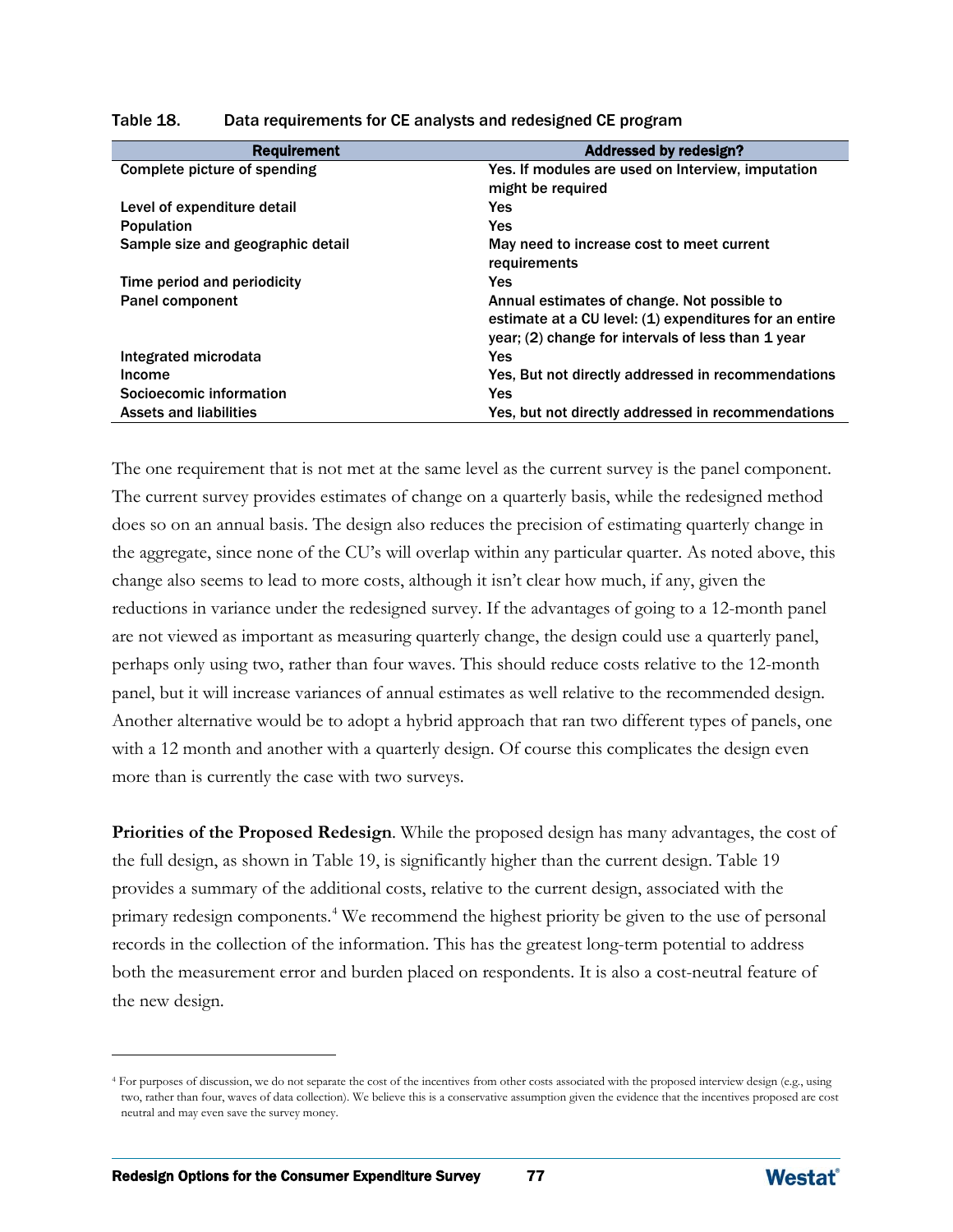| <b>Requirement</b>                | <b>Addressed by redesign?</b>                          |
|-----------------------------------|--------------------------------------------------------|
| Complete picture of spending      | Yes. If modules are used on Interview, imputation      |
|                                   | might be required                                      |
| Level of expenditure detail       | <b>Yes</b>                                             |
| <b>Population</b>                 | <b>Yes</b>                                             |
| Sample size and geographic detail | May need to increase cost to meet current              |
|                                   | requirements                                           |
| Time period and periodicity       | <b>Yes</b>                                             |
| Panel component                   | Annual estimates of change. Not possible to            |
|                                   | estimate at a CU level: (1) expenditures for an entire |
|                                   | year; (2) change for intervals of less than 1 year     |
| Integrated microdata              | <b>Yes</b>                                             |
| Income                            | Yes, But not directly addressed in recommendations     |
| Socioecomic information           | <b>Yes</b>                                             |
| <b>Assets and liabilities</b>     | Yes, but not directly addressed in recommendations     |

#### Table 18. Data requirements for CE analysts and redesigned CE program

The one requirement that is not met at the same level as the current survey is the panel component. The current survey provides estimates of change on a quarterly basis, while the redesigned method does so on an annual basis. The design also reduces the precision of estimating quarterly change in the aggregate, since none of the CU's will overlap within any particular quarter. As noted above, this change also seems to lead to more costs, although it isn't clear how much, if any, given the reductions in variance under the redesigned survey. If the advantages of going to a 12-month panel are not viewed as important as measuring quarterly change, the design could use a quarterly panel, perhaps only using two, rather than four waves. This should reduce costs relative to the 12-month panel, but it will increase variances of annual estimates as well relative to the recommended design. Another alternative would be to adopt a hybrid approach that ran two different types of panels, one with a 12 month and another with a quarterly design. Of course this complicates the design even more than is currently the case with two surveys.

**Priorities of the Proposed Redesign**. While the proposed design has many advantages, the cost of the full design, as shown in Table 19, is significantly higher than the current design. Table 19 provides a summary of the additional costs, relative to the current design, associated with the primary redesign components.<sup>[4](#page-97-0)</sup> We recommend the highest priority be given to the use of personal records in the collection of the information. This has the greatest long-term potential to address both the measurement error and burden placed on respondents. It is also a cost-neutral feature of the new design.

 $\overline{a}$ 



<span id="page-97-0"></span><sup>4</sup> For purposes of discussion, we do not separate the cost of the incentives from other costs associated with the proposed interview design (e.g., using two, rather than four, waves of data collection). We believe this is a conservative assumption given the evidence that the incentives proposed are cost neutral and may even save the survey money.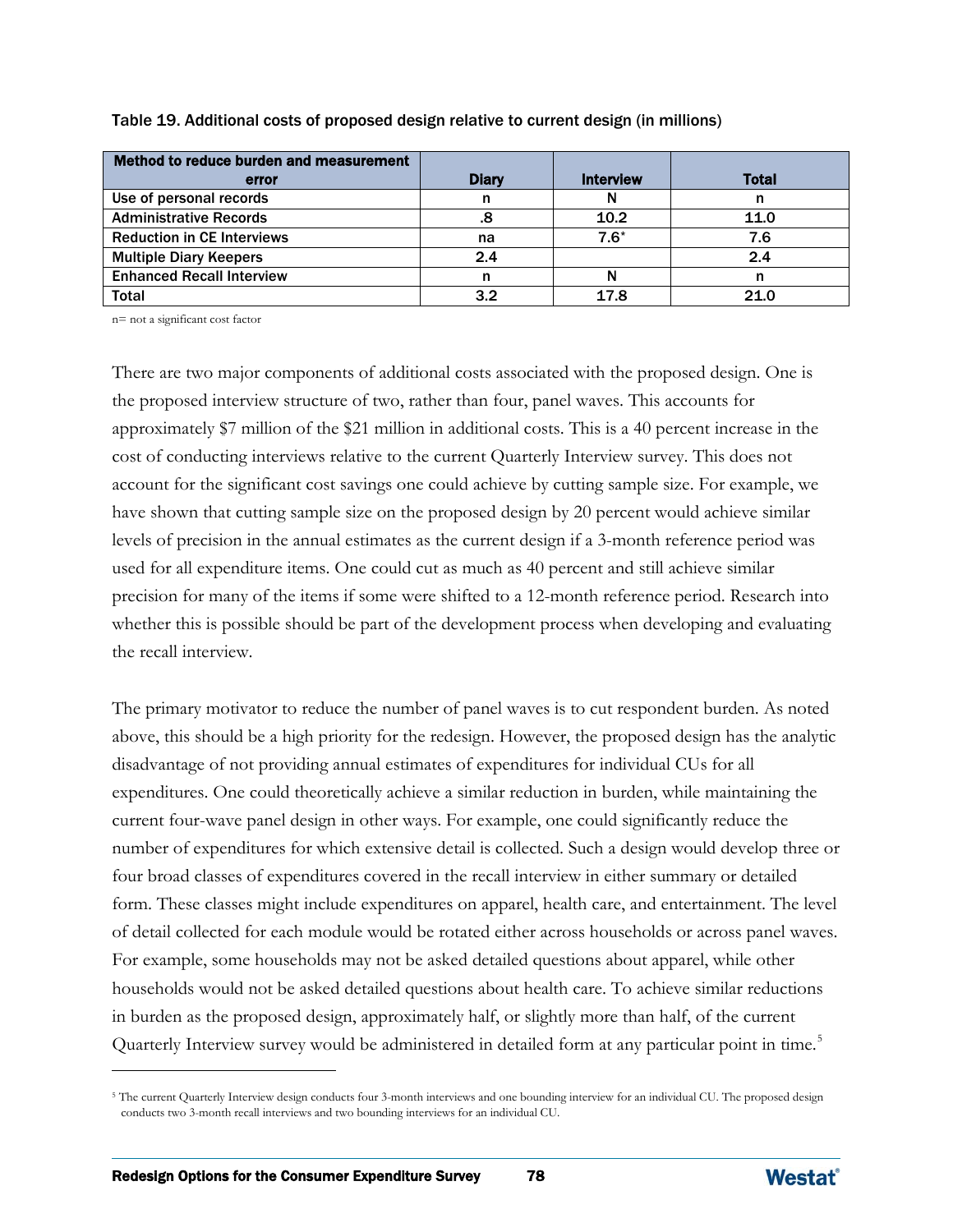| Method to reduce burden and measurement |              |                  |              |
|-----------------------------------------|--------------|------------------|--------------|
| error                                   | <b>Diary</b> | <b>Interview</b> | <b>Total</b> |
| Use of personal records                 | n            |                  |              |
| <b>Administrative Records</b>           | 8.           | 10.2             | 11.0         |
| <b>Reduction in CE Interviews</b>       | na           | $7.6*$           | 7.6          |
| <b>Multiple Diary Keepers</b>           | 2.4          |                  | 2.4          |
| <b>Enhanced Recall Interview</b>        | n            |                  |              |
| <b>Total</b>                            | 3.2          | 17.8             | 21 O         |

Table 19. Additional costs of proposed design relative to current design (in millions)

n= not a significant cost factor

There are two major components of additional costs associated with the proposed design. One is the proposed interview structure of two, rather than four, panel waves. This accounts for approximately \$7 million of the \$21 million in additional costs. This is a 40 percent increase in the cost of conducting interviews relative to the current Quarterly Interview survey. This does not account for the significant cost savings one could achieve by cutting sample size. For example, we have shown that cutting sample size on the proposed design by 20 percent would achieve similar levels of precision in the annual estimates as the current design if a 3-month reference period was used for all expenditure items. One could cut as much as 40 percent and still achieve similar precision for many of the items if some were shifted to a 12-month reference period. Research into whether this is possible should be part of the development process when developing and evaluating the recall interview.

The primary motivator to reduce the number of panel waves is to cut respondent burden. As noted above, this should be a high priority for the redesign. However, the proposed design has the analytic disadvantage of not providing annual estimates of expenditures for individual CUs for all expenditures. One could theoretically achieve a similar reduction in burden, while maintaining the current four-wave panel design in other ways. For example, one could significantly reduce the number of expenditures for which extensive detail is collected. Such a design would develop three or four broad classes of expenditures covered in the recall interview in either summary or detailed form. These classes might include expenditures on apparel, health care, and entertainment. The level of detail collected for each module would be rotated either across households or across panel waves. For example, some households may not be asked detailed questions about apparel, while other households would not be asked detailed questions about health care. To achieve similar reductions in burden as the proposed design, approximately half, or slightly more than half, of the current Quarterly Interview survey would be administered in detailed form at any particular point in time.<sup>[5](#page-98-0)</sup>

 $\overline{a}$ 



<span id="page-98-0"></span><sup>&</sup>lt;sup>5</sup> The current Quarterly Interview design conducts four 3-month interviews and one bounding interview for an individual CU. The proposed design conducts two 3-month recall interviews and two bounding interviews for an individual CU.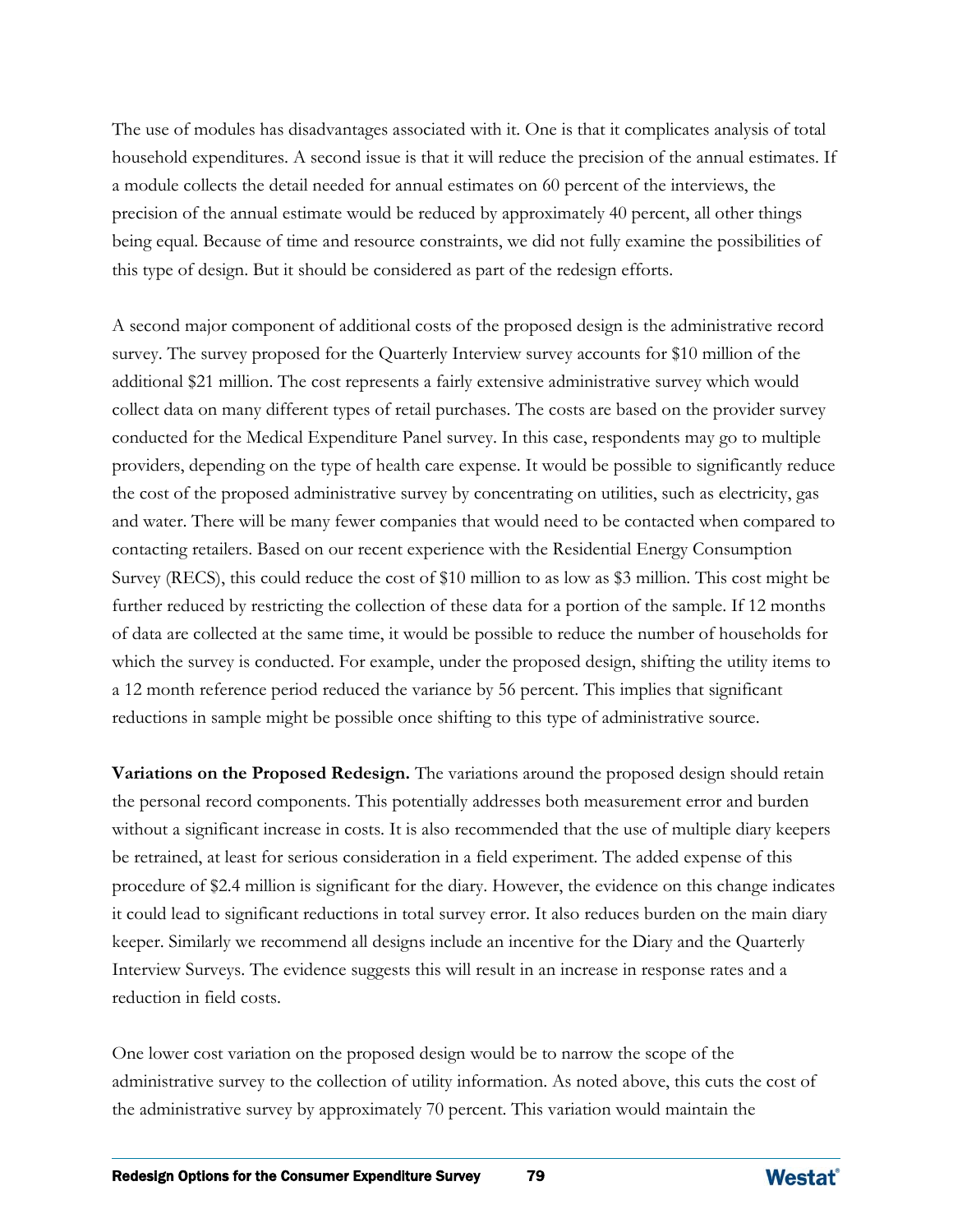The use of modules has disadvantages associated with it. One is that it complicates analysis of total household expenditures. A second issue is that it will reduce the precision of the annual estimates. If a module collects the detail needed for annual estimates on 60 percent of the interviews, the precision of the annual estimate would be reduced by approximately 40 percent, all other things being equal. Because of time and resource constraints, we did not fully examine the possibilities of this type of design. But it should be considered as part of the redesign efforts.

A second major component of additional costs of the proposed design is the administrative record survey. The survey proposed for the Quarterly Interview survey accounts for \$10 million of the additional \$21 million. The cost represents a fairly extensive administrative survey which would collect data on many different types of retail purchases. The costs are based on the provider survey conducted for the Medical Expenditure Panel survey. In this case, respondents may go to multiple providers, depending on the type of health care expense. It would be possible to significantly reduce the cost of the proposed administrative survey by concentrating on utilities, such as electricity, gas and water. There will be many fewer companies that would need to be contacted when compared to contacting retailers. Based on our recent experience with the Residential Energy Consumption Survey (RECS), this could reduce the cost of \$10 million to as low as \$3 million. This cost might be further reduced by restricting the collection of these data for a portion of the sample. If 12 months of data are collected at the same time, it would be possible to reduce the number of households for which the survey is conducted. For example, under the proposed design, shifting the utility items to a 12 month reference period reduced the variance by 56 percent. This implies that significant reductions in sample might be possible once shifting to this type of administrative source.

**Variations on the Proposed Redesign.** The variations around the proposed design should retain the personal record components. This potentially addresses both measurement error and burden without a significant increase in costs. It is also recommended that the use of multiple diary keepers be retrained, at least for serious consideration in a field experiment. The added expense of this procedure of \$2.4 million is significant for the diary. However, the evidence on this change indicates it could lead to significant reductions in total survey error. It also reduces burden on the main diary keeper. Similarly we recommend all designs include an incentive for the Diary and the Quarterly Interview Surveys. The evidence suggests this will result in an increase in response rates and a reduction in field costs.

One lower cost variation on the proposed design would be to narrow the scope of the administrative survey to the collection of utility information. As noted above, this cuts the cost of the administrative survey by approximately 70 percent. This variation would maintain the

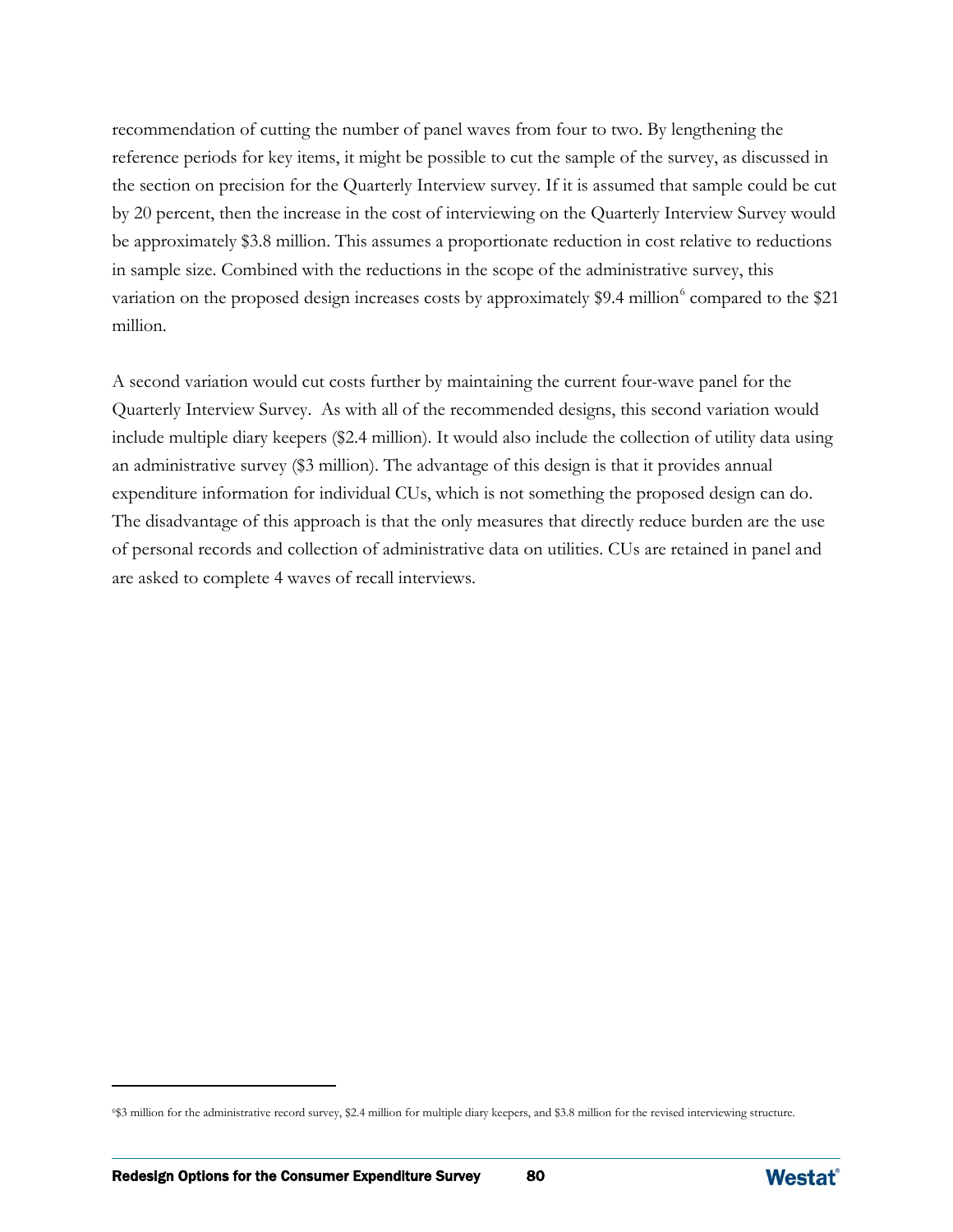recommendation of cutting the number of panel waves from four to two. By lengthening the reference periods for key items, it might be possible to cut the sample of the survey, as discussed in the section on precision for the Quarterly Interview survey. If it is assumed that sample could be cut by 20 percent, then the increase in the cost of interviewing on the Quarterly Interview Survey would be approximately \$3.8 million. This assumes a proportionate reduction in cost relative to reductions in sample size. Combined with the reductions in the scope of the administrative survey, this variation on the proposed design increases costs by approximately \$9.4 million<sup>[6](#page-100-0)</sup> compared to the \$21 million.

A second variation would cut costs further by maintaining the current four-wave panel for the Quarterly Interview Survey. As with all of the recommended designs, this second variation would include multiple diary keepers (\$2.4 million). It would also include the collection of utility data using an administrative survey (\$3 million). The advantage of this design is that it provides annual expenditure information for individual CUs, which is not something the proposed design can do. The disadvantage of this approach is that the only measures that directly reduce burden are the use of personal records and collection of administrative data on utilities. CUs are retained in panel and are asked to complete 4 waves of recall interviews.

 $\overline{a}$ 



<span id="page-100-0"></span><sup>6\$3</sup> million for the administrative record survey, \$2.4 million for multiple diary keepers, and \$3.8 million for the revised interviewing structure.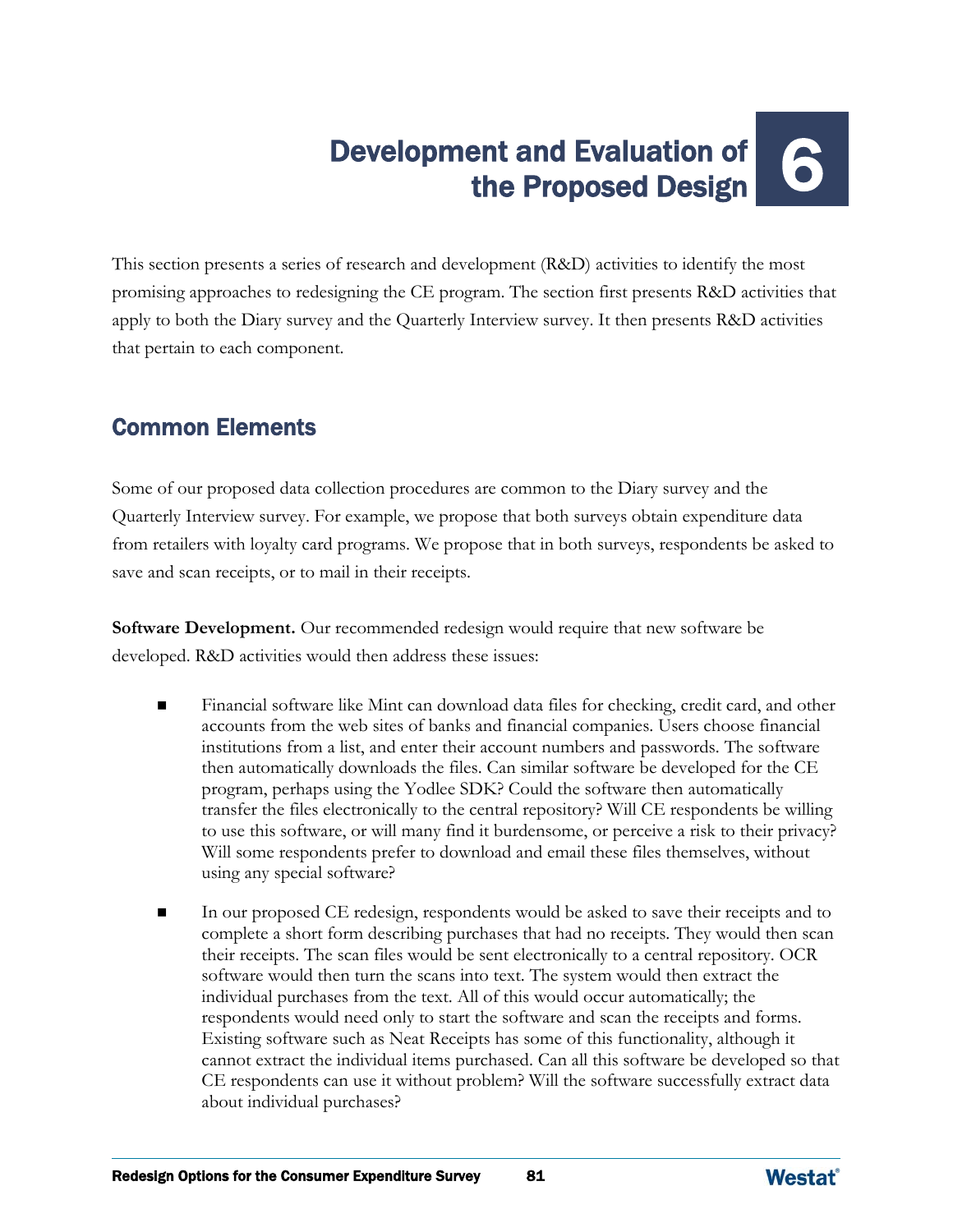# Development and Evaluation of ent and Evaluation of<br>the Proposed Design

This section presents a series of research and development (R&D) activities to identify the most promising approaches to redesigning the CE program. The section first presents R&D activities that apply to both the Diary survey and the Quarterly Interview survey. It then presents R&D activities that pertain to each component.

## Common Elements

Some of our proposed data collection procedures are common to the Diary survey and the Quarterly Interview survey. For example, we propose that both surveys obtain expenditure data from retailers with loyalty card programs. We propose that in both surveys, respondents be asked to save and scan receipts, or to mail in their receipts.

**Software Development.** Our recommended redesign would require that new software be developed. R&D activities would then address these issues:

- Financial software like Mint can download data files for checking, credit card, and other accounts from the web sites of banks and financial companies. Users choose financial institutions from a list, and enter their account numbers and passwords. The software then automatically downloads the files. Can similar software be developed for the CE program, perhaps using the Yodlee SDK? Could the software then automatically transfer the files electronically to the central repository? Will CE respondents be willing to use this software, or will many find it burdensome, or perceive a risk to their privacy? Will some respondents prefer to download and email these files themselves, without using any special software?
- In our proposed CE redesign, respondents would be asked to save their receipts and to complete a short form describing purchases that had no receipts. They would then scan their receipts. The scan files would be sent electronically to a central repository. OCR software would then turn the scans into text. The system would then extract the individual purchases from the text. All of this would occur automatically; the respondents would need only to start the software and scan the receipts and forms. Existing software such as Neat Receipts has some of this functionality, although it cannot extract the individual items purchased. Can all this software be developed so that CE respondents can use it without problem? Will the software successfully extract data about individual purchases?

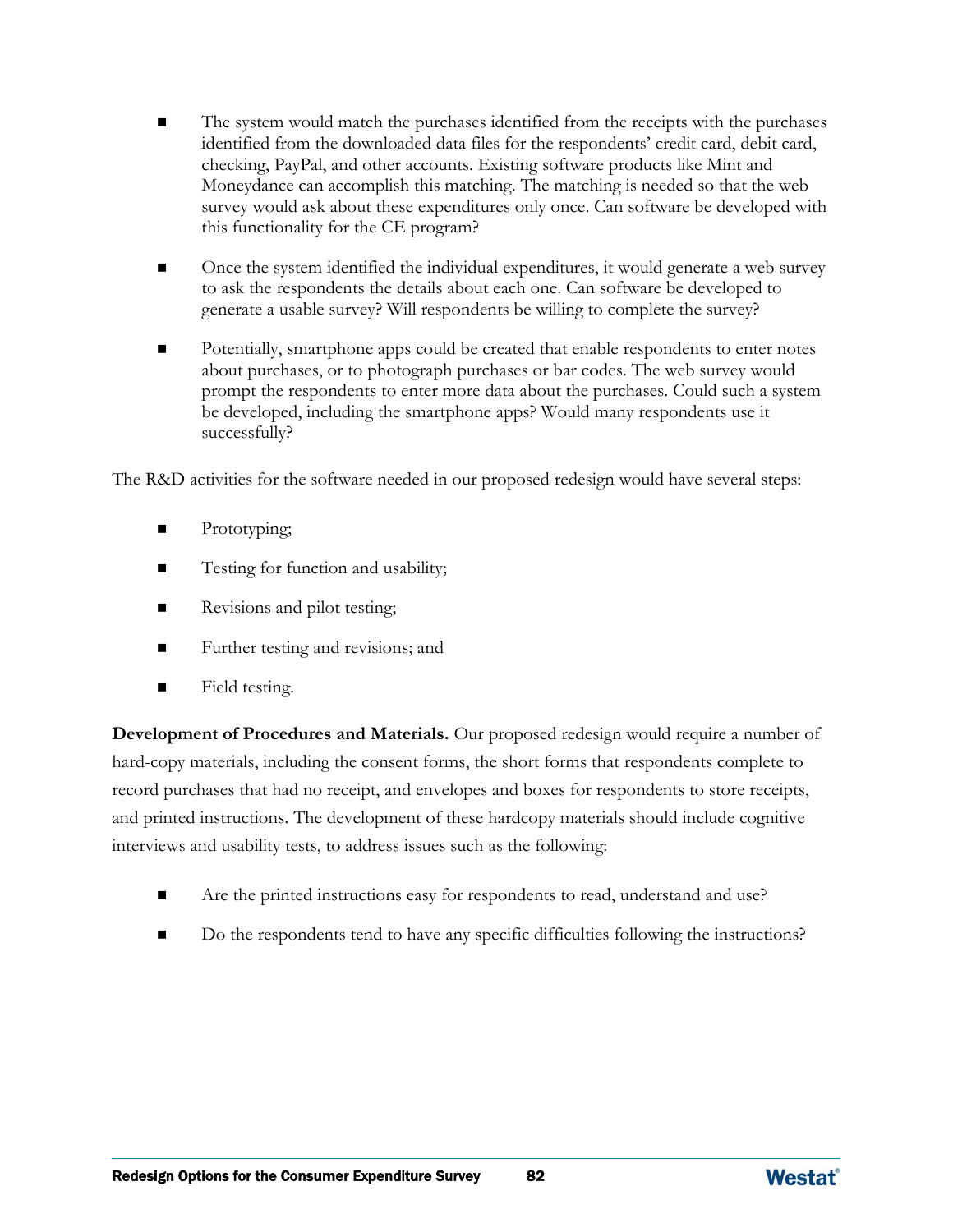- The system would match the purchases identified from the receipts with the purchases identified from the downloaded data files for the respondents' credit card, debit card, checking, PayPal, and other accounts. Existing software products like Mint and Moneydance can accomplish this matching. The matching is needed so that the web survey would ask about these expenditures only once. Can software be developed with this functionality for the CE program?
- **net is concerned to the individual expenditures, it would generate a web survey** to ask the respondents the details about each one. Can software be developed to generate a usable survey? Will respondents be willing to complete the survey?
- Potentially, smartphone apps could be created that enable respondents to enter notes about purchases, or to photograph purchases or bar codes. The web survey would prompt the respondents to enter more data about the purchases. Could such a system be developed, including the smartphone apps? Would many respondents use it successfully?

The R&D activities for the software needed in our proposed redesign would have several steps:

- Prototyping;
- Testing for function and usability;
- Revisions and pilot testing;
- Further testing and revisions; and
- **Field testing.**

**Development of Procedures and Materials.** Our proposed redesign would require a number of hard-copy materials, including the consent forms, the short forms that respondents complete to record purchases that had no receipt, and envelopes and boxes for respondents to store receipts, and printed instructions. The development of these hardcopy materials should include cognitive interviews and usability tests, to address issues such as the following:

- Are the printed instructions easy for respondents to read, understand and use?
- Do the respondents tend to have any specific difficulties following the instructions?

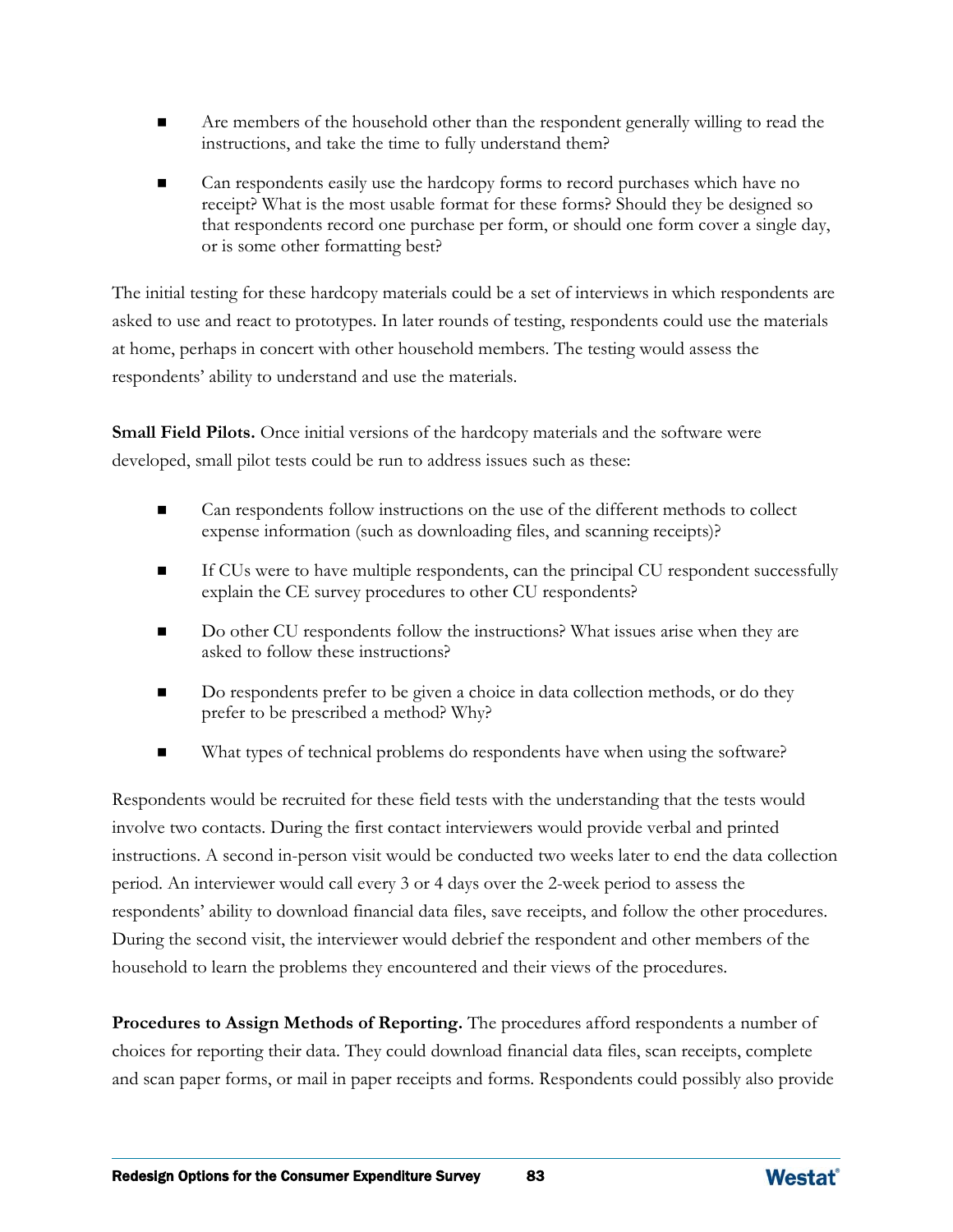- Are members of the household other than the respondent generally willing to read the instructions, and take the time to fully understand them?
- Can respondents easily use the hardcopy forms to record purchases which have no receipt? What is the most usable format for these forms? Should they be designed so that respondents record one purchase per form, or should one form cover a single day, or is some other formatting best?

The initial testing for these hardcopy materials could be a set of interviews in which respondents are asked to use and react to prototypes. In later rounds of testing, respondents could use the materials at home, perhaps in concert with other household members. The testing would assess the respondents' ability to understand and use the materials.

**Small Field Pilots.** Once initial versions of the hardcopy materials and the software were developed, small pilot tests could be run to address issues such as these:

- Can respondents follow instructions on the use of the different methods to collect expense information (such as downloading files, and scanning receipts)?
- If CUs were to have multiple respondents, can the principal CU respondent successfully explain the CE survey procedures to other CU respondents?
- Do other CU respondents follow the instructions? What issues arise when they are asked to follow these instructions?
- Do respondents prefer to be given a choice in data collection methods, or do they prefer to be prescribed a method? Why?
- What types of technical problems do respondents have when using the software?

Respondents would be recruited for these field tests with the understanding that the tests would involve two contacts. During the first contact interviewers would provide verbal and printed instructions. A second in-person visit would be conducted two weeks later to end the data collection period. An interviewer would call every 3 or 4 days over the 2-week period to assess the respondents' ability to download financial data files, save receipts, and follow the other procedures. During the second visit, the interviewer would debrief the respondent and other members of the household to learn the problems they encountered and their views of the procedures.

**Procedures to Assign Methods of Reporting.** The procedures afford respondents a number of choices for reporting their data. They could download financial data files, scan receipts, complete and scan paper forms, or mail in paper receipts and forms. Respondents could possibly also provide

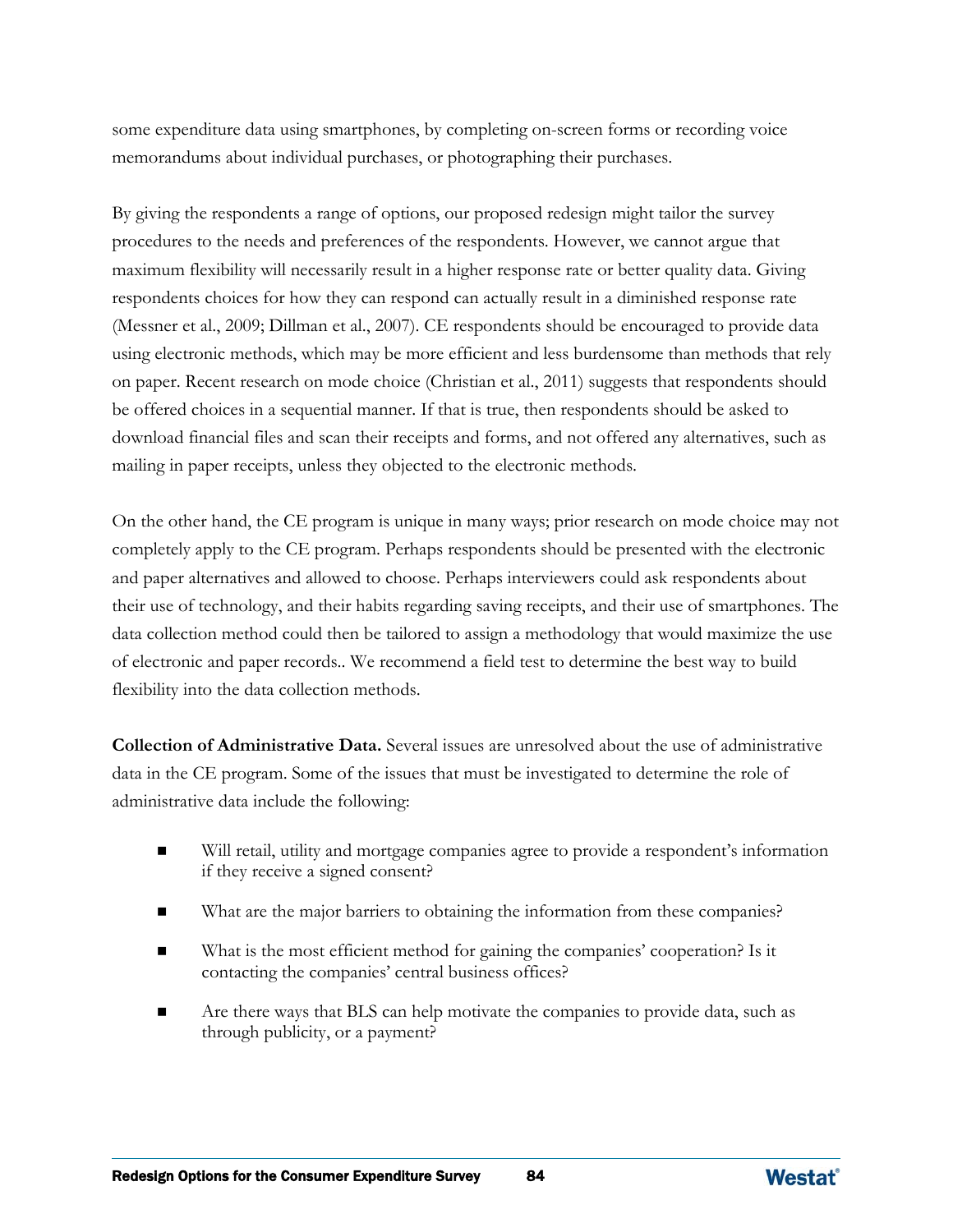some expenditure data using smartphones, by completing on-screen forms or recording voice memorandums about individual purchases, or photographing their purchases.

By giving the respondents a range of options, our proposed redesign might tailor the survey procedures to the needs and preferences of the respondents. However, we cannot argue that maximum flexibility will necessarily result in a higher response rate or better quality data. Giving respondents choices for how they can respond can actually result in a diminished response rate (Messner et al., 2009; Dillman et al., 2007). CE respondents should be encouraged to provide data using electronic methods, which may be more efficient and less burdensome than methods that rely on paper. Recent research on mode choice (Christian et al., 2011) suggests that respondents should be offered choices in a sequential manner. If that is true, then respondents should be asked to download financial files and scan their receipts and forms, and not offered any alternatives, such as mailing in paper receipts, unless they objected to the electronic methods.

On the other hand, the CE program is unique in many ways; prior research on mode choice may not completely apply to the CE program. Perhaps respondents should be presented with the electronic and paper alternatives and allowed to choose. Perhaps interviewers could ask respondents about their use of technology, and their habits regarding saving receipts, and their use of smartphones. The data collection method could then be tailored to assign a methodology that would maximize the use of electronic and paper records.. We recommend a field test to determine the best way to build flexibility into the data collection methods.

**Collection of Administrative Data.** Several issues are unresolved about the use of administrative data in the CE program. Some of the issues that must be investigated to determine the role of administrative data include the following:

- Will retail, utility and mortgage companies agree to provide a respondent's information if they receive a signed consent?
- What are the major barriers to obtaining the information from these companies?
- What is the most efficient method for gaining the companies' cooperation? Is it contacting the companies' central business offices?
- Are there ways that BLS can help motivate the companies to provide data, such as through publicity, or a payment?

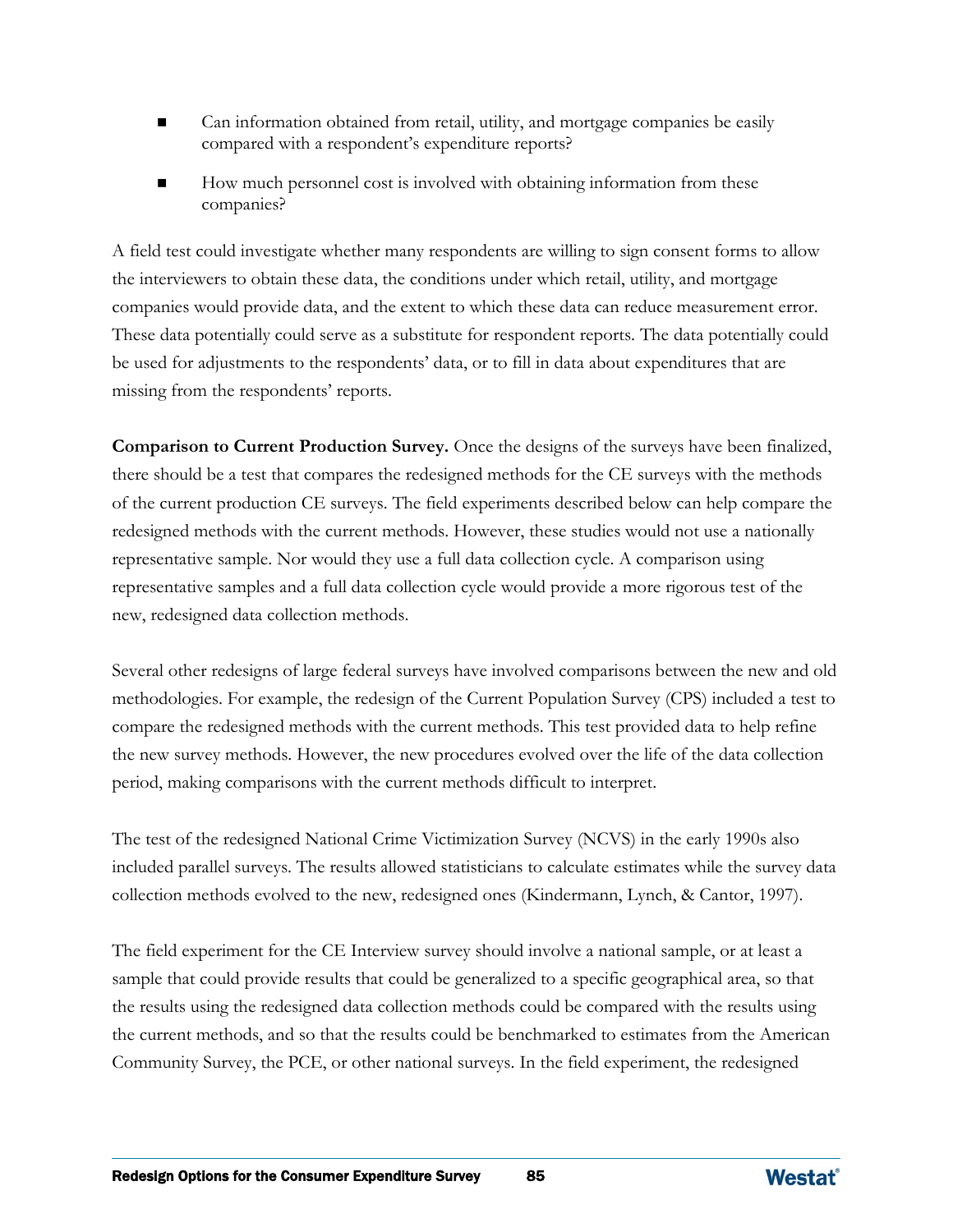- Can information obtained from retail, utility, and mortgage companies be easily compared with a respondent's expenditure reports?
- How much personnel cost is involved with obtaining information from these companies?

A field test could investigate whether many respondents are willing to sign consent forms to allow the interviewers to obtain these data, the conditions under which retail, utility, and mortgage companies would provide data, and the extent to which these data can reduce measurement error. These data potentially could serve as a substitute for respondent reports. The data potentially could be used for adjustments to the respondents' data, or to fill in data about expenditures that are missing from the respondents' reports.

**Comparison to Current Production Survey.** Once the designs of the surveys have been finalized, there should be a test that compares the redesigned methods for the CE surveys with the methods of the current production CE surveys. The field experiments described below can help compare the redesigned methods with the current methods. However, these studies would not use a nationally representative sample. Nor would they use a full data collection cycle. A comparison using representative samples and a full data collection cycle would provide a more rigorous test of the new, redesigned data collection methods.

Several other redesigns of large federal surveys have involved comparisons between the new and old methodologies. For example, the redesign of the Current Population Survey (CPS) included a test to compare the redesigned methods with the current methods. This test provided data to help refine the new survey methods. However, the new procedures evolved over the life of the data collection period, making comparisons with the current methods difficult to interpret.

The test of the redesigned National Crime Victimization Survey (NCVS) in the early 1990s also included parallel surveys. The results allowed statisticians to calculate estimates while the survey data collection methods evolved to the new, redesigned ones (Kindermann, Lynch, & Cantor, 1997).

The field experiment for the CE Interview survey should involve a national sample, or at least a sample that could provide results that could be generalized to a specific geographical area, so that the results using the redesigned data collection methods could be compared with the results using the current methods, and so that the results could be benchmarked to estimates from the American Community Survey, the PCE, or other national surveys. In the field experiment, the redesigned

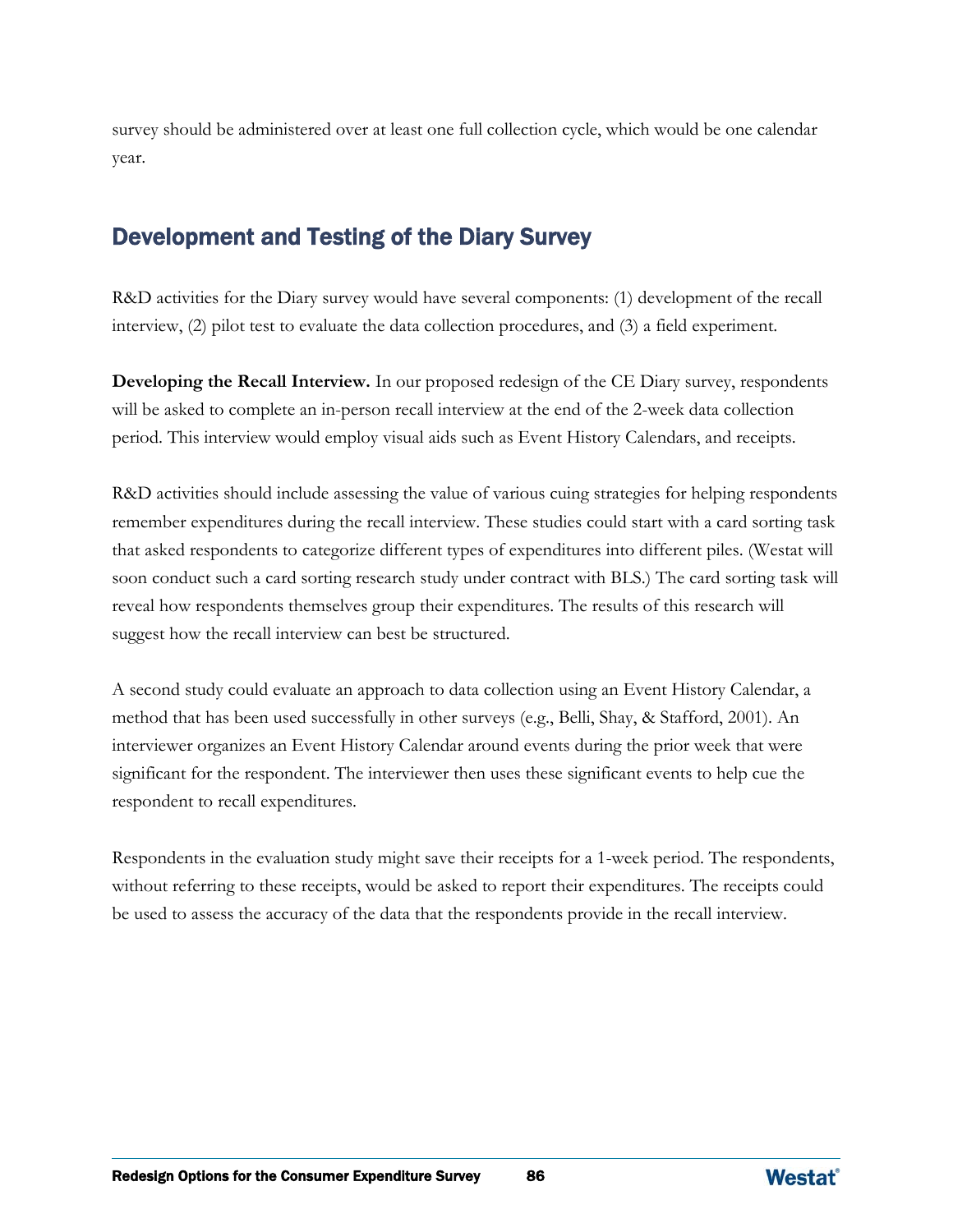survey should be administered over at least one full collection cycle, which would be one calendar year.

## Development and Testing of the Diary Survey

R&D activities for the Diary survey would have several components: (1) development of the recall interview, (2) pilot test to evaluate the data collection procedures, and (3) a field experiment.

**Developing the Recall Interview.** In our proposed redesign of the CE Diary survey, respondents will be asked to complete an in-person recall interview at the end of the 2-week data collection period. This interview would employ visual aids such as Event History Calendars, and receipts.

R&D activities should include assessing the value of various cuing strategies for helping respondents remember expenditures during the recall interview. These studies could start with a card sorting task that asked respondents to categorize different types of expenditures into different piles. (Westat will soon conduct such a card sorting research study under contract with BLS.) The card sorting task will reveal how respondents themselves group their expenditures. The results of this research will suggest how the recall interview can best be structured.

A second study could evaluate an approach to data collection using an Event History Calendar, a method that has been used successfully in other surveys (e.g., Belli, Shay, & Stafford, 2001). An interviewer organizes an Event History Calendar around events during the prior week that were significant for the respondent. The interviewer then uses these significant events to help cue the respondent to recall expenditures.

Respondents in the evaluation study might save their receipts for a 1-week period. The respondents, without referring to these receipts, would be asked to report their expenditures. The receipts could be used to assess the accuracy of the data that the respondents provide in the recall interview.

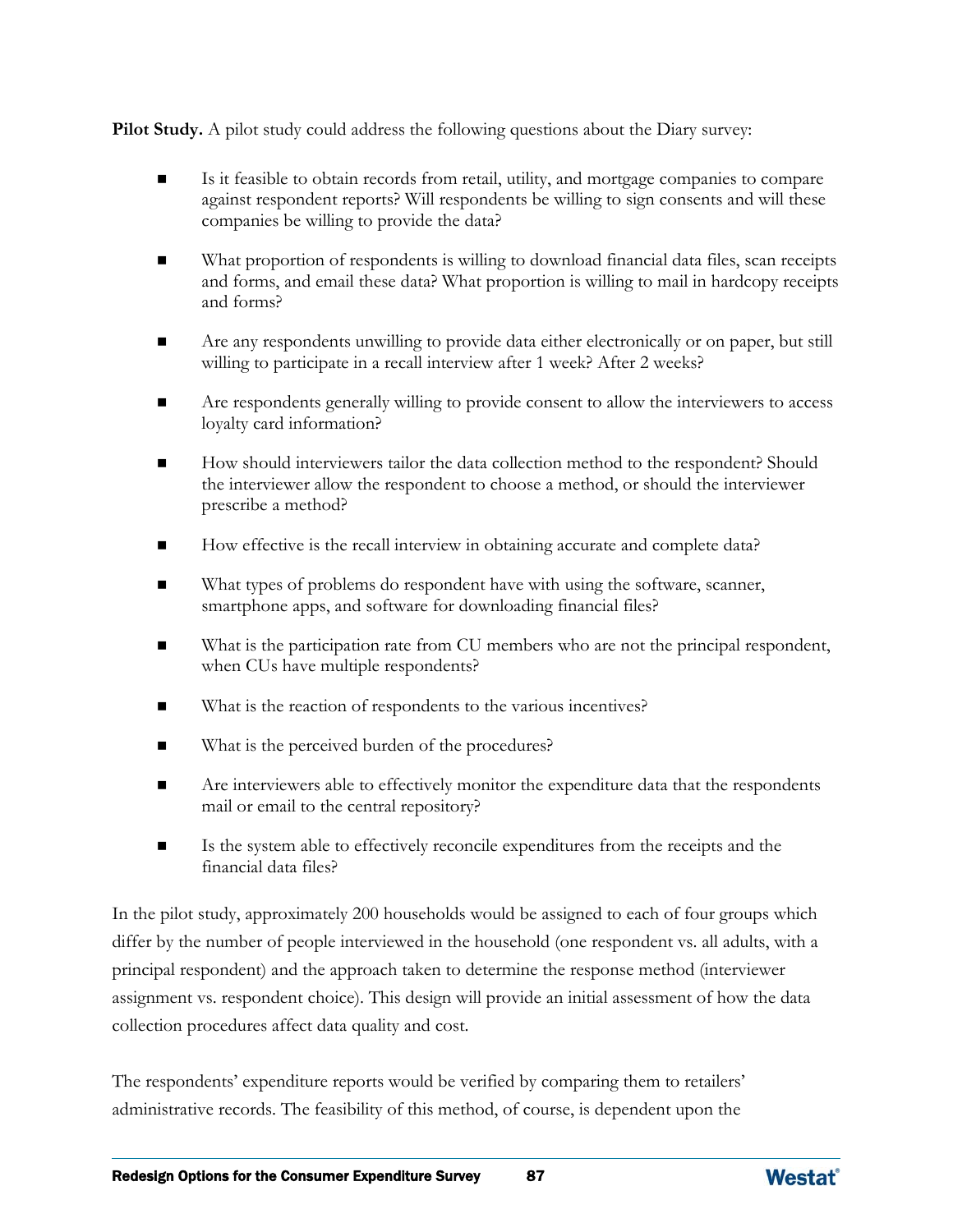**Pilot Study.** A pilot study could address the following questions about the Diary survey:

- Is it feasible to obtain records from retail, utility, and mortgage companies to compare against respondent reports? Will respondents be willing to sign consents and will these companies be willing to provide the data?
- What proportion of respondents is willing to download financial data files, scan receipts and forms, and email these data? What proportion is willing to mail in hardcopy receipts and forms?
- Are any respondents unwilling to provide data either electronically or on paper, but still willing to participate in a recall interview after 1 week? After 2 weeks?
- **EXECUTE:** Are respondents generally willing to provide consent to allow the interviewers to access loyalty card information?
- How should interviewers tailor the data collection method to the respondent? Should the interviewer allow the respondent to choose a method, or should the interviewer prescribe a method?
- How effective is the recall interview in obtaining accurate and complete data?
- What types of problems do respondent have with using the software, scanner, smartphone apps, and software for downloading financial files?
- What is the participation rate from CU members who are not the principal respondent, when CUs have multiple respondents?
- What is the reaction of respondents to the various incentives?
- What is the perceived burden of the procedures?
- Are interviewers able to effectively monitor the expenditure data that the respondents mail or email to the central repository?
- Is the system able to effectively reconcile expenditures from the receipts and the financial data files?

In the pilot study, approximately 200 households would be assigned to each of four groups which differ by the number of people interviewed in the household (one respondent vs. all adults, with a principal respondent) and the approach taken to determine the response method (interviewer assignment vs. respondent choice). This design will provide an initial assessment of how the data collection procedures affect data quality and cost.

The respondents' expenditure reports would be verified by comparing them to retailers' administrative records. The feasibility of this method, of course, is dependent upon the

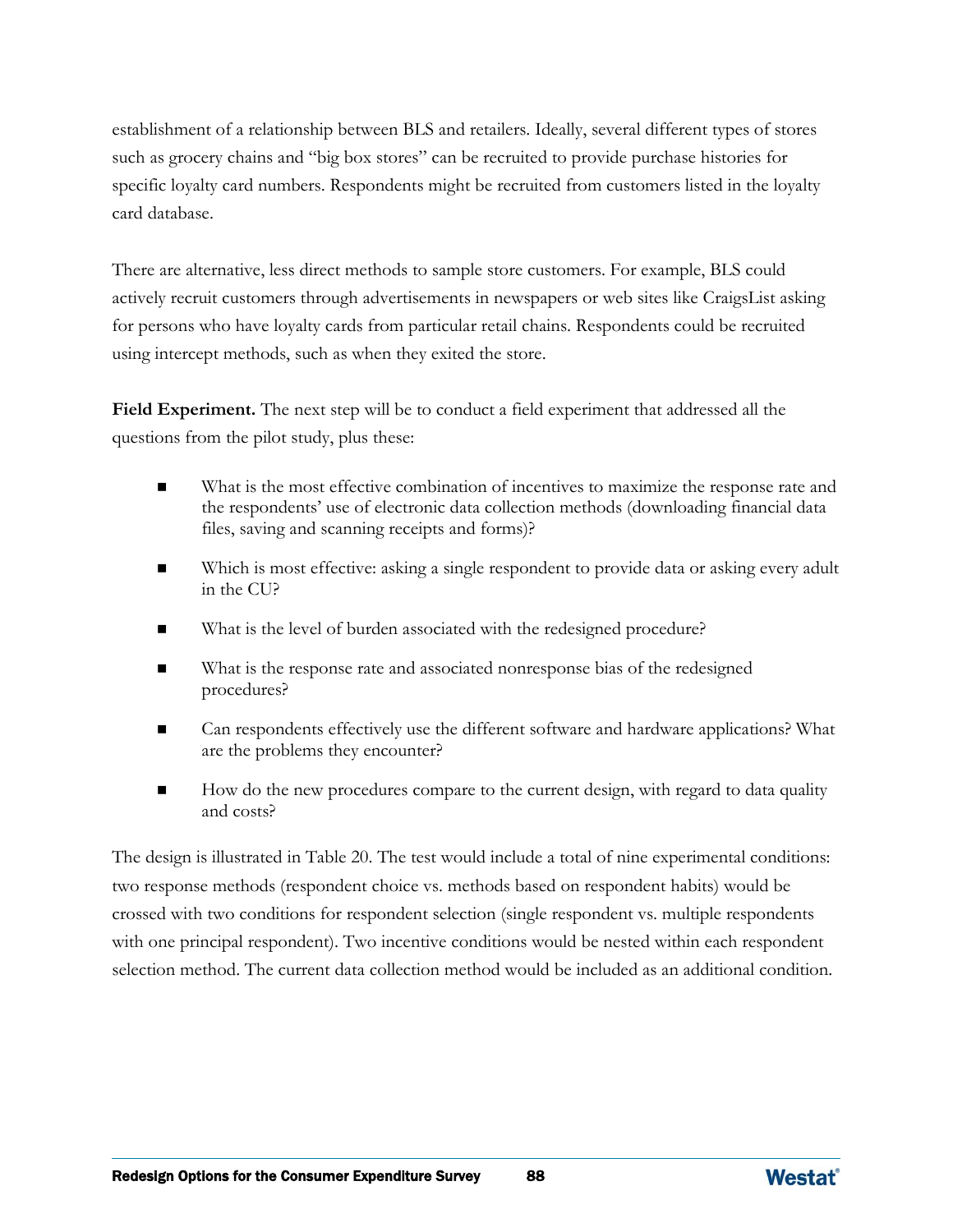establishment of a relationship between BLS and retailers. Ideally, several different types of stores such as grocery chains and "big box stores" can be recruited to provide purchase histories for specific loyalty card numbers. Respondents might be recruited from customers listed in the loyalty card database.

There are alternative, less direct methods to sample store customers. For example, BLS could actively recruit customers through advertisements in newspapers or web sites like CraigsList asking for persons who have loyalty cards from particular retail chains. Respondents could be recruited using intercept methods, such as when they exited the store.

**Field Experiment.** The next step will be to conduct a field experiment that addressed all the questions from the pilot study, plus these:

- What is the most effective combination of incentives to maximize the response rate and the respondents' use of electronic data collection methods (downloading financial data files, saving and scanning receipts and forms)?
- Which is most effective: asking a single respondent to provide data or asking every adult in the CU?
- What is the level of burden associated with the redesigned procedure?
- What is the response rate and associated nonresponse bias of the redesigned procedures?
- Can respondents effectively use the different software and hardware applications? What are the problems they encounter?
- How do the new procedures compare to the current design, with regard to data quality and costs?

The design is illustrated in Table 20. The test would include a total of nine experimental conditions: two response methods (respondent choice vs. methods based on respondent habits) would be crossed with two conditions for respondent selection (single respondent vs. multiple respondents with one principal respondent). Two incentive conditions would be nested within each respondent selection method. The current data collection method would be included as an additional condition.

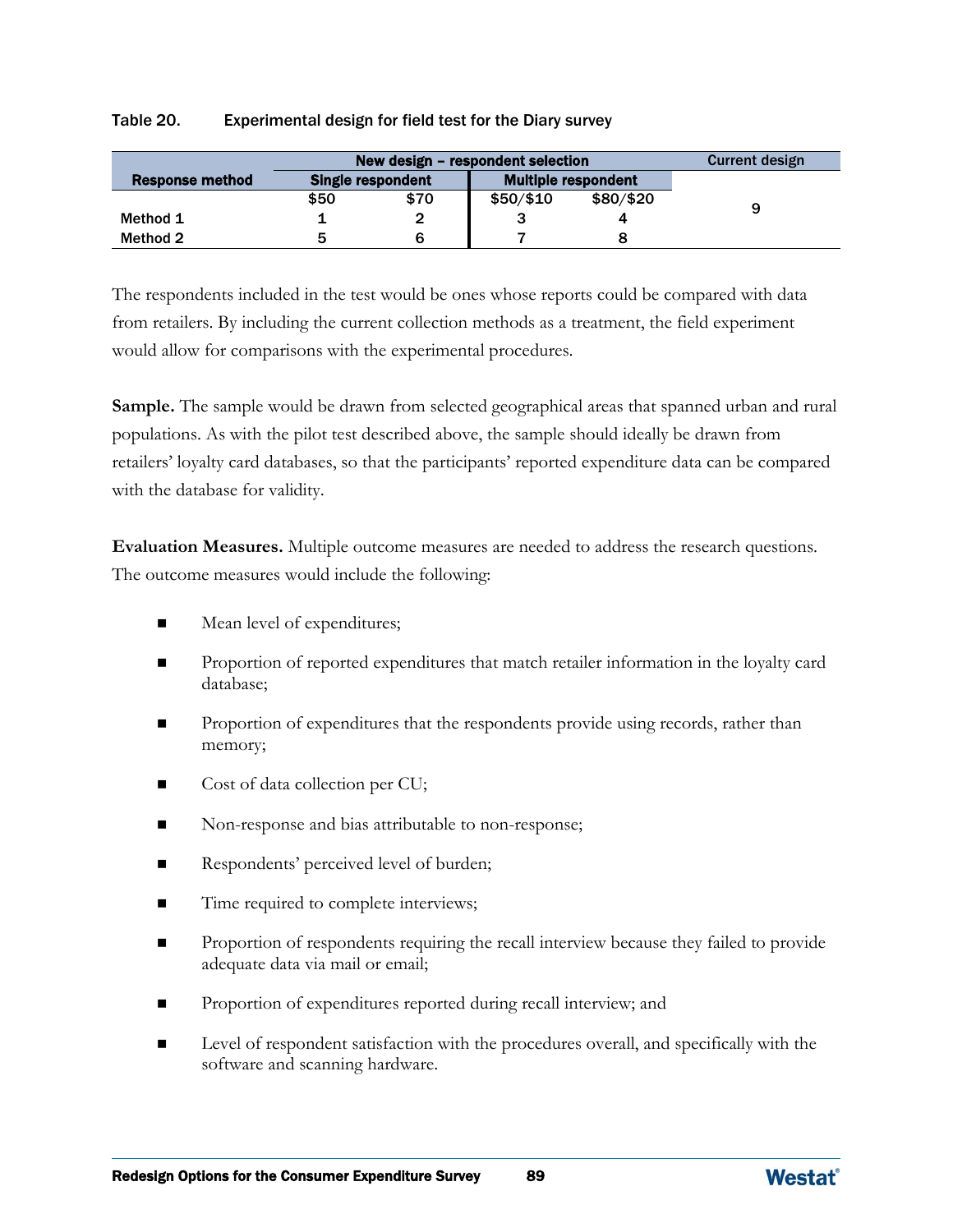### Table 20. Experimental design for field test for the Diary survey

|                 | New design – respondent selection | Current design |                            |  |   |  |  |
|-----------------|-----------------------------------|----------------|----------------------------|--|---|--|--|
| Response method | <b>Single respondent</b>          |                | <b>Multiple respondent</b> |  |   |  |  |
|                 | \$50                              | \$70           | $$50/\$10$<br>\$80/\$20    |  | 9 |  |  |
| Method 1        |                                   |                |                            |  |   |  |  |
| Method 2        |                                   |                |                            |  |   |  |  |

The respondents included in the test would be ones whose reports could be compared with data from retailers. By including the current collection methods as a treatment, the field experiment would allow for comparisons with the experimental procedures.

**Sample.** The sample would be drawn from selected geographical areas that spanned urban and rural populations. As with the pilot test described above, the sample should ideally be drawn from retailers' loyalty card databases, so that the participants' reported expenditure data can be compared with the database for validity.

**Evaluation Measures.** Multiple outcome measures are needed to address the research questions. The outcome measures would include the following:

- Mean level of expenditures;
- **Proportion of reported expenditures that match retailer information in the loyalty card** database;
- **Proportion of expenditures that the respondents provide using records, rather than** memory;
- Cost of data collection per CU;
- Non-response and bias attributable to non-response;
- Respondents' perceived level of burden;
- Time required to complete interviews;
- Proportion of respondents requiring the recall interview because they failed to provide adequate data via mail or email;
- Proportion of expenditures reported during recall interview; and
- Level of respondent satisfaction with the procedures overall, and specifically with the software and scanning hardware.

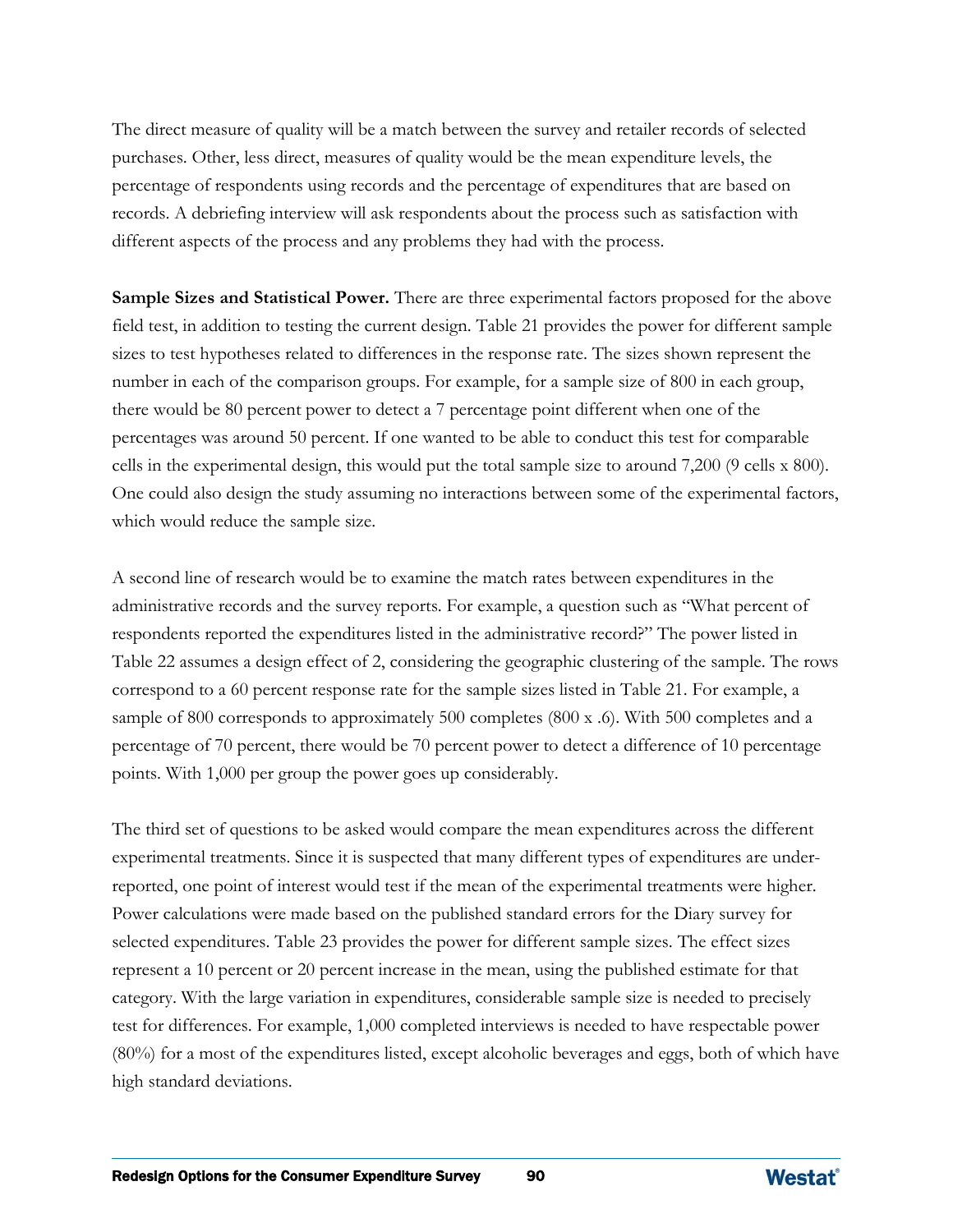The direct measure of quality will be a match between the survey and retailer records of selected purchases. Other, less direct, measures of quality would be the mean expenditure levels, the percentage of respondents using records and the percentage of expenditures that are based on records. A debriefing interview will ask respondents about the process such as satisfaction with different aspects of the process and any problems they had with the process.

**Sample Sizes and Statistical Power.** There are three experimental factors proposed for the above field test, in addition to testing the current design. Table 21 provides the power for different sample sizes to test hypotheses related to differences in the response rate. The sizes shown represent the number in each of the comparison groups. For example, for a sample size of 800 in each group, there would be 80 percent power to detect a 7 percentage point different when one of the percentages was around 50 percent. If one wanted to be able to conduct this test for comparable cells in the experimental design, this would put the total sample size to around 7,200 (9 cells x 800). One could also design the study assuming no interactions between some of the experimental factors, which would reduce the sample size.

A second line of research would be to examine the match rates between expenditures in the administrative records and the survey reports. For example, a question such as "What percent of respondents reported the expenditures listed in the administrative record?" The power listed in Table 22 assumes a design effect of 2, considering the geographic clustering of the sample. The rows correspond to a 60 percent response rate for the sample sizes listed in Table 21. For example, a sample of 800 corresponds to approximately 500 completes (800 x .6). With 500 completes and a percentage of 70 percent, there would be 70 percent power to detect a difference of 10 percentage points. With 1,000 per group the power goes up considerably.

The third set of questions to be asked would compare the mean expenditures across the different experimental treatments. Since it is suspected that many different types of expenditures are underreported, one point of interest would test if the mean of the experimental treatments were higher. Power calculations were made based on the published standard errors for the Diary survey for selected expenditures. Table 23 provides the power for different sample sizes. The effect sizes represent a 10 percent or 20 percent increase in the mean, using the published estimate for that category. With the large variation in expenditures, considerable sample size is needed to precisely test for differences. For example, 1,000 completed interviews is needed to have respectable power (80%) for a most of the expenditures listed, except alcoholic beverages and eggs, both of which have high standard deviations.

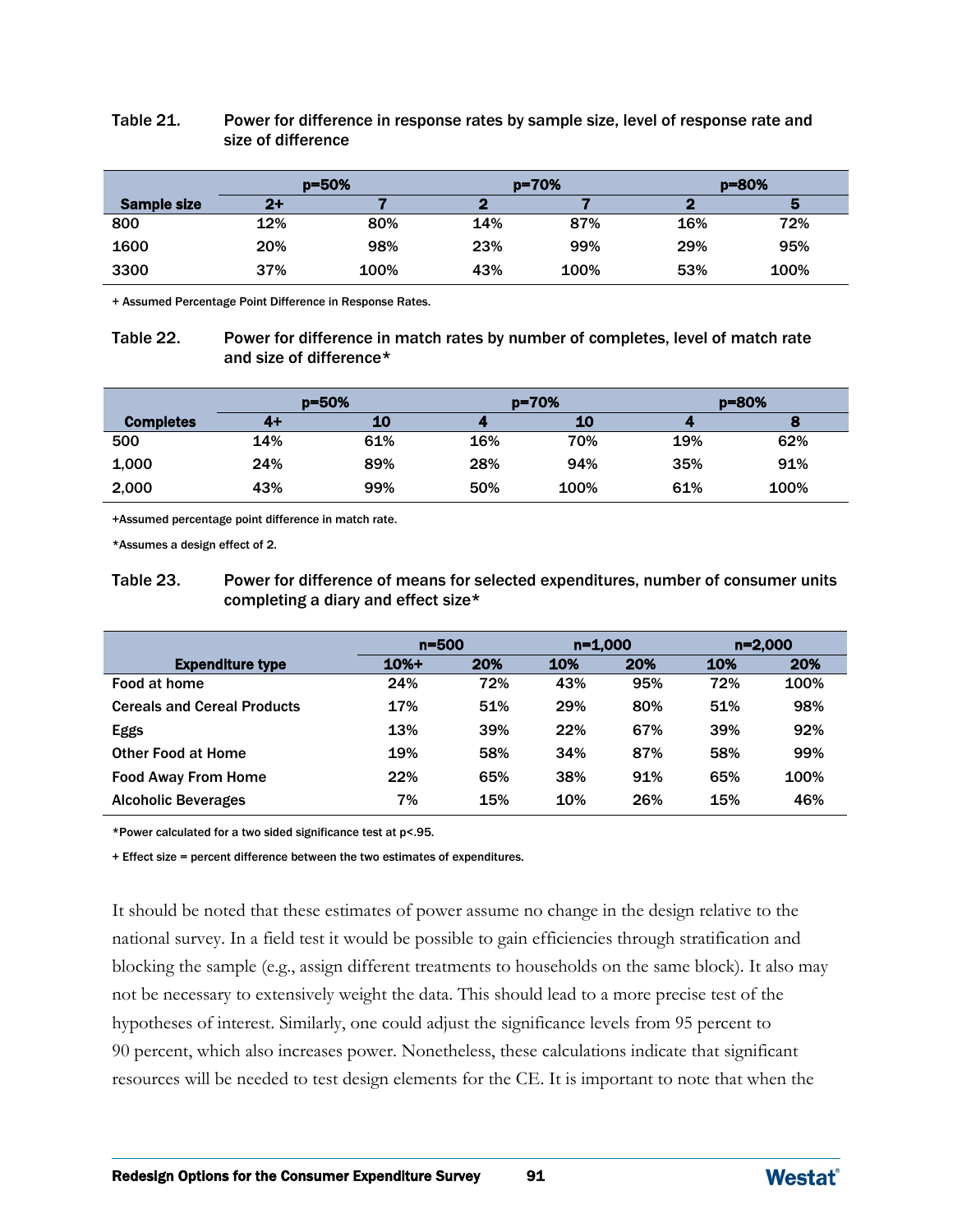|             | $p = 50%$ |      |     | $p = 70%$ | $p = 80%$ |      |  |
|-------------|-----------|------|-----|-----------|-----------|------|--|
| Sample size | $2+$      |      |     |           |           |      |  |
| 800         | 12%       | 80%  | 14% | 87%       | 16%       | 72%  |  |
| 1600        | 20%       | 98%  | 23% | 99%       | 29%       | 95%  |  |
| 3300        | 37%       | 100% | 43% | 100%      | 53%       | 100% |  |

### Table 21. Power for difference in response rates by sample size, level of response rate and size of difference

+ Assumed Percentage Point Difference in Response Rates.

#### Table 22. Power for difference in match rates by number of completes, level of match rate and size of difference\*

|                  | $p = 50%$ |     |     | p=70% | $p = 80%$ |      |  |
|------------------|-----------|-----|-----|-------|-----------|------|--|
| <b>Completes</b> | 4+        | 10  |     | 10    |           |      |  |
| 500              | 14%       | 61% | 16% | 70%   | 19%       | 62%  |  |
| 1,000            | 24%       | 89% | 28% | 94%   | 35%       | 91%  |  |
| 2,000            | 43%       | 99% | 50% | 100%  | 61%       | 100% |  |

+Assumed percentage point difference in match rate.

\*Assumes a design effect of 2.

Table 23. Power for difference of means for selected expenditures, number of consumer units completing a diary and effect size\*

|                                    | $n = 500$      |     | $n=1,000$ |     | $n=2,000$ |      |
|------------------------------------|----------------|-----|-----------|-----|-----------|------|
| <b>Expenditure type</b>            | $10% +$<br>20% |     | 10%       | 20% | 10%       | 20%  |
| Food at home                       | 24%            | 72% | 43%       | 95% | 72%       | 100% |
| <b>Cereals and Cereal Products</b> | 17%            | 51% | 29%       | 80% | 51%       | 98%  |
| <b>Eggs</b>                        | 13%            | 39% | 22%       | 67% | 39%       | 92%  |
| <b>Other Food at Home</b>          | 19%            | 58% | 34%       | 87% | 58%       | 99%  |
| <b>Food Away From Home</b>         | 22%            | 65% | 38%       | 91% | 65%       | 100% |
| <b>Alcoholic Beverages</b>         | 7%             | 15% | 10%       | 26% | 15%       | 46%  |

\*Power calculated for a two sided significance test at p<.95.

+ Effect size = percent difference between the two estimates of expenditures.

It should be noted that these estimates of power assume no change in the design relative to the national survey. In a field test it would be possible to gain efficiencies through stratification and blocking the sample (e.g., assign different treatments to households on the same block). It also may not be necessary to extensively weight the data. This should lead to a more precise test of the hypotheses of interest. Similarly, one could adjust the significance levels from 95 percent to 90 percent, which also increases power. Nonetheless, these calculations indicate that significant resources will be needed to test design elements for the CE. It is important to note that when the

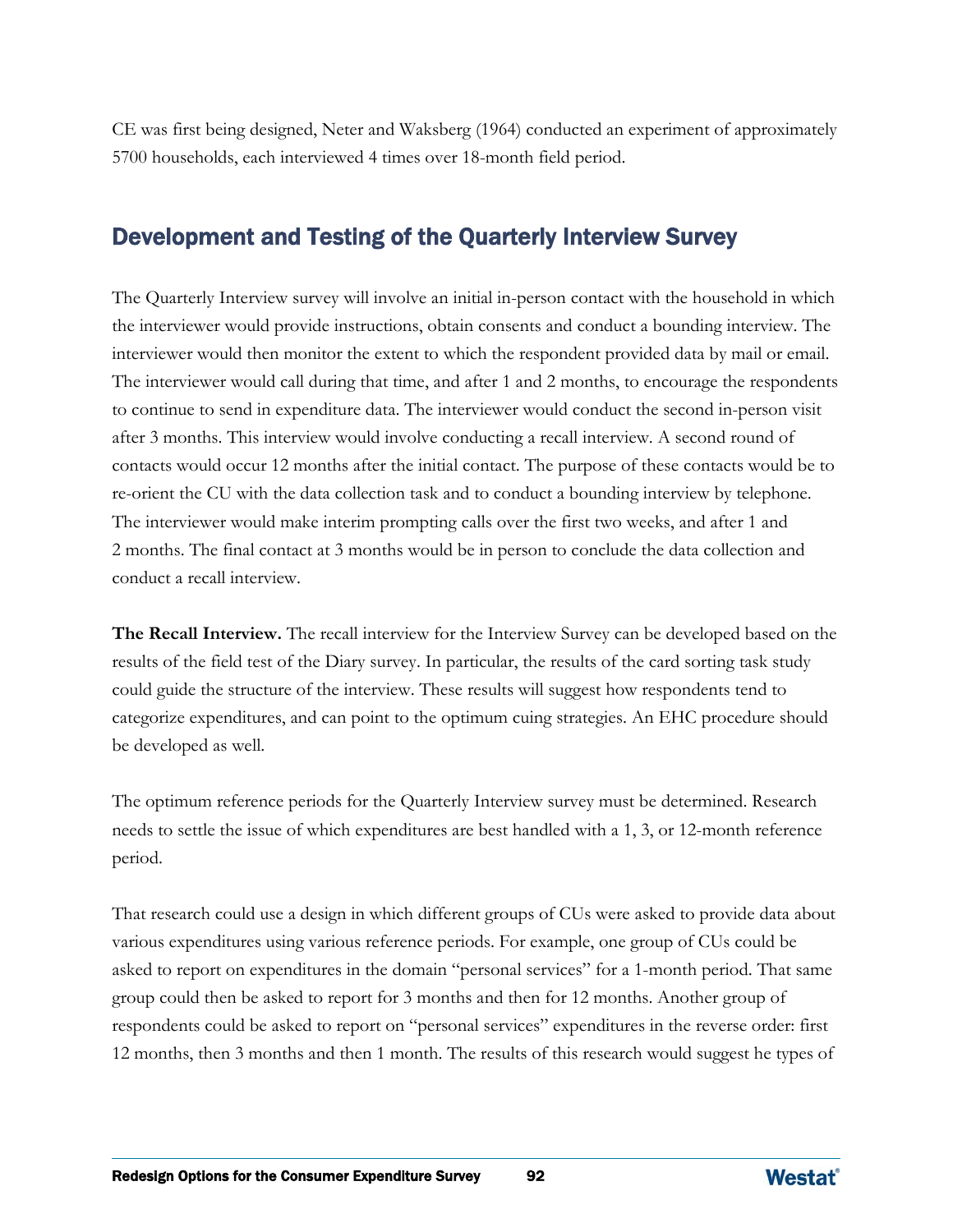CE was first being designed, Neter and Waksberg (1964) conducted an experiment of approximately 5700 households, each interviewed 4 times over 18-month field period.

## Development and Testing of the Quarterly Interview Survey

The Quarterly Interview survey will involve an initial in-person contact with the household in which the interviewer would provide instructions, obtain consents and conduct a bounding interview. The interviewer would then monitor the extent to which the respondent provided data by mail or email. The interviewer would call during that time, and after 1 and 2 months, to encourage the respondents to continue to send in expenditure data. The interviewer would conduct the second in-person visit after 3 months. This interview would involve conducting a recall interview. A second round of contacts would occur 12 months after the initial contact. The purpose of these contacts would be to re-orient the CU with the data collection task and to conduct a bounding interview by telephone. The interviewer would make interim prompting calls over the first two weeks, and after 1 and 2 months. The final contact at 3 months would be in person to conclude the data collection and conduct a recall interview.

**The Recall Interview.** The recall interview for the Interview Survey can be developed based on the results of the field test of the Diary survey. In particular, the results of the card sorting task study could guide the structure of the interview. These results will suggest how respondents tend to categorize expenditures, and can point to the optimum cuing strategies. An EHC procedure should be developed as well.

The optimum reference periods for the Quarterly Interview survey must be determined. Research needs to settle the issue of which expenditures are best handled with a 1, 3, or 12-month reference period.

That research could use a design in which different groups of CUs were asked to provide data about various expenditures using various reference periods. For example, one group of CUs could be asked to report on expenditures in the domain "personal services" for a 1-month period. That same group could then be asked to report for 3 months and then for 12 months. Another group of respondents could be asked to report on "personal services" expenditures in the reverse order: first 12 months, then 3 months and then 1 month. The results of this research would suggest he types of

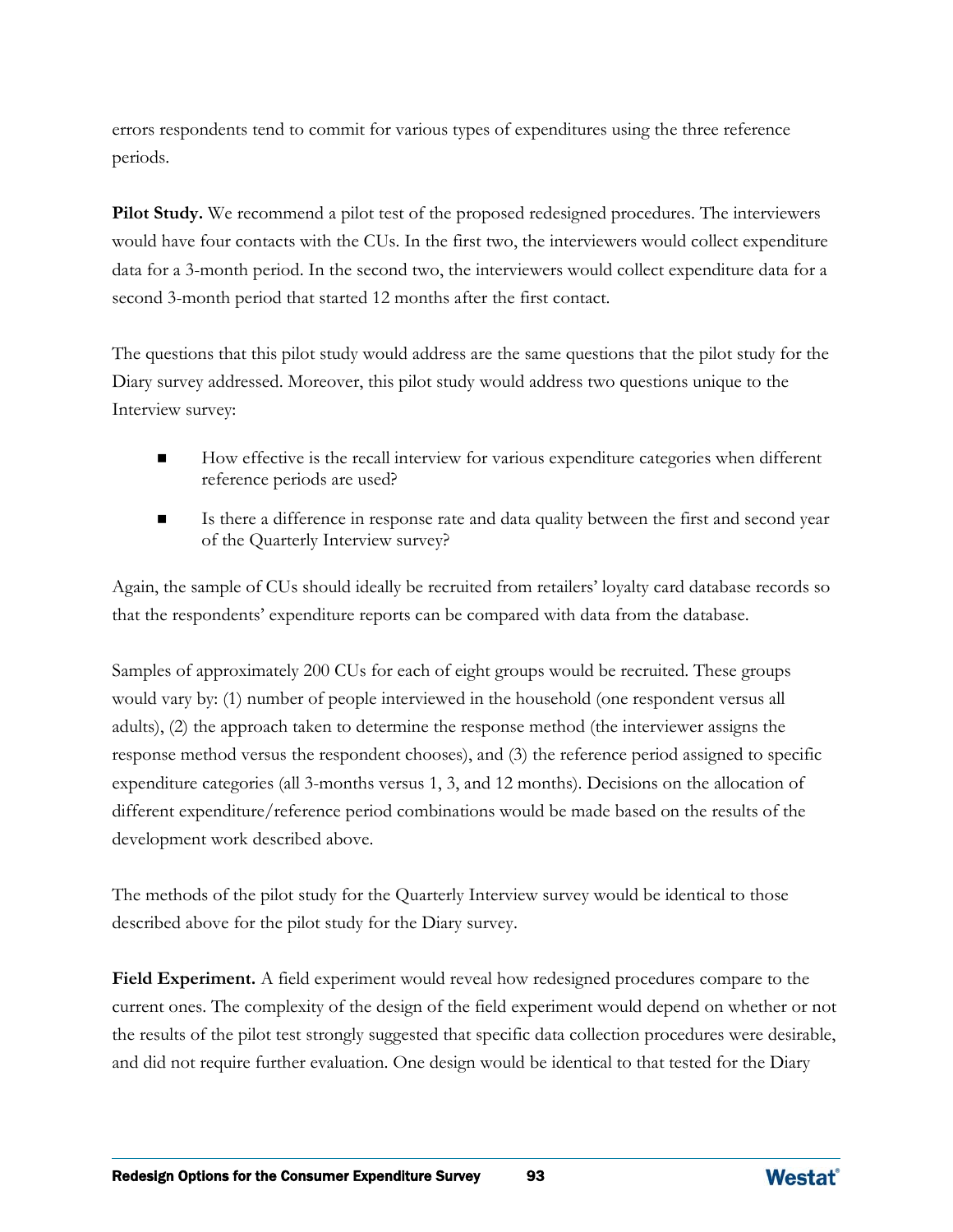errors respondents tend to commit for various types of expenditures using the three reference periods.

**Pilot Study.** We recommend a pilot test of the proposed redesigned procedures. The interviewers would have four contacts with the CUs. In the first two, the interviewers would collect expenditure data for a 3-month period. In the second two, the interviewers would collect expenditure data for a second 3-month period that started 12 months after the first contact.

The questions that this pilot study would address are the same questions that the pilot study for the Diary survey addressed. Moreover, this pilot study would address two questions unique to the Interview survey:

- How effective is the recall interview for various expenditure categories when different reference periods are used?
- Is there a difference in response rate and data quality between the first and second year of the Quarterly Interview survey?

Again, the sample of CUs should ideally be recruited from retailers' loyalty card database records so that the respondents' expenditure reports can be compared with data from the database.

Samples of approximately 200 CUs for each of eight groups would be recruited. These groups would vary by: (1) number of people interviewed in the household (one respondent versus all adults), (2) the approach taken to determine the response method (the interviewer assigns the response method versus the respondent chooses), and (3) the reference period assigned to specific expenditure categories (all 3-months versus 1, 3, and 12 months). Decisions on the allocation of different expenditure/reference period combinations would be made based on the results of the development work described above.

The methods of the pilot study for the Quarterly Interview survey would be identical to those described above for the pilot study for the Diary survey.

**Field Experiment.** A field experiment would reveal how redesigned procedures compare to the current ones. The complexity of the design of the field experiment would depend on whether or not the results of the pilot test strongly suggested that specific data collection procedures were desirable, and did not require further evaluation. One design would be identical to that tested for the Diary

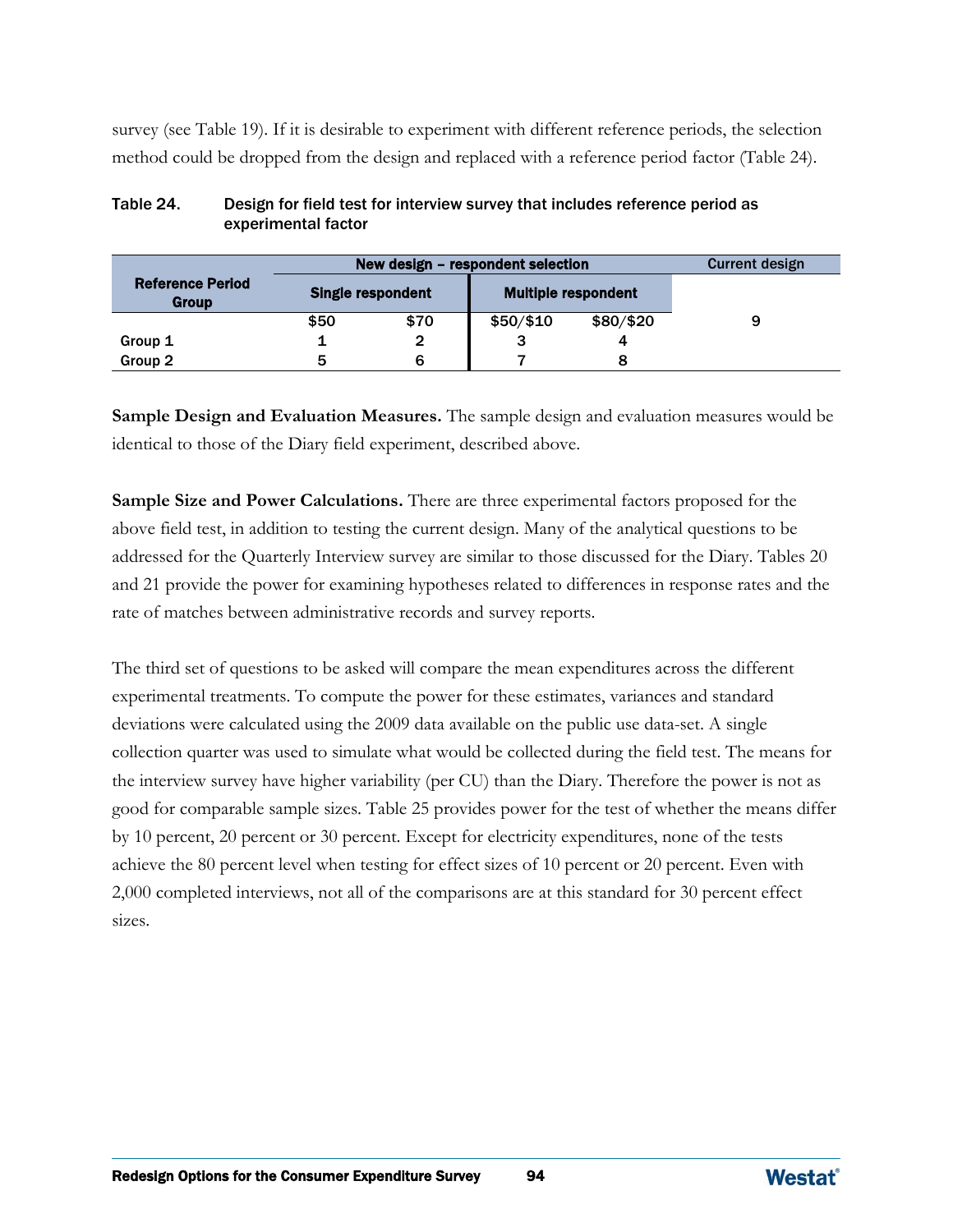survey (see Table 19). If it is desirable to experiment with different reference periods, the selection method could be dropped from the design and replaced with a reference period factor (Table 24).

|                                  |      | New design – respondent selection | <b>Current design</b>      |           |   |  |  |
|----------------------------------|------|-----------------------------------|----------------------------|-----------|---|--|--|
| <b>Reference Period</b><br>Group |      | <b>Single respondent</b>          | <b>Multiple respondent</b> |           |   |  |  |
|                                  | \$50 | \$70                              | $$50/\$10$                 | \$80/\$20 | 9 |  |  |
| Group 1                          |      |                                   |                            |           |   |  |  |
| Group 2                          | 5    |                                   |                            |           |   |  |  |

### Table 24. Design for field test for interview survey that includes reference period as experimental factor

**Sample Design and Evaluation Measures.** The sample design and evaluation measures would be identical to those of the Diary field experiment, described above.

**Sample Size and Power Calculations.** There are three experimental factors proposed for the above field test, in addition to testing the current design. Many of the analytical questions to be addressed for the Quarterly Interview survey are similar to those discussed for the Diary. Tables 20 and 21 provide the power for examining hypotheses related to differences in response rates and the rate of matches between administrative records and survey reports.

The third set of questions to be asked will compare the mean expenditures across the different experimental treatments. To compute the power for these estimates, variances and standard deviations were calculated using the 2009 data available on the public use data-set. A single collection quarter was used to simulate what would be collected during the field test. The means for the interview survey have higher variability (per CU) than the Diary. Therefore the power is not as good for comparable sample sizes. Table 25 provides power for the test of whether the means differ by 10 percent, 20 percent or 30 percent. Except for electricity expenditures, none of the tests achieve the 80 percent level when testing for effect sizes of 10 percent or 20 percent. Even with 2,000 completed interviews, not all of the comparisons are at this standard for 30 percent effect sizes.

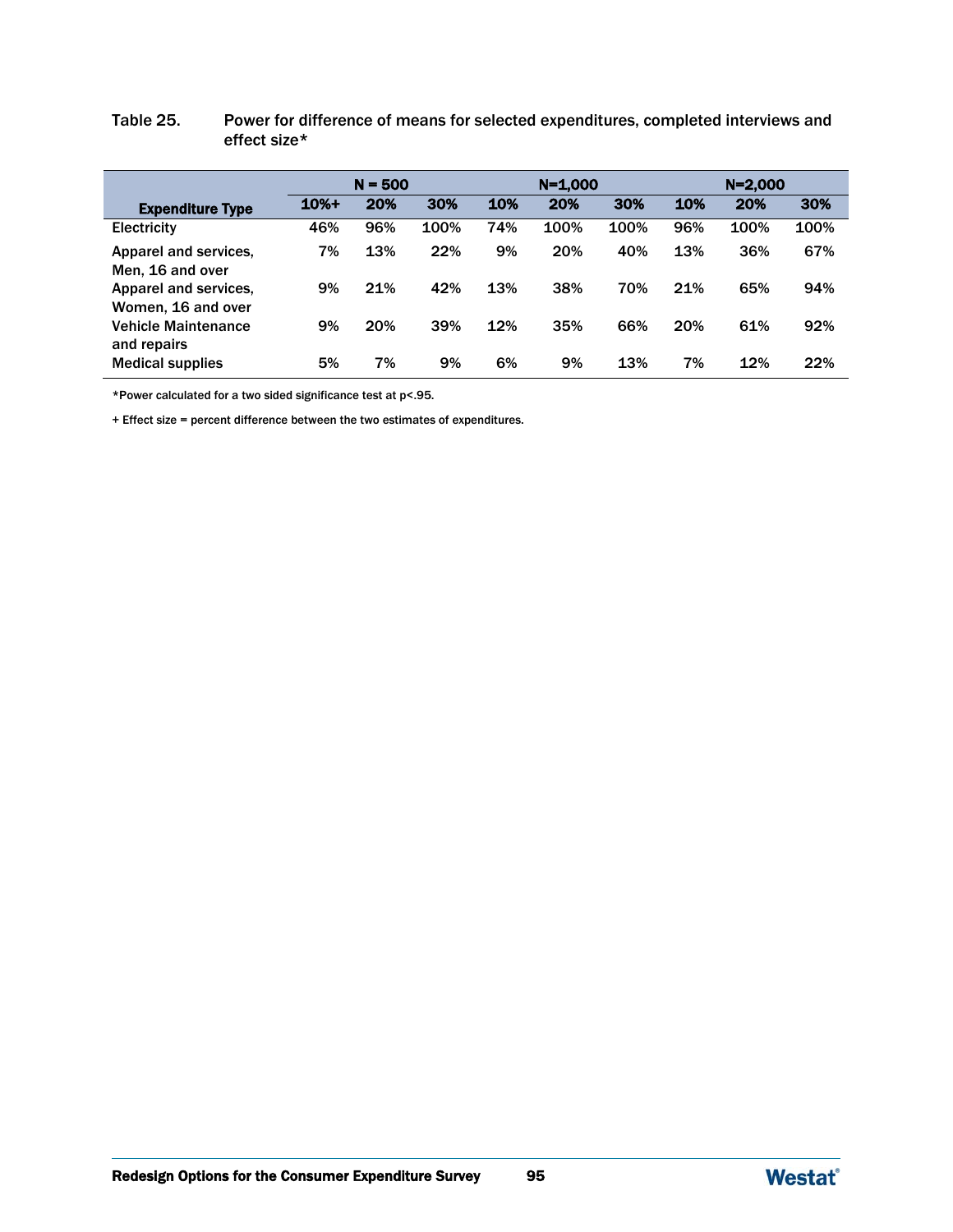### Table 25. Power for difference of means for selected expenditures, completed interviews and effect size\*

|                                             | $N = 500$ |     |      | $N = 1,000$ |      |      | $N = 2,000$ |      |      |
|---------------------------------------------|-----------|-----|------|-------------|------|------|-------------|------|------|
| <b>Expenditure Type</b>                     | $10% +$   | 20% | 30%  | 10%         | 20%  | 30%  | 10%         | 20%  | 30%  |
| <b>Electricity</b>                          | 46%       | 96% | 100% | 74%         | 100% | 100% | 96%         | 100% | 100% |
| Apparel and services.<br>Men, 16 and over   | 7%        | 13% | 22%  | 9%          | 20%  | 40%  | 13%         | 36%  | 67%  |
| Apparel and services.<br>Women, 16 and over | 9%        | 21% | 42%  | 13%         | 38%  | 70%  | 21%         | 65%  | 94%  |
| <b>Vehicle Maintenance</b><br>and repairs   | 9%        | 20% | 39%  | 12%         | 35%  | 66%  | 20%         | 61%  | 92%  |
| <b>Medical supplies</b>                     | 5%        | 7%  | 9%   | 6%          | 9%   | 13%  | 7%          | 12%  | 22%  |

\*Power calculated for a two sided significance test at p<.95.

+ Effect size = percent difference between the two estimates of expenditures.

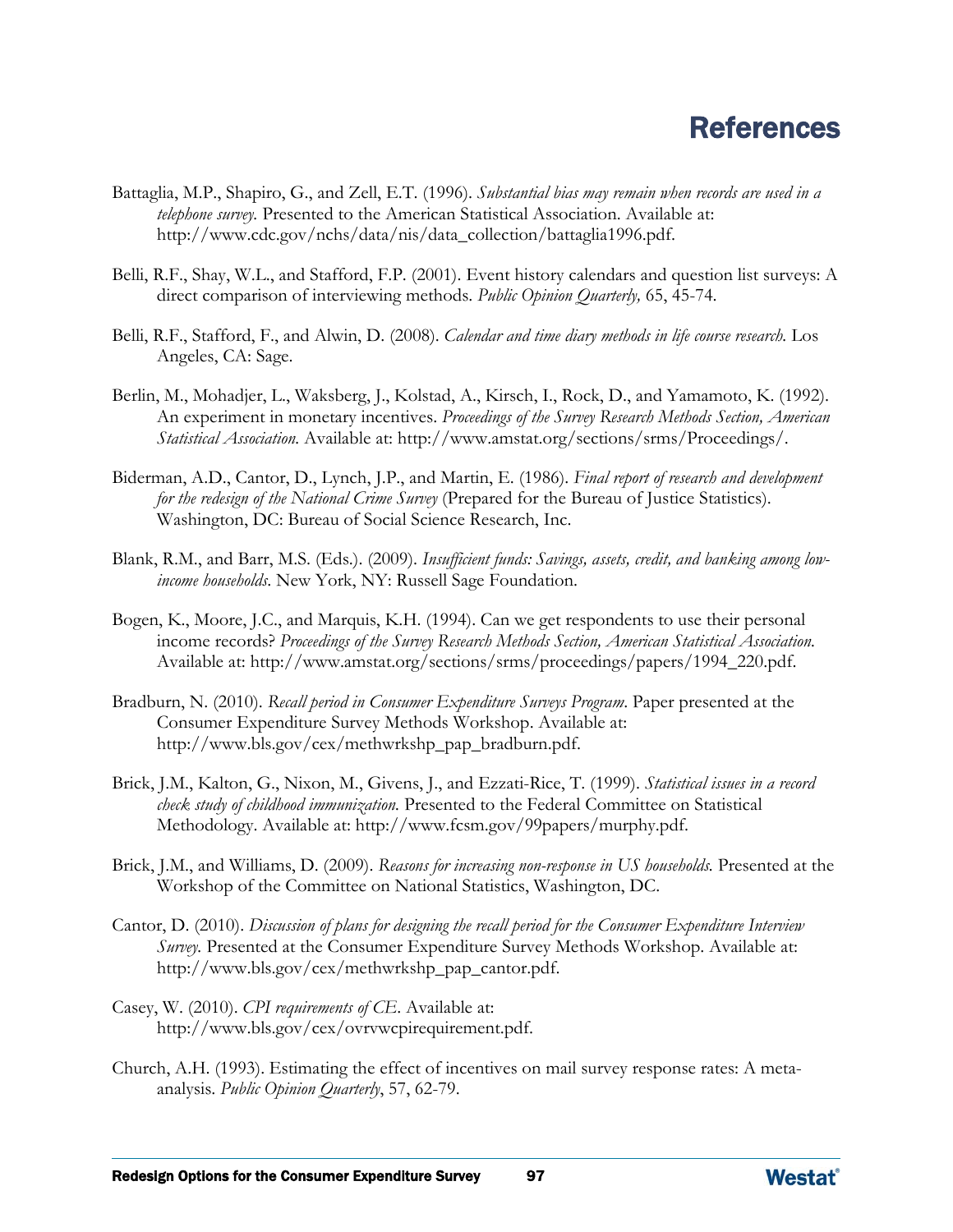# References

- Battaglia, M.P., Shapiro, G., and Zell, E.T. (1996). *Substantial bias may remain when records are used in a telephone survey.* Presented to the American Statistical Association. Available at: [http://www.cdc.gov/nchs/data/nis/data\\_collection/battaglia1996.pdf.](http://www.cdc.gov/nchs/data/nis/data_collection/battaglia1996.pdf)
- Belli, R.F., Shay, W.L., and Stafford, F.P. (2001). Event history calendars and question list surveys: A direct comparison of interviewing methods. *Public Opinion Quarterly,* 65, 45-74.
- Belli, R.F., Stafford, F., and Alwin, D. (2008). *Calendar and time diary methods in life course research*. Los Angeles, CA: Sage.
- Berlin, M., Mohadjer, L., Waksberg, J., Kolstad, A., Kirsch, I., Rock, D., and Yamamoto, K. (1992). An experiment in monetary incentives. *Proceedings of the Survey Research Methods Section, American Statistical Association.* Available at: [http://www.amstat.org/sections/srms/Proceedings/.](http://www.amstat.org/sections/srms/Proceedings/)
- Biderman, A.D., Cantor, D., Lynch, J.P., and Martin, E. (1986). *Final report of research and development for the redesign of the National Crime Survey* (Prepared for the Bureau of Justice Statistics). Washington, DC: Bureau of Social Science Research, Inc.
- Blank, R.M., and Barr, M.S. (Eds.). (2009). *Insufficient funds: Savings, assets, credit, and banking among lowincome households*. New York, NY: Russell Sage Foundation.
- Bogen, K., Moore, J.C., and Marquis, K.H. (1994). Can we get respondents to use their personal income records? *Proceedings of the Survey Research Methods Section, American Statistical Association.* Available at: [http://www.amstat.org/sections/srms/proceedings/papers/1994\\_220.pdf.](http://www.amstat.org/sections/srms/proceedings/papers/1994_220.pdf)
- Bradburn, N. (2010). *Recall period in Consumer Expenditure Surveys Program*. Paper presented at the Consumer Expenditure Survey Methods Workshop. Available at: [http://www.bls.gov/cex/methwrkshp\\_pap\\_bradburn.pdf.](http://www.bls.gov/cex/methwrkshp_pap_bradburn.pdf)
- Brick, J.M., Kalton, G., Nixon, M., Givens, J., and Ezzati-Rice, T. (1999). *Statistical issues in a record check study of childhood immunization.* Presented to the Federal Committee on Statistical Methodology. Available at: [http://www.fcsm.gov/99papers/murphy.pdf.](http://www.fcsm.gov/99papers/murphy.pdf)
- Brick, J.M., and Williams, D. (2009). *Reasons for increasing non-response in US households.* Presented at the Workshop of the Committee on National Statistics, Washington, DC.
- Cantor, D. (2010). *Discussion of plans for designing the recall period for the Consumer Expenditure Interview Survey.* Presented at the Consumer Expenditure Survey Methods Workshop. Available at: [http://www.bls.gov/cex/methwrkshp\\_pap\\_cantor.pdf.](http://www.bls.gov/cex/methwrkshp_pap_cantor.pdf)
- Casey, W. (2010). *CPI requirements of CE*. Available at: [http://www.bls.gov/cex/ovrvwcpirequirement.pdf.](http://www.bls.gov/cex/ovrvwcpirequirement.pdf)
- Church, A.H. (1993). Estimating the effect of incentives on mail survey response rates: A metaanalysis. *Public Opinion Quarterly*, 57, 62-79.

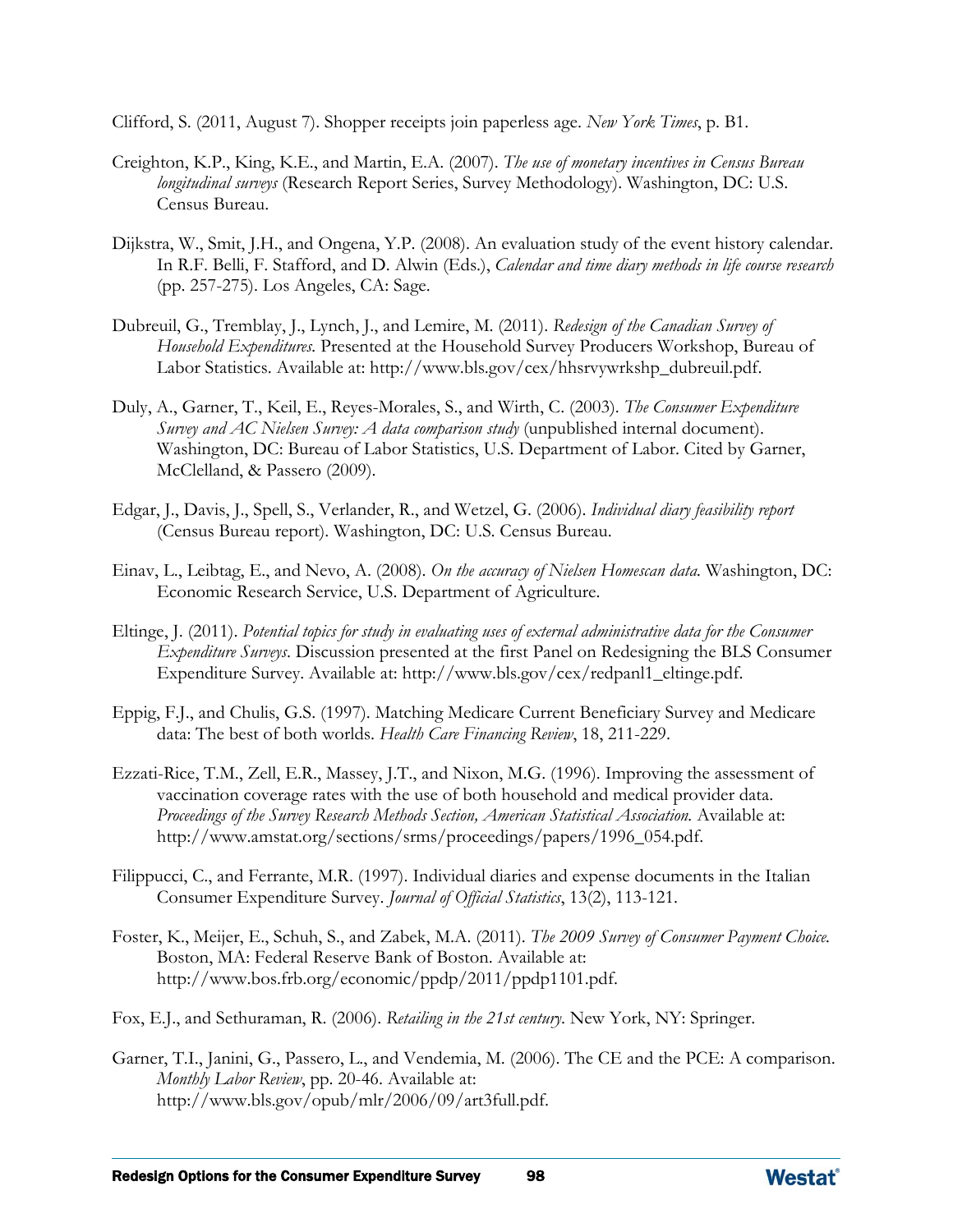Clifford, S. (2011, August 7). Shopper receipts join paperless age. *New York Times*, p. B1.

- Creighton, K.P., King, K.E., and Martin, E.A. (2007). *The use of monetary incentives in Census Bureau longitudinal surveys* (Research Report Series, Survey Methodology). Washington, DC: U.S. Census Bureau.
- Dijkstra, W., Smit, J.H., and Ongena, Y.P. (2008). An evaluation study of the event history calendar. In R.F. Belli, F. Stafford, and D. Alwin (Eds.), *Calendar and time diary methods in life course research*  (pp. 257-275). Los Angeles, CA: Sage.
- Dubreuil, G., Tremblay, J., Lynch, J., and Lemire, M. (2011). *Redesign of the Canadian Survey of Household Expenditures.* Presented at the Household Survey Producers Workshop, Bureau of Labor Statistics. Available at: [http://www.bls.gov/cex/hhsrvywrkshp\\_dubreuil.pdf.](http://www.bls.gov/cex/hhsrvywrkshp_dubreuil.pdf)
- Duly, A., Garner, T., Keil, E., Reyes-Morales, S., and Wirth, C. (2003). *The Consumer Expenditure Survey and AC Nielsen Survey: A data comparison study* (unpublished internal document). Washington, DC: Bureau of Labor Statistics, U.S. Department of Labor. Cited by Garner, McClelland, & Passero (2009).
- Edgar, J., Davis, J., Spell, S., Verlander, R., and Wetzel, G. (2006). *Individual diary feasibility report* (Census Bureau report). Washington, DC: U.S. Census Bureau.
- Einav, L., Leibtag, E., and Nevo, A. (2008). *On the accuracy of Nielsen Homescan data.* Washington, DC: Economic Research Service, U.S. Department of Agriculture.
- Eltinge, J. (2011). *Potential topics for study in evaluating uses of external administrative data for the Consumer Expenditure Surveys*. Discussion presented at the first Panel on Redesigning the BLS Consumer Expenditure Survey. Available at: [http://www.bls.gov/cex/redpanl1\\_eltinge.pdf.](http://www.bls.gov/cex/redpanl1_eltinge.pdf)
- Eppig, F.J., and Chulis, G.S. (1997). Matching Medicare Current Beneficiary Survey and Medicare data: The best of both worlds. *Health Care Financing Review*, 18, 211-229.
- Ezzati-Rice, T.M., Zell, E.R., Massey, J.T., and Nixon, M.G. (1996). Improving the assessment of vaccination coverage rates with the use of both household and medical provider data. *Proceedings of the Survey Research Methods Section, American Statistical Association.* Available at: [http://www.amstat.org/sections/srms/proceedings/papers/1996\\_054.pdf.](http://www.amstat.org/sections/srms/proceedings/papers/1996_054.pdf)
- Filippucci, C., and Ferrante, M.R. (1997). Individual diaries and expense documents in the Italian Consumer Expenditure Survey. *Journal of Official Statistics*, 13(2), 113-121.
- Foster, K., Meijer, E., Schuh, S., and Zabek, M.A. (2011). *The 2009 Survey of Consumer Payment Choice.* Boston, MA: Federal Reserve Bank of Boston. Available at: [http://www.bos.frb.org/economic/ppdp/2011/ppdp1101.pdf.](http://www.bos.frb.org/economic/ppdp/2011/ppdp1101.pdf)
- Fox, E.J., and Sethuraman, R. (2006). *Retailing in the 21st century*. New York, NY: Springer.
- Garner, T.I., Janini, G., Passero, L., and Vendemia, M. (2006). The CE and the PCE: A comparison. *Monthly Labor Review*, pp. 20-46. Available at: http://www.bls.gov/opub/mlr/2006/09/art3full.pdf.

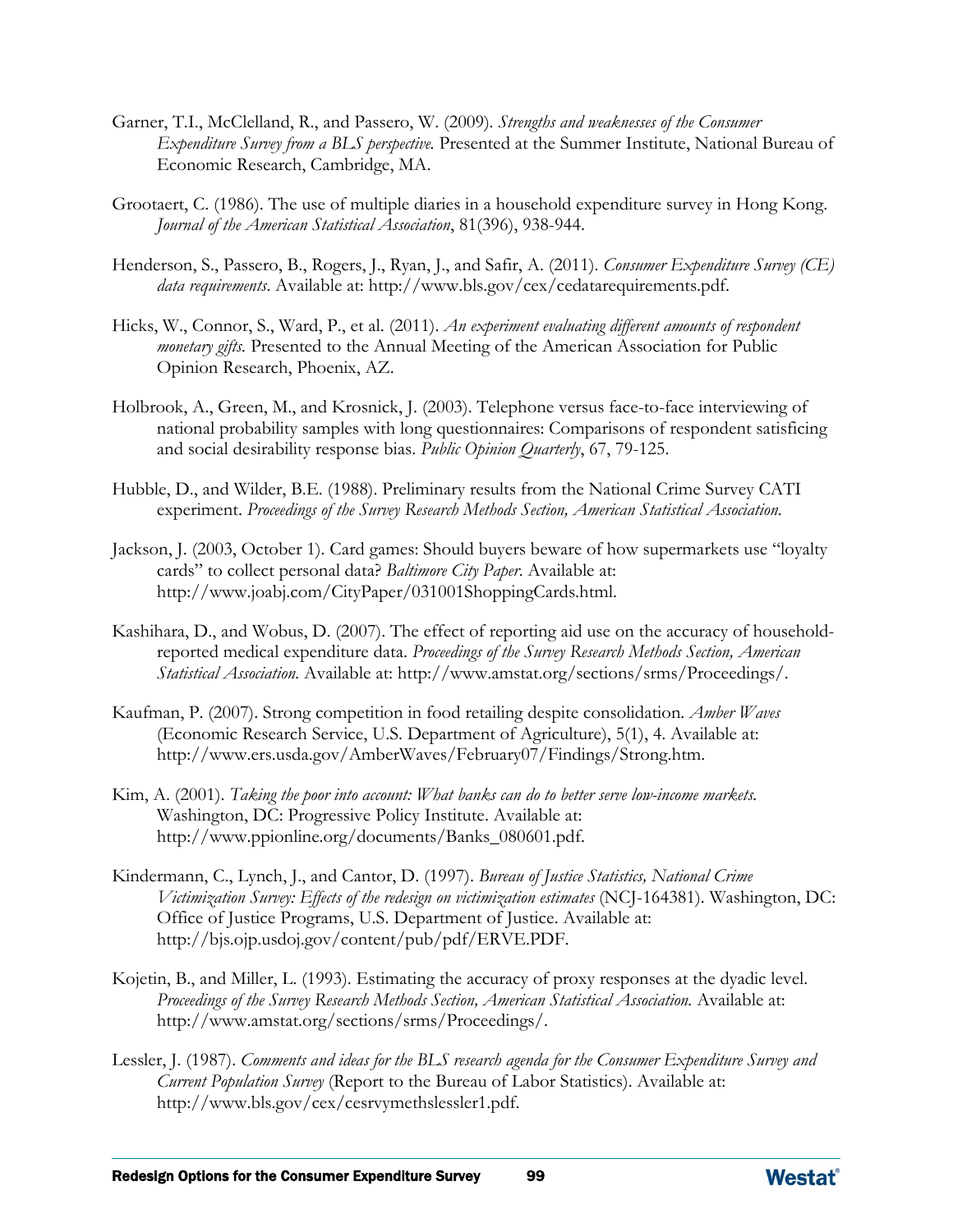- Garner, T.I., McClelland, R., and Passero, W. (2009). *Strengths and weaknesses of the Consumer Expenditure Survey from a BLS perspective.* Presented at the Summer Institute, National Bureau of Economic Research, Cambridge, MA.
- Grootaert, C. (1986). The use of multiple diaries in a household expenditure survey in Hong Kong. *Journal of the American Statistical Association*, 81(396), 938-944.
- Henderson, S., Passero, B., Rogers, J., Ryan, J., and Safir, A. (2011). *Consumer Expenditure Survey (CE) data requirements*. Available at: [http://www.bls.gov/cex/cedatarequirements.pdf.](http://www.bls.gov/cex/cedatarequirements.pdf)
- Hicks, W., Connor, S., Ward, P., et al. (2011). *An experiment evaluating different amounts of respondent monetary gifts.* Presented to the Annual Meeting of the American Association for Public Opinion Research, Phoenix, AZ.
- Holbrook, A., Green, M., and Krosnick, J. (2003). Telephone versus face-to-face interviewing of national probability samples with long questionnaires: Comparisons of respondent satisficing and social desirability response bias. *Public Opinion Quarterly*, 67, 79-125.
- Hubble, D., and Wilder, B.E. (1988). Preliminary results from the National Crime Survey CATI experiment. *Proceedings of the Survey Research Methods Section, American Statistical Association.*
- Jackson, J. (2003, October 1). Card games: Should buyers beware of how supermarkets use "loyalty cards" to collect personal data? *Baltimore City Paper*. Available at: [http://www.joabj.com/CityPaper/031001ShoppingCards.html.](http://www.joabj.com/CityPaper/031001ShoppingCards.html)
- Kashihara, D., and Wobus, D. (2007). The effect of reporting aid use on the accuracy of householdreported medical expenditure data. *Proceedings of the Survey Research Methods Section, American Statistical Association.* Available at: [http://www.amstat.org/sections/srms/Proceedings/.](http://www.amstat.org/sections/srms/Proceedings/)
- Kaufman, P. (2007). Strong competition in food retailing despite consolidation. *Amber Waves*  (Economic Research Service, U.S. Department of Agriculture), 5(1), 4. Available at: [http://www.ers.usda.gov/AmberWaves/February07/Findings/Strong.htm.](http://www.ers.usda.gov/AmberWaves/February07/Findings/Strong.htm)
- Kim, A. (2001). *Taking the poor into account: What banks can do to better serve low-income markets.*  Washington, DC: Progressive Policy Institute. Available at: [http://www.ppionline.org/documents/Banks\\_080601.pdf.](http://www.ppionline.org/documents/Banks_080601.pdf)
- Kindermann, C., Lynch, J., and Cantor, D. (1997). *Bureau of Justice Statistics, National Crime Victimization Survey: Effects of the redesign on victimization estimates* (NCJ-164381). Washington, DC: Office of Justice Programs, U.S. Department of Justice. Available at: http://bjs.ojp.usdoj.gov/content/pub/pdf/ERVE.PDF.
- Kojetin, B., and Miller, L. (1993). Estimating the accuracy of proxy responses at the dyadic level. *Proceedings of the Survey Research Methods Section, American Statistical Association.* Available at: [http://www.amstat.org/sections/srms/Proceedings/.](http://www.amstat.org/sections/srms/Proceedings/)
- Lessler, J. (1987). *Comments and ideas for the BLS research agenda for the Consumer Expenditure Survey and Current Population Survey* (Report to the Bureau of Labor Statistics). Available at: [http://www.bls.gov/cex/cesrvymethslessler1.pdf.](http://www.bls.gov/cex/cesrvymethslessler1.pdf)

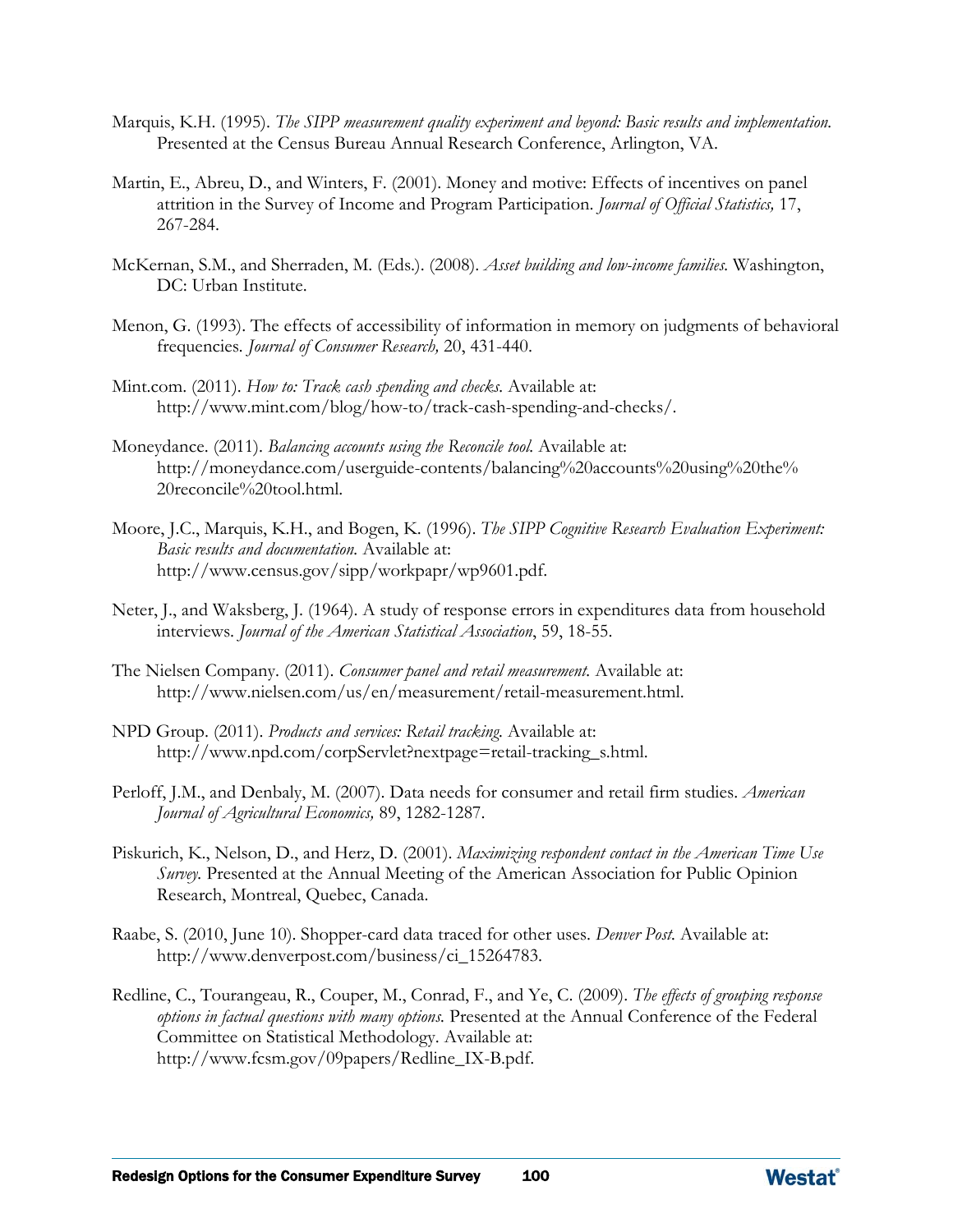- Marquis, K.H. (1995). *The SIPP measurement quality experiment and beyond: Basic results and implementation.* Presented at the Census Bureau Annual Research Conference, Arlington, VA.
- Martin, E., Abreu, D., and Winters, F. (2001). Money and motive: Effects of incentives on panel attrition in the Survey of Income and Program Participation. *Journal of Official Statistics,* 17, 267-284.
- McKernan, S.M., and Sherraden, M. (Eds.). (2008). *Asset building and low-income families.* Washington, DC: Urban Institute.
- Menon, G. (1993). The effects of accessibility of information in memory on judgments of behavioral frequencies*. Journal of Consumer Research,* 20, 431-440.
- Mint.com. (2011). *How to: Track cash spending and checks.* Available at: [http://www.mint.com/blog/how-to/track-cash-spending-and-checks/.](http://www.mint.com/blog/how-to/track-cash-spending-and-checks/)
- Moneydance. (2011). *Balancing accounts using the Reconcile tool.* Available at: [http://moneydance.com/userguide-contents/balancing%20accounts%20using%20the%](http://moneydance.com/userguide-contents/balancing%20accounts%20using%20the%20reconcile%20tool.html)  [20reconcile%20tool.html.](http://moneydance.com/userguide-contents/balancing%20accounts%20using%20the%20reconcile%20tool.html)
- Moore, J.C., Marquis, K.H., and Bogen, K. (1996). *The SIPP Cognitive Research Evaluation Experiment: Basic results and documentation.* Available at: [http://www.census.gov/sipp/workpapr/wp9601.pdf.](http://www.census.gov/sipp/workpapr/wp9601.pdf)
- Neter, J., and Waksberg, J. (1964). A study of response errors in expenditures data from household interviews. *Journal of the American Statistical Association*, 59, 18-55.
- The Nielsen Company. (2011). *Consumer panel and retail measurement.* Available at: [http://www.nielsen.com/us/en/measurement/retail-measurement.html.](http://www.nielsen.com/us/en/measurement/retail-measurement.html)
- NPD Group. (2011). *Products and services: Retail tracking.* Available at: [http://www.npd.com/corpServlet?nextpage=retail-tracking\\_s.html.](http://www.npd.com/corpServlet?nextpage=retail-tracking_s.html)
- Perloff, J.M., and Denbaly, M. (2007). Data needs for consumer and retail firm studies. *American Journal of Agricultural Economics,* 89, 1282-1287.
- Piskurich, K., Nelson, D., and Herz, D. (2001). *Maximizing respondent contact in the American Time Use Survey.* Presented at the Annual Meeting of the American Association for Public Opinion Research, Montreal, Quebec, Canada.
- Raabe, S. (2010, June 10). Shopper-card data traced for other uses. *Denver Post.* Available at: [http://www.denverpost.com/business/ci\\_15264783.](http://www.denverpost.com/business/ci_15264783)
- Redline, C., Tourangeau, R., Couper, M., Conrad, F., and Ye, C. (2009). *The effects of grouping response options in factual questions with many options.* Presented at the Annual Conference of the Federal Committee on Statistical Methodology. Available at: http://www.fcsm.gov/09papers/Redline\_IX-B.pdf.

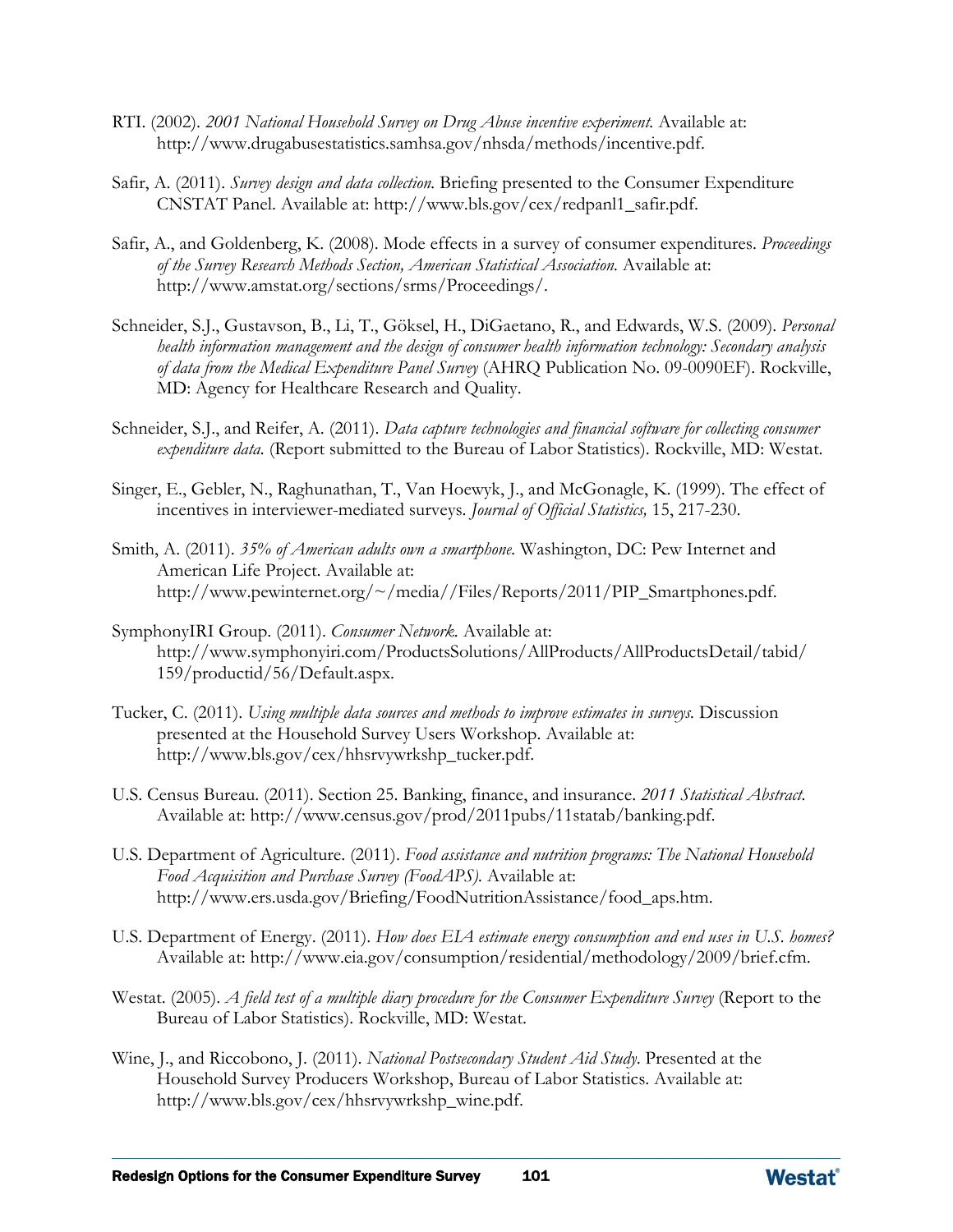- RTI. (2002). *2001 National Household Survey on Drug Abuse incentive experiment.* Available at: [http://www.drugabusestatistics.samhsa.gov/nhsda/methods/incentive.pdf.](http://www.drugabusestatistics.samhsa.gov/nhsda/methods/incentive.pdf)
- Safir, A. (2011). *Survey design and data collection.* Briefing presented to the Consumer Expenditure CNSTAT Panel. Available at: [http://www.bls.gov/cex/redpanl1\\_safir.pdf.](http://www.bls.gov/cex/redpanl1_safir.pdf)
- Safir, A., and Goldenberg, K. (2008). Mode effects in a survey of consumer expenditures. *Proceedings of the Survey Research Methods Section, American Statistical Association.* Available at: [http://www.amstat.org/sections/srms/Proceedings/.](http://www.amstat.org/sections/srms/Proceedings/)
- Schneider, S.J., Gustavson, B., Li, T., Göksel, H., DiGaetano, R., and Edwards, W.S. (2009). *Personal health information management and the design of consumer health information technology: Secondary analysis of data from the Medical Expenditure Panel Survey* (AHRQ Publication No. 09-0090EF). Rockville, MD: Agency for Healthcare Research and Quality.
- Schneider, S.J., and Reifer, A. (2011). *Data capture technologies and financial software for collecting consumer expenditure data.* (Report submitted to the Bureau of Labor Statistics). Rockville, MD: Westat.
- Singer, E., Gebler, N., Raghunathan, T., Van Hoewyk, J., and McGonagle, K. (1999). The effect of incentives in interviewer-mediated surveys. *Journal of Official Statistics,* 15, 217-230.
- Smith, A. (2011). *35% of American adults own a smartphone.* Washington, DC: Pew Internet and American Life Project. Available at: [http://www.pewinternet.org/~/media//Files/Reports/2011/PIP\\_Smartphones.pdf.](http://www.pewinternet.org/~/media/Files/Reports/2011/PIP_Smartphones.pdf)
- SymphonyIRI Group. (2011). *Consumer Network.* Available at: http://www.symphonyiri.com/ProductsSolutions/AllProducts/AllProductsDetail/tabid/ 159/productid/56/Default.aspx.
- Tucker, C. (2011). *Using multiple data sources and methods to improve estimates in surveys.* Discussion presented at the Household Survey Users Workshop. Available at: [http://www.bls.gov/cex/hhsrvywrkshp\\_tucker.pdf.](http://www.bls.gov/cex/hhsrvywrkshp_tucker.pdf)
- U.S. Census Bureau. (2011). Section 25. Banking, finance, and insurance. *2011 Statistical Abstract.* Available at: [http://www.census.gov/prod/2011pubs/11statab/banking.pdf.](http://www.census.gov/prod/2011pubs/11statab/banking.pdf)
- U.S. Department of Agriculture. (2011). *Food assistance and nutrition programs: The National Household Food Acquisition and Purchase Survey (FoodAPS).* Available at: [http://www.ers.usda.gov/Briefing/FoodNutritionAssistance/food\\_aps.htm.](http://www.ers.usda.gov/Briefing/FoodNutritionAssistance/food_aps.htm)
- U.S. Department of Energy. (2011). *How does EIA estimate energy consumption and end uses in U.S. homes?*  Available at: [http://www.eia.gov/consumption/residential/methodology/2009/brief.cfm.](http://www.eia.gov/consumption/residential/methodology/2009/brief.cfm)
- Westat. (2005). *A field test of a multiple diary procedure for the Consumer Expenditure Survey* (Report to the Bureau of Labor Statistics). Rockville, MD: Westat.
- Wine, J., and Riccobono, J. (2011). *National Postsecondary Student Aid Study*. Presented at the Household Survey Producers Workshop, Bureau of Labor Statistics. Available at: [http://www.bls.gov/cex/hhsrvywrkshp\\_wine.pdf.](http://www.bls.gov/cex/hhsrvywrkshp_wine.pdf)